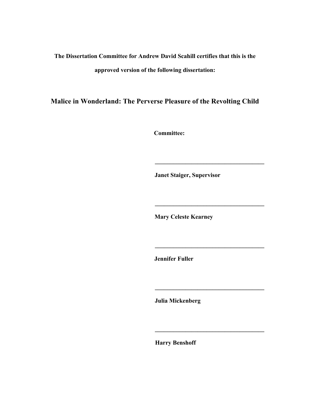# **The Dissertation Committee for Andrew David Scahill certifies that this is the approved version of the following dissertation:**

**Malice in Wonderland: The Perverse Pleasure of the Revolting Child**

 **Committee:**

 **Janet Staiger, Supervisor** 

**\_\_\_\_\_\_\_\_\_\_\_\_\_\_\_\_\_\_\_\_\_\_\_\_\_\_\_\_\_\_\_\_\_\_\_\_**

**\_\_\_\_\_\_\_\_\_\_\_\_\_\_\_\_\_\_\_\_\_\_\_\_\_\_\_\_\_\_\_\_\_\_\_\_**

**\_\_\_\_\_\_\_\_\_\_\_\_\_\_\_\_\_\_\_\_\_\_\_\_\_\_\_\_\_\_\_\_\_\_\_\_**

**\_\_\_\_\_\_\_\_\_\_\_\_\_\_\_\_\_\_\_\_\_\_\_\_\_\_\_\_\_\_\_\_\_\_\_\_**

**\_\_\_\_\_\_\_\_\_\_\_\_\_\_\_\_\_\_\_\_\_\_\_\_\_\_\_\_\_\_\_\_\_\_\_\_**

 **Mary Celeste Kearney**

**Jennifer Fuller**

 **Julia Mickenberg**

 **Harry Benshoff**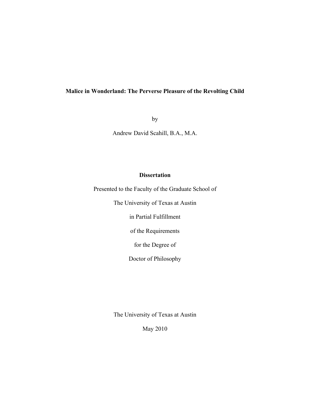# **Malice in Wonderland: The Perverse Pleasure of the Revolting Child**

by

Andrew David Scahill, B.A., M.A.

## **Dissertation**

Presented to the Faculty of the Graduate School of

The University of Texas at Austin

in Partial Fulfillment

of the Requirements

for the Degree of

Doctor of Philosophy

The University of Texas at Austin

May 2010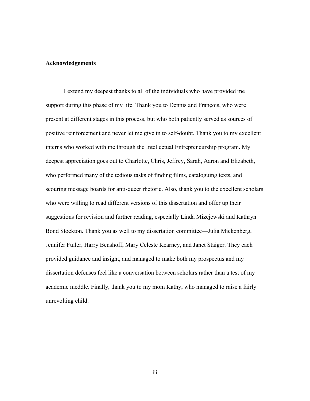#### **Acknowledgements**

I extend my deepest thanks to all of the individuals who have provided me support during this phase of my life. Thank you to Dennis and François, who were present at different stages in this process, but who both patiently served as sources of positive reinforcement and never let me give in to self-doubt. Thank you to my excellent interns who worked with me through the Intellectual Entrepreneurship program. My deepest appreciation goes out to Charlotte, Chris, Jeffrey, Sarah, Aaron and Elizabeth, who performed many of the tedious tasks of finding films, cataloguing texts, and scouring message boards for anti-queer rhetoric. Also, thank you to the excellent scholars who were willing to read different versions of this dissertation and offer up their suggestions for revision and further reading, especially Linda Mizejewski and Kathryn Bond Stockton. Thank you as well to my dissertation committee—Julia Mickenberg, Jennifer Fuller, Harry Benshoff, Mary Celeste Kearney, and Janet Staiger. They each provided guidance and insight, and managed to make both my prospectus and my dissertation defenses feel like a conversation between scholars rather than a test of my academic meddle. Finally, thank you to my mom Kathy, who managed to raise a fairly unrevolting child.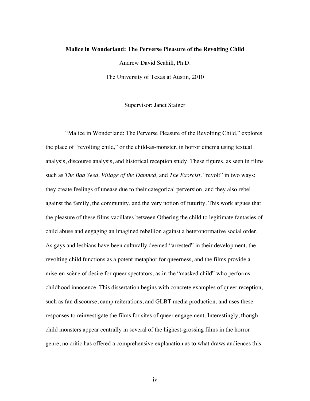#### **Malice in Wonderland: The Perverse Pleasure of the Revolting Child**

Andrew David Scahill, Ph.D.

The University of Texas at Austin, 2010

Supervisor: Janet Staiger

 "Malice in Wonderland: The Perverse Pleasure of the Revolting Child," explores the place of "revolting child," or the child-as-monster, in horror cinema using textual analysis, discourse analysis, and historical reception study. These figures, as seen in films such as *The Bad Seed, Village of the Damned,* and *The Exorcist,* "revolt" in two ways: they create feelings of unease due to their categorical perversion, and they also rebel against the family, the community, and the very notion of futurity. This work argues that the pleasure of these films vacillates between Othering the child to legitimate fantasies of child abuse and engaging an imagined rebellion against a heteronormative social order. As gays and lesbians have been culturally deemed "arrested" in their development, the revolting child functions as a potent metaphor for queerness, and the films provide a mise-en-scène of desire for queer spectators, as in the "masked child" who performs childhood innocence. This dissertation begins with concrete examples of queer reception, such as fan discourse, camp reiterations, and GLBT media production, and uses these responses to reinvestigate the films for sites of queer engagement. Interestingly, though child monsters appear centrally in several of the highest-grossing films in the horror genre, no critic has offered a comprehensive explanation as to what draws audiences this

iv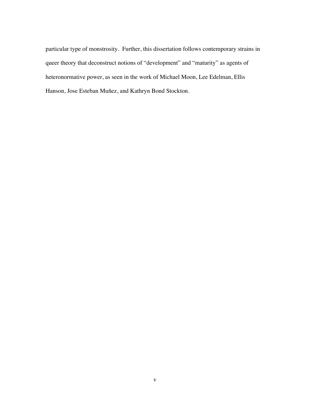particular type of monstrosity. Further, this dissertation follows contemporary strains in queer theory that deconstruct notions of "development" and "maturity" as agents of heteronormative power, as seen in the work of Michael Moon, Lee Edelman, Ellis Hanson, Jose Esteban Muñez, and Kathryn Bond Stockton.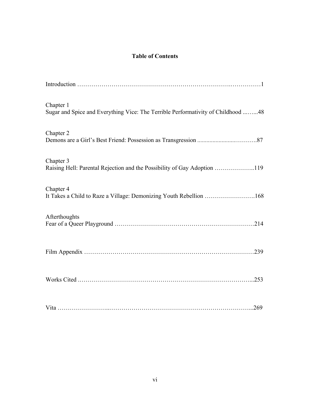# **Table of Contents**

| Chapter 1<br>Sugar and Spice and Everything Vice: The Terrible Performativity of Childhood 48 |
|-----------------------------------------------------------------------------------------------|
| Chapter 2                                                                                     |
| Chapter 3<br>Raising Hell: Parental Rejection and the Possibility of Gay Adoption 119         |
| Chapter 4<br>It Takes a Child to Raze a Village: Demonizing Youth Rebellion 168               |
| Afterthoughts                                                                                 |
|                                                                                               |
|                                                                                               |
|                                                                                               |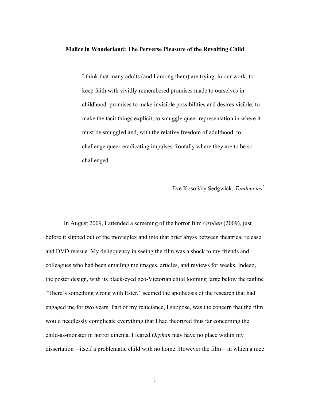#### **Malice in Wonderland: The Perverse Pleasure of the Revolting Child**

I think that many adults (and I among them) are trying, in our work, to keep faith with vividly remembered promises made to ourselves in childhood: promises to make invisible possibilities and desires visible; to make the tacit things explicit; to smuggle queer representation in where it must be smuggled and, with the relative freedom of adulthood, to challenge queer-eradicating impulses frontally where they are to be so challenged.

--Eve Kosofsky Sedgwick, *Tendencies1*

In August 2009, I attended a screening of the horror film *Orphan* (2009), just before it slipped out of the movieplex and into that brief abyss between theatrical release and DVD reissue. My delinquency in seeing the film was a shock to my friends and colleagues who had been emailing me images, articles, and reviews for weeks. Indeed, the poster design, with its black-eyed neo-Victorian child looming large below the tagline "There's something wrong with Ester," seemed the apotheosis of the research that had engaged me for two years. Part of my reluctance, I suppose, was the concern that the film would needlessly complicate everything that I had theorized thus far concerning the child-as-monster in horror cinema. I feared *Orphan* may have no place within my dissertation—itself a problematic child with no home. However the film—in which a nice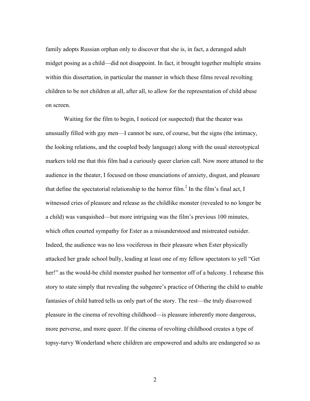family adopts Russian orphan only to discover that she is, in fact, a deranged adult midget posing as a child—did not disappoint. In fact, it brought together multiple strains within this dissertation, in particular the manner in which these films reveal revolting children to be not children at all, after all, to allow for the representation of child abuse on screen.

Waiting for the film to begin, I noticed (or suspected) that the theater was unusually filled with gay men—I cannot be sure, of course, but the signs (the intimacy, the looking relations, and the coupled body language) along with the usual stereotypical markers told me that this film had a curiously queer clarion call. Now more attuned to the audience in the theater, I focused on those enunciations of anxiety, disgust, and pleasure that define the spectatorial relationship to the horror film.<sup>2</sup> In the film's final act, I witnessed cries of pleasure and release as the childlike monster (revealed to no longer be a child) was vanquished—but more intriguing was the film's previous 100 minutes, which often courted sympathy for Ester as a misunderstood and mistreated outsider. Indeed, the audience was no less vociferous in their pleasure when Ester physically attacked her grade school bully, leading at least one of my fellow spectators to yell "Get her!" as the would-be child monster pushed her tormentor off of a balcony. I rehearse this story to state simply that revealing the subgenre's practice of Othering the child to enable fantasies of child hatred tells us only part of the story. The rest—the truly disavowed pleasure in the cinema of revolting childhood—is pleasure inherently more dangerous, more perverse, and more queer. If the cinema of revolting childhood creates a type of topsy-turvy Wonderland where children are empowered and adults are endangered so as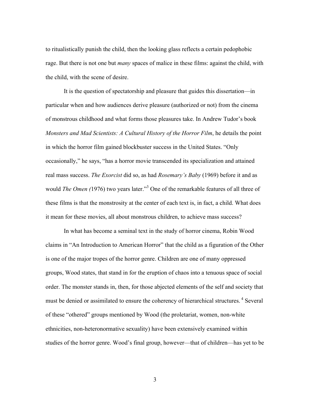to ritualistically punish the child, then the looking glass reflects a certain pedophobic rage. But there is not one but *many* spaces of malice in these films: against the child, with the child, with the scene of desire.

It is the question of spectatorship and pleasure that guides this dissertation—in particular when and how audiences derive pleasure (authorized or not) from the cinema of monstrous childhood and what forms those pleasures take. In Andrew Tudor's book *Monsters and Mad Scientists: A Cultural History of the Horror Film*, he details the point in which the horror film gained blockbuster success in the United States. "Only occasionally," he says, "has a horror movie transcended its specialization and attained real mass success. *The Exorcist* did so, as had *Rosemary's Baby* (1969) before it and as would *The Omen (*1976) two years later."<sup>3</sup> One of the remarkable features of all three of these films is that the monstrosity at the center of each text is, in fact, a child. What does it mean for these movies, all about monstrous children, to achieve mass success?

In what has become a seminal text in the study of horror cinema, Robin Wood claims in "An Introduction to American Horror" that the child as a figuration of the Other is one of the major tropes of the horror genre. Children are one of many oppressed groups, Wood states, that stand in for the eruption of chaos into a tenuous space of social order. The monster stands in, then, for those abjected elements of the self and society that must be denied or assimilated to ensure the coherency of hierarchical structures.<sup>4</sup> Several of these "othered" groups mentioned by Wood (the proletariat, women, non-white ethnicities, non-heteronormative sexuality) have been extensively examined within studies of the horror genre. Wood's final group, however—that of children—has yet to be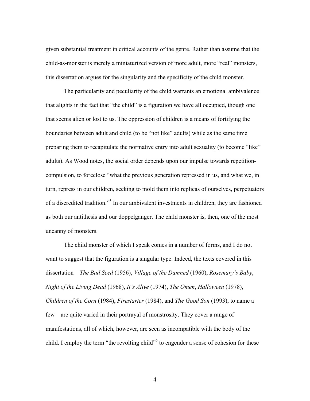given substantial treatment in critical accounts of the genre. Rather than assume that the child-as-monster is merely a miniaturized version of more adult, more "real" monsters, this dissertation argues for the singularity and the specificity of the child monster.

The particularity and peculiarity of the child warrants an emotional ambivalence that alights in the fact that "the child" is a figuration we have all occupied, though one that seems alien or lost to us. The oppression of children is a means of fortifying the boundaries between adult and child (to be "not like" adults) while as the same time preparing them to recapitulate the normative entry into adult sexuality (to become "like" adults). As Wood notes, the social order depends upon our impulse towards repetitioncompulsion, to foreclose "what the previous generation repressed in us, and what we, in turn, repress in our children, seeking to mold them into replicas of ourselves, perpetuators of a discredited tradition." 5 In our ambivalent investments in children, they are fashioned as both our antithesis and our doppelganger. The child monster is, then, one of the most uncanny of monsters.

The child monster of which I speak comes in a number of forms, and I do not want to suggest that the figuration is a singular type. Indeed, the texts covered in this dissertation—*The Bad Seed* (1956), *Village of the Damned* (1960), *Rosemary's Baby*, *Night of the Living Dead* (1968), *It's Alive* (1974), *The Omen*, *Halloween* (1978), *Children of the Corn* (1984), *Firestarter* (1984), and *The Good Son* (1993), to name a few—are quite varied in their portrayal of monstrosity. They cover a range of manifestations, all of which, however, are seen as incompatible with the body of the child. I employ the term "the revolting child"<sup>6</sup> to engender a sense of cohesion for these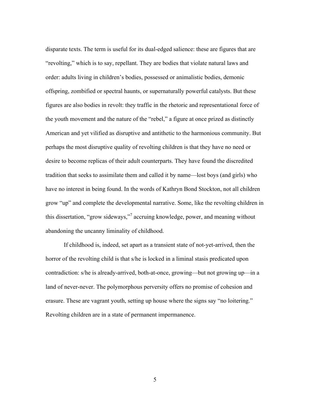disparate texts. The term is useful for its dual-edged salience: these are figures that are "revolting," which is to say, repellant. They are bodies that violate natural laws and order: adults living in children's bodies, possessed or animalistic bodies, demonic offspring, zombified or spectral haunts, or supernaturally powerful catalysts. But these figures are also bodies in revolt: they traffic in the rhetoric and representational force of the youth movement and the nature of the "rebel," a figure at once prized as distinctly American and yet vilified as disruptive and antithetic to the harmonious community. But perhaps the most disruptive quality of revolting children is that they have no need or desire to become replicas of their adult counterparts. They have found the discredited tradition that seeks to assimilate them and called it by name—lost boys (and girls) who have no interest in being found. In the words of Kathryn Bond Stockton, not all children grow "up" and complete the developmental narrative. Some, like the revolting children in this dissertation, "grow sideways,"<sup>7</sup> accruing knowledge, power, and meaning without abandoning the uncanny liminality of childhood.

If childhood is, indeed, set apart as a transient state of not-yet-arrived, then the horror of the revolting child is that s/he is locked in a liminal stasis predicated upon contradiction: s/he is already-arrived, both-at-once, growing—but not growing up—in a land of never-never. The polymorphous perversity offers no promise of cohesion and erasure. These are vagrant youth, setting up house where the signs say "no loitering." Revolting children are in a state of permanent impermanence.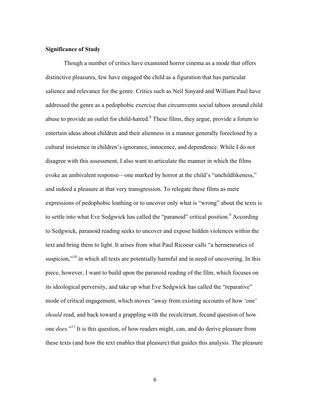#### **Significance of Study**

Though a number of critics have examined horror cinema as a mode that offers distinctive pleasures, few have engaged the child as a figuration that has particular salience and relevance for the genre. Critics such as Neil Sinyard and William Paul have addressed the genre as a pedophobic exercise that circumvents social taboos around child abuse to provide an outlet for child-hatred. $8$  These films, they argue, provide a forum to entertain ideas about children and their alienness in a manner generally foreclosed by a cultural insistence in children's ignorance, innocence, and dependence. While I do not disagree with this assessment, I also want to articulate the manner in which the films evoke an ambivalent response—one marked by horror at the child's "unchildlikeness," and indeed a pleasure at that very transgression. To relegate these films as mere expressions of pedophobic loathing or to uncover only what is "wrong" about the texts is to settle into what Eve Sedgwick has called the "paranoid" critical position.<sup>9</sup> According to Sedgwick, paranoid reading seeks to uncover and expose hidden violences within the text and bring them to light. It arises from what Paul Ricoeur calls "a hermeneutics of suspicion,"<sup>10</sup> in which all texts are potentially harmful and in need of uncovering. In this piece, however, I want to build upon the paranoid reading of the film, which focuses on its ideological perversity, and take up what Eve Sedgwick has called the "reparative" mode of critical engagement, which moves "away from existing accounts of how 'one' *should* read, and back toward a grappling with the recalcitrant, fecund question of how one *does.*" <sup>11</sup> It is this question, of how readers might, can, and do derive pleasure from these texts (and how the text enables that pleasure) that guides this analysis. The pleasure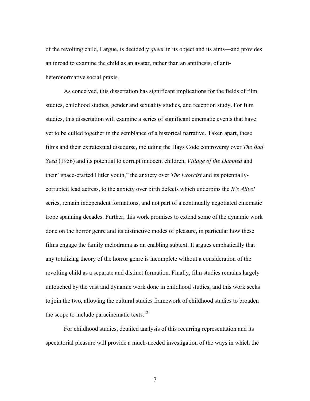of the revolting child, I argue, is decidedly *queer* in its object and its aims—and provides an inroad to examine the child as an avatar, rather than an antithesis, of antiheteronormative social praxis.

As conceived, this dissertation has significant implications for the fields of film studies, childhood studies, gender and sexuality studies, and reception study. For film studies, this dissertation will examine a series of significant cinematic events that have yet to be culled together in the semblance of a historical narrative. Taken apart, these films and their extratextual discourse, including the Hays Code controversy over *The Bad Seed* (1956) and its potential to corrupt innocent children, *Village of the Damned* and their "space-crafted Hitler youth," the anxiety over *The Exorcist* and its potentiallycorrupted lead actress, to the anxiety over birth defects which underpins the *It's Alive!* series, remain independent formations, and not part of a continually negotiated cinematic trope spanning decades. Further, this work promises to extend some of the dynamic work done on the horror genre and its distinctive modes of pleasure, in particular how these films engage the family melodrama as an enabling subtext. It argues emphatically that any totalizing theory of the horror genre is incomplete without a consideration of the revolting child as a separate and distinct formation. Finally, film studies remains largely untouched by the vast and dynamic work done in childhood studies, and this work seeks to join the two, allowing the cultural studies framework of childhood studies to broaden the scope to include paracinematic texts. $12$ 

For childhood studies, detailed analysis of this recurring representation and its spectatorial pleasure will provide a much-needed investigation of the ways in which the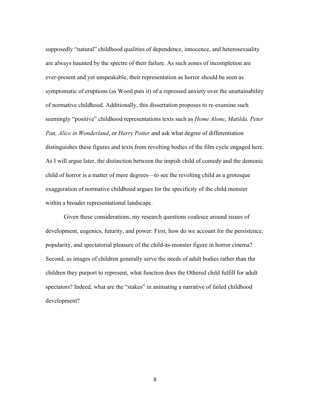supposedly "natural" childhood qualities of dependence, innocence, and heterosexuality are always haunted by the spectre of their failure. As such zones of incompletion are ever-present and yet unspeakable, their representation as horror should be seen as symptomatic of eruptions (as Wood puts it) of a repressed anxiety over the unattainability of normative childhood. Additionally, this dissertation proposes to re-examine such seemingly "positive" childhood representations texts such as *Home Alone*, *Matilda, Peter Pan, Alice in Wonderland*, or *Harry Potter* and ask what degree of differentiation distinguishes these figures and texts from revolting bodies of the film cycle engaged here. As I will argue later, the distinction between the impish child of comedy and the demonic child of horror is a matter of mere degrees—to see the revolting child as a grotesque exaggeration of normative childhood argues for the specificity of the child monster within a broader representational landscape.

Given these considerations, my research questions coalesce around issues of development, eugenics, futurity, and power: First, how do we account for the persistence, popularity, and spectatorial pleasure of the child-as-monster figure in horror cinema? Second, as images of children generally serve the needs of adult bodies rather than the children they purport to represent, what function does the Othered child fulfill for adult spectators? Indeed, what are the "stakes" in animating a narrative of failed childhood development?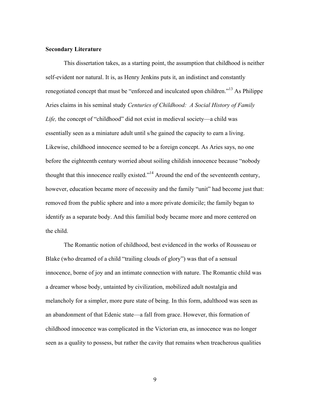#### **Secondary Literature**

This dissertation takes, as a starting point, the assumption that childhood is neither self-evident nor natural. It is, as Henry Jenkins puts it, an indistinct and constantly renegotiated concept that must be "enforced and inculcated upon children."<sup>13</sup> As Philippe Aries claims in his seminal study *Centuries of Childhood: A Social History of Family Life,* the concept of "childhood" did not exist in medieval society—a child was essentially seen as a miniature adult until s/he gained the capacity to earn a living. Likewise, childhood innocence seemed to be a foreign concept. As Aries says, no one before the eighteenth century worried about soiling childish innocence because "nobody thought that this innocence really existed. $1^{14}$  Around the end of the seventeenth century, however, education became more of necessity and the family "unit" had become just that: removed from the public sphere and into a more private domicile; the family began to identify as a separate body. And this familial body became more and more centered on the child.

The Romantic notion of childhood, best evidenced in the works of Rousseau or Blake (who dreamed of a child "trailing clouds of glory") was that of a sensual innocence, borne of joy and an intimate connection with nature. The Romantic child was a dreamer whose body, untainted by civilization, mobilized adult nostalgia and melancholy for a simpler, more pure state of being. In this form, adulthood was seen as an abandonment of that Edenic state—a fall from grace. However, this formation of childhood innocence was complicated in the Victorian era, as innocence was no longer seen as a quality to possess, but rather the cavity that remains when treacherous qualities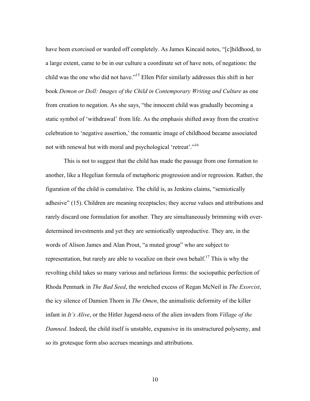have been exorcised or warded off completely. As James Kincaid notes, "[c]hildhood, to a large extent, came to be in our culture a coordinate set of have nots, of negations: the child was the one who did not have." 15 Ellen Pifer similarly addresses this shift in her book *Demon or Doll: Images of the Child in Contemporary Writing and Culture* as one from creation to negation. As she says, "the innocent child was gradually becoming a static symbol of 'withdrawal' from life. As the emphasis shifted away from the creative celebration to 'negative assertion,' the romantic image of childhood became associated not with renewal but with moral and psychological 'retreat'."<sup>16</sup>

This is not to suggest that the child has made the passage from one formation to another, like a Hegelian formula of metaphoric progression and/or regression. Rather, the figuration of the child is cumulative. The child is, as Jenkins claims, "semiotically adhesive" (15). Children are meaning receptacles; they accrue values and attributions and rarely discard one formulation for another. They are simultaneously brimming with overdetermined investments and yet they are semiotically unproductive. They are, in the words of Alison James and Alan Prout, "a muted group" who are subject to representation, but rarely are able to vocalize on their own behalf.<sup>17</sup> This is why the revolting child takes so many various and nefarious forms: the sociopathic perfection of Rhoda Penmark in *The Bad Seed*, the wretched excess of Regan McNeil in *The Exorcist*, the icy silence of Damien Thorn in *The Omen*, the animalistic deformity of the killer infant in *It's Alive*, or the Hitler Jugend-ness of the alien invaders from *Village of the Damned*. Indeed, the child itself is unstable, expansive in its unstructured polysemy, and so its grotesque form also accrues meanings and attributions.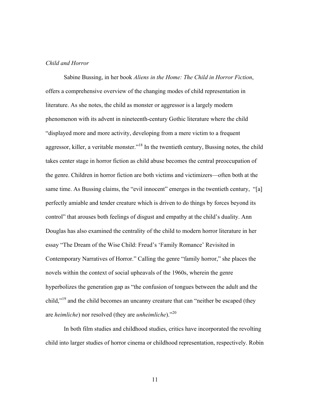#### *Child and Horror*

Sabine Bussing, in her book *Aliens in the Home: The Child in Horror Fiction*, offers a comprehensive overview of the changing modes of child representation in literature. As she notes, the child as monster or aggressor is a largely modern phenomenon with its advent in nineteenth-century Gothic literature where the child "displayed more and more activity, developing from a mere victim to a frequent aggressor, killer, a veritable monster."<sup>18</sup> In the twentieth century, Bussing notes, the child takes center stage in horror fiction as child abuse becomes the central preoccupation of the genre. Children in horror fiction are both victims and victimizers—often both at the same time. As Bussing claims, the "evil innocent" emerges in the twentieth century, "[a] perfectly amiable and tender creature which is driven to do things by forces beyond its control" that arouses both feelings of disgust and empathy at the child's duality. Ann Douglas has also examined the centrality of the child to modern horror literature in her essay "The Dream of the Wise Child: Freud's 'Family Romance' Revisited in Contemporary Narratives of Horror." Calling the genre "family horror," she places the novels within the context of social upheavals of the 1960s, wherein the genre hyperbolizes the generation gap as "the confusion of tongues between the adult and the child,"<sup>19</sup> and the child becomes an uncanny creature that can "neither be escaped (they are *heimliche*) nor resolved (they are *unheimliche*)."<sup>20</sup>

In both film studies and childhood studies, critics have incorporated the revolting child into larger studies of horror cinema or childhood representation, respectively. Robin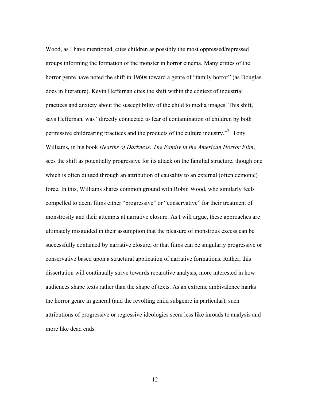Wood, as I have mentioned, cites children as possibly the most oppressed/repressed groups informing the formation of the monster in horror cinema. Many critics of the horror genre have noted the shift in 1960s toward a genre of "family horror" (as Douglas does in literature). Kevin Heffernan cites the shift within the context of industrial practices and anxiety about the susceptibility of the child to media images. This shift, says Heffernan, was "directly connected to fear of contamination of children by both permissive childrearing practices and the products of the culture industry.<sup>"21</sup> Tony Williams, in his book *Hearths of Darkness: The Family in the American Horror Film*, sees the shift as potentially progressive for its attack on the familial structure, though one which is often diluted through an attribution of causality to an external (often demonic) force. In this, Williams shares common ground with Robin Wood, who similarly feels compelled to deem films either "progressive" or "conservative" for their treatment of monstrosity and their attempts at narrative closure. As I will argue, these approaches are ultimately misguided in their assumption that the pleasure of monstrous excess can be successfully contained by narrative closure, or that films can be singularly progressive or conservative based upon a structural application of narrative formations. Rather, this dissertation will continually strive towards reparative analysis, more interested in how audiences shape texts rather than the shape of texts. As an extreme ambivalence marks the horror genre in general (and the revolting child subgenre in particular), such attributions of progressive or regressive ideologies seem less like inroads to analysis and more like dead ends.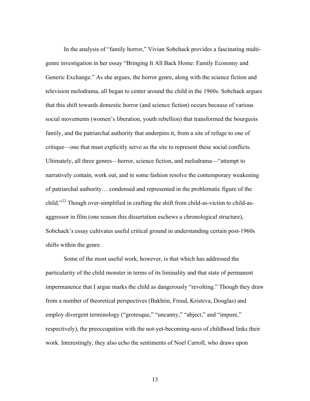In the analysis of "family horror," Vivian Sobchack provides a fascinating multigenre investigation in her essay "Bringing It All Back Home: Family Economy and Generic Exchange." As she argues, the horror genre, along with the science fiction and television melodrama, all began to center around the child in the 1960s. Sobchack argues that this shift towards domestic horror (and science fiction) occurs because of various social movements (women's liberation, youth rebellion) that transformed the bourgeois family, and the patriarchal authority that underpins it, from a site of refuge to one of critique—one that must explicitly serve as the site to represent these social conflicts. Ultimately, all three genres—horror, science fiction, and melodrama—"attempt to narratively contain, work out, and in some fashion resolve the contemporary weakening of patriarchal authority… condensed and represented in the problematic figure of the child." 22 Though over-simplified in crafting the shift from child-as-victim to child-asaggressor in film (one reason this dissertation eschews a chronological structure), Sobchack's essay cultivates useful critical ground in understanding certain post-1960s shifts within the genre.

Some of the most useful work, however, is that which has addressed the particularity of the child monster in terms of its liminality and that state of permanent impermanence that I argue marks the child as dangerously "revolting." Though they draw from a number of theoretical perspectives (Bakhtin, Freud, Kristeva, Douglas) and employ divergent terminology ("grotesque," "uncanny," "abject," and "impure," respectively), the preoccupation with the not-yet-becoming-ness of childhood links their work. Interestingly, they also echo the sentiments of Noel Carroll, who draws upon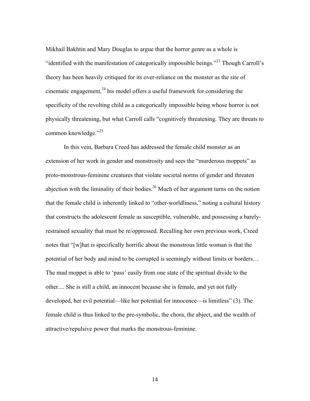Mikhail Bakhtin and Mary Douglas to argue that the horror genre as a whole is "identified with the manifestation of categorically impossible beings."23 Though Carroll's theory has been heavily critiqued for its over-reliance on the monster as the site of cinematic engagement, $^{24}$  his model offers a useful framework for considering the specificity of the revolting child as a categorically impossible being whose horror is not physically threatening, but what Carroll calls "cognitively threatening. They are threats to common knowledge."<sup>25</sup>

In this vein, Barbara Creed has addressed the female child monster as an extension of her work in gender and monstrosity and sees the "murderous moppets" as proto-monstrous-feminine creatures that violate societal norms of gender and threaten abjection with the liminality of their bodies.<sup>26</sup> Much of her argument turns on the notion that the female child is inherently linked to "other-worldliness," noting a cultural history that constructs the adolescent female as susceptible, vulnerable, and possessing a barelyrestrained sexuality that must be re/oppressed. Recalling her own previous work, Creed notes that "[w]hat is specifically horrific about the monstrous little woman is that the potential of her body and mind to be corrupted is seemingly without limits or borders… The mad moppet is able to 'pass' easily from one state of the spiritual divide to the other.... She is still a child, an innocent because she is female, and yet not fully developed, her evil potential—like her potential for innocence—is limitless" (3). The female child is thus linked to the pre-symbolic, the chora, the abject, and the wealth of attractive/repulsive power that marks the monstrous-feminine.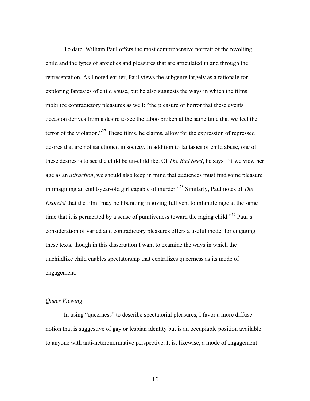To date, William Paul offers the most comprehensive portrait of the revolting child and the types of anxieties and pleasures that are articulated in and through the representation. As I noted earlier, Paul views the subgenre largely as a rationale for exploring fantasies of child abuse, but he also suggests the ways in which the films mobilize contradictory pleasures as well: "the pleasure of horror that these events occasion derives from a desire to see the taboo broken at the same time that we feel the terror of the violation."<sup>27</sup> These films, he claims, allow for the expression of repressed desires that are not sanctioned in society. In addition to fantasies of child abuse, one of these desires is to see the child be un-childlike. Of *The Bad Seed*, he says, "if we view her age as an *attraction*, we should also keep in mind that audiences must find some pleasure in imagining an eight-year-old girl capable of murder."28 Similarly, Paul notes of *The Exorcist* that the film "may be liberating in giving full vent to infantile rage at the same time that it is permeated by a sense of punitiveness toward the raging child."<sup>29</sup> Paul's consideration of varied and contradictory pleasures offers a useful model for engaging these texts, though in this dissertation I want to examine the ways in which the unchildlike child enables spectatorship that centralizes queerness as its mode of engagement.

## *Queer Viewing*

In using "queerness" to describe spectatorial pleasures, I favor a more diffuse notion that is suggestive of gay or lesbian identity but is an occupiable position available to anyone with anti-heteronormative perspective. It is, likewise, a mode of engagement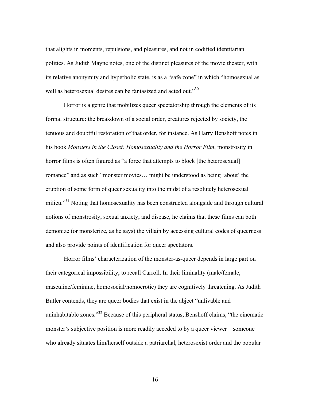that alights in moments, repulsions, and pleasures, and not in codified identitarian politics. As Judith Mayne notes, one of the distinct pleasures of the movie theater, with its relative anonymity and hyperbolic state, is as a "safe zone" in which "homosexual as well as heterosexual desires can be fantasized and acted out."<sup>30</sup>

Horror is a genre that mobilizes queer spectatorship through the elements of its formal structure: the breakdown of a social order, creatures rejected by society, the tenuous and doubtful restoration of that order, for instance. As Harry Benshoff notes in his book *Monsters in the Closet: Homosexuality and the Horror Film*, monstrosity in horror films is often figured as "a force that attempts to block [the heterosexual] romance" and as such "monster movies… might be understood as being 'about' the eruption of some form of queer sexuality into the midst of a resolutely heterosexual milieu.<sup>331</sup> Noting that homosexuality has been constructed alongside and through cultural notions of monstrosity, sexual anxiety, and disease, he claims that these films can both demonize (or monsterize, as he says) the villain by accessing cultural codes of queerness and also provide points of identification for queer spectators.

Horror films' characterization of the monster-as-queer depends in large part on their categorical impossibility, to recall Carroll. In their liminality (male/female, masculine/feminine, homosocial/homoerotic) they are cognitively threatening. As Judith Butler contends, they are queer bodies that exist in the abject "unlivable and uninhabitable zones."<sup>32</sup> Because of this peripheral status, Benshoff claims, "the cinematic monster's subjective position is more readily acceded to by a queer viewer—someone who already situates him/herself outside a patriarchal, heterosexist order and the popular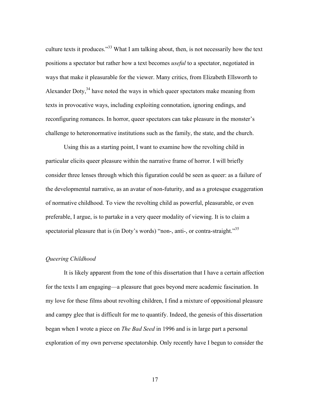culture texts it produces."33 What I am talking about, then, is not necessarily how the text positions a spectator but rather how a text becomes *useful* to a spectator, negotiated in ways that make it pleasurable for the viewer. Many critics, from Elizabeth Ellsworth to Alexander Doty,  $34$  have noted the ways in which queer spectators make meaning from texts in provocative ways, including exploiting connotation, ignoring endings, and reconfiguring romances. In horror, queer spectators can take pleasure in the monster's challenge to heteronormative institutions such as the family, the state, and the church.

Using this as a starting point, I want to examine how the revolting child in particular elicits queer pleasure within the narrative frame of horror. I will briefly consider three lenses through which this figuration could be seen as queer: as a failure of the developmental narrative, as an avatar of non-futurity, and as a grotesque exaggeration of normative childhood. To view the revolting child as powerful, pleasurable, or even preferable, I argue, is to partake in a very queer modality of viewing. It is to claim a spectatorial pleasure that is (in Doty's words) "non-, anti-, or contra-straight."<sup>35</sup>

## *Queering Childhood*

It is likely apparent from the tone of this dissertation that I have a certain affection for the texts I am engaging—a pleasure that goes beyond mere academic fascination. In my love for these films about revolting children, I find a mixture of oppositional pleasure and campy glee that is difficult for me to quantify. Indeed, the genesis of this dissertation began when I wrote a piece on *The Bad Seed* in 1996 and is in large part a personal exploration of my own perverse spectatorship. Only recently have I begun to consider the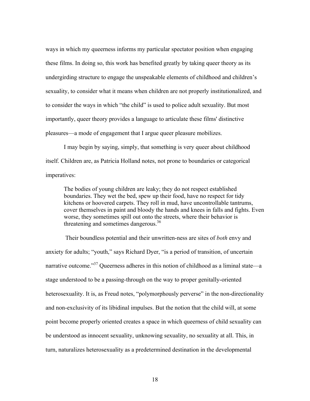ways in which my queerness informs my particular spectator position when engaging these films. In doing so, this work has benefited greatly by taking queer theory as its undergirding structure to engage the unspeakable elements of childhood and children's sexuality, to consider what it means when children are not properly institutionalized, and to consider the ways in which "the child" is used to police adult sexuality. But most importantly, queer theory provides a language to articulate these films' distinctive pleasures—a mode of engagement that I argue queer pleasure mobilizes.

I may begin by saying, simply, that something is very queer about childhood itself. Children are, as Patricia Holland notes, not prone to boundaries or categorical imperatives:

The bodies of young children are leaky; they do not respect established boundaries. They wet the bed, spew up their food, have no respect for tidy kitchens or hoovered carpets. They roll in mud, have uncontrollable tantrums, cover themselves in paint and bloody the hands and knees in falls and fights. Even worse, they sometimes spill out onto the streets, where their behavior is threatening and sometimes dangerous.<sup>36</sup>

 Their boundless potential and their unwritten-ness are sites of *both* envy and anxiety for adults; "youth," says Richard Dyer, "is a period of transition, of uncertain narrative outcome."<sup>37</sup> Queerness adheres in this notion of childhood as a liminal state—a stage understood to be a passing-through on the way to proper genitally-oriented heterosexuality. It is, as Freud notes, "polymorphously perverse" in the non-directionality and non-exclusivity of its libidinal impulses. But the notion that the child will, at some point become properly oriented creates a space in which queerness of child sexuality can be understood as innocent sexuality, unknowing sexuality, no sexuality at all. This, in turn, naturalizes heterosexuality as a predetermined destination in the developmental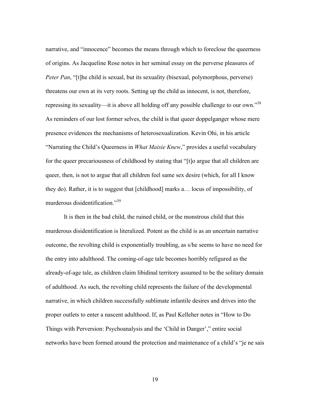narrative, and "innocence" becomes the means through which to foreclose the queerness of origins. As Jacqueline Rose notes in her seminal essay on the perverse pleasures of *Peter Pan*, "[t]he child is sexual, but its sexuality (bisexual, polymorphous, perverse) threatens our own at its very roots. Setting up the child as innocent, is not, therefore, repressing its sexuality—it is above all holding off any possible challenge to our own."38 As reminders of our lost former selves, the child is that queer doppelganger whose mere presence evidences the mechanisms of heterosexualization. Kevin Ohi, in his article "Narrating the Child's Queerness in *What Maisie Knew*," provides a useful vocabulary for the queer precariousness of childhood by stating that "[t]o argue that all children are queer, then, is not to argue that all children feel same sex desire (which, for all I know they do). Rather, it is to suggest that [childhood] marks a… locus of impossibility, of murderous disidentification."<sup>39</sup>

It is then in the bad child, the ruined child, or the monstrous child that this murderous disidentification is literalized. Potent as the child is as an uncertain narrative outcome, the revolting child is exponentially troubling, as s/he seems to have no need for the entry into adulthood. The coming-of-age tale becomes horribly refigured as the already-of-age tale, as children claim libidinal territory assumed to be the solitary domain of adulthood. As such, the revolting child represents the failure of the developmental narrative, in which children successfully sublimate infantile desires and drives into the proper outlets to enter a nascent adulthood. If, as Paul Kelleher notes in "How to Do Things with Perversion: Psychoanalysis and the 'Child in Danger'," entire social networks have been formed around the protection and maintenance of a child's "je ne sais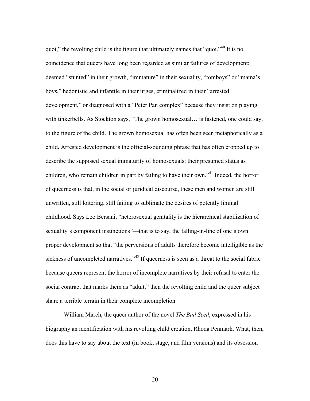quoi," the revolting child is the figure that ultimately names that "quoi."<sup>40</sup> It is no coincidence that queers have long been regarded as similar failures of development: deemed "stunted" in their growth, "immature" in their sexuality, "tomboys" or "mama's boys," hedonistic and infantile in their urges, criminalized in their "arrested development," or diagnosed with a "Peter Pan complex" because they insist on playing with tinkerbells. As Stockton says, "The grown homosexual... is fastened, one could say, to the figure of the child. The grown homosexual has often been seen metaphorically as a child. Arrested development is the official-sounding phrase that has often cropped up to describe the supposed sexual immaturity of homosexuals: their presumed status as children, who remain children in part by failing to have their own."<sup>41</sup> Indeed, the horror of queerness is that, in the social or juridical discourse, these men and women are still unwritten, still loitering, still failing to sublimate the desires of potently liminal childhood. Says Leo Bersani, "heterosexual genitality is the hierarchical stabilization of sexuality's component instinctions"—that is to say, the falling-in-line of one's own proper development so that "the perversions of adults therefore become intelligible as the sickness of uncompleted narratives."<sup>42</sup> If queerness is seen as a threat to the social fabric because queers represent the horror of incomplete narratives by their refusal to enter the social contract that marks them as "adult," then the revolting child and the queer subject share a terrible terrain in their complete incompletion.

William March, the queer author of the novel *The Bad Seed*, expressed in his biography an identification with his revolting child creation, Rhoda Penmark. What, then, does this have to say about the text (in book, stage, and film versions) and its obsession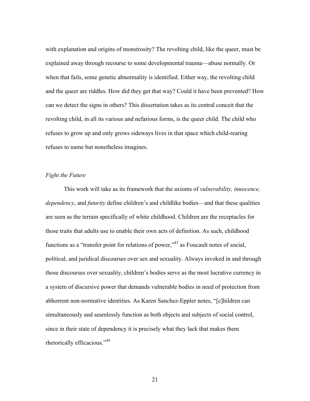with explanation and origins of monstrosity? The revolting child, like the queer, must be explained away through recourse to some developmental trauma—abuse normally. Or when that fails, some genetic abnormality is identified. Either way, the revolting child and the queer are riddles. How did they get that way? Could it have been prevented? How can we detect the signs in others? This dissertation takes as its central conceit that the revolting child, in all its various and nefarious forms, is the queer child. The child who refuses to grow up and only grows sideways lives in that space which child-rearing refuses to name but nonetheless imagines.

#### *Fight the Future*

This work will take as its framework that the axioms of *vulnerability, innocence, dependency*, and *futurity* define children's and childlike bodies—and that these qualities are seen as the terrain specifically of white childhood. Children are the receptacles for those traits that adults use to enable their own acts of definition. As such, childhood functions as a "transfer point for relations of power,"<sup>43</sup> as Foucault notes of social, political, and juridical discourses over sex and sexuality. Always invoked in and through those discourses over sexuality, children's bodies serve as the most lucrative currency in a system of discursive power that demands vulnerable bodies in need of protection from abhorrent non-normative identities. As Karen Sanchez-Eppler notes, "[c]hildren can simultaneously and seamlessly function as both objects and subjects of social control, since in their state of dependency it is precisely what they lack that makes them rhetorically efficacious." 44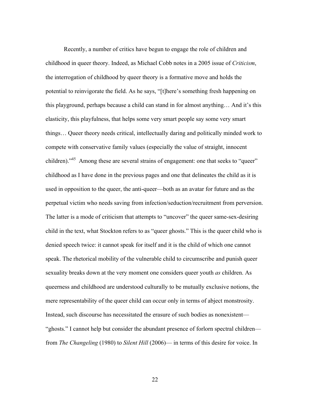Recently, a number of critics have begun to engage the role of children and childhood in queer theory. Indeed, as Michael Cobb notes in a 2005 issue of *Criticism*, the interrogation of childhood by queer theory is a formative move and holds the potential to reinvigorate the field. As he says, "[t]here's something fresh happening on this playground, perhaps because a child can stand in for almost anything… And it's this elasticity, this playfulness, that helps some very smart people say some very smart things… Queer theory needs critical, intellectually daring and politically minded work to compete with conservative family values (especially the value of straight, innocent children)."<sup>45</sup> Among these are several strains of engagement: one that seeks to "queer" childhood as I have done in the previous pages and one that delineates the child as it is used in opposition to the queer, the anti-queer—both as an avatar for future and as the perpetual victim who needs saving from infection/seduction/recruitment from perversion. The latter is a mode of criticism that attempts to "uncover" the queer same-sex-desiring child in the text, what Stockton refers to as "queer ghosts." This is the queer child who is denied speech twice: it cannot speak for itself and it is the child of which one cannot speak. The rhetorical mobility of the vulnerable child to circumscribe and punish queer sexuality breaks down at the very moment one considers queer youth *as* children. As queerness and childhood are understood culturally to be mutually exclusive notions, the mere representability of the queer child can occur only in terms of abject monstrosity. Instead, such discourse has necessitated the erasure of such bodies as nonexistent— "ghosts." I cannot help but consider the abundant presence of forlorn spectral children from *The Changeling* (1980) to *Silent Hill* (2006)— in terms of this desire for voice. In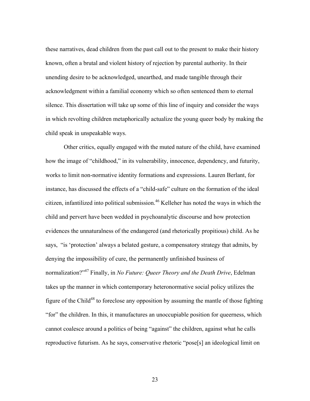these narratives, dead children from the past call out to the present to make their history known, often a brutal and violent history of rejection by parental authority. In their unending desire to be acknowledged, unearthed, and made tangible through their acknowledgment within a familial economy which so often sentenced them to eternal silence. This dissertation will take up some of this line of inquiry and consider the ways in which revolting children metaphorically actualize the young queer body by making the child speak in unspeakable ways.

Other critics, equally engaged with the muted nature of the child, have examined how the image of "childhood," in its vulnerability, innocence, dependency, and futurity, works to limit non-normative identity formations and expressions. Lauren Berlant, for instance, has discussed the effects of a "child-safe" culture on the formation of the ideal citizen, infantilized into political submission.<sup>46</sup> Kelleher has noted the ways in which the child and pervert have been wedded in psychoanalytic discourse and how protection evidences the unnaturalness of the endangered (and rhetorically propitious) child. As he says, "is 'protection' always a belated gesture, a compensatory strategy that admits, by denying the impossibility of cure, the permanently unfinished business of normalization?"47 Finally, in *No Future: Queer Theory and the Death Drive*, Edelman takes up the manner in which contemporary heteronormative social policy utilizes the figure of the Child<sup>48</sup> to foreclose any opposition by assuming the mantle of those fighting "for" the children. In this, it manufactures an unoccupiable position for queerness, which cannot coalesce around a politics of being "against" the children, against what he calls reproductive futurism. As he says, conservative rhetoric "pose[s] an ideological limit on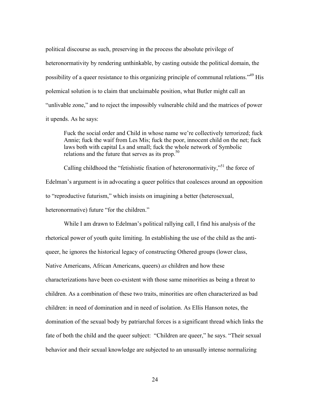political discourse as such, preserving in the process the absolute privilege of heteronormativity by rendering unthinkable, by casting outside the political domain, the possibility of a queer resistance to this organizing principle of communal relations."49 His polemical solution is to claim that unclaimable position, what Butler might call an "unlivable zone," and to reject the impossibly vulnerable child and the matrices of power it upends. As he says:

Fuck the social order and Child in whose name we're collectively terrorized; fuck Annie; fuck the waif from Les Mis; fuck the poor, innocent child on the net; fuck laws both with capital Ls and small; fuck the whole network of Symbolic relations and the future that serves as its prop.<sup>50</sup>

Calling childhood the "fetishistic fixation of heteronormativity,"<sup>51</sup> the force of Edelman's argument is in advocating a queer politics that coalesces around an opposition to "reproductive futurism," which insists on imagining a better (heterosexual, heteronormative) future "for the children."

While I am drawn to Edelman's political rallying call, I find his analysis of the rhetorical power of youth quite limiting. In establishing the use of the child as the antiqueer, he ignores the historical legacy of constructing Othered groups (lower class, Native Americans, African Americans, queers) *as* children and how these characterizations have been co-existent with those same minorities as being a threat to children. As a combination of these two traits, minorities are often characterized as bad children: in need of domination and in need of isolation. As Ellis Hanson notes, the domination of the sexual body by patriarchal forces is a significant thread which links the fate of both the child and the queer subject: "Children are queer," he says. "Their sexual behavior and their sexual knowledge are subjected to an unusually intense normalizing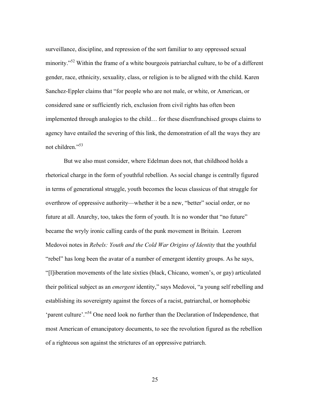surveillance, discipline, and repression of the sort familiar to any oppressed sexual minority."<sup>52</sup> Within the frame of a white bourgeois patriarchal culture, to be of a different gender, race, ethnicity, sexuality, class, or religion is to be aligned with the child. Karen Sanchez-Eppler claims that "for people who are not male, or white, or American, or considered sane or sufficiently rich, exclusion from civil rights has often been implemented through analogies to the child… for these disenfranchised groups claims to agency have entailed the severing of this link, the demonstration of all the ways they are not children."<sup>53</sup>

But we also must consider, where Edelman does not, that childhood holds a rhetorical charge in the form of youthful rebellion. As social change is centrally figured in terms of generational struggle, youth becomes the locus classicus of that struggle for overthrow of oppressive authority—whether it be a new, "better" social order, or no future at all. Anarchy, too, takes the form of youth. It is no wonder that "no future" became the wryly ironic calling cards of the punk movement in Britain. Leerom Medovoi notes in *Rebels: Youth and the Cold War Origins of Identity* that the youthful "rebel" has long been the avatar of a number of emergent identity groups. As he says, "[l]iberation movements of the late sixties (black, Chicano, women's, or gay) articulated their political subject as an *emergent* identity," says Medovoi, "a young self rebelling and establishing its sovereignty against the forces of a racist, patriarchal, or homophobic 'parent culture'."<sup>54</sup> One need look no further than the Declaration of Independence, that most American of emancipatory documents, to see the revolution figured as the rebellion of a righteous son against the strictures of an oppressive patriarch.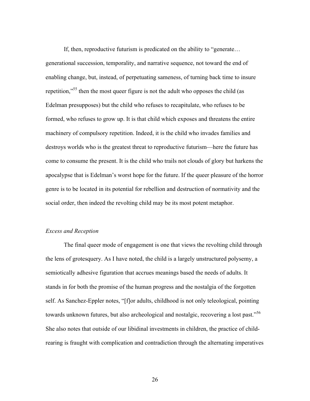If, then, reproductive futurism is predicated on the ability to "generate… generational succession, temporality, and narrative sequence, not toward the end of enabling change, but, instead, of perpetuating sameness, of turning back time to insure repetition,"55 then the most queer figure is not the adult who opposes the child (as Edelman presupposes) but the child who refuses to recapitulate, who refuses to be formed, who refuses to grow up. It is that child which exposes and threatens the entire machinery of compulsory repetition. Indeed, it is the child who invades families and destroys worlds who is the greatest threat to reproductive futurism—here the future has come to consume the present. It is the child who trails not clouds of glory but harkens the apocalypse that is Edelman's worst hope for the future. If the queer pleasure of the horror genre is to be located in its potential for rebellion and destruction of normativity and the social order, then indeed the revolting child may be its most potent metaphor.

#### *Excess and Reception*

The final queer mode of engagement is one that views the revolting child through the lens of grotesquery. As I have noted, the child is a largely unstructured polysemy, a semiotically adhesive figuration that accrues meanings based the needs of adults. It stands in for both the promise of the human progress and the nostalgia of the forgotten self. As Sanchez-Eppler notes, "[f]or adults, childhood is not only teleological, pointing towards unknown futures, but also archeological and nostalgic, recovering a lost past."<sup>56</sup> She also notes that outside of our libidinal investments in children, the practice of childrearing is fraught with complication and contradiction through the alternating imperatives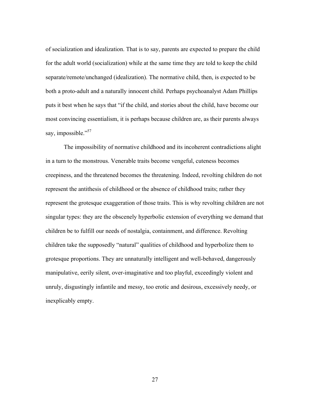of socialization and idealization. That is to say, parents are expected to prepare the child for the adult world (socialization) while at the same time they are told to keep the child separate/remote/unchanged (idealization). The normative child, then, is expected to be both a proto-adult and a naturally innocent child. Perhaps psychoanalyst Adam Phillips puts it best when he says that "if the child, and stories about the child, have become our most convincing essentialism, it is perhaps because children are, as their parents always say, impossible."<sup>57</sup>

The impossibility of normative childhood and its incoherent contradictions alight in a turn to the monstrous. Venerable traits become vengeful, cuteness becomes creepiness, and the threatened becomes the threatening. Indeed, revolting children do not represent the antithesis of childhood or the absence of childhood traits; rather they represent the grotesque exaggeration of those traits. This is why revolting children are not singular types: they are the obscenely hyperbolic extension of everything we demand that children be to fulfill our needs of nostalgia, containment, and difference. Revolting children take the supposedly "natural" qualities of childhood and hyperbolize them to grotesque proportions. They are unnaturally intelligent and well-behaved, dangerously manipulative, eerily silent, over-imaginative and too playful, exceedingly violent and unruly, disgustingly infantile and messy, too erotic and desirous, excessively needy, or inexplicably empty.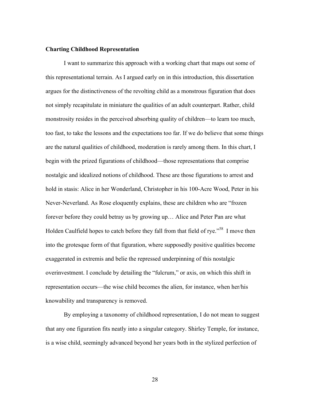#### **Charting Childhood Representation**

I want to summarize this approach with a working chart that maps out some of this representational terrain. As I argued early on in this introduction, this dissertation argues for the distinctiveness of the revolting child as a monstrous figuration that does not simply recapitulate in miniature the qualities of an adult counterpart. Rather, child monstrosity resides in the perceived absorbing quality of children—to learn too much, too fast, to take the lessons and the expectations too far. If we do believe that some things are the natural qualities of childhood, moderation is rarely among them. In this chart, I begin with the prized figurations of childhood—those representations that comprise nostalgic and idealized notions of childhood. These are those figurations to arrest and hold in stasis: Alice in her Wonderland, Christopher in his 100-Acre Wood, Peter in his Never-Neverland. As Rose eloquently explains, these are children who are "frozen forever before they could betray us by growing up… Alice and Peter Pan are what Holden Caulfield hopes to catch before they fall from that field of rye.<sup>58</sup> I move then into the grotesque form of that figuration, where supposedly positive qualities become exaggerated in extremis and belie the repressed underpinning of this nostalgic overinvestment. I conclude by detailing the "fulcrum," or axis, on which this shift in representation occurs—the wise child becomes the alien, for instance, when her/his knowability and transparency is removed.

By employing a taxonomy of childhood representation, I do not mean to suggest that any one figuration fits neatly into a singular category. Shirley Temple, for instance, is a wise child, seemingly advanced beyond her years both in the stylized perfection of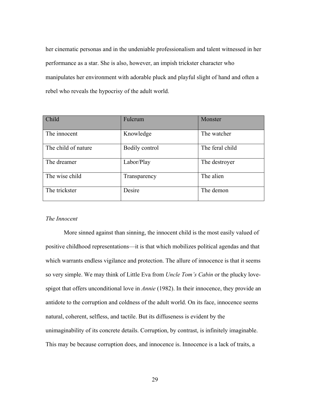her cinematic personas and in the undeniable professionalism and talent witnessed in her performance as a star. She is also, however, an impish trickster character who manipulates her environment with adorable pluck and playful slight of hand and often a rebel who reveals the hypocrisy of the adult world.

| Child               | Fulcrum        | Monster         |
|---------------------|----------------|-----------------|
| The innocent        | Knowledge      | The watcher     |
| The child of nature | Bodily control | The feral child |
| The dreamer         | Labor/Play     | The destroyer   |
| The wise child      | Transparency   | The alien       |
| The trickster       | Desire         | The demon       |

#### *The Innocent*

More sinned against than sinning, the innocent child is the most easily valued of positive childhood representations—it is that which mobilizes political agendas and that which warrants endless vigilance and protection. The allure of innocence is that it seems so very simple. We may think of Little Eva from *Uncle Tom's Cabin* or the plucky lovespigot that offers unconditional love in *Annie* (1982). In their innocence, they provide an antidote to the corruption and coldness of the adult world. On its face, innocence seems natural, coherent, selfless, and tactile. But its diffuseness is evident by the unimaginability of its concrete details. Corruption, by contrast, is infinitely imaginable. This may be because corruption does, and innocence is. Innocence is a lack of traits, a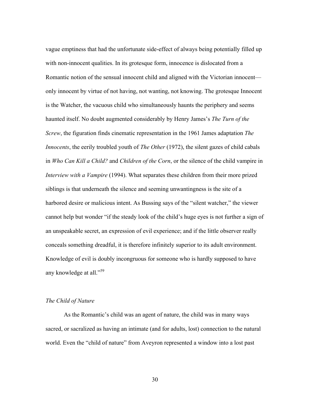vague emptiness that had the unfortunate side-effect of always being potentially filled up with non-innocent qualities. In its grotesque form, innocence is dislocated from a Romantic notion of the sensual innocent child and aligned with the Victorian innocent only innocent by virtue of not having, not wanting, not knowing. The grotesque Innocent is the Watcher, the vacuous child who simultaneously haunts the periphery and seems haunted itself. No doubt augmented considerably by Henry James's *The Turn of the Screw*, the figuration finds cinematic representation in the 1961 James adaptation *The Innocents*, the eerily troubled youth of *The Other* (1972), the silent gazes of child cabals in *Who Can Kill a Child?* and *Children of the Corn*, or the silence of the child vampire in *Interview with a Vampire* (1994). What separates these children from their more prized siblings is that underneath the silence and seeming unwantingness is the site of a harbored desire or malicious intent. As Bussing says of the "silent watcher," the viewer cannot help but wonder "if the steady look of the child's huge eyes is not further a sign of an unspeakable secret, an expression of evil experience; and if the little observer really conceals something dreadful, it is therefore infinitely superior to its adult environment. Knowledge of evil is doubly incongruous for someone who is hardly supposed to have any knowledge at all."<sup>59</sup>

## *The Child of Nature*

As the Romantic's child was an agent of nature, the child was in many ways sacred, or sacralized as having an intimate (and for adults, lost) connection to the natural world. Even the "child of nature" from Aveyron represented a window into a lost past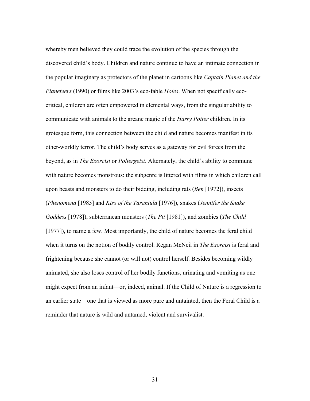whereby men believed they could trace the evolution of the species through the discovered child's body. Children and nature continue to have an intimate connection in the popular imaginary as protectors of the planet in cartoons like *Captain Planet and the Planeteers* (1990) or films like 2003's eco-fable *Holes*. When not specifically ecocritical, children are often empowered in elemental ways, from the singular ability to communicate with animals to the arcane magic of the *Harry Potter* children. In its grotesque form, this connection between the child and nature becomes manifest in its other-worldly terror. The child's body serves as a gateway for evil forces from the beyond, as in *The Exorcist* or *Poltergeist*. Alternately, the child's ability to commune with nature becomes monstrous: the subgenre is littered with films in which children call upon beasts and monsters to do their bidding, including rats (*Ben* [1972]), insects (*Phenomena* [1985] and *Kiss of the Tarantula* [1976]), snakes (*Jennifer the Snake Goddess* [1978]), subterranean monsters (*The Pit* [1981]), and zombies (*The Child* [1977]), to name a few. Most importantly, the child of nature becomes the feral child when it turns on the notion of bodily control. Regan McNeil in *The Exorcist* is feral and frightening because she cannot (or will not) control herself. Besides becoming wildly animated, she also loses control of her bodily functions, urinating and vomiting as one might expect from an infant—or, indeed, animal. If the Child of Nature is a regression to an earlier state—one that is viewed as more pure and untainted, then the Feral Child is a reminder that nature is wild and untamed, violent and survivalist.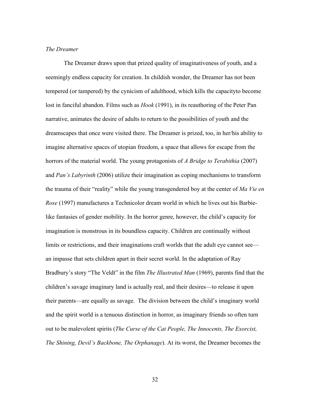## *The Dreamer*

The Dreamer draws upon that prized quality of imaginativeness of youth, and a seemingly endless capacity for creation. In childish wonder, the Dreamer has not been tempered (or tampered) by the cynicism of adulthood, which kills the capacityto become lost in fanciful abandon. Films such as *Hook* (1991), in its reauthoring of the Peter Pan narrative, animates the desire of adults to return to the possibilities of youth and the dreamscapes that once were visited there. The Dreamer is prized, too, in her/his ability to imagine alternative spaces of utopian freedom, a space that allows for escape from the horrors of the material world. The young protagonists of *A Bridge to Terabithia* (2007) and *Pan's Labyrinth* (2006) utilize their imagination as coping mechanisms to transform the trauma of their "reality" while the young transgendered boy at the center of *Ma Vie en Rose* (1997) manufactures a Technicolor dream world in which he lives out his Barbielike fantasies of gender mobility. In the horror genre, however, the child's capacity for imagination is monstrous in its boundless capacity. Children are continually without limits or restrictions, and their imaginations craft worlds that the adult eye cannot see an impasse that sets children apart in their secret world. In the adaptation of Ray Bradbury's story "The Veldt" in the film *The Illustrated Man* (1969), parents find that the children's savage imaginary land is actually real, and their desires—to release it upon their parents—are equally as savage. The division between the child's imaginary world and the spirit world is a tenuous distinction in horror, as imaginary friends so often turn out to be malevolent spirits (*The Curse of the Cat People, The Innocents, The Exorcist, The Shining, Devil's Backbone, The Orphanage*). At its worst, the Dreamer becomes the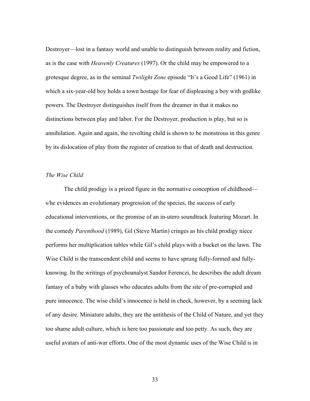Destroyer—lost in a fantasy world and unable to distinguish between reality and fiction, as is the case with *Heavenly Creatures* (1997). Or the child may be empowered to a grotesque degree, as in the seminal *Twilight Zone* episode "It's a Good Life" (1961) in which a six-year-old boy holds a town hostage for fear of displeasing a boy with godlike powers. The Destroyer distinguishes itself from the dreamer in that it makes no distinctions between play and labor. For the Destroyer, production is play, but so is annihilation. Again and again, the revolting child is shown to be monstrous in this genre by its dislocation of play from the register of creation to that of death and destruction.

### *The Wise Child*

The child prodigy is a prized figure in the normative conception of childhood s/he evidences an evolutionary progression of the species, the success of early educational interventions, or the promise of an in-utero soundtrack featuring Mozart. In the comedy *Parenthood* (1989), Gil (Steve Martin) cringes as his child prodigy niece performs her multiplication tables while Gil's child plays with a bucket on the lawn. The Wise Child is the transcendent child and seems to have sprung fully-formed and fullyknowing. In the writings of psychoanalyst Sandor Ferenczi, he describes the adult dream fantasy of a baby with glasses who educates adults from the site of pre-corrupted and pure innocence. The wise child's innocence is held in check, however, by a seeming lack of any desire. Miniature adults, they are the antithesis of the Child of Nature, and yet they too shame adult culture, which is here too passionate and too petty. As such, they are useful avatars of anti-war efforts. One of the most dynamic uses of the Wise Child is in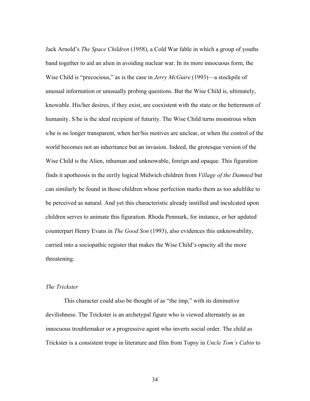Jack Arnold's *The Space Children* (1958), a Cold War fable in which a group of youths band together to aid an alien in avoiding nuclear war. In its more innocuous form, the Wise Child is "precocious," as is the case in *Jerry McGuire* (1993)—a stockpile of unusual information or unusually probing questions. But the Wise Child is, ultimately, knowable. His/her desires, if they exist, are coexistent with the state or the betterment of humanity. S/he is the ideal recipient of futurity. The Wise Child turns monstrous when s/he is no longer transparent, when her/his motives are unclear, or when the control of the world becomes not an inheritance but an invasion. Indeed, the grotesque version of the Wise Child is the Alien, inhuman and unknowable, foreign and opaque. This figuration finds it apotheosis in the eerily logical Midwich children from *Village of the Damned* but can similarly be found in those children whose perfection marks them as too adultlike to be perceived as natural. And yet this characteristic already instilled and inculcated upon children serves to animate this figuration. Rhoda Penmark, for instance, or her updated counterpart Henry Evans in *The Good Son* (1993), also evidences this unknowability, carried into a sociopathic register that makes the Wise Child's opacity all the more threatening.

# *The Trickster*

This character could also be thought of as "the imp," with its diminutive devilishness. The Trickster is an archetypal figure who is viewed alternately as an innocuous troublemaker or a progressive agent who inverts social order. The child as Trickster is a consistent trope in literature and film from Topsy in *Uncle Tom's Cabin* to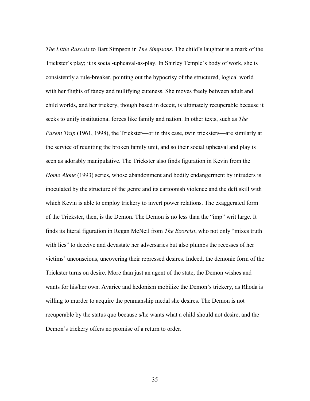*The Little Rascals* to Bart Simpson in *The Simpsons*. The child's laughter is a mark of the Trickster's play; it is social-upheaval-as-play. In Shirley Temple's body of work, she is consistently a rule-breaker, pointing out the hypocrisy of the structured, logical world with her flights of fancy and nullifying cuteness. She moves freely between adult and child worlds, and her trickery, though based in deceit, is ultimately recuperable because it seeks to unify institutional forces like family and nation. In other texts, such as *The Parent Trap* (1961, 1998), the Trickster—or in this case, twin tricksters—are similarly at the service of reuniting the broken family unit, and so their social upheaval and play is seen as adorably manipulative. The Trickster also finds figuration in Kevin from the *Home Alone* (1993) series, whose abandonment and bodily endangerment by intruders is inoculated by the structure of the genre and its cartoonish violence and the deft skill with which Kevin is able to employ trickery to invert power relations. The exaggerated form of the Trickster, then, is the Demon. The Demon is no less than the "imp" writ large. It finds its literal figuration in Regan McNeil from *The Exorcist*, who not only "mixes truth with lies" to deceive and devastate her adversaries but also plumbs the recesses of her victims' unconscious, uncovering their repressed desires. Indeed, the demonic form of the Trickster turns on desire. More than just an agent of the state, the Demon wishes and wants for his/her own. Avarice and hedonism mobilize the Demon's trickery, as Rhoda is willing to murder to acquire the penmanship medal she desires. The Demon is not recuperable by the status quo because s/he wants what a child should not desire, and the Demon's trickery offers no promise of a return to order.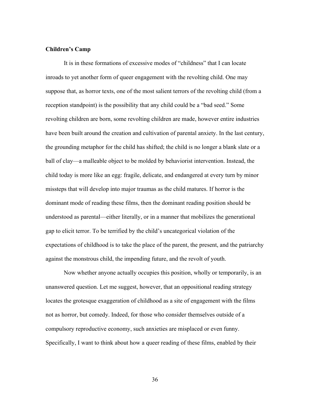### **Children's Camp**

It is in these formations of excessive modes of "childness" that I can locate inroads to yet another form of queer engagement with the revolting child. One may suppose that, as horror texts, one of the most salient terrors of the revolting child (from a reception standpoint) is the possibility that any child could be a "bad seed." Some revolting children are born, some revolting children are made, however entire industries have been built around the creation and cultivation of parental anxiety. In the last century, the grounding metaphor for the child has shifted; the child is no longer a blank slate or a ball of clay—a malleable object to be molded by behaviorist intervention. Instead, the child today is more like an egg: fragile, delicate, and endangered at every turn by minor missteps that will develop into major traumas as the child matures. If horror is the dominant mode of reading these films, then the dominant reading position should be understood as parental—either literally, or in a manner that mobilizes the generational gap to elicit terror. To be terrified by the child's uncategorical violation of the expectations of childhood is to take the place of the parent, the present, and the patriarchy against the monstrous child, the impending future, and the revolt of youth.

Now whether anyone actually occupies this position, wholly or temporarily, is an unanswered question. Let me suggest, however, that an oppositional reading strategy locates the grotesque exaggeration of childhood as a site of engagement with the films not as horror, but comedy. Indeed, for those who consider themselves outside of a compulsory reproductive economy, such anxieties are misplaced or even funny. Specifically, I want to think about how a queer reading of these films, enabled by their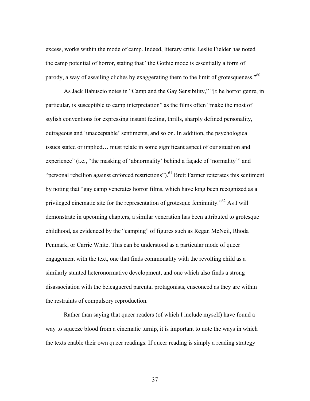excess, works within the mode of camp. Indeed, literary critic Leslie Fielder has noted the camp potential of horror, stating that "the Gothic mode is essentially a form of parody, a way of assailing clichés by exaggerating them to the limit of grotesqueness."<sup>60</sup>

As Jack Babuscio notes in "Camp and the Gay Sensibility," "[t]he horror genre, in particular, is susceptible to camp interpretation" as the films often "make the most of stylish conventions for expressing instant feeling, thrills, sharply defined personality, outrageous and 'unacceptable' sentiments, and so on. In addition, the psychological issues stated or implied… must relate in some significant aspect of our situation and experience" (i.e., "the masking of 'abnormality' behind a façade of 'normality'" and "personal rebellion against enforced restrictions").<sup>61</sup> Brett Farmer reiterates this sentiment by noting that "gay camp venerates horror films, which have long been recognized as a privileged cinematic site for the representation of grotesque femininity.<sup> $562$ </sup> As I will demonstrate in upcoming chapters, a similar veneration has been attributed to grotesque childhood, as evidenced by the "camping" of figures such as Regan McNeil, Rhoda Penmark, or Carrie White. This can be understood as a particular mode of queer engagement with the text, one that finds commonality with the revolting child as a similarly stunted heteronormative development, and one which also finds a strong disassociation with the beleaguered parental protagonists, ensconced as they are within the restraints of compulsory reproduction.

Rather than saying that queer readers (of which I include myself) have found a way to squeeze blood from a cinematic turnip, it is important to note the ways in which the texts enable their own queer readings. If queer reading is simply a reading strategy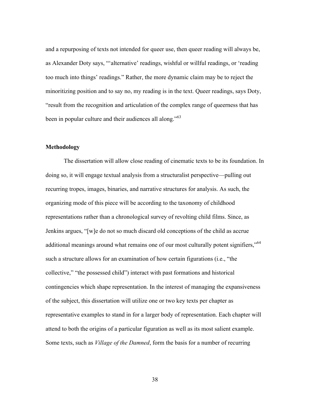and a repurposing of texts not intended for queer use, then queer reading will always be, as Alexander Doty says, "'alternative' readings, wishful or willful readings, or 'reading too much into things' readings." Rather, the more dynamic claim may be to reject the minoritizing position and to say no, my reading is in the text. Queer readings, says Doty, "result from the recognition and articulation of the complex range of queerness that has been in popular culture and their audiences all along."<sup>63</sup>

#### **Methodology**

The dissertation will allow close reading of cinematic texts to be its foundation. In doing so, it will engage textual analysis from a structuralist perspective—pulling out recurring tropes, images, binaries, and narrative structures for analysis. As such, the organizing mode of this piece will be according to the taxonomy of childhood representations rather than a chronological survey of revolting child films. Since, as Jenkins argues, "[w]e do not so much discard old conceptions of the child as accrue additional meanings around what remains one of our most culturally potent signifiers,"<sup>64</sup> such a structure allows for an examination of how certain figurations (i.e., "the collective," "the possessed child") interact with past formations and historical contingencies which shape representation. In the interest of managing the expansiveness of the subject, this dissertation will utilize one or two key texts per chapter as representative examples to stand in for a larger body of representation. Each chapter will attend to both the origins of a particular figuration as well as its most salient example. Some texts, such as *Village of the Damned*, form the basis for a number of recurring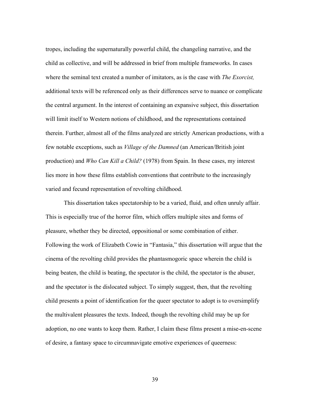tropes, including the supernaturally powerful child, the changeling narrative, and the child as collective, and will be addressed in brief from multiple frameworks. In cases where the seminal text created a number of imitators, as is the case with *The Exorcist,* additional texts will be referenced only as their differences serve to nuance or complicate the central argument. In the interest of containing an expansive subject, this dissertation will limit itself to Western notions of childhood, and the representations contained therein. Further, almost all of the films analyzed are strictly American productions, with a few notable exceptions, such as *Village of the Damned* (an American/British joint production) and *Who Can Kill a Child?* (1978) from Spain. In these cases, my interest lies more in how these films establish conventions that contribute to the increasingly varied and fecund representation of revolting childhood.

This dissertation takes spectatorship to be a varied, fluid, and often unruly affair. This is especially true of the horror film, which offers multiple sites and forms of pleasure, whether they be directed, oppositional or some combination of either. Following the work of Elizabeth Cowie in "Fantasia," this dissertation will argue that the cinema of the revolting child provides the phantasmogoric space wherein the child is being beaten, the child is beating, the spectator is the child, the spectator is the abuser, and the spectator is the dislocated subject. To simply suggest, then, that the revolting child presents a point of identification for the queer spectator to adopt is to oversimplify the multivalent pleasures the texts. Indeed, though the revolting child may be up for adoption, no one wants to keep them. Rather, I claim these films present a mise-en-scene of desire, a fantasy space to circumnavigate emotive experiences of queerness: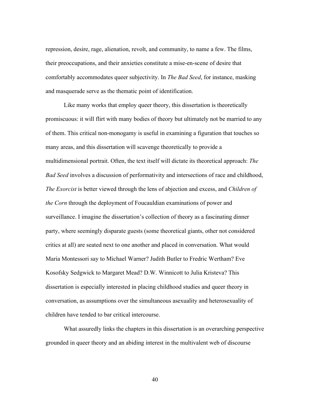repression, desire, rage, alienation, revolt, and community, to name a few. The films, their preoccupations, and their anxieties constitute a mise-en-scene of desire that comfortably accommodates queer subjectivity. In *The Bad Seed*, for instance, masking and masquerade serve as the thematic point of identification.

Like many works that employ queer theory, this dissertation is theoretically promiscuous: it will flirt with many bodies of theory but ultimately not be married to any of them. This critical non-monogamy is useful in examining a figuration that touches so many areas, and this dissertation will scavenge theoretically to provide a multidimensional portrait. Often, the text itself will dictate its theoretical approach: *The Bad Seed* involves a discussion of performativity and intersections of race and childhood, *The Exorcist* is better viewed through the lens of abjection and excess, and *Children of the Corn* through the deployment of Foucauldian examinations of power and surveillance. I imagine the dissertation's collection of theory as a fascinating dinner party, where seemingly disparate guests (some theoretical giants, other not considered critics at all) are seated next to one another and placed in conversation. What would Maria Montessori say to Michael Warner? Judith Butler to Fredric Wertham? Eve Kosofsky Sedgwick to Margaret Mead? D.W. Winnicott to Julia Kristeva? This dissertation is especially interested in placing childhood studies and queer theory in conversation, as assumptions over the simultaneous asexuality and heterosexuality of children have tended to bar critical intercourse.

What assuredly links the chapters in this dissertation is an overarching perspective grounded in queer theory and an abiding interest in the multivalent web of discourse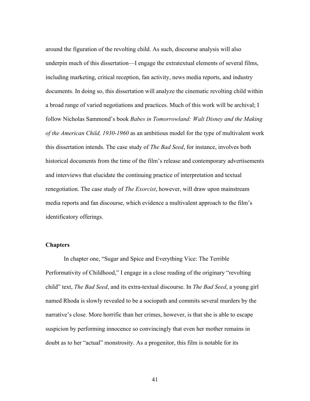around the figuration of the revolting child. As such, discourse analysis will also underpin much of this dissertation—I engage the extratextual elements of several films, including marketing, critical reception, fan activity, news media reports, and industry documents. In doing so, this dissertation will analyze the cinematic revolting child within a broad range of varied negotiations and practices. Much of this work will be archival; I follow Nicholas Sammond's book *Babes in Tomorrowland: Walt Disney and the Making of the American Child, 1930-1960* as an ambitious model for the type of multivalent work this dissertation intends. The case study of *The Bad Seed*, for instance, involves both historical documents from the time of the film's release and contemporary advertisements and interviews that elucidate the continuing practice of interpretation and textual renegotiation. The case study of *The Exorcist*, however, will draw upon mainstream media reports and fan discourse, which evidence a multivalent approach to the film's identificatory offerings.

# **Chapters**

In chapter one, "Sugar and Spice and Everything Vice: The Terrible Performativity of Childhood," I engage in a close reading of the originary "revolting child" text, *The Bad Seed*, and its extra-textual discourse. In *The Bad Seed*, a young girl named Rhoda is slowly revealed to be a sociopath and commits several murders by the narrative's close. More horrific than her crimes, however, is that she is able to escape suspicion by performing innocence so convincingly that even her mother remains in doubt as to her "actual" monstrosity. As a progenitor, this film is notable for its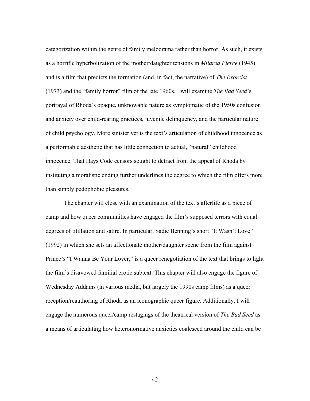categorization within the genre of family melodrama rather than horror. As such, it exists as a horrific hyperbolization of the mother/daughter tensions in *Mildred Pierce* (1945) and is a film that predicts the formation (and, in fact, the narrative) of *The Exorcist* (1973) and the "family horror" film of the late 1960s. I will examine *The Bad Seed*'s portrayal of Rhoda's opaque, unknowable nature as symptomatic of the 1950s confusion and anxiety over child-rearing practices, juvenile delinquency, and the particular nature of child psychology. More sinister yet is the text's articulation of childhood innocence as a performable aesthetic that has little connection to actual, "natural" childhood innocence. That Hays Code censors sought to detract from the appeal of Rhoda by instituting a moralistic ending further underlines the degree to which the film offers more than simply pedophobic pleasures.

The chapter will close with an examination of the text's afterlife as a piece of camp and how queer communities have engaged the film's supposed terrors with equal degrees of titillation and satire. In particular, Sadie Benning's short "It Wasn't Love" (1992) in which she sets an affectionate mother/daughter scene from the film against Prince's "I Wanna Be Your Lover," is a queer renegotiation of the text that brings to light the film's disavowed familial erotic subtext. This chapter will also engage the figure of Wednesday Addams (in various media, but largely the 1990s camp films) as a queer reception/reauthoring of Rhoda as an iconographic queer figure. Additionally, I will engage the numerous queer/camp restagings of the theatrical version of *The Bad Seed* as a means of articulating how heteronormative anxieties coalesced around the child can be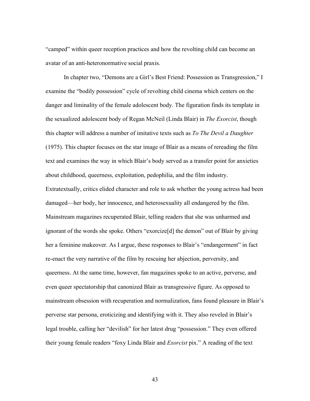"camped" within queer reception practices and how the revolting child can become an avatar of an anti-heteronormative social praxis.

In chapter two, "Demons are a Girl's Best Friend: Possession as Transgression," I examine the "bodily possession" cycle of revolting child cinema which centers on the danger and liminality of the female adolescent body. The figuration finds its template in the sexualized adolescent body of Regan McNeil (Linda Blair) in *The Exorcist*, though this chapter will address a number of imitative texts such as *To The Devil a Daughter* (1975). This chapter focuses on the star image of Blair as a means of rereading the film text and examines the way in which Blair's body served as a transfer point for anxieties about childhood, queerness, exploitation, pedophilia, and the film industry.

Extratextually, critics elided character and role to ask whether the young actress had been damaged—her body, her innocence, and heterosexuality all endangered by the film. Mainstream magazines recuperated Blair, telling readers that she was unharmed and ignorant of the words she spoke. Others "exorcize[d] the demon" out of Blair by giving her a feminine makeover. As I argue, these responses to Blair's "endangerment" in fact re-enact the very narrative of the film by rescuing her abjection, perversity, and queerness. At the same time, however, fan magazines spoke to an active, perverse, and even queer spectatorship that canonized Blair as transgressive figure. As opposed to mainstream obsession with recuperation and normalization, fans found pleasure in Blair's perverse star persona, eroticizing and identifying with it. They also reveled in Blair's legal trouble, calling her "devilish" for her latest drug "possession." They even offered their young female readers "foxy Linda Blair and *Exorcist* pix." A reading of the text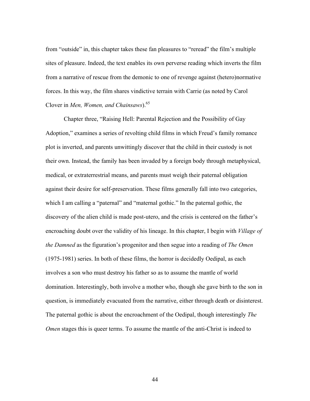from "outside" in, this chapter takes these fan pleasures to "reread" the film's multiple sites of pleasure. Indeed, the text enables its own perverse reading which inverts the film from a narrative of rescue from the demonic to one of revenge against (hetero)normative forces. In this way, the film shares vindictive terrain with Carrie (as noted by Carol Clover in *Men, Women, and Chainsaws*). 65

Chapter three, "Raising Hell: Parental Rejection and the Possibility of Gay Adoption," examines a series of revolting child films in which Freud's family romance plot is inverted, and parents unwittingly discover that the child in their custody is not their own. Instead, the family has been invaded by a foreign body through metaphysical, medical, or extraterrestrial means, and parents must weigh their paternal obligation against their desire for self-preservation. These films generally fall into two categories, which I am calling a "paternal" and "maternal gothic." In the paternal gothic, the discovery of the alien child is made post-utero, and the crisis is centered on the father's encroaching doubt over the validity of his lineage. In this chapter, I begin with *Village of the Damned* as the figuration's progenitor and then segue into a reading of *The Omen* (1975-1981) series. In both of these films, the horror is decidedly Oedipal, as each involves a son who must destroy his father so as to assume the mantle of world domination. Interestingly, both involve a mother who, though she gave birth to the son in question, is immediately evacuated from the narrative, either through death or disinterest. The paternal gothic is about the encroachment of the Oedipal, though interestingly *The Omen* stages this is queer terms. To assume the mantle of the anti-Christ is indeed to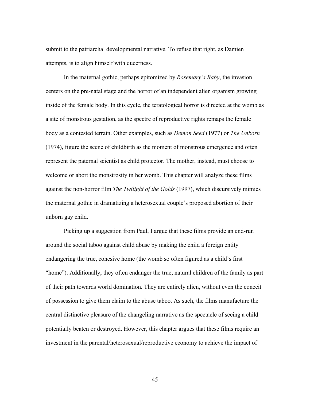submit to the patriarchal developmental narrative. To refuse that right, as Damien attempts, is to align himself with queerness.

In the maternal gothic, perhaps epitomized by *Rosemary's Baby*, the invasion centers on the pre-natal stage and the horror of an independent alien organism growing inside of the female body. In this cycle, the teratological horror is directed at the womb as a site of monstrous gestation, as the spectre of reproductive rights remaps the female body as a contested terrain. Other examples, such as *Demon Seed* (1977) or *The Unborn* (1974), figure the scene of childbirth as the moment of monstrous emergence and often represent the paternal scientist as child protector. The mother, instead, must choose to welcome or abort the monstrosity in her womb. This chapter will analyze these films against the non-horror film *The Twilight of the Golds* (1997), which discursively mimics the maternal gothic in dramatizing a heterosexual couple's proposed abortion of their unborn gay child.

Picking up a suggestion from Paul, I argue that these films provide an end-run around the social taboo against child abuse by making the child a foreign entity endangering the true, cohesive home (the womb so often figured as a child's first "home"). Additionally, they often endanger the true, natural children of the family as part of their path towards world domination. They are entirely alien, without even the conceit of possession to give them claim to the abuse taboo. As such, the films manufacture the central distinctive pleasure of the changeling narrative as the spectacle of seeing a child potentially beaten or destroyed. However, this chapter argues that these films require an investment in the parental/heterosexual/reproductive economy to achieve the impact of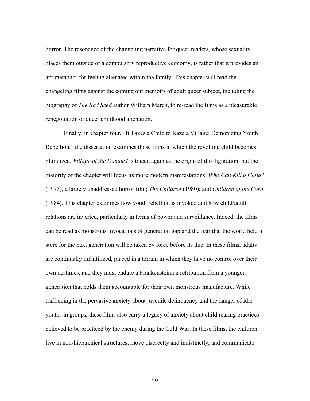horror. The resonance of the changeling narrative for queer readers, whose sexuality places them outside of a compulsory reproductive economy, is rather that it provides an apt metaphor for feeling alienated within the family. This chapter will read the changeling films against the coming out memoirs of adult queer subject, including the biography of *The Bad Seed* author William March, to re-read the films as a pleasurable renegotiation of queer childhood alienation.

Finally, in chapter four, "It Takes a Child to Raze a Village: Demonizing Youth Rebellion," the dissertation examines those films in which the revolting child becomes pluralized. *Village of the Damned* is traced again as the origin of this figuration, but the majority of the chapter will focus its more modern manifestations: *Who Can Kill a Child?* (1975), a largely unaddressed horror film; *The Children* (1980); and *Children of the Corn* (1984). This chapter examines how youth rebellion is invoked and how child/adult relations are inverted, particularly in terms of power and surveillance. Indeed, the films can be read as monstrous invocations of generation gap and the fear that the world held in store for the next generation will be taken by force before its due. In these films, adults are continually infantilized, placed in a terrain in which they have no control over their own destinies, and they must endure a Frankensteinian retribution from a younger generation that holds them accountable for their own monstrous manufacture. While trafficking in the pervasive anxiety about juvenile delinquency and the danger of idle youths in groups, these films also carry a legacy of anxiety about child rearing practices believed to be practiced by the enemy during the Cold War. In these films, the children live in non-hierarchical structures, move discreetly and indistinctly, and communicate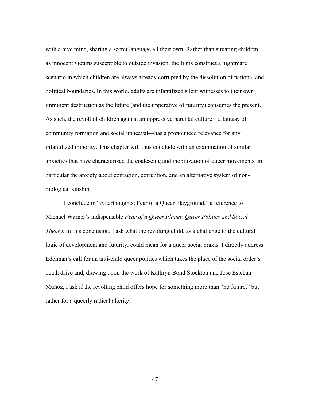with a hive mind, sharing a secret language all their own. Rather than situating children as innocent victims susceptible to outside invasion, the films construct a nightmare scenario in which children are always already corrupted by the dissolution of national and political boundaries. In this world, adults are infantilized silent witnesses to their own imminent destruction as the future (and the imperative of futurity) consumes the present. As such, the revolt of children against an oppressive parental culture—a fantasy of community formation and social upheaval—has a pronounced relevance for any infantilized minority. This chapter will thus conclude with an examination of similar anxieties that have characterized the coalescing and mobilization of queer movements, in particular the anxiety about contagion, corruption, and an alternative system of nonbiological kinship.

I conclude in "Afterthoughts: Fear of a Queer Playground," a reference to Michael Warner's indispensible *Fear of a Queer Planet: Queer Politics and Social Theory*. In this conclusion, I ask what the revolting child, as a challenge to the cultural logic of development and futurity, could mean for a queer social praxis. I directly address Edelman's call for an anti-child queer politics which takes the place of the social order's death drive and, drawing upon the work of Kathryn Bond Stockton and Jose Esteban Muñoz, I ask if the revolting child offers hope for something more than "no future," but rather for a queerly radical alterity.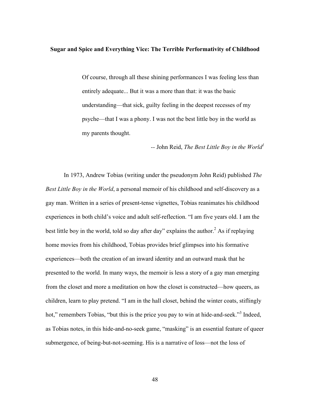**Sugar and Spice and Everything Vice: The Terrible Performativity of Childhood**

Of course, through all these shining performances I was feeling less than entirely adequate... But it was a more than that: it was the basic understanding—that sick, guilty feeling in the deepest recesses of my psyche—that I was a phony. I was not the best little boy in the world as my parents thought.

*--* John Reid, *The Best Little Boy in the World*<sup>1</sup>

In 1973, Andrew Tobias (writing under the pseudonym John Reid) published *The Best Little Boy in the World*, a personal memoir of his childhood and self-discovery as a gay man. Written in a series of present-tense vignettes, Tobias reanimates his childhood experiences in both child's voice and adult self-reflection. "I am five years old. I am the best little boy in the world, told so day after day" explains the author.<sup>2</sup> As if replaying home movies from his childhood, Tobias provides brief glimpses into his formative experiences—both the creation of an inward identity and an outward mask that he presented to the world. In many ways, the memoir is less a story of a gay man emerging from the closet and more a meditation on how the closet is constructed—how queers, as children, learn to play pretend. "I am in the hall closet, behind the winter coats, stiflingly hot," remembers Tobias, "but this is the price you pay to win at hide-and-seek."<sup>3</sup> Indeed, as Tobias notes, in this hide-and-no-seek game, "masking" is an essential feature of queer submergence, of being-but-not-seeming. His is a narrative of loss—not the loss of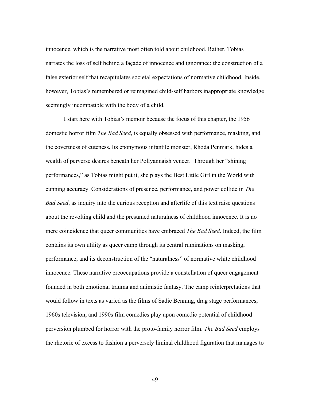innocence, which is the narrative most often told about childhood. Rather, Tobias narrates the loss of self behind a façade of innocence and ignorance: the construction of a false exterior self that recapitulates societal expectations of normative childhood. Inside, however, Tobias's remembered or reimagined child-self harbors inappropriate knowledge seemingly incompatible with the body of a child.

I start here with Tobias's memoir because the focus of this chapter, the 1956 domestic horror film *The Bad Seed*, is equally obsessed with performance, masking, and the covertness of cuteness. Its eponymous infantile monster, Rhoda Penmark, hides a wealth of perverse desires beneath her Pollyannaish veneer. Through her "shining performances," as Tobias might put it, she plays the Best Little Girl in the World with cunning accuracy. Considerations of presence, performance, and power collide in *The Bad Seed*, as inquiry into the curious reception and afterlife of this text raise questions about the revolting child and the presumed naturalness of childhood innocence. It is no mere coincidence that queer communities have embraced *The Bad Seed*. Indeed, the film contains its own utility as queer camp through its central ruminations on masking, performance, and its deconstruction of the "naturalness" of normative white childhood innocence. These narrative preoccupations provide a constellation of queer engagement founded in both emotional trauma and animistic fantasy. The camp reinterpretations that would follow in texts as varied as the films of Sadie Benning, drag stage performances, 1960s television, and 1990s film comedies play upon comedic potential of childhood perversion plumbed for horror with the proto-family horror film. *The Bad Seed* employs the rhetoric of excess to fashion a perversely liminal childhood figuration that manages to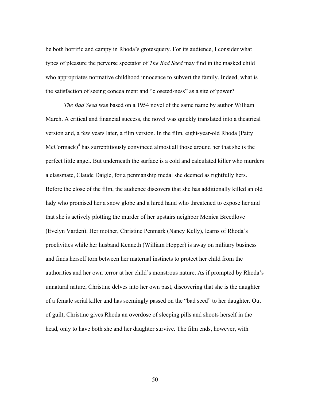be both horrific and campy in Rhoda's grotesquery. For its audience, I consider what types of pleasure the perverse spectator of *The Bad Seed* may find in the masked child who appropriates normative childhood innocence to subvert the family. Indeed, what is the satisfaction of seeing concealment and "closeted-ness" as a site of power?

*The Bad Seed* was based on a 1954 novel of the same name by author William March. A critical and financial success, the novel was quickly translated into a theatrical version and, a few years later, a film version. In the film, eight-year-old Rhoda (Patty  $McCormack)<sup>4</sup>$  has surreptitiously convinced almost all those around her that she is the perfect little angel. But underneath the surface is a cold and calculated killer who murders a classmate, Claude Daigle, for a penmanship medal she deemed as rightfully hers. Before the close of the film, the audience discovers that she has additionally killed an old lady who promised her a snow globe and a hired hand who threatened to expose her and that she is actively plotting the murder of her upstairs neighbor Monica Breedlove (Evelyn Varden). Her mother, Christine Penmark (Nancy Kelly), learns of Rhoda's proclivities while her husband Kenneth (William Hopper) is away on military business and finds herself torn between her maternal instincts to protect her child from the authorities and her own terror at her child's monstrous nature. As if prompted by Rhoda's unnatural nature, Christine delves into her own past, discovering that she is the daughter of a female serial killer and has seemingly passed on the "bad seed" to her daughter. Out of guilt, Christine gives Rhoda an overdose of sleeping pills and shoots herself in the head, only to have both she and her daughter survive. The film ends, however, with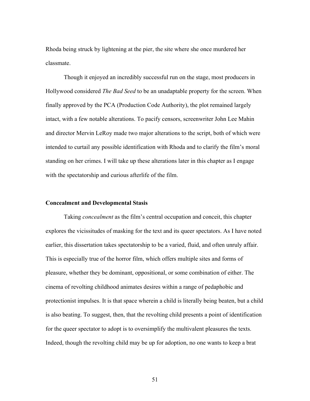Rhoda being struck by lightening at the pier, the site where she once murdered her classmate.

Though it enjoyed an incredibly successful run on the stage, most producers in Hollywood considered *The Bad Seed* to be an unadaptable property for the screen. When finally approved by the PCA (Production Code Authority), the plot remained largely intact, with a few notable alterations. To pacify censors, screenwriter John Lee Mahin and director Mervin LeRoy made two major alterations to the script, both of which were intended to curtail any possible identification with Rhoda and to clarify the film's moral standing on her crimes. I will take up these alterations later in this chapter as I engage with the spectatorship and curious afterlife of the film.

## **Concealment and Developmental Stasis**

Taking *concealment* as the film's central occupation and conceit, this chapter explores the vicissitudes of masking for the text and its queer spectators. As I have noted earlier, this dissertation takes spectatorship to be a varied, fluid, and often unruly affair. This is especially true of the horror film, which offers multiple sites and forms of pleasure, whether they be dominant, oppositional, or some combination of either. The cinema of revolting childhood animates desires within a range of pedaphobic and protectionist impulses. It is that space wherein a child is literally being beaten, but a child is also beating. To suggest, then, that the revolting child presents a point of identification for the queer spectator to adopt is to oversimplify the multivalent pleasures the texts. Indeed, though the revolting child may be up for adoption, no one wants to keep a brat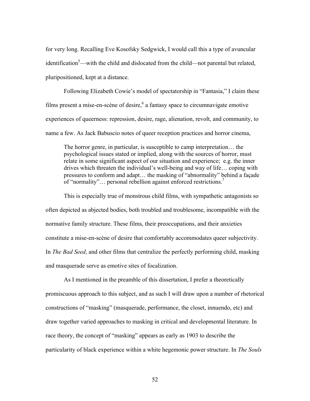for very long. Recalling Eve Kosofsky Sedgwick, I would call this a type of avuncular identification<sup>5</sup>—with the child and dislocated from the child—not parental but related, pluripositioned, kept at a distance.

Following Elizabeth Cowie's model of spectatorship in "Fantasia," I claim these films present a mise-en-scène of desire,  $6$  a fantasy space to circumnavigate emotive experiences of queerness: repression, desire, rage, alienation, revolt, and community, to name a few. As Jack Babuscio notes of queer reception practices and horror cinema,

The horror genre, in particular, is susceptible to camp interpretation… the psychological issues stated or implied, along with the sources of horror, must relate in some significant aspect of our situation and experience; e.g. the inner drives which threaten the individual's well-being and way of life… coping with pressures to conform and adapt… the masking of "abnormality" behind a façade of "normality"… personal rebellion against enforced restrictions.<sup>7</sup>

This is especially true of monstrous child films, with sympathetic antagonists so often depicted as abjected bodies, both troubled and troublesome, incompatible with the normative family structure. These films, their preoccupations, and their anxieties constitute a mise-en-scène of desire that comfortably accommodates queer subjectivity. In *The Bad Seed*, and other films that centralize the perfectly performing child, masking and masquerade serve as emotive sites of focalization.

As I mentioned in the preamble of this dissertation, I prefer a theoretically promiscuous approach to this subject, and as such I will draw upon a number of rhetorical constructions of "masking" (masquerade, performance, the closet, innuendo, etc) and draw together varied approaches to masking in critical and developmental literature. In race theory, the concept of "masking" appears as early as 1903 to describe the particularity of black experience within a white hegemonic power structure. In *The Souls*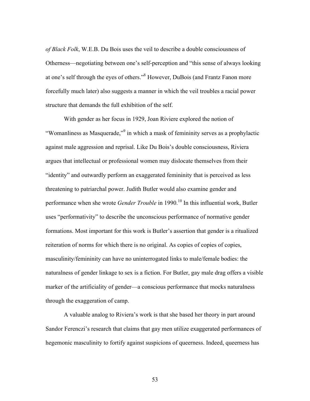*of Black Folk*, W.E.B. Du Bois uses the veil to describe a double consciousness of Otherness—negotiating between one's self-perception and "this sense of always looking at one's self through the eyes of others."<sup>8</sup> However, DuBois (and Frantz Fanon more forcefully much later) also suggests a manner in which the veil troubles a racial power structure that demands the full exhibition of the self.

With gender as her focus in 1929, Joan Riviere explored the notion of "Womanliness as Masquerade,"<sup>9</sup> in which a mask of femininity serves as a prophylactic against male aggression and reprisal. Like Du Bois's double consciousness, Riviera argues that intellectual or professional women may dislocate themselves from their "identity" and outwardly perform an exaggerated femininity that is perceived as less threatening to patriarchal power. Judith Butler would also examine gender and performance when she wrote *Gender Trouble* in 1990.<sup>10</sup> In this influential work, Butler uses "performativity" to describe the unconscious performance of normative gender formations. Most important for this work is Butler's assertion that gender is a ritualized reiteration of norms for which there is no original. As copies of copies of copies, masculinity/femininity can have no uninterrogated links to male/female bodies: the naturalness of gender linkage to sex is a fiction. For Butler, gay male drag offers a visible marker of the artificiality of gender—a conscious performance that mocks naturalness through the exaggeration of camp.

A valuable analog to Riviera's work is that she based her theory in part around Sandor Ferenczi's research that claims that gay men utilize exaggerated performances of hegemonic masculinity to fortify against suspicions of queerness. Indeed, queerness has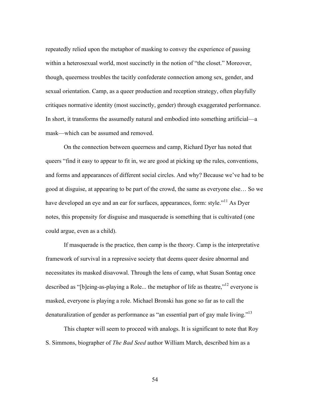repeatedly relied upon the metaphor of masking to convey the experience of passing within a heterosexual world, most succinctly in the notion of "the closet." Moreover, though, queerness troubles the tacitly confederate connection among sex, gender, and sexual orientation. Camp, as a queer production and reception strategy, often playfully critiques normative identity (most succinctly, gender) through exaggerated performance. In short, it transforms the assumedly natural and embodied into something artificial—a mask—which can be assumed and removed.

On the connection between queerness and camp, Richard Dyer has noted that queers "find it easy to appear to fit in, we are good at picking up the rules, conventions, and forms and appearances of different social circles. And why? Because we've had to be good at disguise, at appearing to be part of the crowd, the same as everyone else… So we have developed an eye and an ear for surfaces, appearances, form: style."<sup>11</sup> As Dyer notes, this propensity for disguise and masquerade is something that is cultivated (one could argue, even as a child).

If masquerade is the practice, then camp is the theory. Camp is the interpretative framework of survival in a repressive society that deems queer desire abnormal and necessitates its masked disavowal. Through the lens of camp, what Susan Sontag once described as "[b]eing-as-playing a Role... the metaphor of life as theatre,"<sup>12</sup> everyone is masked, everyone is playing a role. Michael Bronski has gone so far as to call the denaturalization of gender as performance as "an essential part of gay male living."<sup>13</sup>

This chapter will seem to proceed with analogs. It is significant to note that Roy S. Simmons, biographer of *The Bad Seed* author William March, described him as a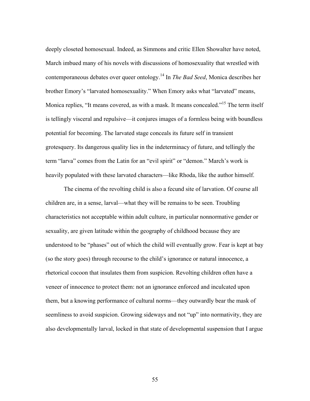deeply closeted homosexual. Indeed, as Simmons and critic Ellen Showalter have noted, March imbued many of his novels with discussions of homosexuality that wrestled with contemporaneous debates over queer ontology. 14 In *The Bad Seed*, Monica describes her brother Emory's "larvated homosexuality." When Emory asks what "larvated" means, Monica replies, "It means covered, as with a mask. It means concealed."<sup>15</sup> The term itself is tellingly visceral and repulsive—it conjures images of a formless being with boundless potential for becoming. The larvated stage conceals its future self in transient grotesquery. Its dangerous quality lies in the indeterminacy of future, and tellingly the term "larva" comes from the Latin for an "evil spirit" or "demon." March's work is heavily populated with these larvated characters—like Rhoda, like the author himself.

The cinema of the revolting child is also a fecund site of larvation. Of course all children are, in a sense, larval—what they will be remains to be seen. Troubling characteristics not acceptable within adult culture, in particular nonnormative gender or sexuality, are given latitude within the geography of childhood because they are understood to be "phases" out of which the child will eventually grow. Fear is kept at bay (so the story goes) through recourse to the child's ignorance or natural innocence, a rhetorical cocoon that insulates them from suspicion. Revolting children often have a veneer of innocence to protect them: not an ignorance enforced and inculcated upon them, but a knowing performance of cultural norms—they outwardly bear the mask of seemliness to avoid suspicion. Growing sideways and not "up" into normativity, they are also developmentally larval, locked in that state of developmental suspension that I argue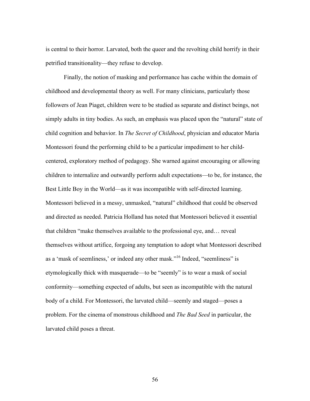is central to their horror. Larvated, both the queer and the revolting child horrify in their petrified transitionality—they refuse to develop.

Finally, the notion of masking and performance has cache within the domain of childhood and developmental theory as well. For many clinicians, particularly those followers of Jean Piaget, children were to be studied as separate and distinct beings, not simply adults in tiny bodies. As such, an emphasis was placed upon the "natural" state of child cognition and behavior. In *The Secret of Childhood*, physician and educator Maria Montessori found the performing child to be a particular impediment to her childcentered, exploratory method of pedagogy. She warned against encouraging or allowing children to internalize and outwardly perform adult expectations—to be, for instance, the Best Little Boy in the World—as it was incompatible with self-directed learning. Montessori believed in a messy, unmasked, "natural" childhood that could be observed and directed as needed. Patricia Holland has noted that Montessori believed it essential that children "make themselves available to the professional eye, and… reveal themselves without artifice, forgoing any temptation to adopt what Montessori described as a 'mask of seemliness,' or indeed any other mask."16 Indeed, "seemliness" is etymologically thick with masquerade—to be "seemly" is to wear a mask of social conformity—something expected of adults, but seen as incompatible with the natural body of a child. For Montessori, the larvated child—seemly and staged—poses a problem. For the cinema of monstrous childhood and *The Bad Seed* in particular, the larvated child poses a threat.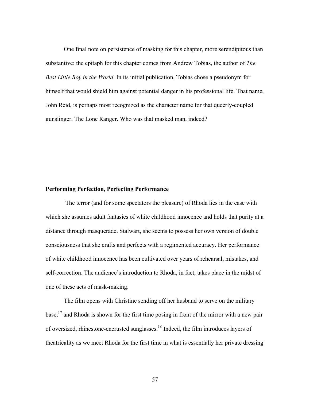One final note on persistence of masking for this chapter, more serendipitous than substantive: the epitaph for this chapter comes from Andrew Tobias, the author of *The Best Little Boy in the World*. In its initial publication, Tobias chose a pseudonym for himself that would shield him against potential danger in his professional life. That name, John Reid, is perhaps most recognized as the character name for that queerly-coupled gunslinger, The Lone Ranger. Who was that masked man, indeed?

## **Performing Perfection, Perfecting Performance**

 The terror (and for some spectators the pleasure) of Rhoda lies in the ease with which she assumes adult fantasies of white childhood innocence and holds that purity at a distance through masquerade. Stalwart, she seems to possess her own version of double consciousness that she crafts and perfects with a regimented accuracy. Her performance of white childhood innocence has been cultivated over years of rehearsal, mistakes, and self-correction. The audience's introduction to Rhoda, in fact, takes place in the midst of one of these acts of mask-making.

The film opens with Christine sending off her husband to serve on the military base,<sup>17</sup> and Rhoda is shown for the first time posing in front of the mirror with a new pair of oversized, rhinestone-encrusted sunglasses.18 Indeed, the film introduces layers of theatricality as we meet Rhoda for the first time in what is essentially her private dressing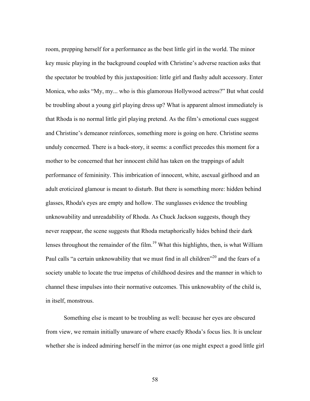room, prepping herself for a performance as the best little girl in the world. The minor key music playing in the background coupled with Christine's adverse reaction asks that the spectator be troubled by this juxtaposition: little girl and flashy adult accessory. Enter Monica, who asks "My, my... who is this glamorous Hollywood actress?" But what could be troubling about a young girl playing dress up? What is apparent almost immediately is that Rhoda is no normal little girl playing pretend. As the film's emotional cues suggest and Christine's demeanor reinforces, something more is going on here. Christine seems unduly concerned. There is a back-story, it seems: a conflict precedes this moment for a mother to be concerned that her innocent child has taken on the trappings of adult performance of femininity. This imbrication of innocent, white, asexual girlhood and an adult eroticized glamour is meant to disturb. But there is something more: hidden behind glasses, Rhoda's eyes are empty and hollow. The sunglasses evidence the troubling unknowability and unreadability of Rhoda. As Chuck Jackson suggests, though they never reappear, the scene suggests that Rhoda metaphorically hides behind their dark lenses throughout the remainder of the film.<sup>19</sup> What this highlights, then, is what William Paul calls "a certain unknowability that we must find in all children"<sup>20</sup> and the fears of a society unable to locate the true impetus of childhood desires and the manner in which to channel these impulses into their normative outcomes. This unknowablity of the child is, in itself, monstrous.

Something else is meant to be troubling as well: because her eyes are obscured from view, we remain initially unaware of where exactly Rhoda's focus lies. It is unclear whether she is indeed admiring herself in the mirror (as one might expect a good little girl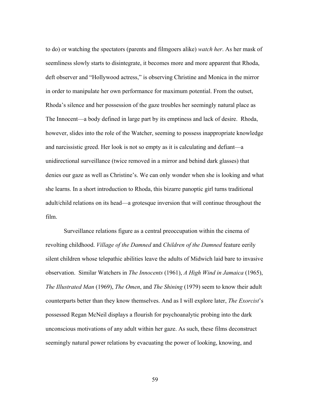to do) or watching the spectators (parents and filmgoers alike) *watch her*. As her mask of seemliness slowly starts to disintegrate, it becomes more and more apparent that Rhoda, deft observer and "Hollywood actress," is observing Christine and Monica in the mirror in order to manipulate her own performance for maximum potential. From the outset, Rhoda's silence and her possession of the gaze troubles her seemingly natural place as The Innocent—a body defined in large part by its emptiness and lack of desire. Rhoda, however, slides into the role of the Watcher, seeming to possess inappropriate knowledge and narcissistic greed. Her look is not so empty as it is calculating and defiant—a unidirectional surveillance (twice removed in a mirror and behind dark glasses) that denies our gaze as well as Christine's. We can only wonder when she is looking and what she learns. In a short introduction to Rhoda, this bizarre panoptic girl turns traditional adult/child relations on its head—a grotesque inversion that will continue throughout the film.

Surveillance relations figure as a central preoccupation within the cinema of revolting childhood. *Village of the Damned* and *Children of the Damned* feature eerily silent children whose telepathic abilities leave the adults of Midwich laid bare to invasive observation. Similar Watchers in *The Innocents* (1961), *A High Wind in Jamaica* (1965), *The Illustrated Man* (1969), *The Omen*, and *The Shining* (1979) seem to know their adult counterparts better than they know themselves. And as I will explore later, *The Exorcist*'s possessed Regan McNeil displays a flourish for psychoanalytic probing into the dark unconscious motivations of any adult within her gaze. As such, these films deconstruct seemingly natural power relations by evacuating the power of looking, knowing, and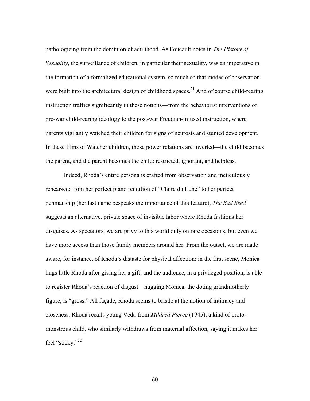pathologizing from the dominion of adulthood. As Foucault notes in *The History of Sexuality*, the surveillance of children, in particular their sexuality, was an imperative in the formation of a formalized educational system, so much so that modes of observation were built into the architectural design of childhood spaces.<sup>21</sup> And of course child-rearing instruction traffics significantly in these notions—from the behaviorist interventions of pre-war child-rearing ideology to the post-war Freudian-infused instruction, where parents vigilantly watched their children for signs of neurosis and stunted development. In these films of Watcher children, those power relations are inverted—the child becomes the parent, and the parent becomes the child: restricted, ignorant, and helpless.

Indeed, Rhoda's entire persona is crafted from observation and meticulously rehearsed: from her perfect piano rendition of "Claire du Lune" to her perfect penmanship (her last name bespeaks the importance of this feature), *The Bad Seed* suggests an alternative, private space of invisible labor where Rhoda fashions her disguises. As spectators, we are privy to this world only on rare occasions, but even we have more access than those family members around her. From the outset, we are made aware, for instance, of Rhoda's distaste for physical affection: in the first scene, Monica hugs little Rhoda after giving her a gift, and the audience, in a privileged position, is able to register Rhoda's reaction of disgust—hugging Monica, the doting grandmotherly figure, is "gross." All façade, Rhoda seems to bristle at the notion of intimacy and closeness. Rhoda recalls young Veda from *Mildred Pierce* (1945), a kind of protomonstrous child, who similarly withdraws from maternal affection, saying it makes her feel "sticky."22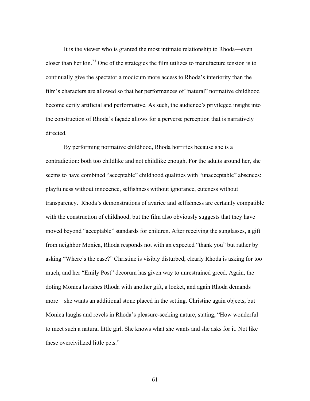It is the viewer who is granted the most intimate relationship to Rhoda—even closer than her kin.23 One of the strategies the film utilizes to manufacture tension is to continually give the spectator a modicum more access to Rhoda's interiority than the film's characters are allowed so that her performances of "natural" normative childhood become eerily artificial and performative. As such, the audience's privileged insight into the construction of Rhoda's façade allows for a perverse perception that is narratively directed.

By performing normative childhood, Rhoda horrifies because she is a contradiction: both too childlike and not childlike enough. For the adults around her, she seems to have combined "acceptable" childhood qualities with "unacceptable" absences: playfulness without innocence, selfishness without ignorance, cuteness without transparency. Rhoda's demonstrations of avarice and selfishness are certainly compatible with the construction of childhood, but the film also obviously suggests that they have moved beyond "acceptable" standards for children. After receiving the sunglasses, a gift from neighbor Monica, Rhoda responds not with an expected "thank you" but rather by asking "Where's the case?" Christine is visibly disturbed; clearly Rhoda is asking for too much, and her "Emily Post" decorum has given way to unrestrained greed. Again, the doting Monica lavishes Rhoda with another gift, a locket, and again Rhoda demands more—she wants an additional stone placed in the setting. Christine again objects, but Monica laughs and revels in Rhoda's pleasure-seeking nature, stating, "How wonderful to meet such a natural little girl. She knows what she wants and she asks for it. Not like these overcivilized little pets."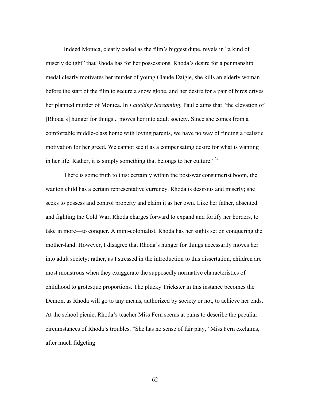Indeed Monica, clearly coded as the film's biggest dupe, revels in "a kind of miserly delight" that Rhoda has for her possessions. Rhoda's desire for a penmanship medal clearly motivates her murder of young Claude Daigle, she kills an elderly woman before the start of the film to secure a snow globe, and her desire for a pair of birds drives her planned murder of Monica. In *Laughing Screaming*, Paul claims that "the elevation of [Rhoda's] hunger for things... moves her into adult society. Since she comes from a comfortable middle-class home with loving parents, we have no way of finding a realistic motivation for her greed. We cannot see it as a compensating desire for what is wanting in her life. Rather, it is simply something that belongs to her culture."<sup>24</sup>

There is some truth to this: certainly within the post-war consumerist boom, the wanton child has a certain representative currency. Rhoda is desirous and miserly; she seeks to possess and control property and claim it as her own. Like her father, absented and fighting the Cold War, Rhoda charges forward to expand and fortify her borders, to take in more—to conquer. A mini-colonialist, Rhoda has her sights set on conquering the mother-land. However, I disagree that Rhoda's hunger for things necessarily moves her into adult society; rather, as I stressed in the introduction to this dissertation, children are most monstrous when they exaggerate the supposedly normative characteristics of childhood to grotesque proportions. The plucky Trickster in this instance becomes the Demon, as Rhoda will go to any means, authorized by society or not, to achieve her ends. At the school picnic, Rhoda's teacher Miss Fern seems at pains to describe the peculiar circumstances of Rhoda's troubles. "She has no sense of fair play," Miss Fern exclaims, after much fidgeting.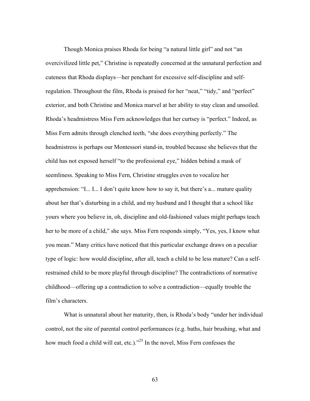Though Monica praises Rhoda for being "a natural little girl" and not "an overcivilized little pet," Christine is repeatedly concerned at the unnatural perfection and cuteness that Rhoda displays—her penchant for excessive self-discipline and selfregulation. Throughout the film, Rhoda is praised for her "neat," "tidy," and "perfect" exterior, and both Christine and Monica marvel at her ability to stay clean and unsoiled. Rhoda's headmistress Miss Fern acknowledges that her curtsey is "perfect." Indeed, as Miss Fern admits through clenched teeth, "she does everything perfectly." The headmistress is perhaps our Montessori stand-in, troubled because she believes that the child has not exposed herself "to the professional eye," hidden behind a mask of seemliness. Speaking to Miss Fern, Christine struggles even to vocalize her apprehension: "I... I... I don't quite know how to say it, but there's a... mature quality about her that's disturbing in a child, and my husband and I thought that a school like yours where you believe in, oh, discipline and old-fashioned values might perhaps teach her to be more of a child," she says. Miss Fern responds simply, "Yes, yes, I know what you mean." Many critics have noticed that this particular exchange draws on a peculiar type of logic: how would discipline, after all, teach a child to be less mature? Can a selfrestrained child to be more playful through discipline? The contradictions of normative childhood—offering up a contradiction to solve a contradiction—equally trouble the film's characters.

What is unnatural about her maturity, then, is Rhoda's body "under her individual control, not the site of parental control performances (e.g. baths, hair brushing, what and how much food a child will eat, etc.)."<sup>25</sup> In the novel, Miss Fern confesses the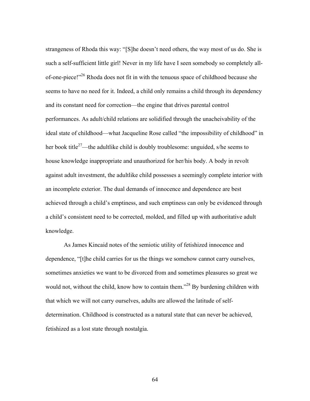strangeness of Rhoda this way: "[S]he doesn't need others, the way most of us do. She is such a self-sufficient little girl! Never in my life have I seen somebody so completely allof-one-piece!"<sup>26</sup> Rhoda does not fit in with the tenuous space of childhood because she seems to have no need for it. Indeed, a child only remains a child through its dependency and its constant need for correction—the engine that drives parental control performances. As adult/child relations are solidified through the unacheivability of the ideal state of childhood—what Jacqueline Rose called "the impossibility of childhood" in her book title<sup>27</sup>—the adultlike child is doubly troublesome: unguided, s/he seems to house knowledge inappropriate and unauthorized for her/his body. A body in revolt against adult investment, the adultlike child possesses a seemingly complete interior with an incomplete exterior. The dual demands of innocence and dependence are best achieved through a child's emptiness, and such emptiness can only be evidenced through a child's consistent need to be corrected, molded, and filled up with authoritative adult knowledge.

As James Kincaid notes of the semiotic utility of fetishized innocence and dependence, "[t]he child carries for us the things we somehow cannot carry ourselves, sometimes anxieties we want to be divorced from and sometimes pleasures so great we would not, without the child, know how to contain them.<sup>228</sup> By burdening children with that which we will not carry ourselves, adults are allowed the latitude of selfdetermination. Childhood is constructed as a natural state that can never be achieved, fetishized as a lost state through nostalgia.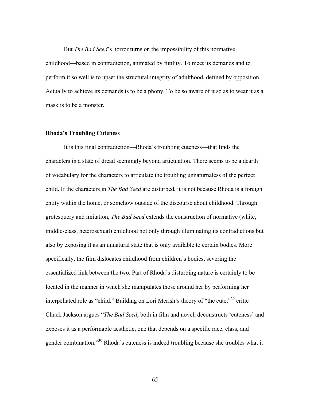But *The Bad Seed*'s horror turns on the impossibility of this normative childhood—based in contradiction, animated by futility. To meet its demands and to perform it so well is to upset the structural integrity of adulthood, defined by opposition. Actually to achieve its demands is to be a phony. To be so aware of it so as to wear it as a mask is to be a monster.

## **Rhoda's Troubling Cuteness**

It is this final contradiction—Rhoda's troubling cuteness—that finds the characters in a state of dread seemingly beyond articulation. There seems to be a dearth of vocabulary for the characters to articulate the troubling unnaturnaless of the perfect child. If the characters in *The Bad Seed* are disturbed, it is not because Rhoda is a foreign entity within the home, or somehow outside of the discourse about childhood. Through grotesquery and imitation, *The Bad Seed* extends the construction of normative (white, middle-class, heterosexual) childhood not only through illuminating its contradictions but also by exposing it as an unnatural state that is only available to certain bodies. More specifically, the film dislocates childhood from children's bodies, severing the essentialized link between the two. Part of Rhoda's disturbing nature is certainly to be located in the manner in which she manipulates those around her by performing her interpellated role as "child." Building on Lori Merish's theory of "the cute,"<sup>29</sup> critic Chuck Jackson argues "*The Bad Seed*, both in film and novel, deconstructs 'cuteness' and exposes it as a performable aesthetic, one that depends on a specific race, class, and gender combination."<sup>30</sup> Rhoda's cuteness is indeed troubling because she troubles what it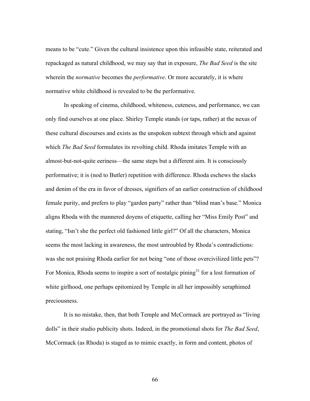means to be "cute." Given the cultural insistence upon this infeasible state, reiterated and repackaged as natural childhood, we may say that in exposure, *The Bad Seed* is the site wherein the *normative* becomes the *performative*. Or more accurately, it is where normative white childhood is revealed to be the performative.

In speaking of cinema, childhood, whiteness, cuteness, and performance, we can only find ourselves at one place. Shirley Temple stands (or taps, rather) at the nexus of these cultural discourses and exists as the unspoken subtext through which and against which *The Bad Seed* formulates its revolting child. Rhoda imitates Temple with an almost-but-not-quite eeriness—the same steps but a different aim. It is consciously performative; it is (nod to Butler) repetition with difference. Rhoda eschews the slacks and denim of the era in favor of dresses, signifiers of an earlier construction of childhood female purity, and prefers to play "garden party" rather than "blind man's base." Monica aligns Rhoda with the mannered doyens of etiquette, calling her "Miss Emily Post" and stating, "Isn't she the perfect old fashioned little girl?" Of all the characters, Monica seems the most lacking in awareness, the most untroubled by Rhoda's contradictions: was she not praising Rhoda earlier for not being "one of those overcivilized little pets"? For Monica, Rhoda seems to inspire a sort of nostalgic pining<sup>31</sup> for a lost formation of white girlhood, one perhaps epitomized by Temple in all her impossibly seraphimed preciousness.

It is no mistake, then, that both Temple and McCormack are portrayed as "living dolls" in their studio publicity shots. Indeed, in the promotional shots for *The Bad Seed*, McCormack (as Rhoda) is staged as to mimic exactly, in form and content, photos of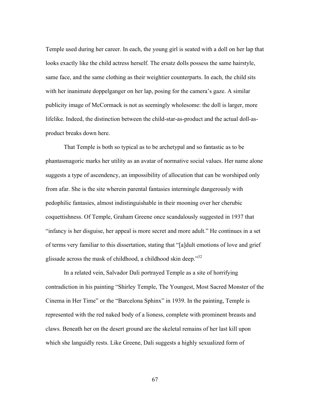Temple used during her career. In each, the young girl is seated with a doll on her lap that looks exactly like the child actress herself. The ersatz dolls possess the same hairstyle, same face, and the same clothing as their weightier counterparts. In each, the child sits with her inanimate doppelganger on her lap, posing for the camera's gaze. A similar publicity image of McCormack is not as seemingly wholesome: the doll is larger, more lifelike. Indeed, the distinction between the child-star-as-product and the actual doll-asproduct breaks down here.

That Temple is both so typical as to be archetypal and so fantastic as to be phantasmagoric marks her utility as an avatar of normative social values. Her name alone suggests a type of ascendency, an impossibility of allocution that can be worshiped only from afar. She is the site wherein parental fantasies intermingle dangerously with pedophilic fantasies, almost indistinguishable in their mooning over her cherubic coquettishness. Of Temple, Graham Greene once scandalously suggested in 1937 that "infancy is her disguise, her appeal is more secret and more adult." He continues in a set of terms very familiar to this dissertation, stating that "[a]dult emotions of love and grief glissade across the mask of childhood, a childhood skin deep. $^{32}$ 

In a related vein, Salvador Dali portrayed Temple as a site of horrifying contradiction in his painting "Shirley Temple, The Youngest, Most Sacred Monster of the Cinema in Her Time" or the "Barcelona Sphinx" in 1939. In the painting, Temple is represented with the red naked body of a lioness, complete with prominent breasts and claws. Beneath her on the desert ground are the skeletal remains of her last kill upon which she languidly rests. Like Greene, Dali suggests a highly sexualized form of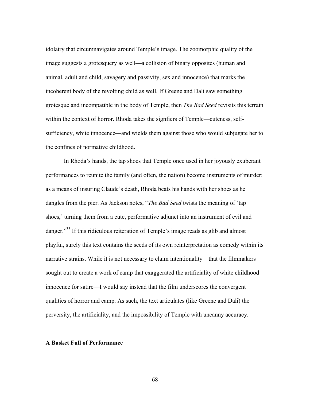idolatry that circumnavigates around Temple's image. The zoomorphic quality of the image suggests a grotesquery as well—a collision of binary opposites (human and animal, adult and child, savagery and passivity, sex and innocence) that marks the incoherent body of the revolting child as well. If Greene and Dali saw something grotesque and incompatible in the body of Temple, then *The Bad Seed* revisits this terrain within the context of horror. Rhoda takes the signfiers of Temple—cuteness, selfsufficiency, white innocence—and wields them against those who would subjugate her to the confines of normative childhood.

In Rhoda's hands, the tap shoes that Temple once used in her joyously exuberant performances to reunite the family (and often, the nation) become instruments of murder: as a means of insuring Claude's death, Rhoda beats his hands with her shoes as he dangles from the pier. As Jackson notes, "*The Bad Seed* twists the meaning of 'tap shoes,' turning them from a cute, performative adjunct into an instrument of evil and danger."<sup>33</sup> If this ridiculous reiteration of Temple's image reads as glib and almost playful, surely this text contains the seeds of its own reinterpretation as comedy within its narrative strains. While it is not necessary to claim intentionality—that the filmmakers sought out to create a work of camp that exaggerated the artificiality of white childhood innocence for satire—I would say instead that the film underscores the convergent qualities of horror and camp. As such, the text articulates (like Greene and Dali) the perversity, the artificiality, and the impossibility of Temple with uncanny accuracy.

# **A Basket Full of Performance**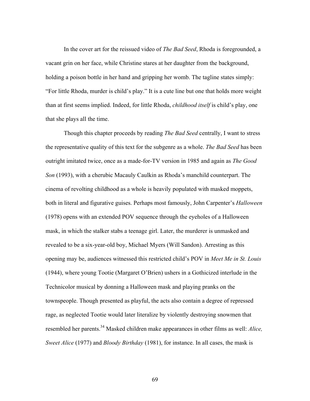In the cover art for the reissued video of *The Bad Seed*, Rhoda is foregrounded, a vacant grin on her face, while Christine stares at her daughter from the background, holding a poison bottle in her hand and gripping her womb. The tagline states simply: "For little Rhoda, murder is child's play." It is a cute line but one that holds more weight than at first seems implied. Indeed, for little Rhoda, *childhood itself* is child's play, one that she plays all the time.

Though this chapter proceeds by reading *The Bad Seed* centrally, I want to stress the representative quality of this text for the subgenre as a whole. *The Bad Seed* has been outright imitated twice, once as a made-for-TV version in 1985 and again as *The Good Son* (1993), with a cherubic Macauly Caulkin as Rhoda's manchild counterpart. The cinema of revolting childhood as a whole is heavily populated with masked moppets, both in literal and figurative guises. Perhaps most famously, John Carpenter's *Halloween*  (1978) opens with an extended POV sequence through the eyeholes of a Halloween mask, in which the stalker stabs a teenage girl. Later, the murderer is unmasked and revealed to be a six-year-old boy, Michael Myers (Will Sandon). Arresting as this opening may be, audiences witnessed this restricted child's POV in *Meet Me in St. Louis*  (1944), where young Tootie (Margaret O'Brien) ushers in a Gothicized interlude in the Technicolor musical by donning a Halloween mask and playing pranks on the townspeople. Though presented as playful, the acts also contain a degree of repressed rage, as neglected Tootie would later literalize by violently destroying snowmen that resembled her parents.34 Masked children make appearances in other films as well: *Alice, Sweet Alice* (1977) and *Bloody Birthday* (1981), for instance. In all cases, the mask is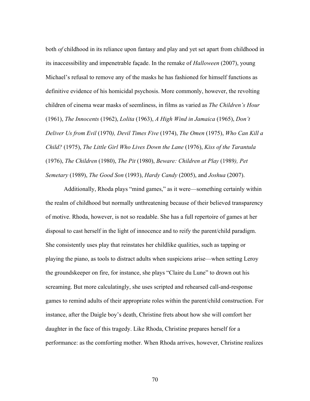both *of* childhood in its reliance upon fantasy and play and yet set apart from childhood in its inaccessibility and impenetrable façade. In the remake of *Halloween* (2007), young Michael's refusal to remove any of the masks he has fashioned for himself functions as definitive evidence of his homicidal psychosis. More commonly, however, the revolting children of cinema wear masks of seemliness, in films as varied as *The Children's Hour* (1961), *The Innocents* (1962), *Lolita* (1963), *A High Wind in Jamaica* (1965), *Don't Deliver Us from Evil* (1970*), Devil Times Five* (1974), *The Omen* (1975), *Who Can Kill a Child?* (1975), *The Little Girl Who Lives Down the Lane* (1976), *Kiss of the Tarantula* (1976), *The Children* (1980), *The Pit* (1980), *Beware: Children at Play* (1989*), Pet Semetary* (1989), *The Good Son* (1993), *Hardy Candy* (2005), and *Joshua* (2007).

Additionally, Rhoda plays "mind games," as it were—something certainly within the realm of childhood but normally unthreatening because of their believed transparency of motive. Rhoda, however, is not so readable. She has a full repertoire of games at her disposal to cast herself in the light of innocence and to reify the parent/child paradigm. She consistently uses play that reinstates her childlike qualities, such as tapping or playing the piano, as tools to distract adults when suspicions arise—when setting Leroy the groundskeeper on fire, for instance, she plays "Claire du Lune" to drown out his screaming. But more calculatingly, she uses scripted and rehearsed call-and-response games to remind adults of their appropriate roles within the parent/child construction. For instance, after the Daigle boy's death, Christine frets about how she will comfort her daughter in the face of this tragedy. Like Rhoda, Christine prepares herself for a performance: as the comforting mother. When Rhoda arrives, however, Christine realizes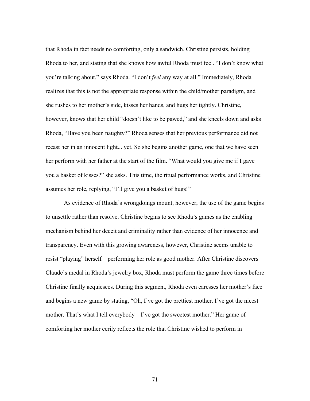that Rhoda in fact needs no comforting, only a sandwich. Christine persists, holding Rhoda to her, and stating that she knows how awful Rhoda must feel. "I don't know what you're talking about," says Rhoda. "I don't *feel* any way at all." Immediately, Rhoda realizes that this is not the appropriate response within the child/mother paradigm, and she rushes to her mother's side, kisses her hands, and hugs her tightly. Christine, however, knows that her child "doesn't like to be pawed," and she kneels down and asks Rhoda, "Have you been naughty?" Rhoda senses that her previous performance did not recast her in an innocent light... yet. So she begins another game, one that we have seen her perform with her father at the start of the film. "What would you give me if I gave you a basket of kisses?" she asks. This time, the ritual performance works, and Christine assumes her role, replying, "I'll give you a basket of hugs!"

As evidence of Rhoda's wrongdoings mount, however, the use of the game begins to unsettle rather than resolve. Christine begins to see Rhoda's games as the enabling mechanism behind her deceit and criminality rather than evidence of her innocence and transparency. Even with this growing awareness, however, Christine seems unable to resist "playing" herself—performing her role as good mother. After Christine discovers Claude's medal in Rhoda's jewelry box, Rhoda must perform the game three times before Christine finally acquiesces. During this segment, Rhoda even caresses her mother's face and begins a new game by stating, "Oh, I've got the prettiest mother. I've got the nicest mother. That's what I tell everybody—I've got the sweetest mother." Her game of comforting her mother eerily reflects the role that Christine wished to perform in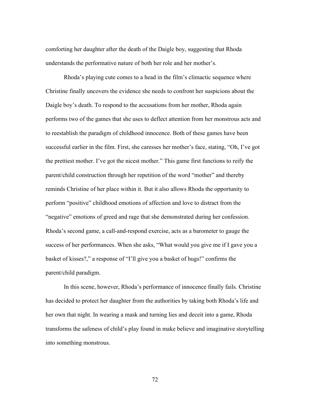comforting her daughter after the death of the Daigle boy, suggesting that Rhoda understands the performative nature of both her role and her mother's.

Rhoda's playing cute comes to a head in the film's climactic sequence where Christine finally uncovers the evidence she needs to confront her suspicions about the Daigle boy's death. To respond to the accusations from her mother, Rhoda again performs two of the games that she uses to deflect attention from her monstrous acts and to reestablish the paradigm of childhood innocence. Both of these games have been successful earlier in the film. First, she caresses her mother's face, stating, "Oh, I've got the prettiest mother. I've got the nicest mother." This game first functions to reify the parent/child construction through her repetition of the word "mother" and thereby reminds Christine of her place within it. But it also allows Rhoda the opportunity to perform "positive" childhood emotions of affection and love to distract from the "negative" emotions of greed and rage that she demonstrated during her confession. Rhoda's second game, a call-and-respond exercise, acts as a barometer to gauge the success of her performances. When she asks, "What would you give me if I gave you a basket of kisses?," a response of "I'll give you a basket of hugs!" confirms the parent/child paradigm.

In this scene, however, Rhoda's performance of innocence finally fails. Christine has decided to protect her daughter from the authorities by taking both Rhoda's life and her own that night. In wearing a mask and turning lies and deceit into a game, Rhoda transforms the safeness of child's play found in make believe and imaginative storytelling into something monstrous.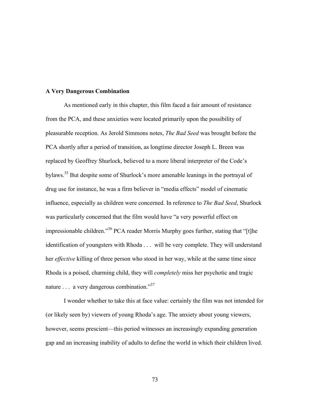### **A Very Dangerous Combination**

As mentioned early in this chapter, this film faced a fair amount of resistance from the PCA, and these anxieties were located primarily upon the possibility of pleasurable reception. As Jerold Simmons notes, *The Bad Seed* was brought before the PCA shortly after a period of transition, as longtime director Joseph L. Breen was replaced by Geoffrey Shurlock, believed to a more liberal interpreter of the Code's bylaws.35 But despite some of Shurlock's more amenable leanings in the portrayal of drug use for instance, he was a firm believer in "media effects" model of cinematic influence, especially as children were concerned. In reference to *The Bad Seed*, Shurlock was particularly concerned that the film would have "a very powerful effect on impressionable children."36 PCA reader Morris Murphy goes further, stating that "[t]he identification of youngsters with Rhoda . . . will be very complete. They will understand her *effective* killing of three person who stood in her way, while at the same time since Rhoda is a poised, charming child, they will *completely* miss her psychotic and tragic nature . . . a very dangerous combination."<sup>37</sup>

I wonder whether to take this at face value: certainly the film was not intended for (or likely seen by) viewers of young Rhoda's age. The anxiety about young viewers, however, seems prescient—this period witnesses an increasingly expanding generation gap and an increasing inability of adults to define the world in which their children lived.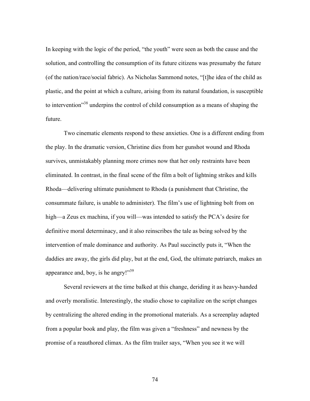In keeping with the logic of the period, "the youth" were seen as both the cause and the solution, and controlling the consumption of its future citizens was presumaby the future (of the nation/race/social fabric). As Nicholas Sammond notes, "[t]he idea of the child as plastic, and the point at which a culture, arising from its natural foundation, is susceptible to intervention"38 underpins the control of child consumption as a means of shaping the future.

Two cinematic elements respond to these anxieties. One is a different ending from the play. In the dramatic version, Christine dies from her gunshot wound and Rhoda survives, unmistakably planning more crimes now that her only restraints have been eliminated. In contrast, in the final scene of the film a bolt of lightning strikes and kills Rhoda—delivering ultimate punishment to Rhoda (a punishment that Christine, the consummate failure, is unable to administer). The film's use of lightning bolt from on high—a Zeus ex machina, if you will—was intended to satisfy the PCA's desire for definitive moral determinacy, and it also reinscribes the tale as being solved by the intervention of male dominance and authority. As Paul succinctly puts it, "When the daddies are away, the girls did play, but at the end, God, the ultimate patriarch, makes an appearance and, boy, is he angry!" $39$ 

Several reviewers at the time balked at this change, deriding it as heavy-handed and overly moralistic. Interestingly, the studio chose to capitalize on the script changes by centralizing the altered ending in the promotional materials. As a screenplay adapted from a popular book and play, the film was given a "freshness" and newness by the promise of a reauthored climax. As the film trailer says, "When you see it we will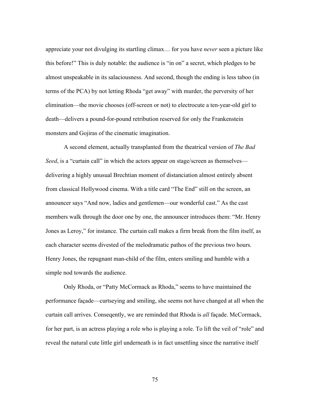appreciate your not divulging its startling climax… for you have *never* seen a picture like this before!" This is duly notable: the audience is "in on" a secret, which pledges to be almost unspeakable in its salaciousness. And second, though the ending is less taboo (in terms of the PCA) by not letting Rhoda "get away" with murder, the perversity of her elimination—the movie chooses (off-screen or not) to electrocute a ten-year-old girl to death—delivers a pound-for-pound retribution reserved for only the Frankenstein monsters and Gojiras of the cinematic imagination.

A second element, actually transplanted from the theatrical version of *The Bad Seed*, is a "curtain call" in which the actors appear on stage/screen as themselves delivering a highly unusual Brechtian moment of distanciation almost entirely absent from classical Hollywood cinema. With a title card "The End" still on the screen, an announcer says "And now, ladies and gentlemen—our wonderful cast." As the cast members walk through the door one by one, the announcer introduces them: "Mr. Henry Jones as Leroy," for instance. The curtain call makes a firm break from the film itself, as each character seems divested of the melodramatic pathos of the previous two hours. Henry Jones, the repugnant man-child of the film, enters smiling and humble with a simple nod towards the audience.

Only Rhoda, or "Patty McCormack as Rhoda," seems to have maintained the performance façade—curtseying and smiling, she seems not have changed at all when the curtain call arrives. Conseqently, we are reminded that Rhoda is *all* façade. McCormack, for her part, is an actress playing a role who is playing a role. To lift the veil of "role" and reveal the natural cute little girl underneath is in fact unsettling since the narrative itself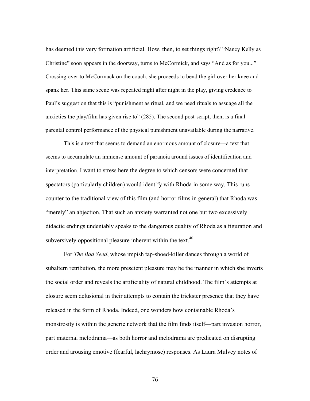has deemed this very formation artificial. How, then, to set things right? "Nancy Kelly as Christine" soon appears in the doorway, turns to McCormick, and says "And as for you..." Crossing over to McCormack on the couch, she proceeds to bend the girl over her knee and spank her. This same scene was repeated night after night in the play, giving credence to Paul's suggestion that this is "punishment as ritual, and we need rituals to assuage all the anxieties the play/film has given rise to" (285). The second post-script, then, is a final parental control performance of the physical punishment unavailable during the narrative.

This is a text that seems to demand an enormous amount of closure—a text that seems to accumulate an immense amount of paranoia around issues of identification and interpretation. I want to stress here the degree to which censors were concerned that spectators (particularly children) would identify with Rhoda in some way. This runs counter to the traditional view of this film (and horror films in general) that Rhoda was "merely" an abjection. That such an anxiety warranted not one but two excessively didactic endings undeniably speaks to the dangerous quality of Rhoda as a figuration and subversively oppositional pleasure inherent within the text. $40$ 

For *The Bad Seed*, whose impish tap-shoed-killer dances through a world of subaltern retribution, the more prescient pleasure may be the manner in which she inverts the social order and reveals the artificiality of natural childhood. The film's attempts at closure seem delusional in their attempts to contain the trickster presence that they have released in the form of Rhoda. Indeed, one wonders how containable Rhoda's monstrosity is within the generic network that the film finds itself—part invasion horror, part maternal melodrama—as both horror and melodrama are predicated on disrupting order and arousing emotive (fearful, lachrymose) responses. As Laura Mulvey notes of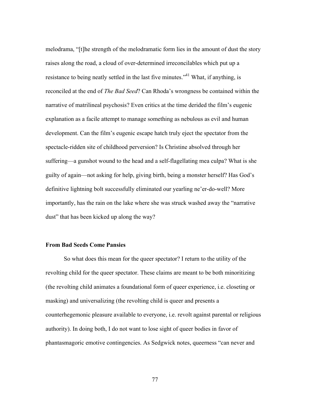melodrama, "[t]he strength of the melodramatic form lies in the amount of dust the story raises along the road, a cloud of over-determined irreconcilables which put up a resistance to being neatly settled in the last five minutes."<sup>41</sup> What, if anything, is reconciled at the end of *The Bad Seed*? Can Rhoda's wrongness be contained within the narrative of matrilineal psychosis? Even critics at the time derided the film's eugenic explanation as a facile attempt to manage something as nebulous as evil and human development. Can the film's eugenic escape hatch truly eject the spectator from the spectacle-ridden site of childhood perversion? Is Christine absolved through her suffering—a gunshot wound to the head and a self-flagellating mea culpa? What is she guilty of again—not asking for help, giving birth, being a monster herself? Has God's definitive lightning bolt successfully eliminated our yearling ne'er-do-well? More importantly, has the rain on the lake where she was struck washed away the "narrative dust" that has been kicked up along the way?

## **From Bad Seeds Come Pansies**

So what does this mean for the queer spectator? I return to the utility of the revolting child for the queer spectator. These claims are meant to be both minoritizing (the revolting child animates a foundational form of queer experience, i.e. closeting or masking) and universalizing (the revolting child is queer and presents a counterhegemonic pleasure available to everyone, i.e. revolt against parental or religious authority). In doing both, I do not want to lose sight of queer bodies in favor of phantasmagoric emotive contingencies. As Sedgwick notes, queerness "can never and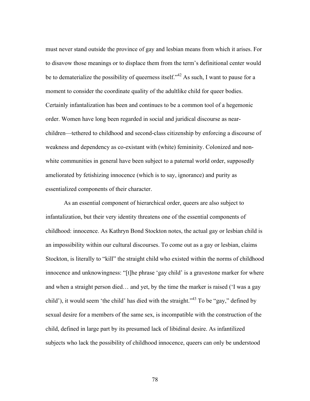must never stand outside the province of gay and lesbian means from which it arises. For to disavow those meanings or to displace them from the term's definitional center would be to dematerialize the possibility of queerness itself."<sup>42</sup> As such, I want to pause for a moment to consider the coordinate quality of the adultlike child for queer bodies. Certainly infantalization has been and continues to be a common tool of a hegemonic order. Women have long been regarded in social and juridical discourse as nearchildren—tethered to childhood and second-class citizenship by enforcing a discourse of weakness and dependency as co-existant with (white) femininity. Colonized and nonwhite communities in general have been subject to a paternal world order, supposedly ameliorated by fetishizing innocence (which is to say, ignorance) and purity as essentialized components of their character.

As an essential component of hierarchical order, queers are also subject to infantalization, but their very identity threatens one of the essential components of childhood: innocence. As Kathryn Bond Stockton notes, the actual gay or lesbian child is an impossibility within our cultural discourses. To come out as a gay or lesbian, claims Stockton, is literally to "kill" the straight child who existed within the norms of childhood innocence and unknowingness: "[t]he phrase 'gay child' is a gravestone marker for where and when a straight person died… and yet, by the time the marker is raised ('I was a gay child'), it would seem 'the child' has died with the straight."<sup>43</sup> To be "gay," defined by sexual desire for a members of the same sex, is incompatible with the construction of the child, defined in large part by its presumed lack of libidinal desire. As infantilized subjects who lack the possibility of childhood innocence, queers can only be understood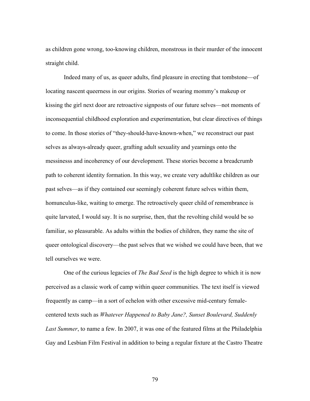as children gone wrong, too-knowing children, monstrous in their murder of the innocent straight child.

Indeed many of us, as queer adults, find pleasure in erecting that tombstone—of locating nascent queerness in our origins. Stories of wearing mommy's makeup or kissing the girl next door are retroactive signposts of our future selves—not moments of inconsequential childhood exploration and experimentation, but clear directives of things to come. In those stories of "they-should-have-known-when," we reconstruct our past selves as always-already queer, grafting adult sexuality and yearnings onto the messinesss and incoherency of our development. These stories become a breadcrumb path to coherent identity formation. In this way, we create very adultlike children as our past selves—as if they contained our seemingly coherent future selves within them, homunculus-like, waiting to emerge. The retroactively queer child of remembrance is quite larvated, I would say. It is no surprise, then, that the revolting child would be so familiar, so pleasurable. As adults within the bodies of children, they name the site of queer ontological discovery—the past selves that we wished we could have been, that we tell ourselves we were.

One of the curious legacies of *The Bad Seed* is the high degree to which it is now perceived as a classic work of camp within queer communities. The text itself is viewed frequently as camp—in a sort of echelon with other excessive mid-century femalecentered texts such as *Whatever Happened to Baby Jane?, Sunset Boulevard, Suddenly Last Summer*, to name a few. In 2007, it was one of the featured films at the Philadelphia Gay and Lesbian Film Festival in addition to being a regular fixture at the Castro Theatre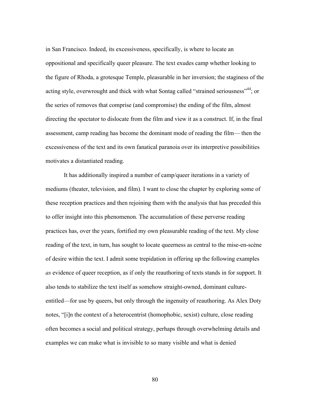in San Francisco. Indeed, its excessiveness, specifically, is where to locate an oppositional and specifically queer pleasure. The text exudes camp whether looking to the figure of Rhoda, a grotesque Temple, pleasurable in her inversion; the staginess of the acting style, overwrought and thick with what Sontag called "strained seriousness"<sup>44</sup>; or the series of removes that comprise (and compromise) the ending of the film, almost directing the spectator to dislocate from the film and view it as a construct. If, in the final assessment, camp reading has become the dominant mode of reading the film— then the excessiveness of the text and its own fanatical paranoia over its interpretive possibilities motivates a distantiated reading.

It has additionally inspired a number of camp/queer iterations in a variety of mediums (theater, television, and film). I want to close the chapter by exploring some of these reception practices and then rejoining them with the analysis that has preceded this to offer insight into this phenomenon. The accumulation of these perverse reading practices has, over the years, fortified my own pleasurable reading of the text. My close reading of the text, in turn, has sought to locate queerness as central to the mise-en-scène of desire within the text. I admit some trepidation in offering up the following examples *as* evidence of queer reception, as if only the reauthoring of texts stands in for support. It also tends to stabilize the text itself as somehow straight-owned, dominant cultureentitled—for use by queers, but only through the ingenuity of reauthoring. As Alex Doty notes, "[i]n the context of a heterocentrist (homophobic, sexist) culture, close reading often becomes a social and political strategy, perhaps through overwhelming details and examples we can make what is invisible to so many visible and what is denied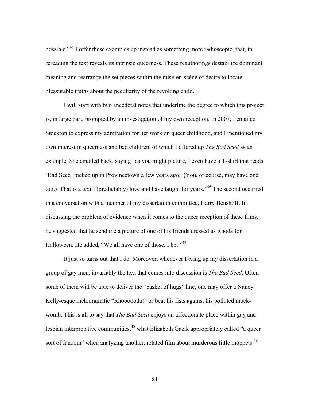possible."45 I offer these examples up instead as something more radioscopic, that, in rereading the text reveals its intrinsic queerness. These reauthorings destabilize dominant meaning and rearrange the set pieces within the mise-en-scène of desire to locate pleasurable truths about the peculiarity of the revolting child.

I will start with two anecdotal notes that underline the degree to which this project is, in large part, prompted by an investigation of my own reception. In 2007, I emailed Stockton to express my admiration for her work on queer childhood, and I mentioned my own interest in queerness and bad children, of which I offered up *The Bad Seed* as an example. She emailed back, saying "as you might picture, I even have a T-shirt that reads 'Bad Seed' picked up in Provincetown a few years ago. (You, of course, may have one too.) That is a text I (predictably) love and have taught for years.<sup> $46$ </sup> The second occurred in a conversation with a member of my dissertation committee, Harry Benshoff. In discussing the problem of evidence when it comes to the queer reception of these films, he suggested that he send me a picture of one of his friends dressed as Rhoda for Halloween. He added, "We all have one of those, I bet."<sup>47</sup>

It just so turns out that I do. Moreover, whenever I bring up my dissertation in a group of gay men, invariably the text that comes into discussion is *The Bad Seed*. Often some of them will be able to deliver the "basket of hugs" line, one may offer a Nancy Kelly-esque melodramatic "Rhoooooda!" or beat his fists against his polluted mockwomb. This is all to say that *The Bad Seed* enjoys an affectionate place within gay and lesbian interpretative communities,<sup>48</sup> what Elizabeth Gazik appropriately called "a queer sort of fandom" when analyzing another, related film about murderous little moppets.<sup>49</sup>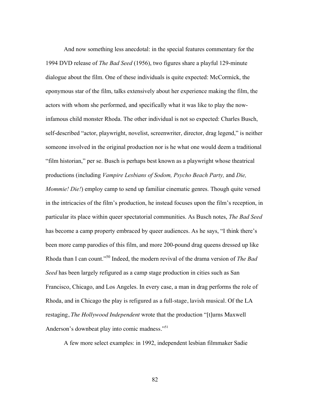And now something less anecdotal: in the special features commentary for the 1994 DVD release of *The Bad Seed* (1956), two figures share a playful 129-minute dialogue about the film. One of these individuals is quite expected: McCormick, the eponymous star of the film, talks extensively about her experience making the film, the actors with whom she performed, and specifically what it was like to play the nowinfamous child monster Rhoda. The other individual is not so expected: Charles Busch, self-described "actor, playwright, novelist, screenwriter, director, drag legend," is neither someone involved in the original production nor is he what one would deem a traditional "film historian," per se. Busch is perhaps best known as a playwright whose theatrical productions (including *Vampire Lesbians of Sodom, Psycho Beach Party,* and *Die,* 

*Mommie! Die!*) employ camp to send up familiar cinematic genres. Though quite versed in the intricacies of the film's production, he instead focuses upon the film's reception, in particular its place within queer spectatorial communities. As Busch notes, *The Bad Seed* has become a camp property embraced by queer audiences. As he says, "I think there's been more camp parodies of this film, and more 200-pound drag queens dressed up like Rhoda than I can count."50 Indeed, the modern revival of the drama version of *The Bad Seed* has been largely refigured as a camp stage production in cities such as San Francisco, Chicago, and Los Angeles. In every case, a man in drag performs the role of Rhoda, and in Chicago the play is refigured as a full-stage, lavish musical. Of the LA restaging, *The Hollywood Independent* wrote that the production "[t]urns Maxwell Anderson's downbeat play into comic madness."<sup>51</sup>

A few more select examples: in 1992, independent lesbian filmmaker Sadie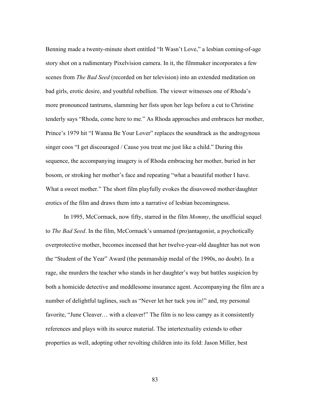Benning made a twenty-minute short entitled "It Wasn't Love," a lesbian coming-of-age story shot on a rudimentary Pixelvision camera. In it, the filmmaker incorporates a few scenes from *The Bad Seed* (recorded on her television) into an extended meditation on bad girls, erotic desire, and youthful rebellion. The viewer witnesses one of Rhoda's more pronounced tantrums, slamming her fists upon her legs before a cut to Christine tenderly says "Rhoda, come here to me." As Rhoda approaches and embraces her mother, Prince's 1979 hit "I Wanna Be Your Lover" replaces the soundtrack as the androgynous singer coos "I get discouraged / Cause you treat me just like a child." During this sequence, the accompanying imagery is of Rhoda embracing her mother, buried in her bosom, or stroking her mother's face and repeating "what a beautiful mother I have. What a sweet mother." The short film playfully evokes the disavowed mother/daughter erotics of the film and draws them into a narrative of lesbian becomingness.

In 1995, McCormack, now fifty, starred in the film *Mommy*, the unofficial sequel to *The Bad Seed*. In the film, McCormack's unnamed (pro)antagonist, a psychotically overprotective mother, becomes incensed that her twelve-year-old daughter has not won the "Student of the Year" Award (the penmanship medal of the 1990s, no doubt). In a rage, she murders the teacher who stands in her daughter's way but battles suspicion by both a homicide detective and meddlesome insurance agent. Accompanying the film are a number of delightful taglines, such as "Never let her tuck you in!" and, my personal favorite, "June Cleaver... with a cleaver!" The film is no less campy as it consistently references and plays with its source material. The intertextuality extends to other properties as well, adopting other revolting children into its fold: Jason Miller, best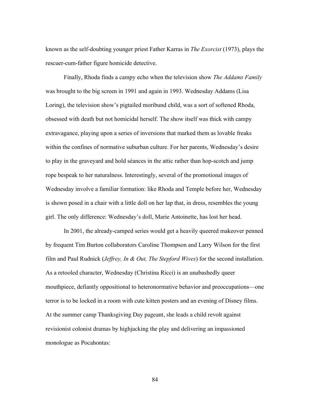known as the self-doubting younger priest Father Karras in *The Exorcist* (1973), plays the rescuer-cum-father figure homicide detective.

Finally, Rhoda finds a campy echo when the television show *The Addams Family* was brought to the big screen in 1991 and again in 1993. Wednesday Addams (Lisa Loring), the television show's pigtailed moribund child, was a sort of softened Rhoda, obsessed with death but not homicidal herself. The show itself was thick with campy extravagance, playing upon a series of inversions that marked them as lovable freaks within the confines of normative suburban culture. For her parents, Wednesday's desire to play in the graveyard and hold séances in the attic rather than hop-scotch and jump rope bespeak to her naturalness. Interestingly, several of the promotional images of Wednesday involve a familiar formation: like Rhoda and Temple before her, Wednesday is shown posed in a chair with a little doll on her lap that, in dress, resembles the young girl. The only difference: Wednesday's doll, Marie Antoinette, has lost her head.

In 2001, the already-camped series would get a heavily queered makeover penned by frequent Tim Burton collaborators Caroline Thompson and Larry Wilson for the first film and Paul Rudnick (*Jeffrey, In & Out, The Stepford Wives*) for the second installation. As a retooled character, Wednesday (Christina Ricci) is an unabashedly queer mouthpiece, defiantly oppositional to heteronormative behavior and preoccupations—one terror is to be locked in a room with cute kitten posters and an evening of Disney films. At the summer camp Thanksgiving Day pageant, she leads a child revolt against revisionist colonist dramas by highjacking the play and delivering an impassioned monologue as Pocahontas: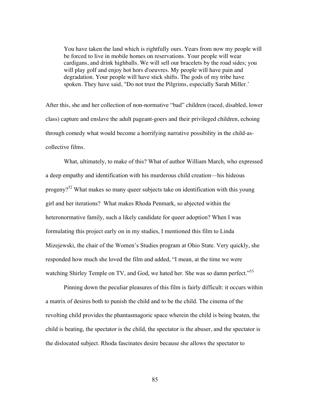You have taken the land which is rightfully ours. Years from now my people will be forced to live in mobile homes on reservations. Your people will wear cardigans, and drink highballs. We will sell our bracelets by the road sides; you will play golf and enjoy hot hors d'oeuvres. My people will have pain and degradation. Your people will have stick shifts. The gods of my tribe have spoken. They have said, "Do not trust the Pilgrims, especially Sarah Miller.'

After this, she and her collection of non-normative "bad" children (raced, disabled, lower class) capture and enslave the adult pageant-goers and their privileged children, echoing through comedy what would become a horrifying narrative possibility in the child-ascollective films.

What, ultimately, to make of this? What of author William March, who expressed a deep empathy and identification with his murderous child creation—his hideous progeny?52 What makes so many queer subjects take on identification with this young girl and her iterations? What makes Rhoda Penmark, so abjected within the heteronormative family, such a likely candidate for queer adoption? When I was formulating this project early on in my studies, I mentioned this film to Linda Mizejewski, the chair of the Women's Studies program at Ohio State. Very quickly, she responded how much she loved the film and added, "I mean, at the time we were watching Shirley Temple on TV, and God, we hated her. She was so damn perfect."<sup>53</sup>

Pinning down the peculiar pleasures of this film is fairly difficult: it occurs within a matrix of desires both to punish the child and to be the child. The cinema of the revolting child provides the phantasmagoric space wherein the child is being beaten, the child is beating, the spectator is the child, the spectator is the abuser, and the spectator is the dislocated subject. Rhoda fascinates desire because she allows the spectator to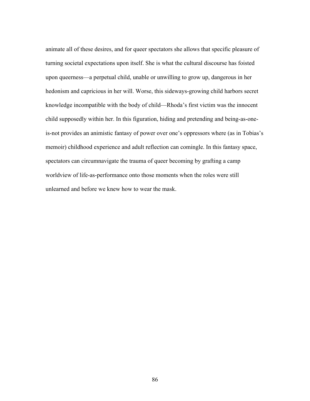animate all of these desires, and for queer spectators she allows that specific pleasure of turning societal expectations upon itself. She is what the cultural discourse has foisted upon queerness—a perpetual child, unable or unwilling to grow up, dangerous in her hedonism and capricious in her will. Worse, this sideways-growing child harbors secret knowledge incompatible with the body of child—Rhoda's first victim was the innocent child supposedly within her. In this figuration, hiding and pretending and being-as-oneis-not provides an animistic fantasy of power over one's oppressors where (as in Tobias's memoir) childhood experience and adult reflection can comingle. In this fantasy space, spectators can circumnavigate the trauma of queer becoming by grafting a camp worldview of life-as-performance onto those moments when the roles were still unlearned and before we knew how to wear the mask.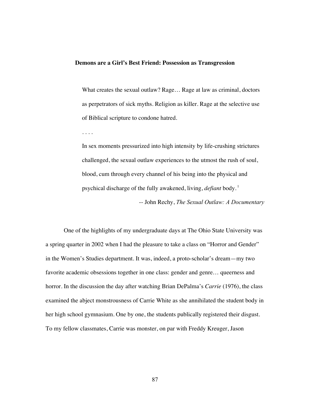#### **Demons are a Girl's Best Friend: Possession as Transgression**

What creates the sexual outlaw? Rage… Rage at law as criminal, doctors as perpetrators of sick myths. Religion as killer. Rage at the selective use of Biblical scripture to condone hatred.

. . . .

In sex moments pressurized into high intensity by life-crushing strictures challenged, the sexual outlaw experiences to the utmost the rush of soul, blood, cum through every channel of his being into the physical and psychical discharge of the fully awakened, living, *defiant* body. <sup>1</sup>

-- John Rechy, *The Sexual Outlaw: A Documentary*

One of the highlights of my undergraduate days at The Ohio State University was a spring quarter in 2002 when I had the pleasure to take a class on "Horror and Gender" in the Women's Studies department. It was, indeed, a proto-scholar's dream—my two favorite academic obsessions together in one class: gender and genre… queerness and horror. In the discussion the day after watching Brian DePalma's *Carrie* (1976), the class examined the abject monstrousness of Carrie White as she annihilated the student body in her high school gymnasium. One by one, the students publically registered their disgust. To my fellow classmates, Carrie was monster, on par with Freddy Kreuger, Jason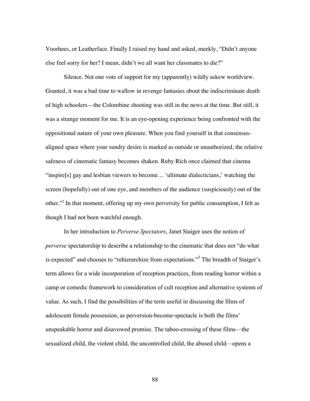Voorhees, or Leatherface. Finally I raised my hand and asked, meekly, "Didn't anyone else feel sorry for her? I mean, didn't we all want her classmates to die?"

Silence. Not one vote of support for my (apparently) wildly askew worldview. Granted, it was a bad time to wallow in revenge fantasies about the indiscriminate death of high schoolers—the Colombine shooting was still in the news at the time. But still, it was a strange moment for me. It is an eye-opening experience being confronted with the oppositional nature of your own pleasure. When you find yourself in that consensusaligned space where your sundry desire is marked as outside or unauthorized, the relative safeness of cinematic fantasy becomes shaken. Ruby Rich once claimed that cinema "inspire[s] gay and lesbian viewers to become… 'ultimate dialecticians,' watching the screen (hopefully) out of one eye, and members of the audience (suspiciously) out of the other."2 In that moment, offering up my own perversity for public consumption, I felt as though I had not been watchful enough.

In her introduction to *Perverse Spectators*, Janet Staiger uses the notion of *perverse* spectatorship to describe a relationship to the cinematic that does not "do what is expected" and chooses to "rehierarchize from expectations."<sup>3</sup> The breadth of Staiger's term allows for a wide incorporation of reception practices, from reading horror within a camp or comedic framework to consideration of cult reception and alternative systems of value. As such, I find the possibilities of the term useful in discussing the films of adolescent female possession, as perversion-become-spectacle is both the films' unspeakable horror and disavowed promise. The taboo-crossing of these films—the sexualized child, the violent child, the uncontrolled child, the abused child—opens a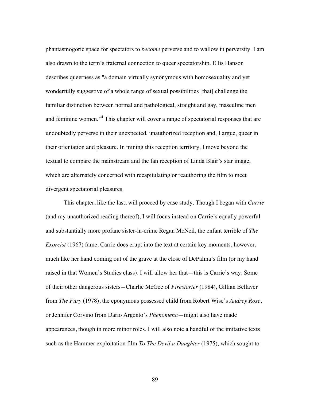phantasmogoric space for spectators to *become* perverse and to wallow in perversity. I am also drawn to the term's fraternal connection to queer spectatorship. Ellis Hanson describes queerness as "a domain virtually synonymous with homosexuality and yet wonderfully suggestive of a whole range of sexual possibilities [that] challenge the familiar distinction between normal and pathological, straight and gay, masculine men and feminine women."<sup>4</sup> This chapter will cover a range of spectatorial responses that are undoubtedly perverse in their unexpected, unauthorized reception and, I argue, queer in their orientation and pleasure. In mining this reception territory, I move beyond the textual to compare the mainstream and the fan reception of Linda Blair's star image, which are alternately concerned with recapitulating or reauthoring the film to meet divergent spectatorial pleasures.

This chapter, like the last, will proceed by case study. Though I began with *Carrie* (and my unauthorized reading thereof), I will focus instead on Carrie's equally powerful and substantially more profane sister-in-crime Regan McNeil, the enfant terrible of *The Exorcist* (1967) fame. Carrie does erupt into the text at certain key moments, however, much like her hand coming out of the grave at the close of DePalma's film (or my hand raised in that Women's Studies class). I will allow her that—this is Carrie's way. Some of their other dangerous sisters*—*Charlie McGee of *Firestarter* (1984), Gillian Bellaver from *The Fury* (1978), the eponymous possessed child from Robert Wise's *Audrey Rose*, or Jennifer Corvino from Dario Argento's *Phenomena*—might also have made appearances, though in more minor roles. I will also note a handful of the imitative texts such as the Hammer exploitation film *To The Devil a Daughter* (1975), which sought to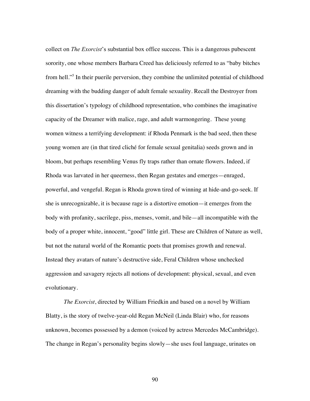collect on *The Exorcist*'s substantial box office success. This is a dangerous pubescent sorority, one whose members Barbara Creed has deliciously referred to as "baby bitches from hell."<sup>5</sup> In their puerile perversion, they combine the unlimited potential of childhood dreaming with the budding danger of adult female sexuality. Recall the Destroyer from this dissertation's typology of childhood representation, who combines the imaginative capacity of the Dreamer with malice, rage, and adult warmongering. These young women witness a terrifying development: if Rhoda Penmark is the bad seed, then these young women are (in that tired cliché for female sexual genitalia) seeds grown and in bloom, but perhaps resembling Venus fly traps rather than ornate flowers. Indeed, if Rhoda was larvated in her queerness, then Regan gestates and emerges—enraged, powerful, and vengeful. Regan is Rhoda grown tired of winning at hide-and-go-seek. If she is unrecognizable, it is because rage is a distortive emotion—it emerges from the body with profanity, sacrilege, piss, menses, vomit, and bile—all incompatible with the body of a proper white, innocent, "good" little girl. These are Children of Nature as well, but not the natural world of the Romantic poets that promises growth and renewal. Instead they avatars of nature's destructive side, Feral Children whose unchecked aggression and savagery rejects all notions of development: physical, sexual, and even evolutionary.

*The Exorcist*, directed by William Friedkin and based on a novel by William Blatty, is the story of twelve-year-old Regan McNeil (Linda Blair) who, for reasons unknown, becomes possessed by a demon (voiced by actress Mercedes McCambridge). The change in Regan's personality begins slowly—she uses foul language, urinates on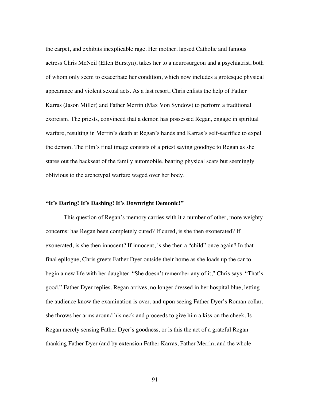the carpet, and exhibits inexplicable rage. Her mother, lapsed Catholic and famous actress Chris McNeil (Ellen Burstyn), takes her to a neurosurgeon and a psychiatrist, both of whom only seem to exacerbate her condition, which now includes a grotesque physical appearance and violent sexual acts. As a last resort, Chris enlists the help of Father Karras (Jason Miller) and Father Merrin (Max Von Syndow) to perform a traditional exorcism. The priests, convinced that a demon has possessed Regan, engage in spiritual warfare, resulting in Merrin's death at Regan's hands and Karras's self-sacrifice to expel the demon. The film's final image consists of a priest saying goodbye to Regan as she stares out the backseat of the family automobile, bearing physical scars but seemingly oblivious to the archetypal warfare waged over her body.

### **"It's Daring! It's Dashing! It's Downright Demonic!"**

This question of Regan's memory carries with it a number of other, more weighty concerns: has Regan been completely cured? If cured, is she then exonerated? If exonerated, is she then innocent? If innocent, is she then a "child" once again? In that final epilogue, Chris greets Father Dyer outside their home as she loads up the car to begin a new life with her daughter. "She doesn't remember any of it," Chris says. "That's good," Father Dyer replies. Regan arrives, no longer dressed in her hospital blue, letting the audience know the examination is over, and upon seeing Father Dyer's Roman collar, she throws her arms around his neck and proceeds to give him a kiss on the cheek. Is Regan merely sensing Father Dyer's goodness, or is this the act of a grateful Regan thanking Father Dyer (and by extension Father Karras, Father Merrin, and the whole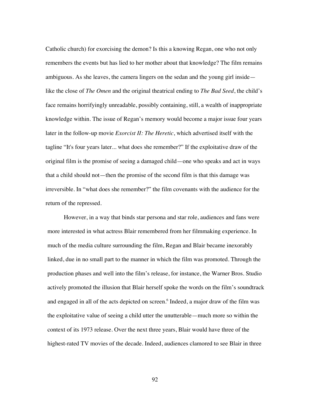Catholic church) for exorcising the demon? Is this a knowing Regan, one who not only remembers the events but has lied to her mother about that knowledge? The film remains ambiguous. As she leaves, the camera lingers on the sedan and the young girl inside like the close of *The Omen* and the original theatrical ending to *The Bad Seed*, the child's face remains horrifyingly unreadable, possibly containing, still, a wealth of inappropriate knowledge within. The issue of Regan's memory would become a major issue four years later in the follow-up movie *Exorcist II: The Heretic*, which advertised itself with the tagline "It's four years later... what does she remember?" If the exploitative draw of the original film is the promise of seeing a damaged child—one who speaks and act in ways that a child should not—then the promise of the second film is that this damage was irreversible. In "what does she remember?" the film covenants with the audience for the return of the repressed.

However, in a way that binds star persona and star role, audiences and fans were more interested in what actress Blair remembered from her filmmaking experience. In much of the media culture surrounding the film, Regan and Blair became inexorably linked, due in no small part to the manner in which the film was promoted. Through the production phases and well into the film's release, for instance, the Warner Bros. Studio actively promoted the illusion that Blair herself spoke the words on the film's soundtrack and engaged in all of the acts depicted on screen.<sup>6</sup> Indeed, a major draw of the film was the exploitative value of seeing a child utter the unutterable—much more so within the context of its 1973 release. Over the next three years, Blair would have three of the highest-rated TV movies of the decade. Indeed, audiences clamored to see Blair in three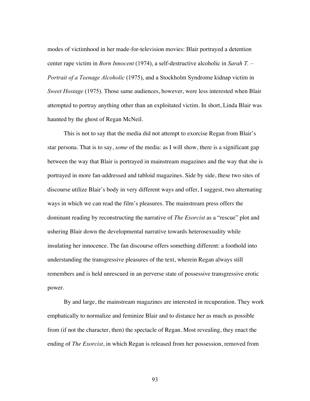modes of victimhood in her made-for-television movies: Blair portrayed a detention center rape victim in *Born Innocent* (1974), a self-destructive alcoholic in *Sarah T. – Portrait of a Teenage Alcoholic* (1975), and a Stockholm Syndrome kidnap victim in *Sweet Hostage* (1975). Those same audiences, however, were less interested when Blair attempted to portray anything other than an exploitated victim. In short, Linda Blair was haunted by the ghost of Regan McNeil.

This is not to say that the media did not attempt to exorcise Regan from Blair's star persona. That is to say, *some* of the media: as I will show, there is a significant gap between the way that Blair is portrayed in mainstream magazines and the way that she is portrayed in more fan-addressed and tabloid magazines. Side by side, these two sites of discourse utilize Blair's body in very different ways and offer, I suggest, two alternating ways in which we can read the film's pleasures. The mainstream press offers the dominant reading by reconstructing the narrative of *The Exorcist* as a "rescue" plot and ushering Blair down the developmental narrative towards heterosexuality while insulating her innocence. The fan discourse offers something different: a foothold into understanding the transgressive pleasures of the text, wherein Regan always still remembers and is held unrescued in an perverse state of possessive transgressive erotic power.

By and large, the mainstream magazines are interested in recuperation. They work emphatically to normalize and feminize Blair and to distance her as much as possible from (if not the character, then) the spectacle of Regan. Most revealing, they enact the ending of *The Exorcist*, in which Regan is released from her possession, removed from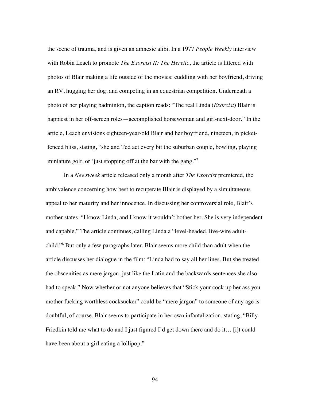the scene of trauma, and is given an amnesic alibi. In a 1977 *People Weekly* interview with Robin Leach to promote *The Exorcist II: The Heretic*, the article is littered with photos of Blair making a life outside of the movies: cuddling with her boyfriend, driving an RV, hugging her dog, and competing in an equestrian competition. Underneath a photo of her playing badminton, the caption reads: "The real Linda (*Exorcist*) Blair is happiest in her off-screen roles—accomplished horsewoman and girl-next-door." In the article, Leach envisions eighteen-year-old Blair and her boyfriend, nineteen, in picketfenced bliss, stating, "she and Ted act every bit the suburban couple, bowling, playing miniature golf, or 'just stopping off at the bar with the gang."<sup>7</sup>

In a *Newsweek* article released only a month after *The Exorcist* premiered, the ambivalence concerning how best to recuperate Blair is displayed by a simultaneous appeal to her maturity and her innocence. In discussing her controversial role, Blair's mother states, "I know Linda, and I know it wouldn't bother her. She is very independent and capable." The article continues, calling Linda a "level-headed, live-wire adultchild."<sup>8</sup> But only a few paragraphs later, Blair seems more child than adult when the article discusses her dialogue in the film: "Linda had to say all her lines. But she treated the obscenities as mere jargon, just like the Latin and the backwards sentences she also had to speak." Now whether or not anyone believes that "Stick your cock up her ass you mother fucking worthless cocksucker" could be "mere jargon" to someone of any age is doubtful, of course. Blair seems to participate in her own infantalization, stating, "Billy Friedkin told me what to do and I just figured I'd get down there and do it... [i]t could have been about a girl eating a lollipop."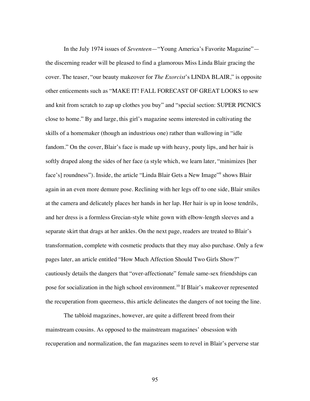In the July 1974 issues of *Seventeen*—"Young America's Favorite Magazine" the discerning reader will be pleased to find a glamorous Miss Linda Blair gracing the cover. The teaser, "our beauty makeover for *The Exorcist*'s LINDA BLAIR," is opposite other enticements such as "MAKE IT! FALL FORECAST OF GREAT LOOKS to sew and knit from scratch to zap up clothes you buy" and "special section: SUPER PICNICS close to home." By and large, this girl's magazine seems interested in cultivating the skills of a homemaker (though an industrious one) rather than wallowing in "idle fandom." On the cover, Blair's face is made up with heavy, pouty lips, and her hair is softly draped along the sides of her face (a style which, we learn later, "minimizes [her face's] roundness"). Inside, the article "Linda Blair Gets a New Image" shows Blair again in an even more demure pose. Reclining with her legs off to one side, Blair smiles at the camera and delicately places her hands in her lap. Her hair is up in loose tendrils, and her dress is a formless Grecian-style white gown with elbow-length sleeves and a separate skirt that drags at her ankles. On the next page, readers are treated to Blair's transformation, complete with cosmetic products that they may also purchase. Only a few pages later, an article entitled "How Much Affection Should Two Girls Show?" cautiously details the dangers that "over-affectionate" female same-sex friendships can pose for socialization in the high school environment.<sup>10</sup> If Blair's makeover represented the recuperation from queerness, this article delineates the dangers of not toeing the line.

The tabloid magazines, however, are quite a different breed from their mainstream cousins. As opposed to the mainstream magazines' obsession with recuperation and normalization, the fan magazines seem to revel in Blair's perverse star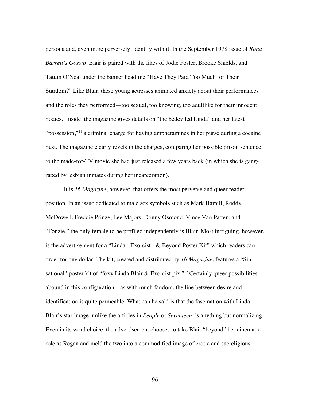persona and, even more perversely, identify with it. In the September 1978 issue of *Rona Barrett's Gossip*, Blair is paired with the likes of Jodie Foster, Brooke Shields, and Tatum O'Neal under the banner headline "Have They Paid Too Much for Their Stardom?" Like Blair, these young actresses animated anxiety about their performances and the roles they performed—too sexual, too knowing, too adultlike for their innocent bodies. Inside, the magazine gives details on "the bedeviled Linda" and her latest "possession,"<sup>11</sup> a criminal charge for having amphetamines in her purse during a cocaine bust. The magazine clearly revels in the charges, comparing her possible prison sentence to the made-for-TV movie she had just released a few years back (in which she is gangraped by lesbian inmates during her incarceration).

It is *16 Magazine*, however, that offers the most perverse and queer reader position. In an issue dedicated to male sex symbols such as Mark Hamill, Roddy McDowell, Freddie Prinze, Lee Majors, Donny Osmond, Vince Van Patten, and "Fonzie," the only female to be profiled independently is Blair. Most intriguing, however, is the advertisement for a "Linda - Exorcist - & Beyond Poster Kit" which readers can order for one dollar. The kit, created and distributed by *16 Magazine*, features a "Sinsational" poster kit of "foxy Linda Blair & Exorcist pix."<sup>12</sup> Certainly queer possibilities abound in this configuration—as with much fandom, the line between desire and identification is quite permeable. What can be said is that the fascination with Linda Blair's star image, unlike the articles in *People* or *Seventeen*, is anything but normalizing. Even in its word choice, the advertisement chooses to take Blair "beyond" her cinematic role as Regan and meld the two into a commodified image of erotic and sacreligious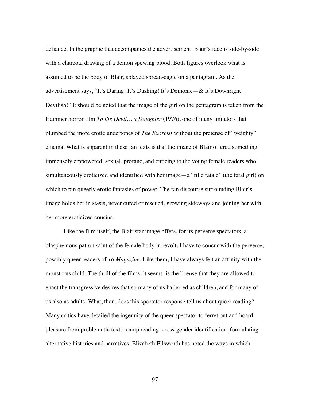defiance. In the graphic that accompanies the advertisement, Blair's face is side-by-side with a charcoal drawing of a demon spewing blood. Both figures overlook what is assumed to be the body of Blair, splayed spread-eagle on a pentagram. As the advertisement says, "It's Daring! It's Dashing! It's Demonic—& It's Downright Devilish!" It should be noted that the image of the girl on the pentagram is taken from the Hammer horror film *To the Devil… a Daughter* (1976), one of many imitators that plumbed the more erotic undertones of *The Exorcist* without the pretense of "weighty" cinema. What is apparent in these fan texts is that the image of Blair offered something immensely empowered, sexual, profane, and enticing to the young female readers who simultaneously eroticized and identified with her image—a "fille fatale" (the fatal girl) on which to pin queerly erotic fantasies of power. The fan discourse surrounding Blair's image holds her in stasis, never cured or rescued, growing sideways and joining her with her more eroticized cousins.

Like the film itself, the Blair star image offers, for its perverse spectators, a blasphemous patron saint of the female body in revolt. I have to concur with the perverse, possibly queer readers of *16 Magazine.* Like them, I have always felt an affinity with the monstrous child. The thrill of the films, it seems, is the license that they are allowed to enact the transgressive desires that so many of us harbored as children, and for many of us also as adults. What, then, does this spectator response tell us about queer reading? Many critics have detailed the ingenuity of the queer spectator to ferret out and hoard pleasure from problematic texts: camp reading, cross-gender identification, formulating alternative histories and narratives. Elizabeth Ellsworth has noted the ways in which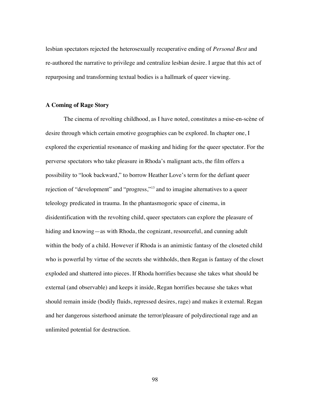lesbian spectators rejected the heterosexually recuperative ending of *Personal Best* and re-authored the narrative to privilege and centralize lesbian desire. I argue that this act of repurposing and transforming textual bodies is a hallmark of queer viewing.

### **A Coming of Rage Story**

The cinema of revolting childhood, as I have noted, constitutes a mise-en-scène of desire through which certain emotive geographies can be explored. In chapter one, I explored the experiential resonance of masking and hiding for the queer spectator. For the perverse spectators who take pleasure in Rhoda's malignant acts, the film offers a possibility to "look backward," to borrow Heather Love's term for the defiant queer rejection of "development" and "progress,"<sup>13</sup> and to imagine alternatives to a queer teleology predicated in trauma. In the phantasmogoric space of cinema, in disidentification with the revolting child, queer spectators can explore the pleasure of hiding and knowing—as with Rhoda, the cognizant, resourceful, and cunning adult within the body of a child. However if Rhoda is an animistic fantasy of the closeted child who is powerful by virtue of the secrets she withholds, then Regan is fantasy of the closet exploded and shattered into pieces. If Rhoda horrifies because she takes what should be external (and observable) and keeps it inside, Regan horrifies because she takes what should remain inside (bodily fluids, repressed desires, rage) and makes it external. Regan and her dangerous sisterhood animate the terror/pleasure of polydirectional rage and an unlimited potential for destruction.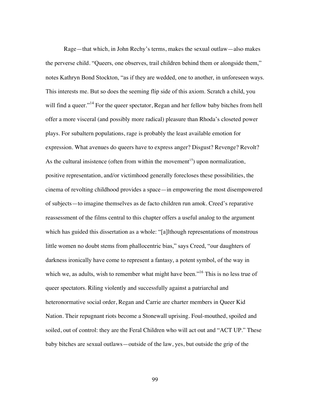Rage—that which, in John Rechy's terms, makes the sexual outlaw—also makes the perverse child. "Queers, one observes, trail children behind them or alongside them," notes Kathryn Bond Stockton, "as if they are wedded, one to another, in unforeseen ways. This interests me. But so does the seeming flip side of this axiom. Scratch a child, you will find a queer."<sup>14</sup> For the queer spectator, Regan and her fellow baby bitches from hell offer a more visceral (and possibly more radical) pleasure than Rhoda's closeted power plays. For subaltern populations, rage is probably the least available emotion for expression. What avenues do queers have to express anger? Disgust? Revenge? Revolt? As the cultural insistence (often from within the movement<sup>15</sup>) upon normalization, positive representation, and/or victimhood generally forecloses these possibilities, the cinema of revolting childhood provides a space—in empowering the most disempowered of subjects—to imagine themselves as de facto children run amok. Creed's reparative reassessment of the films central to this chapter offers a useful analog to the argument which has guided this dissertation as a whole: "[a]lthough representations of monstrous little women no doubt stems from phallocentric bias," says Creed, "our daughters of darkness ironically have come to represent a fantasy, a potent symbol, of the way in which we, as adults, wish to remember what might have been."<sup>16</sup> This is no less true of queer spectators. Riling violently and successfully against a patriarchal and heteronormative social order, Regan and Carrie are charter members in Queer Kid Nation. Their repugnant riots become a Stonewall uprising. Foul-mouthed, spoiled and soiled, out of control: they are the Feral Children who will act out and "ACT UP." These baby bitches are sexual outlaws—outside of the law, yes, but outside the grip of the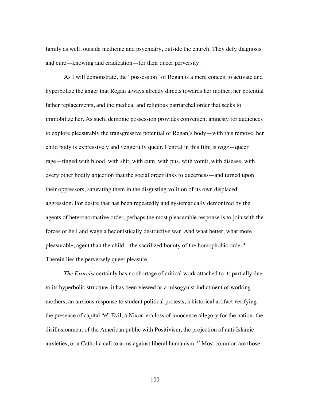family as well, outside medicine and psychiatry, outside the church. They defy diagnosis and cure—knowing and eradication—for their queer perversity.

As I will demonstrate, the "possession" of Regan is a mere conceit to activate and hyperbolize the anger that Regan always already directs towards her mother, her potential father replacements, and the medical and religious patriarchal order that seeks to immobilize her. As such, demonic possession provides convenient amnesty for audiences to explore pleasurably the transgressive potential of Regan's body—with this remove, her child body is expressively and vengefully queer. Central in this film is *rage*—queer rage—tinged with blood, with shit, with cum, with pus, with vomit, with disease, with every other bodily abjection that the social order links to queerness—and turned upon their oppressors, saturating them in the disgusting volition of its own displaced aggression. For desire that has been repeatedly and systematically demonized by the agents of heteronormative order, perhaps the most pleasurable response is to join with the forces of hell and wage a hedonistically destructive war. And what better, what more pleasurable, agent than the child—the sacrilized bounty of the homophobic order? Therein lies the perversely queer pleasure.

*The Exorcist* certainly has no shortage of critical work attached to it; partially due to its hyperbolic structure, it has been viewed as a misogynist indictment of working mothers, an anxious response to student political protests, a historical artifact verifying the presence of capital "e" Evil, a Nixon-era loss of innocence allegory for the nation, the disillusionment of the American public with Positivism, the projection of anti-Islamic anxieties, or a Catholic call to arms against liberal humanism.<sup>17</sup> Most common are those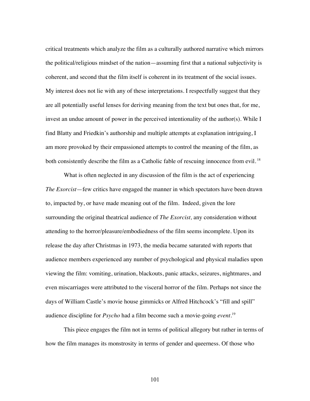critical treatments which analyze the film as a culturally authored narrative which mirrors the political/religious mindset of the nation—assuming first that a national subjectivity is coherent, and second that the film itself is coherent in its treatment of the social issues. My interest does not lie with any of these interpretations. I respectfully suggest that they are all potentially useful lenses for deriving meaning from the text but ones that, for me, invest an undue amount of power in the perceived intentionality of the author(s). While I find Blatty and Friedkin's authorship and multiple attempts at explanation intriguing, I am more provoked by their empassioned attempts to control the meaning of the film, as both consistently describe the film as a Catholic fable of rescuing innocence from evil.<sup>18</sup>

What is often neglected in any discussion of the film is the act of experiencing *The Exorcist*—few critics have engaged the manner in which spectators have been drawn to, impacted by, or have made meaning out of the film. Indeed, given the lore surrounding the original theatrical audience of *The Exorcist,* any consideration without attending to the horror/pleasure/embodiedness of the film seems incomplete. Upon its release the day after Christmas in 1973, the media became saturated with reports that audience members experienced any number of psychological and physical maladies upon viewing the film: vomiting, urination, blackouts, panic attacks, seizures, nightmares, and even miscarriages were attributed to the visceral horror of the film. Perhaps not since the days of William Castle's movie house gimmicks or Alfred Hitchcock's "fill and spill" audience discipline for *Psycho* had a film become such a movie-going *event*. 19

This piece engages the film not in terms of political allegory but rather in terms of how the film manages its monstrosity in terms of gender and queerness. Of those who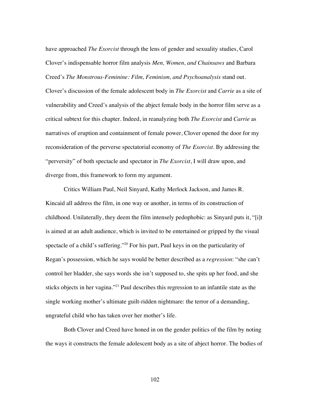have approached *The Exorcist* through the lens of gender and sexuality studies, Carol Clover's indispensable horror film analysis *Men, Women, and Chainsaws* and Barbara Creed's *The Monstrous-Feminine: Film, Feminism, and Psychoanalysis* stand out.

Clover's discussion of the female adolescent body in *The Exorcist* and *Carrie* as a site of vulnerability and Creed's analysis of the abject female body in the horror film serve as a critical subtext for this chapter. Indeed, in reanalyzing both *The Exorcist* and *Carrie* as narratives of eruption and containment of female power, Clover opened the door for my reconsideration of the perverse spectatorial economy of *The Exorcist*. By addressing the "perversity" of both spectacle and spectator in *The Exorcist*, I will draw upon, and diverge from, this framework to form my argument.

Critics William Paul, Neil Sinyard, Kathy Merlock Jackson, and James R. Kincaid all address the film, in one way or another, in terms of its construction of childhood. Unilaterally, they deem the film intensely pedophobic: as Sinyard puts it, "[i]t is aimed at an adult audience, which is invited to be entertained or gripped by the visual spectacle of a child's suffering."<sup>20</sup> For his part, Paul keys in on the particularity of Regan's possession, which he says would be better described as a *regression*: "she can't control her bladder, she says words she isn't supposed to, she spits up her food, and she sticks objects in her vagina."<sup>21</sup> Paul describes this regression to an infantile state as the single working mother's ultimate guilt-ridden nightmare: the terror of a demanding, ungrateful child who has taken over her mother's life.

Both Clover and Creed have honed in on the gender politics of the film by noting the ways it constructs the female adolescent body as a site of abject horror. The bodies of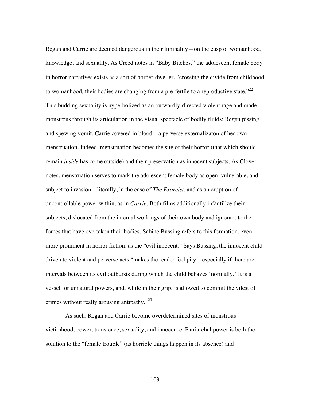Regan and Carrie are deemed dangerous in their liminality—on the cusp of womanhood, knowledge, and sexuality. As Creed notes in "Baby Bitches," the adolescent female body in horror narratives exists as a sort of border-dweller, "crossing the divide from childhood to womanhood, their bodies are changing from a pre-fertile to a reproductive state.<sup>22</sup> This budding sexuality is hyperbolized as an outwardly-directed violent rage and made monstrous through its articulation in the visual spectacle of bodily fluids: Regan pissing and spewing vomit, Carrie covered in blood—a perverse externalizaton of her own menstruation. Indeed, menstruation becomes the site of their horror (that which should remain *inside* has come outside) and their preservation as innocent subjects. As Clover notes, menstruation serves to mark the adolescent female body as open, vulnerable, and subject to invasion—literally, in the case of *The Exorcist*, and as an eruption of uncontrollable power within, as in *Carrie*. Both films additionally infantilize their subjects, dislocated from the internal workings of their own body and ignorant to the forces that have overtaken their bodies. Sabine Bussing refers to this formation, even more prominent in horror fiction, as the "evil innocent." Says Bussing, the innocent child driven to violent and perverse acts "makes the reader feel pity—especially if there are intervals between its evil outbursts during which the child behaves 'normally.' It is a vessel for unnatural powers, and, while in their grip, is allowed to commit the vilest of crimes without really arousing antipathy." $2^{23}$ 

 As such, Regan and Carrie become overdetermined sites of monstrous victimhood, power, transience, sexuality, and innocence. Patriarchal power is both the solution to the "female trouble" (as horrible things happen in its absence) and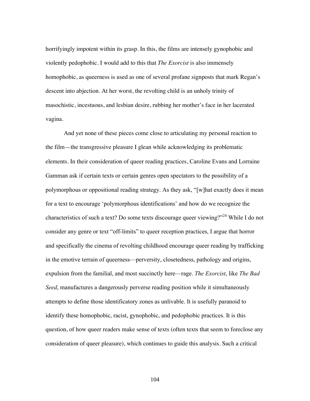horrifyingly impotent within its grasp. In this, the films are intensely gynophobic and violently pedophobic. I would add to this that *The Exorcist* is also immensely homophobic, as queerness is used as one of several profane signposts that mark Regan's descent into abjection. At her worst, the revolting child is an unholy trinity of masochistic, incestuous, and lesbian desire, rubbing her mother's face in her lacerated vagina.

And yet none of these pieces come close to articulating my personal reaction to the film—the transgressive pleasure I glean while acknowledging its problematic elements. In their consideration of queer reading practices, Caroline Evans and Lorraine Gamman ask if certain texts or certain genres open spectators to the possibility of a polymorphous or oppositional reading strategy. As they ask, "[w]hat exactly does it mean for a text to encourage 'polymorphous identifications' and how do we recognize the characteristics of such a text? Do some texts discourage queer viewing?"<sup>24</sup> While I do not consider any genre or text "off-limits" to queer reception practices, I argue that horror and specifically the cinema of revolting childhood encourage queer reading by trafficking in the emotive terrain of queerness—perversity, closetedness, pathology and origins, expulsion from the familial, and most succinctly here—rage. *The Exorcist*, like *The Bad Seed*, manufactures a dangerously perverse reading position while it simultaneously attempts to define those identificatory zones as unlivable. It is usefully paranoid to identify these homophobic, racist, gynophobic, and pedophobic practices. It is this question, of how queer readers make sense of texts (often texts that seem to foreclose any consideration of queer pleasure), which continues to guide this analysis. Such a critical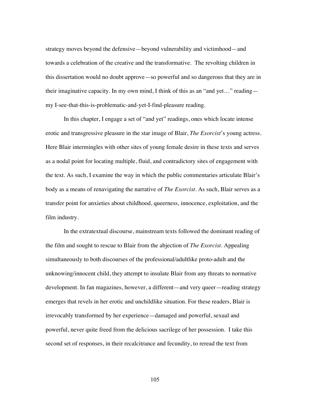strategy moves beyond the defensive—beyond vulnerability and victimhood—and towards a celebration of the creative and the transformative. The revolting children in this dissertation would no doubt approve—so powerful and so dangerous that they are in their imaginative capacity. In my own mind, I think of this as an "and yet..." reading my I-see-that-this-is-problematic-and-yet-I-find-pleasure reading.

In this chapter, I engage a set of "and yet" readings, ones which locate intense erotic and transgressive pleasure in the star image of Blair, *The Exorcist*'s young actress. Here Blair intermingles with other sites of young female desire in these texts and serves as a nodal point for locating multiple, fluid, and contradictory sites of engagement with the text. As such, I examine the way in which the public commentaries articulate Blair's body as a means of renavigating the narrative of *The Exorcist*. As such, Blair serves as a transfer point for anxieties about childhood, queerness, innocence, exploitation, and the film industry.

In the extratextual discourse, mainstream texts followed the dominant reading of the film and sought to rescue to Blair from the abjection of *The Exorcist*. Appealing simultaneously to both discourses of the professional/adultlike proto-adult and the unknowing/innocent child, they attempt to insulate Blair from any threats to normative development. In fan magazines, however, a different—and very queer—reading strategy emerges that revels in her erotic and unchildlike situation. For these readers, Blair is irrevocably transformed by her experience—damaged and powerful, sexual and powerful, never quite freed from the delicious sacrilege of her possession. I take this second set of responses, in their recalcitrance and fecundity, to reread the text from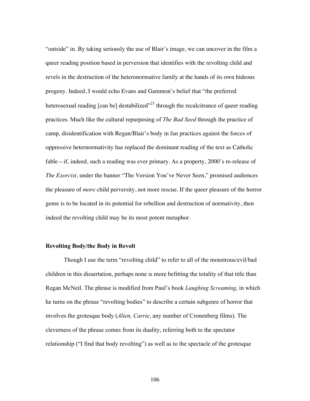"outside" in. By taking seriously the use of Blair's image, we can uncover in the film a queer reading position based in perversion that identifies with the revolting child and revels in the destruction of the heteronormative family at the hands of its own hideous progeny. Indeed, I would echo Evans and Gammon's belief that "the preferred heterosexual reading  $\lceil$  can be] destabilized<sup> $25$ </sup> through the recalcitrance of queer reading practices. Much like the cultural repurposing of *The Bad Seed* through the practice of camp, disidentification with Regan/Blair's body in fan practices against the forces of oppressive heternormativity has replaced the dominant reading of the text as Catholic fable—if, indeed, such a reading was ever primary. As a property, 2000's re-release of *The Exorcist*, under the banner "The Version You've Never Seen," promised audiences the pleasure of *more* child perversity, not more rescue. If the queer pleasure of the horror genre is to be located in its potential for rebellion and destruction of normativity, then indeed the revolting child may be its most potent metaphor.

### **Revolting Body/the Body in Revolt**

Though I use the term "revolting child" to refer to all of the monstrous/evil/bad children in this dissertation, perhaps none is more befitting the totality of that title than Regan McNeil. The phrase is modified from Paul's book *Laughing Screaming*, in which he turns on the phrase "revolting bodies" to describe a certain subgenre of horror that involves the grotesque body (*Alien, Carrie*, any number of Cronenberg films). The cleverness of the phrase comes from its duality, referring both to the spectator relationship ("I find that body revolting") as well as to the spectacle of the grotesque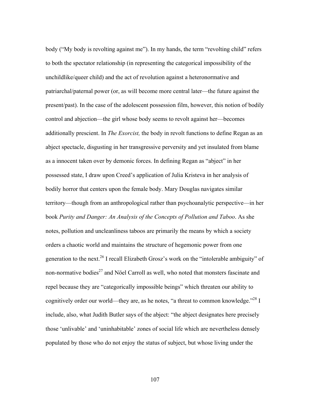body ("My body is revolting against me"). In my hands, the term "revolting child" refers to both the spectator relationship (in representing the categorical impossibility of the unchildlike/queer child) and the act of revolution against a heteronormative and patriarchal/paternal power (or, as will become more central later—the future against the present/past). In the case of the adolescent possession film, however, this notion of bodily control and abjection—the girl whose body seems to revolt against her—becomes additionally prescient. In *The Exorcist,* the body in revolt functions to define Regan as an abject spectacle, disgusting in her transgressive perversity and yet insulated from blame as a innocent taken over by demonic forces. In defining Regan as "abject" in her possessed state, I draw upon Creed's application of Julia Kristeva in her analysis of bodily horror that centers upon the female body. Mary Douglas navigates similar territory—though from an anthropological rather than psychoanalytic perspective—in her book *Purity and Danger: An Analysis of the Concepts of Pollution and Taboo*. As she notes, pollution and uncleanliness taboos are primarily the means by which a society orders a chaotic world and maintains the structure of hegemonic power from one generation to the next.<sup>26</sup> I recall Elizabeth Grosz's work on the "intolerable ambiguity" of non-normative bodies $^{27}$  and Nöel Carroll as well, who noted that monsters fascinate and repel because they are "categorically impossible beings" which threaten our ability to cognitively order our world—they are, as he notes, "a threat to common knowledge."<sup>28</sup> I include, also, what Judith Butler says of the abject: "the abject designates here precisely those 'unlivable' and 'uninhabitable' zones of social life which are nevertheless densely populated by those who do not enjoy the status of subject, but whose living under the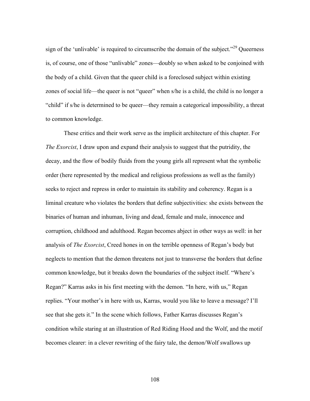sign of the 'unlivable' is required to circumscribe the domain of the subject.<sup> $229$ </sup> Queerness is, of course, one of those "unlivable" zones—doubly so when asked to be conjoined with the body of a child. Given that the queer child is a foreclosed subject within existing zones of social life—the queer is not "queer" when s/he is a child, the child is no longer a "child" if s/he is determined to be queer—they remain a categorical impossibility, a threat to common knowledge.

These critics and their work serve as the implicit architecture of this chapter. For *The Exorcist*, I draw upon and expand their analysis to suggest that the putridity, the decay, and the flow of bodily fluids from the young girls all represent what the symbolic order (here represented by the medical and religious professions as well as the family) seeks to reject and repress in order to maintain its stability and coherency. Regan is a liminal creature who violates the borders that define subjectivities: she exists between the binaries of human and inhuman, living and dead, female and male, innocence and corruption, childhood and adulthood. Regan becomes abject in other ways as well: in her analysis of *The Exorcist*, Creed hones in on the terrible openness of Regan's body but neglects to mention that the demon threatens not just to transverse the borders that define common knowledge, but it breaks down the boundaries of the subject itself. "Where's Regan?" Karras asks in his first meeting with the demon. "In here, with us," Regan replies. "Your mother's in here with us, Karras, would you like to leave a message? I'll see that she gets it." In the scene which follows, Father Karras discusses Regan's condition while staring at an illustration of Red Riding Hood and the Wolf, and the motif becomes clearer: in a clever rewriting of the fairy tale, the demon/Wolf swallows up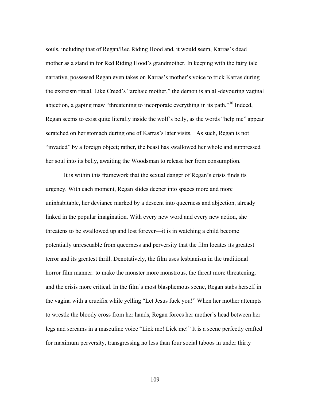souls, including that of Regan/Red Riding Hood and, it would seem, Karras's dead mother as a stand in for Red Riding Hood's grandmother. In keeping with the fairy tale narrative, possessed Regan even takes on Karras's mother's voice to trick Karras during the exorcism ritual. Like Creed's "archaic mother," the demon is an all-devouring vaginal abjection, a gaping maw "threatening to incorporate everything in its path."<sup>30</sup> Indeed, Regan seems to exist quite literally inside the wolf's belly, as the words "help me" appear scratched on her stomach during one of Karras's later visits. As such, Regan is not "invaded" by a foreign object; rather, the beast has swallowed her whole and suppressed her soul into its belly, awaiting the Woodsman to release her from consumption.

It is within this framework that the sexual danger of Regan's crisis finds its urgency. With each moment, Regan slides deeper into spaces more and more uninhabitable, her deviance marked by a descent into queerness and abjection, already linked in the popular imagination. With every new word and every new action, she threatens to be swallowed up and lost forever—it is in watching a child become potentially unrescuable from queerness and perversity that the film locates its greatest terror and its greatest thrill. Denotatively, the film uses lesbianism in the traditional horror film manner: to make the monster more monstrous, the threat more threatening, and the crisis more critical. In the film's most blasphemous scene, Regan stabs herself in the vagina with a crucifix while yelling "Let Jesus fuck you!" When her mother attempts to wrestle the bloody cross from her hands, Regan forces her mother's head between her legs and screams in a masculine voice "Lick me! Lick me!" It is a scene perfectly crafted for maximum perversity, transgressing no less than four social taboos in under thirty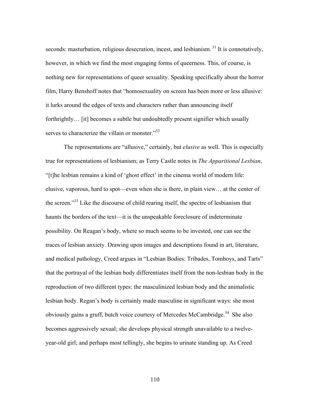seconds: masturbation, religious desecration, incest, and lesbianism.  $31$  It is connotatively, however, in which we find the most engaging forms of queerness. This, of course, is nothing new for representations of queer sexuality. Speaking specifically about the horror film, Harry Benshoff notes that "homosexuality on screen has been more or less allusive: it lurks around the edges of texts and characters rather than announcing itself forthrightly... [it] becomes a subtle but undoubtedly present signifier which usually serves to characterize the villain or monster."<sup>32</sup>

The representations are "allusive," certainly, but *elusive* as well. This is especially true for representations of lesbianism; as Terry Castle notes in *The Apparitional Lesbian*, "[t]he lesbian remains a kind of 'ghost effect' in the cinema world of modern life: elusive, vaporous, hard to spot—even when she is there, in plain view… at the center of the screen."<sup>33</sup> Like the discourse of child rearing itself, the spectre of lesbianism that haunts the borders of the text—it is the unspeakable foreclosure of indeterminate possibility. On Reagan's body, where so much seems to be invested, one can see the traces of lesbian anxiety. Drawing upon images and descriptions found in art, literature, and medical pathology, Creed argues in "Lesbian Bodies: Tribades, Tomboys, and Tarts" that the portrayal of the lesbian body differentiates itself from the non-lesbian body in the reproduction of two different types: the masculinized lesbian body and the animalistic lesbian body. Regan's body is certainly made masculine in significant ways: she most obviously gains a gruff, butch voice courtesy of Mercedes McCambridge.<sup>34</sup> She also becomes aggressively sexual; she develops physical strength unavailable to a twelveyear-old girl; and perhaps most tellingly, she begins to urinate standing up. As Creed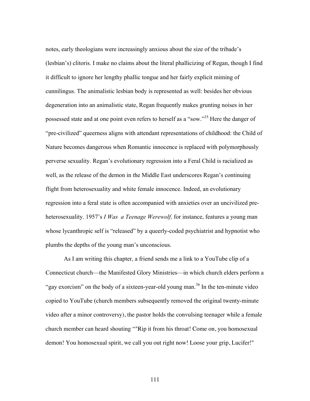notes, early theologians were increasingly anxious about the size of the tribade's (lesbian's) clitoris. I make no claims about the literal phallicizing of Regan, though I find it difficult to ignore her lengthy phallic tongue and her fairly explicit miming of cunnilingus. The animalistic lesbian body is represented as well: besides her obvious degeneration into an animalistic state, Regan frequently makes grunting noises in her possessed state and at one point even refers to herself as a "sow."35 Here the danger of "pre-civilized" queerness aligns with attendant representations of childhood: the Child of Nature becomes dangerous when Romantic innocence is replaced with polymorphously perverse sexuality. Regan's evolutionary regression into a Feral Child is racialized as well, as the release of the demon in the Middle East underscores Regan's continuing flight from heterosexuality and white female innocence. Indeed, an evolutionary regression into a feral state is often accompanied with anxieties over an uncivilized preheterosexuality. 1957's *I Was a Teenage Werewolf,* for instance, features a young man whose lycanthropic self is "released" by a queerly-coded psychiatrist and hypnotist who plumbs the depths of the young man's unconscious.

As I am writing this chapter, a friend sends me a link to a YouTube clip of a Connecticut church—the Manifested Glory Ministries—in which church elders perform a "gay exorcism" on the body of a sixteen-year-old young man.<sup>36</sup> In the ten-minute video copied to YouTube (church members subsequently removed the original twenty-minute video after a minor controversy), the pastor holds the convulsing teenager while a female church member can heard shouting ""Rip it from his throat! Come on, you homosexual demon! You homosexual spirit, we call you out right now! Loose your grip, Lucifer!"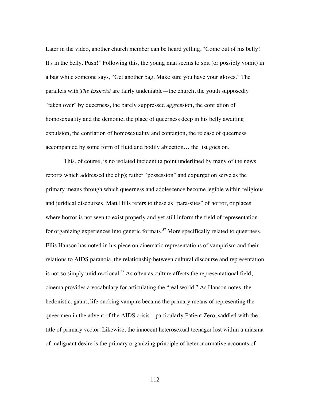Later in the video, another church member can be heard yelling, "Come out of his belly! It's in the belly. Push!" Following this, the young man seems to spit (or possibly vomit) in a bag while someone says, "Get another bag. Make sure you have your gloves." The parallels with *The Exorcist* are fairly undeniable—the church, the youth supposedly "taken over" by queerness, the barely suppressed aggression, the conflation of homosexuality and the demonic, the place of queerness deep in his belly awaiting expulsion, the conflation of homosexuality and contagion, the release of queerness accompanied by some form of fluid and bodily abjection… the list goes on.

This, of course, is no isolated incident (a point underlined by many of the news reports which addressed the clip); rather "possession" and expurgation serve as the primary means through which queerness and adolescence become legible within religious and juridical discourses. Matt Hills refers to these as "para-sites" of horror, or places where horror is not seen to exist properly and yet still inform the field of representation for organizing experiences into generic formats.<sup>37</sup> More specifically related to queerness, Ellis Hanson has noted in his piece on cinematic representations of vampirism and their relations to AIDS paranoia, the relationship between cultural discourse and representation is not so simply unidirectional.<sup>38</sup> As often as culture affects the representational field, cinema provides a vocabulary for articulating the "real world." As Hanson notes, the hedonistic, gaunt, life-sucking vampire became the primary means of representing the queer men in the advent of the AIDS crisis—particularly Patient Zero, saddled with the title of primary vector. Likewise, the innocent heterosexual teenager lost within a miasma of malignant desire is the primary organizing principle of heteronormative accounts of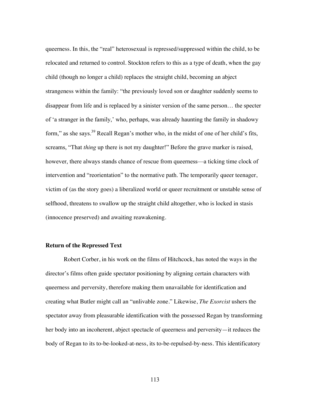queerness. In this, the "real" heterosexual is repressed/suppressed within the child, to be relocated and returned to control. Stockton refers to this as a type of death, when the gay child (though no longer a child) replaces the straight child, becoming an abject strangeness within the family: "the previously loved son or daughter suddenly seems to disappear from life and is replaced by a sinister version of the same person… the specter of 'a stranger in the family,' who, perhaps, was already haunting the family in shadowy form," as she says.<sup>39</sup> Recall Regan's mother who, in the midst of one of her child's fits, screams, "That *thing* up there is not my daughter!" Before the grave marker is raised, however, there always stands chance of rescue from queerness—a ticking time clock of intervention and "reorientation" to the normative path. The temporarily queer teenager, victim of (as the story goes) a liberalized world or queer recruitment or unstable sense of selfhood, threatens to swallow up the straight child altogether, who is locked in stasis (innocence preserved) and awaiting reawakening.

## **Return of the Repressed Text**

Robert Corber, in his work on the films of Hitchcock, has noted the ways in the director's films often guide spectator positioning by aligning certain characters with queerness and perversity, therefore making them unavailable for identification and creating what Butler might call an "unlivable zone." Likewise, *The Exorcist* ushers the spectator away from pleasurable identification with the possessed Regan by transforming her body into an incoherent, abject spectacle of queerness and perversity—it reduces the body of Regan to its to-be-looked-at-ness, its to-be-repulsed-by-ness. This identificatory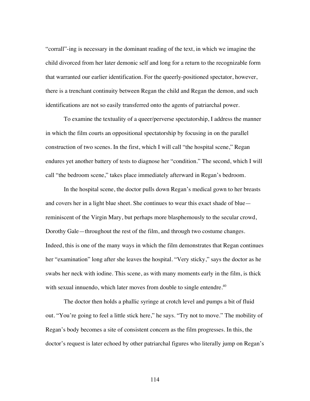"corrall"-ing is necessary in the dominant reading of the text, in which we imagine the child divorced from her later demonic self and long for a return to the recognizable form that warranted our earlier identification. For the queerly-positioned spectator, however, there is a trenchant continuity between Regan the child and Regan the demon, and such identifications are not so easily transferred onto the agents of patriarchal power.

To examine the textuality of a queer/perverse spectatorship, I address the manner in which the film courts an oppositional spectatorship by focusing in on the parallel construction of two scenes. In the first, which I will call "the hospital scene," Regan endures yet another battery of tests to diagnose her "condition." The second, which I will call "the bedroom scene," takes place immediately afterward in Regan's bedroom.

In the hospital scene, the doctor pulls down Regan's medical gown to her breasts and covers her in a light blue sheet. She continues to wear this exact shade of blue reminiscent of the Virgin Mary, but perhaps more blasphemously to the secular crowd, Dorothy Gale—throughout the rest of the film, and through two costume changes. Indeed, this is one of the many ways in which the film demonstrates that Regan continues her "examination" long after she leaves the hospital. "Very sticky," says the doctor as he swabs her neck with iodine. This scene, as with many moments early in the film, is thick with sexual innuendo, which later moves from double to single entendre.<sup> $40$ </sup>

The doctor then holds a phallic syringe at crotch level and pumps a bit of fluid out. "You're going to feel a little stick here," he says. "Try not to move." The mobility of Regan's body becomes a site of consistent concern as the film progresses. In this, the doctor's request is later echoed by other patriarchal figures who literally jump on Regan's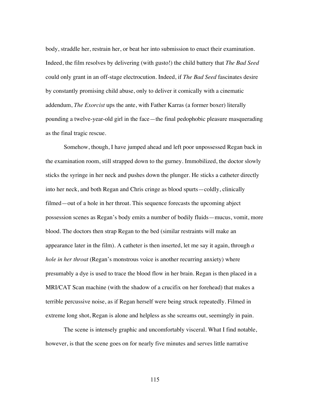body, straddle her, restrain her, or beat her into submission to enact their examination. Indeed, the film resolves by delivering (with gusto!) the child battery that *The Bad Seed* could only grant in an off-stage electrocution. Indeed, if *The Bad Seed* fascinates desire by constantly promising child abuse, only to deliver it comically with a cinematic addendum, *The Exorcist* ups the ante, with Father Karras (a former boxer) literally pounding a twelve-year-old girl in the face—the final pedophobic pleasure masquerading as the final tragic rescue.

Somehow, though, I have jumped ahead and left poor unpossessed Regan back in the examination room, still strapped down to the gurney. Immobilized, the doctor slowly sticks the syringe in her neck and pushes down the plunger. He sticks a catheter directly into her neck, and both Regan and Chris cringe as blood spurts—coldly, clinically filmed—out of a hole in her throat. This sequence forecasts the upcoming abject possession scenes as Regan's body emits a number of bodily fluids—mucus, vomit, more blood. The doctors then strap Regan to the bed (similar restraints will make an appearance later in the film). A catheter is then inserted, let me say it again, through *a hole in her throat* (Regan's monstrous voice is another recurring anxiety) where presumably a dye is used to trace the blood flow in her brain. Regan is then placed in a MRI/CAT Scan machine (with the shadow of a crucifix on her forehead) that makes a terrible percussive noise, as if Regan herself were being struck repeatedly. Filmed in extreme long shot, Regan is alone and helpless as she screams out, seemingly in pain.

The scene is intensely graphic and uncomfortably visceral. What I find notable, however, is that the scene goes on for nearly five minutes and serves little narrative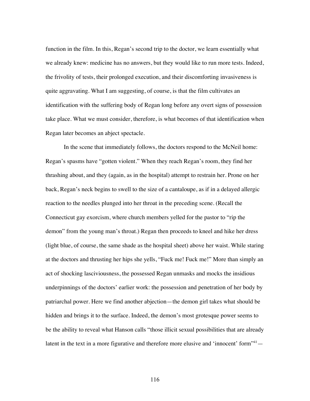function in the film. In this, Regan's second trip to the doctor, we learn essentially what we already knew: medicine has no answers, but they would like to run more tests. Indeed, the frivolity of tests, their prolonged execution, and their discomforting invasiveness is quite aggravating. What I am suggesting, of course, is that the film cultivates an identification with the suffering body of Regan long before any overt signs of possession take place. What we must consider, therefore, is what becomes of that identification when Regan later becomes an abject spectacle.

In the scene that immediately follows, the doctors respond to the McNeil home: Regan's spasms have "gotten violent." When they reach Regan's room, they find her thrashing about, and they (again, as in the hospital) attempt to restrain her. Prone on her back, Regan's neck begins to swell to the size of a cantaloupe, as if in a delayed allergic reaction to the needles plunged into her throat in the preceding scene. (Recall the Connecticut gay exorcism, where church members yelled for the pastor to "rip the demon" from the young man's throat.) Regan then proceeds to kneel and hike her dress (light blue, of course, the same shade as the hospital sheet) above her waist. While staring at the doctors and thrusting her hips she yells, "Fuck me! Fuck me!" More than simply an act of shocking lasciviousness, the possessed Regan unmasks and mocks the insidious underpinnings of the doctors' earlier work: the possession and penetration of her body by patriarchal power. Here we find another abjection—the demon girl takes what should be hidden and brings it to the surface. Indeed, the demon's most grotesque power seems to be the ability to reveal what Hanson calls "those illicit sexual possibilities that are already latent in the text in a more figurative and therefore more elusive and 'innocent' form $14 - 1$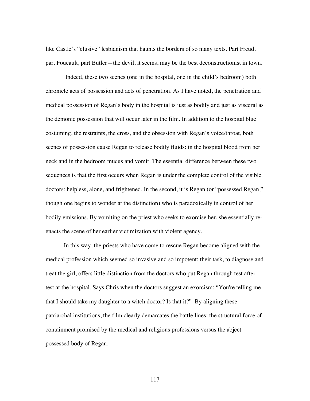like Castle's "elusive" lesbianism that haunts the borders of so many texts. Part Freud, part Foucault, part Butler—the devil, it seems, may be the best deconstructionist in town.

Indeed, these two scenes (one in the hospital, one in the child's bedroom) both chronicle acts of possession and acts of penetration. As I have noted, the penetration and medical possession of Regan's body in the hospital is just as bodily and just as visceral as the demonic possession that will occur later in the film. In addition to the hospital blue costuming, the restraints, the cross, and the obsession with Regan's voice/throat, both scenes of possession cause Regan to release bodily fluids: in the hospital blood from her neck and in the bedroom mucus and vomit. The essential difference between these two sequences is that the first occurs when Regan is under the complete control of the visible doctors: helpless, alone, and frightened. In the second, it is Regan (or "possessed Regan," though one begins to wonder at the distinction) who is paradoxically in control of her bodily emissions. By vomiting on the priest who seeks to exorcise her, she essentially reenacts the scene of her earlier victimization with violent agency.

In this way, the priests who have come to rescue Regan become aligned with the medical profession which seemed so invasive and so impotent: their task, to diagnose and treat the girl, offers little distinction from the doctors who put Regan through test after test at the hospital. Says Chris when the doctors suggest an exorcism: "You're telling me that I should take my daughter to a witch doctor? Is that it?" By aligning these patriarchal institutions, the film clearly demarcates the battle lines: the structural force of containment promised by the medical and religious professions versus the abject possessed body of Regan.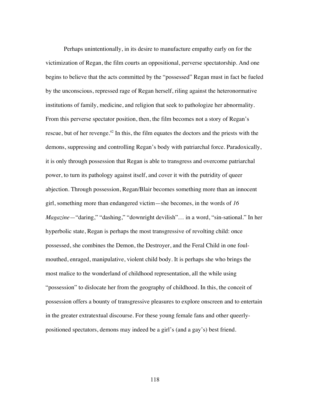Perhaps unintentionally, in its desire to manufacture empathy early on for the victimization of Regan, the film courts an oppositional, perverse spectatorship. And one begins to believe that the acts committed by the "possessed" Regan must in fact be fueled by the unconscious, repressed rage of Regan herself, riling against the heteronormative institutions of family, medicine, and religion that seek to pathologize her abnormality. From this perverse spectator position, then, the film becomes not a story of Regan's rescue, but of her revenge.<sup>42</sup> In this, the film equates the doctors and the priests with the demons, suppressing and controlling Regan's body with patriarchal force. Paradoxically, it is only through possession that Regan is able to transgress and overcome patriarchal power, to turn its pathology against itself, and cover it with the putridity of queer abjection. Through possession, Regan/Blair becomes something more than an innocent girl, something more than endangered victim—she becomes, in the words of *16 Magazine*—"daring," "dashing," "downright devilish"… in a word, "sin-sational." In her hyperbolic state, Regan is perhaps the most transgressive of revolting child: once possessed, she combines the Demon, the Destroyer, and the Feral Child in one foulmouthed, enraged, manipulative, violent child body. It is perhaps she who brings the most malice to the wonderland of childhood representation, all the while using "possession" to dislocate her from the geography of childhood. In this, the conceit of possession offers a bounty of transgressive pleasures to explore onscreen and to entertain in the greater extratextual discourse. For these young female fans and other queerlypositioned spectators, demons may indeed be a girl's (and a gay's) best friend.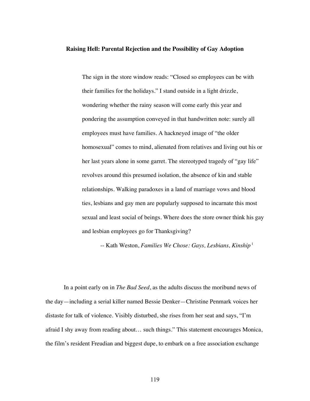#### **Raising Hell: Parental Rejection and the Possibility of Gay Adoption**

The sign in the store window reads: "Closed so employees can be with their families for the holidays." I stand outside in a light drizzle, wondering whether the rainy season will come early this year and pondering the assumption conveyed in that handwritten note: surely all employees must have families. A hackneyed image of "the older homosexual" comes to mind, alienated from relatives and living out his or her last years alone in some garret. The stereotyped tragedy of "gay life" revolves around this presumed isolation, the absence of kin and stable relationships. Walking paradoxes in a land of marriage vows and blood ties, lesbians and gay men are popularly supposed to incarnate this most sexual and least social of beings. Where does the store owner think his gay and lesbian employees go for Thanksgiving?

-- Kath Weston, *Families We Chose: Gays, Lesbians, Kinship*<sup>1</sup>

In a point early on in *The Bad Seed*, as the adults discuss the moribund news of the day—including a serial killer named Bessie Denker—Christine Penmark voices her distaste for talk of violence. Visibly disturbed, she rises from her seat and says, "I'm afraid I shy away from reading about… such things." This statement encourages Monica, the film's resident Freudian and biggest dupe, to embark on a free association exchange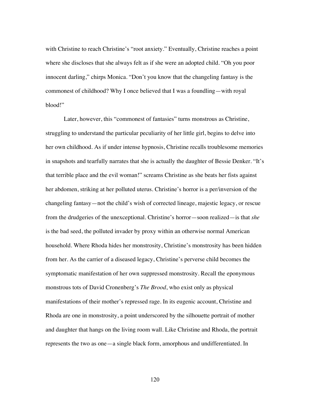with Christine to reach Christine's "root anxiety." Eventually, Christine reaches a point where she discloses that she always felt as if she were an adopted child. "Oh you poor innocent darling," chirps Monica. "Don't you know that the changeling fantasy is the commonest of childhood? Why I once believed that I was a foundling—with royal blood!"

Later, however, this "commonest of fantasies" turns monstrous as Christine, struggling to understand the particular peculiarity of her little girl, begins to delve into her own childhood. As if under intense hypnosis, Christine recalls troublesome memories in snapshots and tearfully narrates that she is actually the daughter of Bessie Denker. "It's that terrible place and the evil woman!" screams Christine as she beats her fists against her abdomen, striking at her polluted uterus. Christine's horror is a per/inversion of the changeling fantasy—not the child's wish of corrected lineage, majestic legacy, or rescue from the drudgeries of the unexceptional. Christine's horror—soon realized—is that *she* is the bad seed, the polluted invader by proxy within an otherwise normal American household. Where Rhoda hides her monstrosity, Christine's monstrosity has been hidden from her. As the carrier of a diseased legacy, Christine's perverse child becomes the symptomatic manifestation of her own suppressed monstrosity. Recall the eponymous monstrous tots of David Cronenberg's *The Brood*, who exist only as physical manifestations of their mother's repressed rage. In its eugenic account, Christine and Rhoda are one in monstrosity, a point underscored by the silhouette portrait of mother and daughter that hangs on the living room wall. Like Christine and Rhoda, the portrait represents the two as one—a single black form, amorphous and undifferentiated. In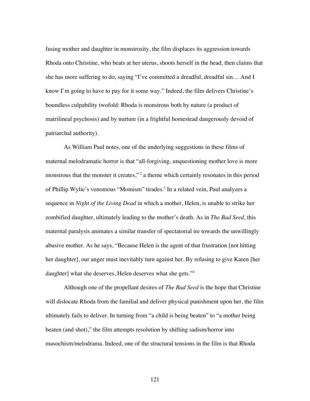fusing mother and daughter in monstrosity, the film displaces its aggression towards Rhoda onto Christine, who beats at her uterus, shoots herself in the head, then claims that she has more suffering to do, saying "I've committed a dreadful, dreadful sin… And I know I'm going to have to pay for it some way." Indeed, the film delivers Christine's boundless culpability twofold: Rhoda is monstrous both by nature (a product of matrilineal psychosis) and by nurture (in a frightful homestead dangerously devoid of patriarchal authority).

As William Paul notes, one of the underlying suggestions in these films of maternal melodramatic horror is that "all-forgiving, unquestioning mother love is more monstrous that the monster it creates,"<sup>2</sup> a theme which certainly resonates in this period of Phillip Wylie's venomous "Momism" tirades.<sup>3</sup> In a related vein, Paul analyzes a sequence in *Night of the Living Dead* in which a mother, Helen, is unable to strike her zombified daughter, ultimately leading to the mother's death. As in *The Bad Seed*, this maternal paralysis animates a similar transfer of spectatorial ire towards the unwillingly abusive mother. As he says, "Because Helen is the agent of that frustration [not hitting her daughter], our anger must inevitably turn against her. By refusing to give Karen [her daughter] what she deserves, Helen deserves what she gets."<sup>4</sup>

Although one of the propellant desires of *The Bad Seed* is the hope that Christine will dislocate Rhoda from the familial and deliver physical punishment upon her, the film ultimately fails to deliver. In turning from "a child is being beaten" to "a mother being beaten (and shot)," the film attempts resolution by shifting sadism/horror into masochism/melodrama. Indeed, one of the structural tensions in the film is that Rhoda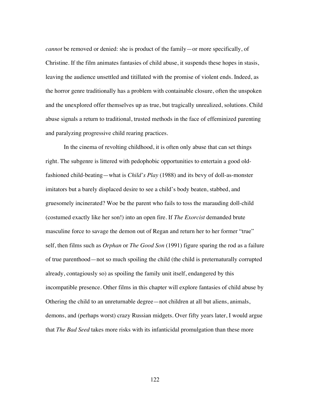*cannot* be removed or denied: she is product of the family—or more specifically, of Christine. If the film animates fantasies of child abuse, it suspends these hopes in stasis, leaving the audience unsettled and titillated with the promise of violent ends. Indeed, as the horror genre traditionally has a problem with containable closure, often the unspoken and the unexplored offer themselves up as true, but tragically unrealized, solutions. Child abuse signals a return to traditional, trusted methods in the face of effeminized parenting and paralyzing progressive child rearing practices.

In the cinema of revolting childhood, it is often only abuse that can set things right. The subgenre is littered with pedophobic opportunities to entertain a good oldfashioned child-beating—what is *Child's Play* (1988) and its bevy of doll-as-monster imitators but a barely displaced desire to see a child's body beaten, stabbed, and gruesomely incinerated? Woe be the parent who fails to toss the marauding doll-child (costumed exactly like her son!) into an open fire. If *The Exorcist* demanded brute masculine force to savage the demon out of Regan and return her to her former "true" self, then films such as *Orphan* or *The Good Son* (1991) figure sparing the rod as a failure of true parenthood—not so much spoiling the child (the child is preternaturally corrupted already, contagiously so) as spoiling the family unit itself, endangered by this incompatible presence. Other films in this chapter will explore fantasies of child abuse by Othering the child to an unreturnable degree—not children at all but aliens, animals, demons, and (perhaps worst) crazy Russian midgets. Over fifty years later, I would argue that *The Bad Seed* takes more risks with its infanticidal promulgation than these more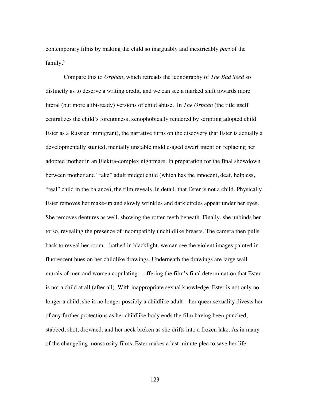contemporary films by making the child so inarguably and inextricably *part* of the family.<sup>5</sup>

Compare this to *Orphan*, which retreads the iconography of *The Bad Seed* so distinctly as to deserve a writing credit, and we can see a marked shift towards more literal (but more alibi-ready) versions of child abuse. In *The Orphan* (the title itself centralizes the child's foreignness, xenophobically rendered by scripting adopted child Ester as a Russian immigrant), the narrative turns on the discovery that Ester is actually a developmentally stunted, mentally unstable middle-aged dwarf intent on replacing her adopted mother in an Elektra-complex nightmare. In preparation for the final showdown between mother and "fake" adult midget child (which has the innocent, deaf, helpless, "real" child in the balance), the film reveals, in detail, that Ester is not a child. Physically, Ester removes her make-up and slowly wrinkles and dark circles appear under her eyes. She removes dentures as well, showing the rotten teeth beneath. Finally, she unbinds her torso, revealing the presence of incompatibly unchildlike breasts. The camera then pulls back to reveal her room—bathed in blacklight, we can see the violent images painted in fluorescent hues on her childlike drawings. Underneath the drawings are large wall murals of men and women copulating—offering the film's final determination that Ester is not a child at all (after all). With inappropriate sexual knowledge, Ester is not only no longer a child, she is no longer possibly a childlike adult—her queer sexuality divests her of any further protections as her childlike body ends the film having been punched, stabbed, shot, drowned, and her neck broken as she drifts into a frozen lake. As in many of the changeling monstrosity films, Ester makes a last minute plea to save her life—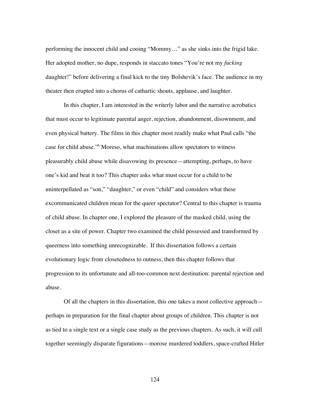performing the innocent child and cooing "Mommy…" as she sinks into the frigid lake. Her adopted mother, no dupe, responds in staccato tones "You're not my *fucking*  daughter!" before delivering a final kick to the tiny Bolshevik's face. The audience in my theater then erupted into a chorus of cathartic shouts, applause, and laughter.

In this chapter, I am interested in the writerly labor and the narrative acrobatics that must occur to legitimate parental anger, rejection, abandonment, disownment, and even physical battery. The films in this chapter most readily make what Paul calls "the case for child abuse."6 Moreso, what machinations allow spectators to witness pleasurably child abuse while disavowing its presence—attempting, perhaps, to have one's kid and beat it too? This chapter asks what must occur for a child to be uninterpellated as "son," "daughter," or even "child" and considers what these excommunicated children mean for the queer spectator? Central to this chapter is trauma of child abuse. In chapter one, I explored the pleasure of the masked child, using the closet as a site of power. Chapter two examined the child possessed and transformed by queerness into something unrecognizable. If this dissertation follows a certain evolutionary logic from closetedness to outness, then this chapter follows that progression to its unfortunate and all-too-common next destination: parental rejection and abuse.

Of all the chapters in this dissertation, this one takes a most collective approach perhaps in preparation for the final chapter about groups of children. This chapter is not as tied to a single text or a single case study as the previous chapters. As such, it will cull together seemingly disparate figurations—morose murdered toddlers, space-crafted Hitler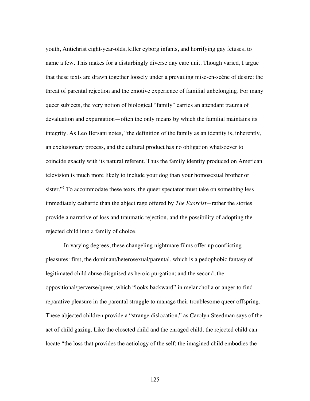youth, Antichrist eight-year-olds, killer cyborg infants, and horrifying gay fetuses, to name a few. This makes for a disturbingly diverse day care unit. Though varied, I argue that these texts are drawn together loosely under a prevailing mise-en-scène of desire: the threat of parental rejection and the emotive experience of familial unbelonging. For many queer subjects, the very notion of biological "family" carries an attendant trauma of devaluation and expurgation—often the only means by which the familial maintains its integrity. As Leo Bersani notes, "the definition of the family as an identity is, inherently, an exclusionary process, and the cultural product has no obligation whatsoever to coincide exactly with its natural referent. Thus the family identity produced on American television is much more likely to include your dog than your homosexual brother or sister."<sup>7</sup> To accommodate these texts, the queer spectator must take on something less immediately cathartic than the abject rage offered by *The Exorcist—*rather the stories provide a narrative of loss and traumatic rejection, and the possibility of adopting the rejected child into a family of choice.

In varying degrees, these changeling nightmare films offer up conflicting pleasures: first, the dominant/heterosexual/parental, which is a pedophobic fantasy of legitimated child abuse disguised as heroic purgation; and the second, the oppositional/perverse/queer, which "looks backward" in melancholia or anger to find reparative pleasure in the parental struggle to manage their troublesome queer offspring. These abjected children provide a "strange dislocation," as Carolyn Steedman says of the act of child gazing. Like the closeted child and the enraged child, the rejected child can locate "the loss that provides the aetiology of the self; the imagined child embodies the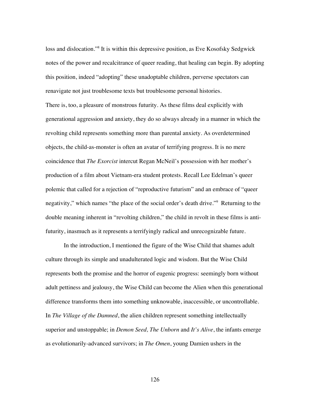loss and dislocation."<sup>8</sup> It is within this depressive position, as Eve Kosofsky Sedgwick notes of the power and recalcitrance of queer reading, that healing can begin. By adopting this position, indeed "adopting" these unadoptable children, perverse spectators can renavigate not just troublesome texts but troublesome personal histories. There is, too, a pleasure of monstrous futurity. As these films deal explicitly with generational aggression and anxiety, they do so always already in a manner in which the revolting child represents something more than parental anxiety. As overdetermined objects, the child-as-monster is often an avatar of terrifying progress. It is no mere coincidence that *The Exorcist* intercut Regan McNeil's possession with her mother's production of a film about Vietnam-era student protests. Recall Lee Edelman's queer polemic that called for a rejection of "reproductive futurism" and an embrace of "queer negativity," which names "the place of the social order's death drive."<sup>9</sup> Returning to the double meaning inherent in "revolting children," the child in revolt in these films is antifuturity, inasmuch as it represents a terrifyingly radical and unrecognizable future.

In the introduction, I mentioned the figure of the Wise Child that shames adult culture through its simple and unadulterated logic and wisdom. But the Wise Child represents both the promise and the horror of eugenic progress: seemingly born without adult pettiness and jealousy, the Wise Child can become the Alien when this generational difference transforms them into something unknowable, inaccessible, or uncontrollable. In *The Village of the Damned*, the alien children represent something intellectually superior and unstoppable; in *Demon Seed, The Unborn* and *It's Alive*, the infants emerge as evolutionarily-advanced survivors; in *The Omen*, young Damien ushers in the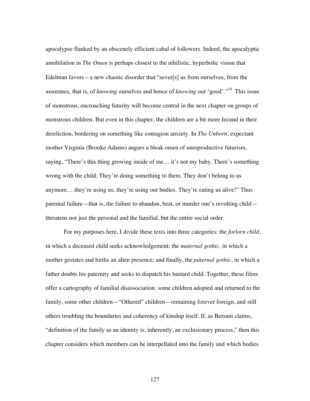apocalypse flanked by an obscenely efficient cabal of followers. Indeed, the apocalyptic annihilation in *The Omen* is perhaps closest to the nihilistic, hyperbolic vision that Edelman favors—a new chaotic disorder that "sever[s] us from ourselves, from the assurance, that is, of *knowing* ourselves and hence of *knowing* our 'good'."<sup>10</sup> This issue of monstrous, encroaching futurity will become central in the next chapter on groups of monstrous children. But even in this chapter, the children are a bit more fecund in their dereliction, bordering on something like contagion anxiety. In *The Unborn*, expectant mother Virginia (Brooke Adams) augurs a bleak omen of unreproductive futurism, saying, "There's this thing growing inside of me… it's not my baby. There's something wrong with the child. They're doing something to them. They don't belong to us anymore… they're using us; they're using our bodies. They're eating us alive!" Thus parental failure—that is, the failure to abandon, beat, or murder one's revolting child threatens not just the personal and the familial, but the entire social order.

For my purposes here, I divide these texts into three categories: the *forlorn child*, in which a deceased child seeks acknowledgement; the *maternal gothic,* in which a mother gestates and births an alien presence; and finally, the *paternal gothic*, in which a father doubts his paternity and seeks to dispatch his bastard child. Together, these films offer a cartography of familial disassociation: some children adopted and returned to the family, some other children—"Othered" children—remaining forever foreign, and still others troubling the boundaries and coherency of kinship itself. If, as Bersani claims, "definition of the family as an identity is, inherently, an exclusionary process," then this chapter considers which members can be interpellated into the family and which bodies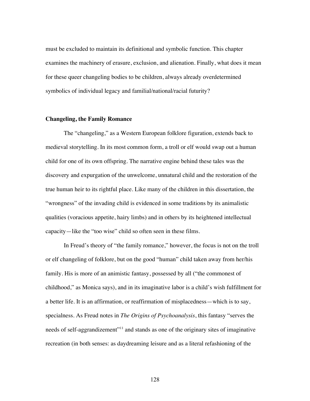must be excluded to maintain its definitional and symbolic function. This chapter examines the machinery of erasure, exclusion, and alienation. Finally, what does it mean for these queer changeling bodies to be children, always already overdetermined symbolics of individual legacy and familial/national/racial futurity?

#### **Changeling, the Family Romance**

The "changeling," as a Western European folklore figuration, extends back to medieval storytelling. In its most common form, a troll or elf would swap out a human child for one of its own offspring. The narrative engine behind these tales was the discovery and expurgation of the unwelcome, unnatural child and the restoration of the true human heir to its rightful place. Like many of the children in this dissertation, the "wrongness" of the invading child is evidenced in some traditions by its animalistic qualities (voracious appetite, hairy limbs) and in others by its heightened intellectual capacity—like the "too wise" child so often seen in these films.

In Freud's theory of "the family romance," however, the focus is not on the troll or elf changeling of folklore, but on the good "human" child taken away from her/his family. His is more of an animistic fantasy, possessed by all ("the commonest of childhood," as Monica says), and in its imaginative labor is a child's wish fulfillment for a better life. It is an affirmation, or reaffirmation of misplacedness—which is to say, specialness. As Freud notes in *The Origins of Psychoanalysis*, this fantasy "serves the needs of self-aggrandizement<sup> $11$ </sup> and stands as one of the originary sites of imaginative recreation (in both senses: as daydreaming leisure and as a literal refashioning of the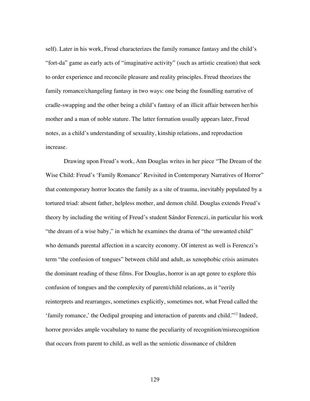self). Later in his work, Freud characterizes the family romance fantasy and the child's "fort-da" game as early acts of "imaginative activity" (such as artistic creation) that seek to order experience and reconcile pleasure and reality principles. Freud theorizes the family romance/changeling fantasy in two ways: one being the foundling narrative of cradle-swapping and the other being a child's fantasy of an illicit affair between her/his mother and a man of noble stature. The latter formation usually appears later, Freud notes, as a child's understanding of sexuality, kinship relations, and reproduction increase.

Drawing upon Freud's work, Ann Douglas writes in her piece "The Dream of the Wise Child: Freud's 'Family Romance' Revisited in Contemporary Narratives of Horror" that contemporary horror locates the family as a site of trauma, inevitably populated by a tortured triad: absent father, helpless mother, and demon child. Douglas extends Freud's theory by including the writing of Freud's student Sándor Ferenczi, in particular his work "the dream of a wise baby," in which he examines the drama of "the unwanted child" who demands parental affection in a scarcity economy. Of interest as well is Ferenczi's term "the confusion of tongues" between child and adult, as xenophobic crisis animates the dominant reading of these films. For Douglas, horror is an apt genre to explore this confusion of tongues and the complexity of parent/child relations, as it "eerily reinterprets and rearranges, sometimes explicitly, sometimes not, what Freud called the 'family romance,' the Oedipal grouping and interaction of parents and child."12 Indeed, horror provides ample vocabulary to name the peculiarity of recognition/misrecognition that occurs from parent to child, as well as the semiotic dissonance of children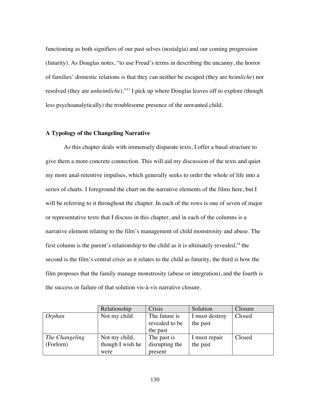functioning as both signifiers of our past selves (nostalgia) and our coming progression (futurity). As Douglas notes, "to use Freud's terms in describing the uncanny, the horror of families' domestic relations is that they can neither be escaped (they are *heimliche*) nor resolved (they are *unheimliche*)."13 I pick up where Douglas leaves off to explore (though less psychoanalytically) the troublesome presence of the unwanted child.

# **A Typology of the Changeling Narrative**

As this chapter deals with immensely disparate texts, I offer a basal structure to give them a more concrete connection. This will aid my discussion of the texts and quiet my more anal-retentive impulses, which generally seeks to order the whole of life into a series of charts. I foreground the chart on the narrative elements of the films here, but I will be referring to it throughout the chapter. In each of the rows is one of seven of major or representative texts that I discuss in this chapter, and in each of the columns is a narrative element relating to the film's management of child monstrosity and abuse. The first column is the parent's relationship to the child as it is ultimately revealed,<sup>14</sup> the second is the film's central crisis as it relates to the child as futurity, the third is how the film proposes that the family manage monstrosity (abuse or integration), and the fourth is the success or failure of that solution vis-à-vis narrative closure.

|                | Relationship     | Crisis         | Solution       | Closure |
|----------------|------------------|----------------|----------------|---------|
| Orphan         | Not my child     | The future is  | I must destroy | Closed  |
|                |                  | revealed to be | the past       |         |
|                |                  | the past       |                |         |
| The Changeling | Not my child,    | The past is    | I must repair  | Closed  |
| (Forlorn)      | though I wish he | disrupting the | the past       |         |
|                | were             | present        |                |         |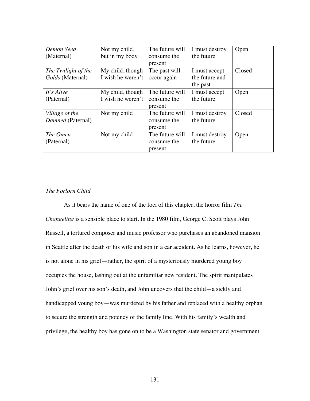| Demon Seed          | Not my child,     | The future will | I must destroy | Open   |
|---------------------|-------------------|-----------------|----------------|--------|
| (Maternal)          | but in my body    | consume the     | the future     |        |
|                     |                   | present         |                |        |
| The Twilight of the | My child, though  | The past will   | I must accept  | Closed |
| Golds (Maternal)    | I wish he weren't | occur again     | the future and |        |
|                     |                   |                 | the past       |        |
| It's Alive          | My child, though  | The future will | I must accept  | Open   |
| (Paternal)          | I wish he weren't | consume the     | the future     |        |
|                     |                   | present         |                |        |
| Village of the      | Not my child      | The future will | I must destroy | Closed |
| Damned (Paternal)   |                   | consume the     | the future     |        |
|                     |                   | present         |                |        |
| The Omen            | Not my child      | The future will | I must destroy | Open   |
| (Paternal)          |                   | consume the     | the future     |        |
|                     |                   | present         |                |        |

# *The Forlorn Child*

As it bears the name of one of the foci of this chapter, the horror film *The Changeling* is a sensible place to start. In the 1980 film, George C. Scott plays John Russell, a tortured composer and music professor who purchases an abandoned mansion in Seattle after the death of his wife and son in a car accident. As he learns, however, he is not alone in his grief—rather, the spirit of a mysteriously murdered young boy occupies the house, lashing out at the unfamiliar new resident. The spirit manipulates John's grief over his son's death, and John uncovers that the child—a sickly and handicapped young boy—was murdered by his father and replaced with a healthy orphan to secure the strength and potency of the family line. With his family's wealth and privilege, the healthy boy has gone on to be a Washington state senator and government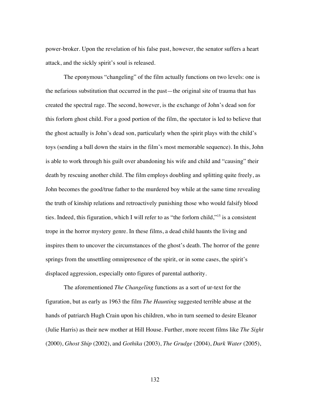power-broker. Upon the revelation of his false past, however, the senator suffers a heart attack, and the sickly spirit's soul is released.

The eponymous "changeling" of the film actually functions on two levels: one is the nefarious substitution that occurred in the past—the original site of trauma that has created the spectral rage. The second, however, is the exchange of John's dead son for this forlorn ghost child. For a good portion of the film, the spectator is led to believe that the ghost actually is John's dead son, particularly when the spirit plays with the child's toys (sending a ball down the stairs in the film's most memorable sequence). In this, John is able to work through his guilt over abandoning his wife and child and "causing" their death by rescuing another child. The film employs doubling and splitting quite freely, as John becomes the good/true father to the murdered boy while at the same time revealing the truth of kinship relations and retroactively punishing those who would falsify blood ties. Indeed, this figuration, which I will refer to as "the forlorn child,"15 is a consistent trope in the horror mystery genre. In these films, a dead child haunts the living and inspires them to uncover the circumstances of the ghost's death. The horror of the genre springs from the unsettling omnipresence of the spirit, or in some cases, the spirit's displaced aggression, especially onto figures of parental authority.

The aforementioned *The Changeling* functions as a sort of ur-text for the figuration, but as early as 1963 the film *The Haunting* suggested terrible abuse at the hands of patriarch Hugh Crain upon his children, who in turn seemed to desire Eleanor (Julie Harris) as their new mother at Hill House. Further, more recent films like *The Sight*  (2000), *Ghost Ship* (2002), and *Gothika* (2003), *The Grudge* (2004), *Dark Water* (2005),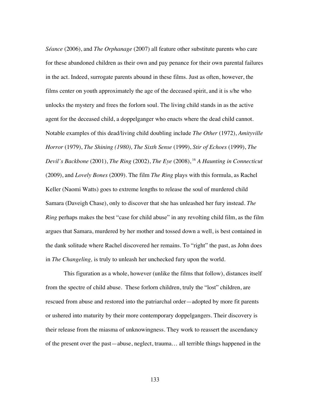*Séance* (2006), and *The Orphanage* (2007) all feature other substitute parents who care for these abandoned children as their own and pay penance for their own parental failures in the act. Indeed, surrogate parents abound in these films. Just as often, however, the films center on youth approximately the age of the deceased spirit, and it is s/he who unlocks the mystery and frees the forlorn soul. The living child stands in as the active agent for the deceased child, a doppelganger who enacts where the dead child cannot. Notable examples of this dead/living child doubling include *The Other* (1972), *Amityville Horror* (1979), *The Shining (1980), The Sixth Sense* (1999), *Stir of Echoes* (1999), *The Devil's Backbone* (2001), *The Ring* (2002), *The Eye* (2008), <sup>16</sup> *A Haunting in Connecticut*  (2009), and *Lovely Bones* (2009). The film *The Ring* plays with this formula, as Rachel Keller (Naomi Watts) goes to extreme lengths to release the soul of murdered child Samara (Daveigh Chase), only to discover that she has unleashed her fury instead. *The Ring* perhaps makes the best "case for child abuse" in any revolting child film, as the film argues that Samara, murdered by her mother and tossed down a well, is best contained in the dank solitude where Rachel discovered her remains. To "right" the past, as John does in *The Changeling,* is truly to unleash her unchecked fury upon the world.

This figuration as a whole, however (unlike the films that follow), distances itself from the spectre of child abuse. These forlorn children, truly the "lost" children, are rescued from abuse and restored into the patriarchal order—adopted by more fit parents or ushered into maturity by their more contemporary doppelgangers. Their discovery is their release from the miasma of unknowingness. They work to reassert the ascendancy of the present over the past—abuse, neglect, trauma… all terrible things happened in the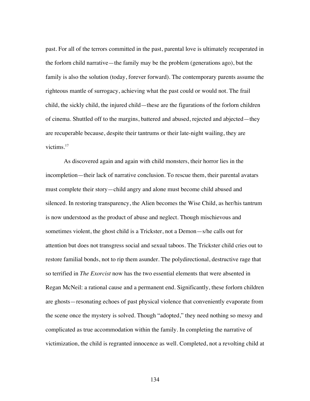past. For all of the terrors committed in the past, parental love is ultimately recuperated in the forlorn child narrative—the family may be the problem (generations ago), but the family is also the solution (today, forever forward). The contemporary parents assume the righteous mantle of surrogacy, achieving what the past could or would not. The frail child, the sickly child, the injured child—these are the figurations of the forlorn children of cinema. Shuttled off to the margins, battered and abused, rejected and abjected—they are recuperable because, despite their tantrums or their late-night wailing, they are victims.<sup>17</sup>

As discovered again and again with child monsters, their horror lies in the incompletion—their lack of narrative conclusion. To rescue them, their parental avatars must complete their story—child angry and alone must become child abused and silenced. In restoring transparency, the Alien becomes the Wise Child, as her/his tantrum is now understood as the product of abuse and neglect. Though mischievous and sometimes violent, the ghost child is a Trickster, not a Demon—s/he calls out for attention but does not transgress social and sexual taboos. The Trickster child cries out to restore familial bonds, not to rip them asunder. The polydirectional, destructive rage that so terrified in *The Exorcist* now has the two essential elements that were absented in Regan McNeil: a rational cause and a permanent end. Significantly, these forlorn children are ghosts—resonating echoes of past physical violence that conveniently evaporate from the scene once the mystery is solved. Though "adopted," they need nothing so messy and complicated as true accommodation within the family. In completing the narrative of victimization, the child is regranted innocence as well. Completed, not a revolting child at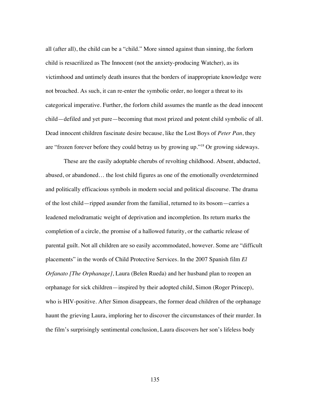all (after all), the child can be a "child." More sinned against than sinning, the forlorn child is resacrilized as The Innocent (not the anxiety-producing Watcher), as its victimhood and untimely death insures that the borders of inappropriate knowledge were not broached. As such, it can re-enter the symbolic order, no longer a threat to its categorical imperative. Further, the forlorn child assumes the mantle as the dead innocent child—defiled and yet pure—becoming that most prized and potent child symbolic of all. Dead innocent children fascinate desire because, like the Lost Boys of *Peter Pan*, they are "frozen forever before they could betray us by growing up."18 Or growing sideways.

These are the easily adoptable cherubs of revolting childhood. Absent, abducted, abused, or abandoned… the lost child figures as one of the emotionally overdetermined and politically efficacious symbols in modern social and political discourse. The drama of the lost child—ripped asunder from the familial, returned to its bosom—carries a leadened melodramatic weight of deprivation and incompletion. Its return marks the completion of a circle, the promise of a hallowed futurity, or the cathartic release of parental guilt. Not all children are so easily accommodated, however. Some are "difficult placements" in the words of Child Protective Services. In the 2007 Spanish film *El Orfanato [The Orphanage]*, Laura (Belen Rueda) and her husband plan to reopen an orphanage for sick children—inspired by their adopted child, Simon (Roger Princep), who is HIV-positive. After Simon disappears, the former dead children of the orphanage haunt the grieving Laura, imploring her to discover the circumstances of their murder. In the film's surprisingly sentimental conclusion, Laura discovers her son's lifeless body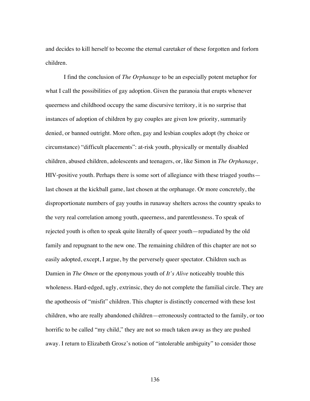and decides to kill herself to become the eternal caretaker of these forgotten and forlorn children.

I find the conclusion of *The Orphanage* to be an especially potent metaphor for what I call the possibilities of gay adoption. Given the paranoia that erupts whenever queerness and childhood occupy the same discursive territory, it is no surprise that instances of adoption of children by gay couples are given low priority, summarily denied, or banned outright. More often, gay and lesbian couples adopt (by choice or circumstance) "difficult placements": at-risk youth, physically or mentally disabled children, abused children, adolescents and teenagers, or, like Simon in *The Orphanage*, HIV-positive youth. Perhaps there is some sort of allegiance with these triaged youths last chosen at the kickball game, last chosen at the orphanage. Or more concretely, the disproportionate numbers of gay youths in runaway shelters across the country speaks to the very real correlation among youth, queerness, and parentlessness. To speak of rejected youth is often to speak quite literally of queer youth—repudiated by the old family and repugnant to the new one. The remaining children of this chapter are not so easily adopted, except, I argue, by the perversely queer spectator. Children such as Damien in *The Omen* or the eponymous youth of *It's Alive* noticeably trouble this wholeness. Hard-edged, ugly, extrinsic, they do not complete the familial circle. They are the apotheosis of "misfit" children. This chapter is distinctly concerned with these lost children, who are really abandoned children—erroneously contracted to the family, or too horrific to be called "my child," they are not so much taken away as they are pushed away. I return to Elizabeth Grosz's notion of "intolerable ambiguity" to consider those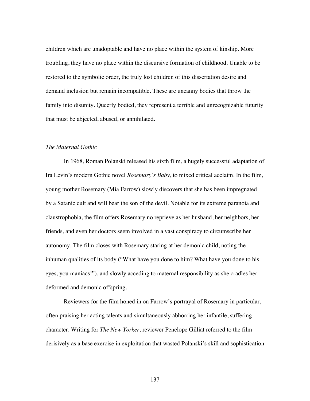children which are unadoptable and have no place within the system of kinship. More troubling, they have no place within the discursive formation of childhood. Unable to be restored to the symbolic order, the truly lost children of this dissertation desire and demand inclusion but remain incompatible. These are uncanny bodies that throw the family into disunity. Queerly bodied, they represent a terrible and unrecognizable futurity that must be abjected, abused, or annihilated.

### *The Maternal Gothic*

In 1968, Roman Polanski released his sixth film, a hugely successful adaptation of Ira Levin's modern Gothic novel *Rosemary's Baby*, to mixed critical acclaim. In the film, young mother Rosemary (Mia Farrow) slowly discovers that she has been impregnated by a Satanic cult and will bear the son of the devil. Notable for its extreme paranoia and claustrophobia, the film offers Rosemary no reprieve as her husband, her neighbors, her friends, and even her doctors seem involved in a vast conspiracy to circumscribe her autonomy. The film closes with Rosemary staring at her demonic child, noting the inhuman qualities of its body ("What have you done to him? What have you done to his eyes, you maniacs!"), and slowly acceding to maternal responsibility as she cradles her deformed and demonic offspring.

Reviewers for the film honed in on Farrow's portrayal of Rosemary in particular, often praising her acting talents and simultaneously abhorring her infantile, suffering character. Writing for *The New Yorker*, reviewer Penelope Gilliat referred to the film derisively as a base exercise in exploitation that wasted Polanski's skill and sophistication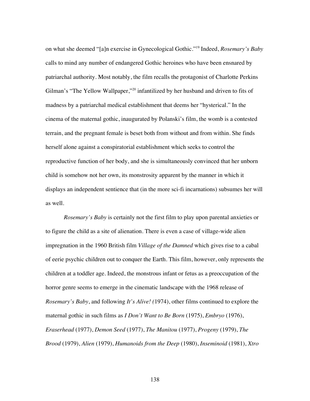on what she deemed "[a]n exercise in Gynecological Gothic."19 Indeed, *Rosemary's Baby*  calls to mind any number of endangered Gothic heroines who have been ensnared by patriarchal authority. Most notably, the film recalls the protagonist of Charlotte Perkins Gilman's "The Yellow Wallpaper,"<sup>20</sup> infantilized by her husband and driven to fits of madness by a patriarchal medical establishment that deems her "hysterical." In the cinema of the maternal gothic, inaugurated by Polanski's film, the womb is a contested terrain, and the pregnant female is beset both from without and from within. She finds herself alone against a conspiratorial establishment which seeks to control the reproductive function of her body, and she is simultaneously convinced that her unborn child is somehow not her own, its monstrosity apparent by the manner in which it displays an independent sentience that (in the more sci-fi incarnations) subsumes her will as well.

*Rosemary's Baby* is certainly not the first film to play upon parental anxieties or to figure the child as a site of alienation. There is even a case of village-wide alien impregnation in the 1960 British film *Village of the Damned* which gives rise to a cabal of eerie psychic children out to conquer the Earth. This film, however, only represents the children at a toddler age. Indeed, the monstrous infant or fetus as a preoccupation of the horror genre seems to emerge in the cinematic landscape with the 1968 release of *Rosemary's Baby*, and following *It's Alive! (*1974), other films continued to explore the maternal gothic in such films as *I Don't Want to Be Born* (1975), *Embryo* (1976), *Eraserhead* (1977), *Demon Seed* (1977), *The Manitou* (1977), *Progeny* (1979), *The Brood* (1979), *Alien* (1979), *Humanoids from the Deep* (1980), *Inseminoid* (1981), *Xtro*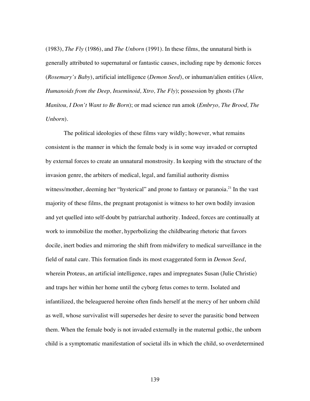(1983), *The Fly* (1986), and *The Unborn* (1991). In these films, the unnatural birth is generally attributed to supernatural or fantastic causes, including rape by demonic forces (*Rosemary's Baby*), artificial intelligence (*Demon Seed*), or inhuman/alien entities (*Alien, Humanoids from the Deep, Inseminoid, Xtro, The Fly*); possession by ghosts (*The Manitou, I Don't Want to Be Born*); or mad science run amok (*Embryo, The Brood, The Unborn*).

The political ideologies of these films vary wildly; however, what remains consistent is the manner in which the female body is in some way invaded or corrupted by external forces to create an unnatural monstrosity. In keeping with the structure of the invasion genre, the arbiters of medical, legal, and familial authority dismiss witness/mother, deeming her "hysterical" and prone to fantasy or paranoia.<sup>21</sup> In the vast majority of these films, the pregnant protagonist is witness to her own bodily invasion and yet quelled into self-doubt by patriarchal authority. Indeed, forces are continually at work to immobilize the mother, hyperbolizing the childbearing rhetoric that favors docile, inert bodies and mirroring the shift from midwifery to medical surveillance in the field of natal care. This formation finds its most exaggerated form in *Demon Seed*, wherein Proteus, an artificial intelligence, rapes and impregnates Susan (Julie Christie) and traps her within her home until the cyborg fetus comes to term. Isolated and infantilized, the beleaguered heroine often finds herself at the mercy of her unborn child as well, whose survivalist will supersedes her desire to sever the parasitic bond between them. When the female body is not invaded externally in the maternal gothic, the unborn child is a symptomatic manifestation of societal ills in which the child, so overdetermined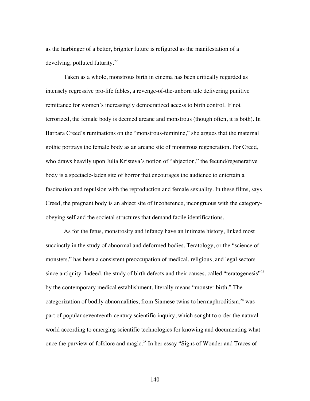as the harbinger of a better, brighter future is refigured as the manifestation of a devolving, polluted futurity. $22$ 

Taken as a whole, monstrous birth in cinema has been critically regarded as intensely regressive pro-life fables, a revenge-of-the-unborn tale delivering punitive remittance for women's increasingly democratized access to birth control. If not terrorized, the female body is deemed arcane and monstrous (though often, it is both). In Barbara Creed's ruminations on the "monstrous-feminine," she argues that the maternal gothic portrays the female body as an arcane site of monstrous regeneration. For Creed, who draws heavily upon Julia Kristeva's notion of "abjection," the fecund/regenerative body is a spectacle-laden site of horror that encourages the audience to entertain a fascination and repulsion with the reproduction and female sexuality. In these films, says Creed, the pregnant body is an abject site of incoherence, incongruous with the categoryobeying self and the societal structures that demand facile identifications.

As for the fetus, monstrosity and infancy have an intimate history, linked most succinctly in the study of abnormal and deformed bodies. Teratology, or the "science of monsters," has been a consistent preoccupation of medical, religious, and legal sectors since antiquity. Indeed, the study of birth defects and their causes, called "teratogenesis"<sup>23</sup> by the contemporary medical establishment, literally means "monster birth." The categorization of bodily abnormalities, from Siamese twins to hermaphroditism, $24$  was part of popular seventeenth-century scientific inquiry, which sought to order the natural world according to emerging scientific technologies for knowing and documenting what once the purview of folklore and magic.25 In her essay "Signs of Wonder and Traces of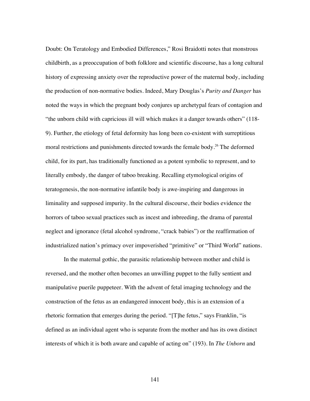Doubt: On Teratology and Embodied Differences," Rosi Braidotti notes that monstrous childbirth, as a preoccupation of both folklore and scientific discourse, has a long cultural history of expressing anxiety over the reproductive power of the maternal body, including the production of non-normative bodies. Indeed, Mary Douglas's *Purity and Danger* has noted the ways in which the pregnant body conjures up archetypal fears of contagion and "the unborn child with capricious ill will which makes it a danger towards others" (118- 9). Further, the etiology of fetal deformity has long been co-existent with surreptitious moral restrictions and punishments directed towards the female body.<sup>26</sup> The deformed child, for its part, has traditionally functioned as a potent symbolic to represent, and to literally embody, the danger of taboo breaking. Recalling etymological origins of teratogenesis, the non-normative infantile body is awe-inspiring and dangerous in liminality and supposed impurity. In the cultural discourse, their bodies evidence the horrors of taboo sexual practices such as incest and inbreeding, the drama of parental neglect and ignorance (fetal alcohol syndrome, "crack babies") or the reaffirmation of industrialized nation's primacy over impoverished "primitive" or "Third World" nations.

In the maternal gothic, the parasitic relationship between mother and child is reversed, and the mother often becomes an unwilling puppet to the fully sentient and manipulative puerile puppeteer. With the advent of fetal imaging technology and the construction of the fetus as an endangered innocent body, this is an extension of a rhetoric formation that emerges during the period. "[T]he fetus," says Franklin, "is defined as an individual agent who is separate from the mother and has its own distinct interests of which it is both aware and capable of acting on" (193). In *The Unborn* and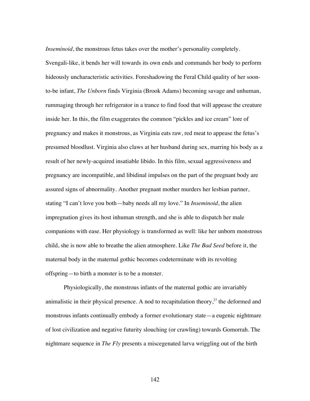*Inseminoid*, the monstrous fetus takes over the mother's personality completely. Svengali-like, it bends her will towards its own ends and commands her body to perform hideously uncharacteristic activities. Foreshadowing the Feral Child quality of her soonto-be infant, *The Unborn* finds Virginia (Brook Adams) becoming savage and unhuman, rummaging through her refrigerator in a trance to find food that will appease the creature inside her. In this, the film exaggerates the common "pickles and ice cream" lore of pregnancy and makes it monstrous, as Virginia eats raw, red meat to appease the fetus's presumed bloodlust. Virginia also claws at her husband during sex, marring his body as a result of her newly-acquired insatiable libido. In this film, sexual aggressiveness and pregnancy are incompatible, and libidinal impulses on the part of the pregnant body are assured signs of abnormality. Another pregnant mother murders her lesbian partner, stating "I can't love you both—baby needs all my love." In *Inseminoid*, the alien impregnation gives its host inhuman strength, and she is able to dispatch her male companions with ease. Her physiology is transformed as well: like her unborn monstrous child, she is now able to breathe the alien atmosphere. Like *The Bad Seed* before it, the maternal body in the maternal gothic becomes codeterminate with its revolting offspring—to birth a monster is to be a monster.

Physiologically, the monstrous infants of the maternal gothic are invariably animalistic in their physical presence. A nod to recapitulation theory, $27$  the deformed and monstrous infants continually embody a former evolutionary state—a eugenic nightmare of lost civilization and negative futurity slouching (or crawling) towards Gomorrah. The nightmare sequence in *The Fly* presents a miscegenated larva wriggling out of the birth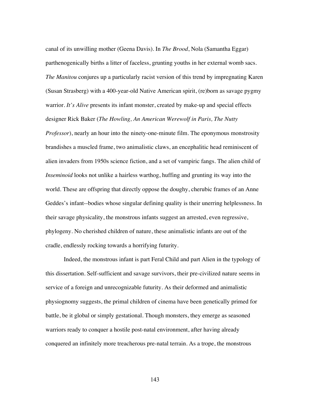canal of its unwilling mother (Geena Davis). In *The Brood*, Nola (Samantha Eggar) parthenogenically births a litter of faceless, grunting youths in her external womb sacs. *The Manitou* conjures up a particularly racist version of this trend by impregnating Karen (Susan Strasberg) with a 400-year-old Native American spirit, (re)born as savage pygmy warrior. *It's Alive* presents its infant monster, created by make-up and special effects designer Rick Baker (*The Howling, An American Werewolf in Paris, The Nutty Professor*), nearly an hour into the ninety-one-minute film. The eponymous monstrosity brandishes a muscled frame, two animalistic claws, an encephalitic head reminiscent of alien invaders from 1950s science fiction, and a set of vampiric fangs. The alien child of *Inseminoid* looks not unlike a hairless warthog, huffing and grunting its way into the world. These are offspring that directly oppose the doughy, cherubic frames of an Anne Geddes's infant--bodies whose singular defining quality is their unerring helplessness. In their savage physicality, the monstrous infants suggest an arrested, even regressive, phylogeny. No cherished children of nature, these animalistic infants are out of the cradle, endlessly rocking towards a horrifying futurity.

Indeed, the monstrous infant is part Feral Child and part Alien in the typology of this dissertation. Self-sufficient and savage survivors, their pre-civilized nature seems in service of a foreign and unrecognizable futurity. As their deformed and animalistic physiognomy suggests, the primal children of cinema have been genetically primed for battle, be it global or simply gestational. Though monsters, they emerge as seasoned warriors ready to conquer a hostile post-natal environment, after having already conquered an infinitely more treacherous pre-natal terrain. As a trope, the monstrous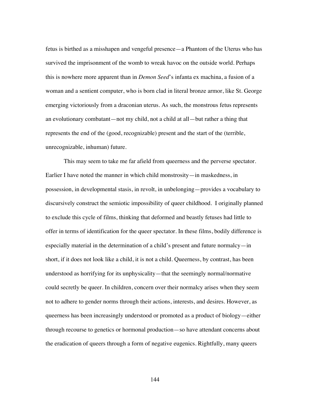fetus is birthed as a misshapen and vengeful presence—a Phantom of the Uterus who has survived the imprisonment of the womb to wreak havoc on the outside world. Perhaps this is nowhere more apparent than in *Demon Seed*'s infanta ex machina, a fusion of a woman and a sentient computer, who is born clad in literal bronze armor, like St. George emerging victoriously from a draconian uterus. As such, the monstrous fetus represents an evolutionary combatant—not my child, not a child at all—but rather a thing that represents the end of the (good, recognizable) present and the start of the (terrible, unrecognizable, inhuman) future.

This may seem to take me far afield from queerness and the perverse spectator. Earlier I have noted the manner in which child monstrosity—in maskedness, in possession, in developmental stasis, in revolt, in unbelonging—provides a vocabulary to discursively construct the semiotic impossibility of queer childhood. I originally planned to exclude this cycle of films, thinking that deformed and beastly fetuses had little to offer in terms of identification for the queer spectator. In these films, bodily difference is especially material in the determination of a child's present and future normalcy—in short, if it does not look like a child, it is not a child. Queerness, by contrast, has been understood as horrifying for its unphysicality—that the seemingly normal/normative could secretly be queer. In children, concern over their normalcy arises when they seem not to adhere to gender norms through their actions, interests, and desires. However, as queerness has been increasingly understood or promoted as a product of biology—either through recourse to genetics or hormonal production—so have attendant concerns about the eradication of queers through a form of negative eugenics. Rightfully, many queers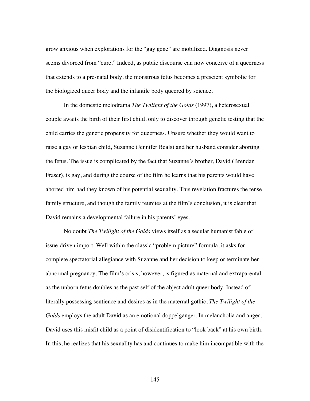grow anxious when explorations for the "gay gene" are mobilized. Diagnosis never seems divorced from "cure." Indeed, as public discourse can now conceive of a queerness that extends to a pre-natal body, the monstrous fetus becomes a prescient symbolic for the biologized queer body and the infantile body queered by science.

In the domestic melodrama *The Twilight of the Golds* (1997), a heterosexual couple awaits the birth of their first child, only to discover through genetic testing that the child carries the genetic propensity for queerness. Unsure whether they would want to raise a gay or lesbian child, Suzanne (Jennifer Beals) and her husband consider aborting the fetus. The issue is complicated by the fact that Suzanne's brother, David (Brendan Fraser), is gay, and during the course of the film he learns that his parents would have aborted him had they known of his potential sexuality. This revelation fractures the tense family structure, and though the family reunites at the film's conclusion, it is clear that David remains a developmental failure in his parents' eyes.

No doubt *The Twilight of the Golds* views itself as a secular humanist fable of issue-driven import. Well within the classic "problem picture" formula, it asks for complete spectatorial allegiance with Suzanne and her decision to keep or terminate her abnormal pregnancy. The film's crisis, however, is figured as maternal and extraparental as the unborn fetus doubles as the past self of the abject adult queer body. Instead of literally possessing sentience and desires as in the maternal gothic, *The Twilight of the Golds* employs the adult David as an emotional doppelganger. In melancholia and anger, David uses this misfit child as a point of disidentification to "look back" at his own birth. In this, he realizes that his sexuality has and continues to make him incompatible with the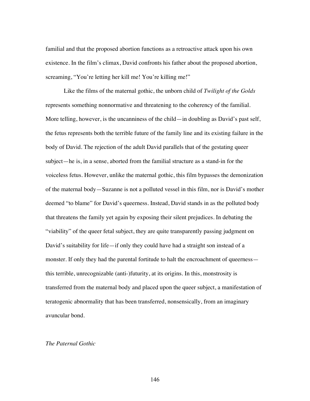familial and that the proposed abortion functions as a retroactive attack upon his own existence. In the film's climax, David confronts his father about the proposed abortion, screaming, "You're letting her kill me! You're killing me!"

Like the films of the maternal gothic, the unborn child of *Twilight of the Golds* represents something nonnormative and threatening to the coherency of the familial. More telling, however, is the uncanniness of the child—in doubling as David's past self, the fetus represents both the terrible future of the family line and its existing failure in the body of David. The rejection of the adult David parallels that of the gestating queer subject—he is, in a sense, aborted from the familial structure as a stand-in for the voiceless fetus. However, unlike the maternal gothic, this film bypasses the demonization of the maternal body—Suzanne is not a polluted vessel in this film, nor is David's mother deemed "to blame" for David's queerness. Instead, David stands in as the polluted body that threatens the family yet again by exposing their silent prejudices. In debating the "viability" of the queer fetal subject, they are quite transparently passing judgment on David's suitability for life—if only they could have had a straight son instead of a monster. If only they had the parental fortitude to halt the encroachment of queerness this terrible, unrecognizable (anti-)futurity, at its origins. In this, monstrosity is transferred from the maternal body and placed upon the queer subject, a manifestation of teratogenic abnormality that has been transferred, nonsensically, from an imaginary avuncular bond.

## *The Paternal Gothic*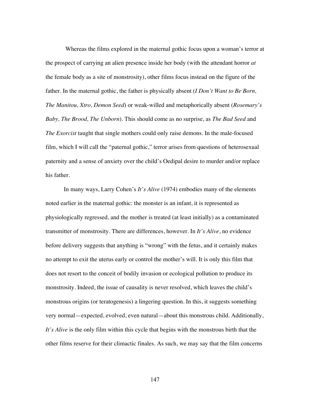Whereas the films explored in the maternal gothic focus upon a woman's terror at the prospect of carrying an alien presence inside her body (with the attendant horror *at*  the female body as a site of monstrosity), other films focus instead on the figure of the father. In the maternal gothic, the father is physically absent (*I Don't Want to Be Born, The Manitou, Xtro, Demon Seed*) or weak-willed and metaphorically absent (*Rosemary's Baby, The Brood, The Unborn*). This should come as no surprise, as *The Bad Seed* and *The Exorcist* taught that single mothers could only raise demons. In the male-focused film, which I will call the "paternal gothic," terror arises from questions of heterosexual paternity and a sense of anxiety over the child's Oedipal desire to murder and/or replace his father.

In many ways, Larry Cohen's *It's Alive* (1974) embodies many of the elements noted earlier in the maternal gothic: the monster is an infant, it is represented as physiologically regressed, and the mother is treated (at least initially) as a contaminated transmitter of monstrosity. There are differences, however. In *It's Alive*, no evidence before delivery suggests that anything is "wrong" with the fetus, and it certainly makes no attempt to exit the uterus early or control the mother's will. It is only this film that does not resort to the conceit of bodily invasion or ecological pollution to produce its monstrosity. Indeed, the issue of causality is never resolved, which leaves the child's monstrous origins (or teratogenesis) a lingering question. In this, it suggests something very normal—expected, evolved, even natural—about this monstrous child. Additionally, *It's Alive* is the only film within this cycle that begins with the monstrous birth that the other films reserve for their climactic finales. As such, we may say that the film concerns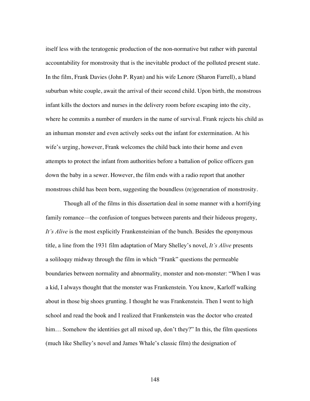itself less with the teratogenic production of the non-normative but rather with parental accountability for monstrosity that is the inevitable product of the polluted present state. In the film, Frank Davies (John P. Ryan) and his wife Lenore (Sharon Farrell), a bland suburban white couple, await the arrival of their second child. Upon birth, the monstrous infant kills the doctors and nurses in the delivery room before escaping into the city, where he commits a number of murders in the name of survival. Frank rejects his child as an inhuman monster and even actively seeks out the infant for extermination. At his wife's urging, however, Frank welcomes the child back into their home and even attempts to protect the infant from authorities before a battalion of police officers gun down the baby in a sewer. However, the film ends with a radio report that another monstrous child has been born, suggesting the boundless (re)generation of monstrosity.

Though all of the films in this dissertation deal in some manner with a horrifying family romance—the confusion of tongues between parents and their hideous progeny, *It's Alive* is the most explicitly Frankensteinian of the bunch. Besides the eponymous title, a line from the 1931 film adaptation of Mary Shelley's novel, *It's Alive* presents a soliloquy midway through the film in which "Frank" questions the permeable boundaries between normality and abnormality, monster and non-monster: "When I was a kid, I always thought that the monster was Frankenstein. You know, Karloff walking about in those big shoes grunting. I thought he was Frankenstein. Then I went to high school and read the book and I realized that Frankenstein was the doctor who created him... Somehow the identities get all mixed up, don't they?" In this, the film questions (much like Shelley's novel and James Whale's classic film) the designation of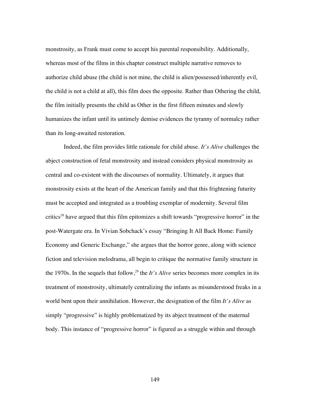monstrosity, as Frank must come to accept his parental responsibility. Additionally, whereas most of the films in this chapter construct multiple narrative removes to authorize child abuse (the child is not mine, the child is alien/possessed/inherently evil, the child is not a child at all), this film does the opposite. Rather than Othering the child, the film initially presents the child as Other in the first fifteen minutes and slowly humanizes the infant until its untimely demise evidences the tyranny of normalcy rather than its long-awaited restoration.

Indeed, the film provides little rationale for child abuse. *It's Alive* challenges the abject construction of fetal monstrosity and instead considers physical monstrosity as central and co-existent with the discourses of normality. Ultimately, it argues that monstrosity exists at the heart of the American family and that this frightening futurity must be accepted and integrated as a troubling exemplar of modernity. Several film critics<sup>28</sup> have argued that this film epitomizes a shift towards "progressive horror" in the post-Watergate era. In Vivian Sobchack's essay "Bringing It All Back Home: Family Economy and Generic Exchange," she argues that the horror genre, along with science fiction and television melodrama, all begin to critique the normative family structure in the 1970s. In the sequels that follow,<sup>29</sup> the *It's Alive* series becomes more complex in its treatment of monstrosity, ultimately centralizing the infants as misunderstood freaks in a world bent upon their annihilation. However, the designation of the film *It's Alive* as simply "progressive" is highly problematized by its abject treatment of the maternal body. This instance of "progressive horror" is figured as a struggle within and through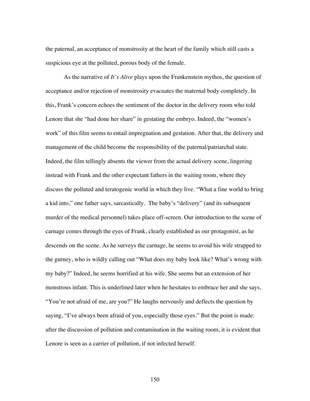the paternal, an acceptance of monstrosity at the heart of the family which still casts a suspicious eye at the polluted, porous body of the female.

As the narrative of *It's Alive* plays upon the Frankenstein mythos, the question of acceptance and/or rejection of monstrosity evacuates the maternal body completely. In this, Frank's concern echoes the sentiment of the doctor in the delivery room who told Lenore that she "had done her share" in gestating the embryo. Indeed, the "women's work" of this film seems to entail impregnation and gestation. After that, the delivery and management of the child become the responsibility of the paternal/patriarchal state. Indeed, the film tellingly absents the viewer from the actual delivery scene, lingering instead with Frank and the other expectant fathers in the waiting room, where they discuss the polluted and teratogenic world in which they live. "What a fine world to bring a kid into," one father says, sarcastically. The baby's "delivery" (and its subsequent murder of the medical personnel) takes place off-screen. Our introduction to the scene of carnage comes through the eyes of Frank, clearly established as our protagonist, as he descends on the scene. As he surveys the carnage, he seems to avoid his wife strapped to the gurney, who is wildly calling out "What does my baby look like? What's wrong with my baby?" Indeed, he seems horrified at his wife. She seems but an extension of her monstrous infant. This is underlined later when he hesitates to embrace her and she says, "You're not afraid of me, are you?" He laughs nervously and deflects the question by saying, "I've always been afraid of you, especially those eyes." But the point is made: after the discussion of pollution and contamination in the waiting room, it is evident that Lenore is seen as a carrier of pollution, if not infected herself.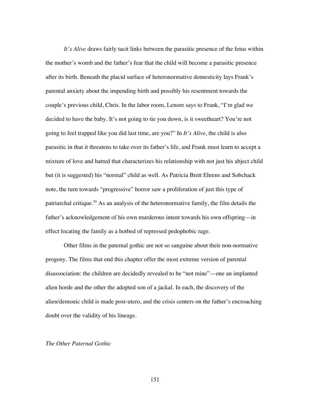*It's Alive* draws fairly tacit links between the parasitic presence of the fetus within the mother's womb and the father's fear that the child will become a parasitic presence after its birth. Beneath the placid surface of heteronormative domesticity lays Frank's parental anxiety about the impending birth and possibly his resentment towards the couple's previous child, Chris. In the labor room, Lenore says to Frank, "I'm glad we decided to have the baby. It's not going to tie you down, is it sweetheart? You're not going to feel trapped like you did last time, are you?" In *It's Alive*, the child is also parasitic in that it threatens to take over its father's life, and Frank must learn to accept a mixture of love and hatred that characterizes his relationship with not just his abject child but (it is suggested) his "normal" child as well. As Patricia Brett Ehrens and Sobchack note, the turn towards "progressive" horror saw a proliferation of just this type of patriarchal critique.<sup>30</sup> As an analysis of the heteronormative family, the film details the father's acknowledgement of his own murderous intent towards his own offspring—in effect locating the family as a hotbed of repressed pedophobic rage.

Other films in the paternal gothic are not so sanguine about their non-normative progeny. The films that end this chapter offer the most extreme version of parental disassociation: the children are decidedly revealed to be "not mine"—one an implanted alien horde and the other the adopted son of a jackal. In each, the discovery of the alien/demonic child is made post-utero, and the crisis centers on the father's encroaching doubt over the validity of his lineage.

## *The Other Paternal Gothic*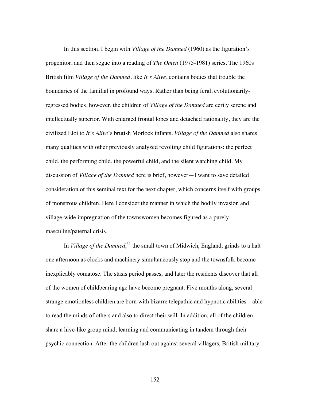In this section, I begin with *Village of the Damned* (1960) as the figuration's progenitor, and then segue into a reading of *The Omen* (1975-1981) series. The 1960s British film *Village of the Damned*, like *It's Alive*, contains bodies that trouble the boundaries of the familial in profound ways. Rather than being feral, evolutionarilyregressed bodies, however, the children of *Village of the Damned* are eerily serene and intellectually superior. With enlarged frontal lobes and detached rationality, they are the civilized Eloi to *It's Alive*'s brutish Morlock infants. *Village of the Damned* also shares many qualities with other previously analyzed revolting child figurations: the perfect child, the performing child, the powerful child, and the silent watching child. My discussion of *Village of the Damned* here is brief, however—I want to save detailed consideration of this seminal text for the next chapter, which concerns itself with groups of monstrous children. Here I consider the manner in which the bodily invasion and village-wide impregnation of the townswomen becomes figured as a purely masculine/paternal crisis.

In *Village of the Damned*,<sup>31</sup> the small town of Midwich, England, grinds to a halt one afternoon as clocks and machinery simultaneously stop and the townsfolk become inexplicably comatose. The stasis period passes, and later the residents discover that all of the women of childbearing age have become pregnant. Five months along, several strange emotionless children are born with bizarre telepathic and hypnotic abilities—able to read the minds of others and also to direct their will. In addition, all of the children share a hive-like group mind, learning and communicating in tandem through their psychic connection. After the children lash out against several villagers, British military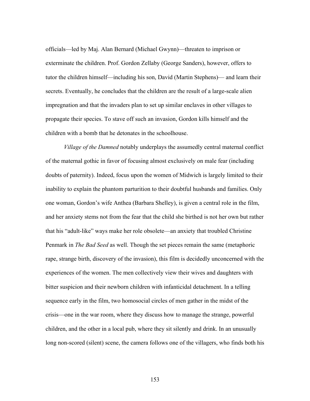officials—led by Maj. Alan Bernard (Michael Gwynn)—threaten to imprison or exterminate the children. Prof. Gordon Zellaby (George Sanders), however, offers to tutor the children himself—including his son, David (Martin Stephens)— and learn their secrets. Eventually, he concludes that the children are the result of a large-scale alien impregnation and that the invaders plan to set up similar enclaves in other villages to propagate their species. To stave off such an invasion, Gordon kills himself and the children with a bomb that he detonates in the schoolhouse.

*Village of the Damned* notably underplays the assumedly central maternal conflict of the maternal gothic in favor of focusing almost exclusively on male fear (including doubts of paternity). Indeed, focus upon the women of Midwich is largely limited to their inability to explain the phantom parturition to their doubtful husbands and families. Only one woman, Gordon's wife Anthea (Barbara Shelley), is given a central role in the film, and her anxiety stems not from the fear that the child she birthed is not her own but rather that his "adult-like" ways make her role obsolete—an anxiety that troubled Christine Penmark in *The Bad Seed* as well. Though the set pieces remain the same (metaphoric rape, strange birth, discovery of the invasion), this film is decidedly unconcerned with the experiences of the women. The men collectively view their wives and daughters with bitter suspicion and their newborn children with infanticidal detachment. In a telling sequence early in the film, two homosocial circles of men gather in the midst of the crisis—one in the war room, where they discuss how to manage the strange, powerful children, and the other in a local pub, where they sit silently and drink. In an unusually long non-scored (silent) scene, the camera follows one of the villagers, who finds both his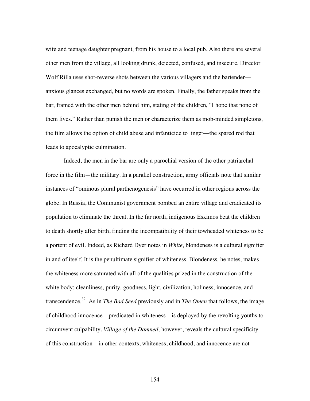wife and teenage daughter pregnant, from his house to a local pub. Also there are several other men from the village, all looking drunk, dejected, confused, and insecure. Director Wolf Rilla uses shot-reverse shots between the various villagers and the bartender anxious glances exchanged, but no words are spoken. Finally, the father speaks from the bar, framed with the other men behind him, stating of the children, "I hope that none of them lives." Rather than punish the men or characterize them as mob-minded simpletons, the film allows the option of child abuse and infanticide to linger—the spared rod that leads to apocalyptic culmination.

Indeed, the men in the bar are only a parochial version of the other patriarchal force in the film—the military. In a parallel construction, army officials note that similar instances of "ominous plural parthenogenesis" have occurred in other regions across the globe. In Russia, the Communist government bombed an entire village and eradicated its population to eliminate the threat. In the far north, indigenous Eskimos beat the children to death shortly after birth, finding the incompatibility of their towheaded whiteness to be a portent of evil. Indeed, as Richard Dyer notes in *White*, blondeness is a cultural signifier in and of itself. It is the penultimate signifier of whiteness. Blondeness, he notes, makes the whiteness more saturated with all of the qualities prized in the construction of the white body: cleanliness, purity, goodness, light, civilization, holiness, innocence, and transcendence.<sup>32</sup> As in *The Bad Seed* previously and in *The Omen* that follows, the image of childhood innocence—predicated in whiteness—is deployed by the revolting youths to circumvent culpability. *Village of the Damned,* however, reveals the cultural specificity of this construction—in other contexts, whiteness, childhood, and innocence are not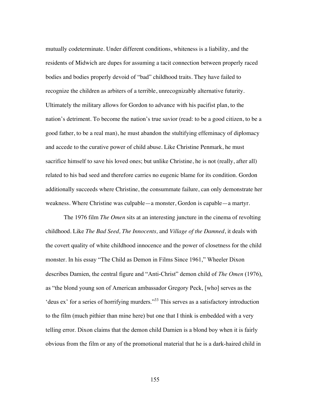mutually codeterminate. Under different conditions, whiteness is a liability, and the residents of Midwich are dupes for assuming a tacit connection between properly raced bodies and bodies properly devoid of "bad" childhood traits. They have failed to recognize the children as arbiters of a terrible, unrecognizably alternative futurity. Ultimately the military allows for Gordon to advance with his pacifist plan, to the nation's detriment. To become the nation's true savior (read: to be a good citizen, to be a good father, to be a real man), he must abandon the stultifying effeminacy of diplomacy and accede to the curative power of child abuse. Like Christine Penmark, he must sacrifice himself to save his loved ones; but unlike Christine, he is not (really, after all) related to his bad seed and therefore carries no eugenic blame for its condition. Gordon additionally succeeds where Christine, the consummate failure, can only demonstrate her weakness. Where Christine was culpable—a monster, Gordon is capable—a martyr.

The 1976 film *The Omen* sits at an interesting juncture in the cinema of revolting childhood. Like *The Bad Seed, The Innocents,* and *Village of the Damned*, it deals with the covert quality of white childhood innocence and the power of closetness for the child monster. In his essay "The Child as Demon in Films Since 1961," Wheeler Dixon describes Damien, the central figure and "Anti-Christ" demon child of *The Omen* (1976), as "the blond young son of American ambassador Gregory Peck, [who] serves as the 'deus ex' for a series of horrifying murders."33 This serves as a satisfactory introduction to the film (much pithier than mine here) but one that I think is embedded with a very telling error. Dixon claims that the demon child Damien is a blond boy when it is fairly obvious from the film or any of the promotional material that he is a dark-haired child in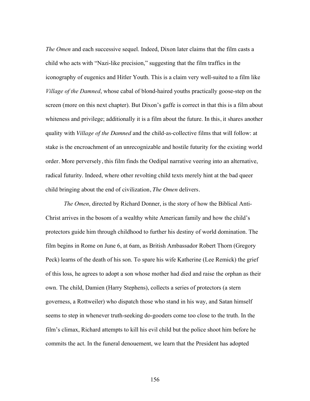*The Omen* and each successive sequel. Indeed, Dixon later claims that the film casts a child who acts with "Nazi-like precision," suggesting that the film traffics in the iconography of eugenics and Hitler Youth. This is a claim very well-suited to a film like *Village of the Damned*, whose cabal of blond-haired youths practically goose-step on the screen (more on this next chapter). But Dixon's gaffe is correct in that this is a film about whiteness and privilege; additionally it is a film about the future. In this, it shares another quality with *Village of the Damned* and the child-as-collective films that will follow: at stake is the encroachment of an unrecognizable and hostile futurity for the existing world order. More perversely, this film finds the Oedipal narrative veering into an alternative, radical futurity. Indeed, where other revolting child texts merely hint at the bad queer child bringing about the end of civilization, *The Omen* delivers.

*The Omen*, directed by Richard Donner, is the story of how the Biblical Anti-Christ arrives in the bosom of a wealthy white American family and how the child's protectors guide him through childhood to further his destiny of world domination. The film begins in Rome on June 6, at 6am, as British Ambassador Robert Thorn (Gregory Peck) learns of the death of his son. To spare his wife Katherine (Lee Remick) the grief of this loss, he agrees to adopt a son whose mother had died and raise the orphan as their own. The child, Damien (Harry Stephens), collects a series of protectors (a stern governess, a Rottweiler) who dispatch those who stand in his way, and Satan himself seems to step in whenever truth-seeking do-gooders come too close to the truth. In the film's climax, Richard attempts to kill his evil child but the police shoot him before he commits the act. In the funeral denouement, we learn that the President has adopted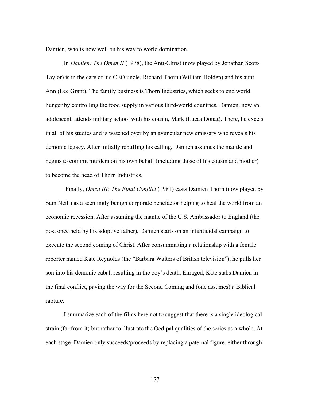Damien, who is now well on his way to world domination.

In *Damien: The Omen II* (1978), the Anti-Christ (now played by Jonathan Scott-Taylor) is in the care of his CEO uncle, Richard Thorn (William Holden) and his aunt Ann (Lee Grant). The family business is Thorn Industries, which seeks to end world hunger by controlling the food supply in various third-world countries. Damien, now an adolescent, attends military school with his cousin, Mark (Lucas Donat). There, he excels in all of his studies and is watched over by an avuncular new emissary who reveals his demonic legacy. After initially rebuffing his calling, Damien assumes the mantle and begins to commit murders on his own behalf (including those of his cousin and mother) to become the head of Thorn Industries.

 Finally, *Omen III: The Final Conflict* (1981) casts Damien Thorn (now played by Sam Neill) as a seemingly benign corporate benefactor helping to heal the world from an economic recession. After assuming the mantle of the U.S. Ambassador to England (the post once held by his adoptive father), Damien starts on an infanticidal campaign to execute the second coming of Christ. After consummating a relationship with a female reporter named Kate Reynolds (the "Barbara Walters of British television"), he pulls her son into his demonic cabal, resulting in the boy's death. Enraged, Kate stabs Damien in the final conflict, paving the way for the Second Coming and (one assumes) a Biblical rapture.

I summarize each of the films here not to suggest that there is a single ideological strain (far from it) but rather to illustrate the Oedipal qualities of the series as a whole. At each stage, Damien only succeeds/proceeds by replacing a paternal figure, either through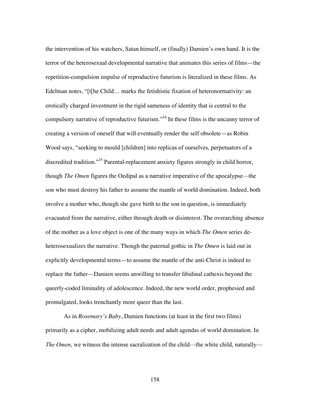the intervention of his watchers, Satan himself, or (finally) Damien's own hand. It is the terror of the heterosexual developmental narrative that animates this series of films—the repetition-compulsion impulse of reproductive futurism is literalized in these films. As Edelman notes, "[t[he Child… marks the fetishistic fixation of heteronormativity: an erotically charged investment in the rigid sameness of identity that is central to the compulsory narrative of reproductive futurism."<sup>34</sup> In these films is the uncanny terror of creating a version of oneself that will eventually render the self obsolete—as Robin Wood says, "seeking to mould [children] into replicas of ourselves, perpetuators of a discredited tradition."<sup>35</sup> Parental-replacement anxiety figures strongly in child horror, though *The Omen* figures the Oedipal as a narrative imperative of the apocalypse—the son who must destroy his father to assume the mantle of world domination. Indeed, both involve a mother who, though she gave birth to the son in question, is immediately evacuated from the narrative, either through death or disinterest. The overarching absence of the mother as a love object is one of the many ways in which *The Omen* series deheterosexualizes the narrative. Though the paternal gothic in *The Omen* is laid out in explicitly developmental terms—to assume the mantle of the anti-Christ is indeed to replace the father—Damien seems unwilling to transfer libidinal cathexis beyond the queerly-coded liminality of adolescence. Indeed, the new world order, prophesied and promulgated, looks trenchantly more queer than the last.

As in *Rosemary's Baby*, Damien functions (at least in the first two films) primarily as a cipher, mobilizing adult needs and adult agendas of world domination. In *The Omen*, we witness the intense sacralization of the child—the white child, naturally—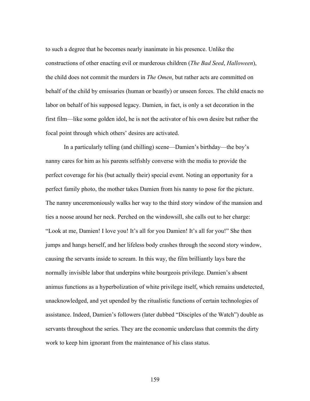to such a degree that he becomes nearly inanimate in his presence. Unlike the constructions of other enacting evil or murderous children (*The Bad Seed*, *Halloween*), the child does not commit the murders in *The Omen*, but rather acts are committed on behalf of the child by emissaries (human or beastly) or unseen forces. The child enacts no labor on behalf of his supposed legacy. Damien, in fact, is only a set decoration in the first film—like some golden idol, he is not the activator of his own desire but rather the focal point through which others' desires are activated.

In a particularly telling (and chilling) scene—Damien's birthday—the boy's nanny cares for him as his parents selfishly converse with the media to provide the perfect coverage for his (but actually their) special event. Noting an opportunity for a perfect family photo, the mother takes Damien from his nanny to pose for the picture. The nanny unceremoniously walks her way to the third story window of the mansion and ties a noose around her neck. Perched on the windowsill, she calls out to her charge: "Look at me, Damien! I love you! It's all for you Damien! It's all for you!" She then jumps and hangs herself, and her lifeless body crashes through the second story window, causing the servants inside to scream. In this way, the film brilliantly lays bare the normally invisible labor that underpins white bourgeois privilege. Damien's absent animus functions as a hyperbolization of white privilege itself, which remains undetected, unacknowledged, and yet upended by the ritualistic functions of certain technologies of assistance. Indeed, Damien's followers (later dubbed "Disciples of the Watch") double as servants throughout the series. They are the economic underclass that commits the dirty work to keep him ignorant from the maintenance of his class status.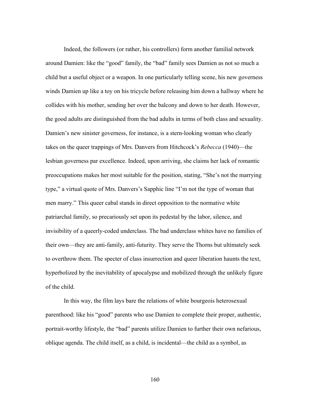Indeed, the followers (or rather, his controllers) form another familial network around Damien: like the "good" family, the "bad" family sees Damien as not so much a child but a useful object or a weapon. In one particularly telling scene, his new governess winds Damien up like a toy on his tricycle before releasing him down a hallway where he collides with his mother, sending her over the balcony and down to her death. However, the good adults are distinguished from the bad adults in terms of both class and sexuality. Damien's new sinister governess, for instance, is a stern-looking woman who clearly takes on the queer trappings of Mrs. Danvers from Hitchcock's *Rebecca* (1940)—the lesbian governess par excellence. Indeed, upon arriving, she claims her lack of romantic preoccupations makes her most suitable for the position, stating, "She's not the marrying type," a virtual quote of Mrs. Danvers's Sapphic line "I'm not the type of woman that men marry." This queer cabal stands in direct opposition to the normative white patriarchal family, so precariously set upon its pedestal by the labor, silence, and invisibility of a queerly-coded underclass. The bad underclass whites have no families of their own—they are anti-family, anti-futurity. They serve the Thorns but ultimately seek to overthrow them. The specter of class insurrection and queer liberation haunts the text, hyperbolized by the inevitability of apocalypse and mobilized through the unlikely figure of the child.

In this way, the film lays bare the relations of white bourgeois heterosexual parenthood: like his "good" parents who use Damien to complete their proper, authentic, portrait-worthy lifestyle, the "bad" parents utilize Damien to further their own nefarious, oblique agenda. The child itself, as a child, is incidental—the child as a symbol, as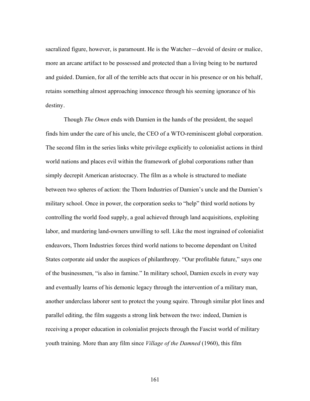sacralized figure, however, is paramount. He is the Watcher—devoid of desire or malice, more an arcane artifact to be possessed and protected than a living being to be nurtured and guided. Damien, for all of the terrible acts that occur in his presence or on his behalf, retains something almost approaching innocence through his seeming ignorance of his destiny.

Though *The Omen* ends with Damien in the hands of the president, the sequel finds him under the care of his uncle, the CEO of a WTO-reminiscent global corporation. The second film in the series links white privilege explicitly to colonialist actions in third world nations and places evil within the framework of global corporations rather than simply decrepit American aristocracy. The film as a whole is structured to mediate between two spheres of action: the Thorn Industries of Damien's uncle and the Damien's military school. Once in power, the corporation seeks to "help" third world notions by controlling the world food supply, a goal achieved through land acquisitions, exploiting labor, and murdering land-owners unwilling to sell. Like the most ingrained of colonialist endeavors, Thorn Industries forces third world nations to become dependant on United States corporate aid under the auspices of philanthropy. "Our profitable future," says one of the businessmen, "is also in famine." In military school, Damien excels in every way and eventually learns of his demonic legacy through the intervention of a military man, another underclass laborer sent to protect the young squire. Through similar plot lines and parallel editing, the film suggests a strong link between the two: indeed, Damien is receiving a proper education in colonialist projects through the Fascist world of military youth training. More than any film since *Village of the Damned* (1960), this film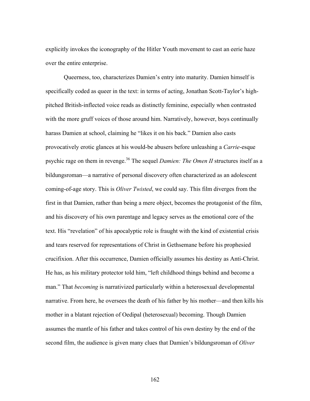explicitly invokes the iconography of the Hitler Youth movement to cast an eerie haze over the entire enterprise.

Queerness, too, characterizes Damien's entry into maturity. Damien himself is specifically coded as queer in the text: in terms of acting, Jonathan Scott-Taylor's highpitched British-inflected voice reads as distinctly feminine, especially when contrasted with the more gruff voices of those around him. Narratively, however, boys continually harass Damien at school, claiming he "likes it on his back." Damien also casts provocatively erotic glances at his would-be abusers before unleashing a *Carrie*-esque psychic rage on them in revenge.<sup>36</sup> The sequel *Damien: The Omen II* structures itself as a bildungsroman—a narrative of personal discovery often characterized as an adolescent coming-of-age story. This is *Oliver Twisted*, we could say. This film diverges from the first in that Damien, rather than being a mere object, becomes the protagonist of the film, and his discovery of his own parentage and legacy serves as the emotional core of the text. His "revelation" of his apocalyptic role is fraught with the kind of existential crisis and tears reserved for representations of Christ in Gethsemane before his prophesied crucifixion. After this occurrence, Damien officially assumes his destiny as Anti-Christ. He has, as his military protector told him, "left childhood things behind and become a man." That *becoming* is narrativized particularly within a heterosexual developmental narrative. From here, he oversees the death of his father by his mother—and then kills his mother in a blatant rejection of Oedipal (heterosexual) becoming. Though Damien assumes the mantle of his father and takes control of his own destiny by the end of the second film, the audience is given many clues that Damien's bildungsroman of *Oliver*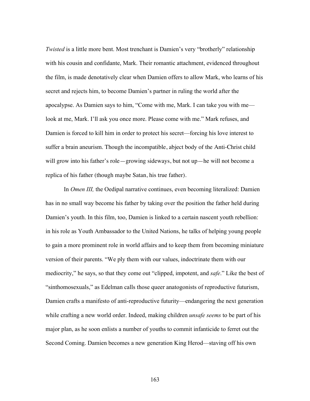*Twisted* is a little more bent. Most trenchant is Damien's very "brotherly" relationship with his cousin and confidante, Mark. Their romantic attachment, evidenced throughout the film, is made denotatively clear when Damien offers to allow Mark, who learns of his secret and rejects him, to become Damien's partner in ruling the world after the apocalypse. As Damien says to him, "Come with me, Mark. I can take you with me look at me, Mark. I'll ask you once more. Please come with me." Mark refuses, and Damien is forced to kill him in order to protect his secret—forcing his love interest to suffer a brain aneurism. Though the incompatible, abject body of the Anti-Christ child will grow into his father's role—growing sideways, but not up—he will not become a replica of his father (though maybe Satan, his true father).

In *Omen III,* the Oedipal narrative continues, even becoming literalized: Damien has in no small way become his father by taking over the position the father held during Damien's youth. In this film, too, Damien is linked to a certain nascent youth rebellion: in his role as Youth Ambassador to the United Nations, he talks of helping young people to gain a more prominent role in world affairs and to keep them from becoming miniature version of their parents. "We ply them with our values, indoctrinate them with our mediocrity," he says, so that they come out "clipped, impotent, and *safe*." Like the best of "sinthomosexuals," as Edelman calls those queer anatogonists of reproductive futurism, Damien crafts a manifesto of anti-reproductive futurity—endangering the next generation while crafting a new world order. Indeed, making children *unsafe seems* to be part of his major plan, as he soon enlists a number of youths to commit infanticide to ferret out the Second Coming. Damien becomes a new generation King Herod—staving off his own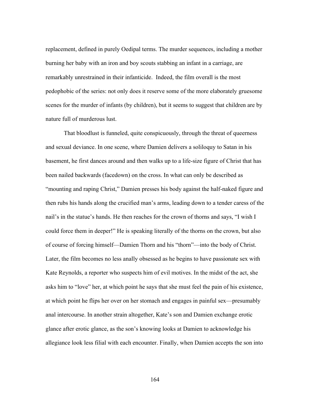replacement, defined in purely Oedipal terms. The murder sequences, including a mother burning her baby with an iron and boy scouts stabbing an infant in a carriage, are remarkably unrestrained in their infanticide. Indeed, the film overall is the most pedophobic of the series: not only does it reserve some of the more elaborately gruesome scenes for the murder of infants (by children), but it seems to suggest that children are by nature full of murderous lust.

That bloodlust is funneled, quite conspicuously, through the threat of queerness and sexual deviance. In one scene, where Damien delivers a soliloquy to Satan in his basement, he first dances around and then walks up to a life-size figure of Christ that has been nailed backwards (facedown) on the cross. In what can only be described as "mounting and raping Christ," Damien presses his body against the half-naked figure and then rubs his hands along the crucified man's arms, leading down to a tender caress of the nail's in the statue's hands. He then reaches for the crown of thorns and says, "I wish I could force them in deeper!" He is speaking literally of the thorns on the crown, but also of course of forcing himself—Damien Thorn and his "thorn"—into the body of Christ. Later, the film becomes no less anally obsessed as he begins to have passionate sex with Kate Reynolds, a reporter who suspects him of evil motives. In the midst of the act, she asks him to "love" her, at which point he says that she must feel the pain of his existence, at which point he flips her over on her stomach and engages in painful sex—presumably anal intercourse. In another strain altogether, Kate's son and Damien exchange erotic glance after erotic glance, as the son's knowing looks at Damien to acknowledge his allegiance look less filial with each encounter. Finally, when Damien accepts the son into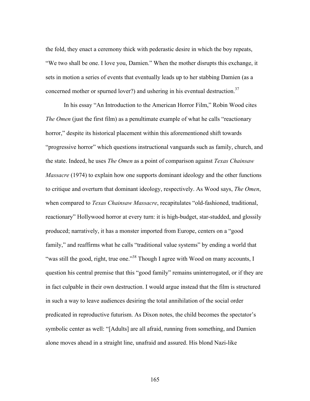the fold, they enact a ceremony thick with pederastic desire in which the boy repeats, "We two shall be one. I love you, Damien." When the mother disrupts this exchange, it sets in motion a series of events that eventually leads up to her stabbing Damien (as a concerned mother or spurned lover?) and ushering in his eventual destruction.<sup>37</sup>

In his essay "An Introduction to the American Horror Film," Robin Wood cites *The Omen* (just the first film) as a penultimate example of what he calls "reactionary" horror," despite its historical placement within this aforementioned shift towards "progressive horror" which questions instructional vanguards such as family, church, and the state. Indeed, he uses *The Omen* as a point of comparison against *Texas Chainsaw Massacre* (1974) to explain how one supports dominant ideology and the other functions to critique and overturn that dominant ideology, respectively. As Wood says, *The Omen*, when compared to *Texas Chainsaw Massacre*, recapitulates "old-fashioned, traditional, reactionary" Hollywood horror at every turn: it is high-budget, star-studded, and glossily produced; narratively, it has a monster imported from Europe, centers on a "good family," and reaffirms what he calls "traditional value systems" by ending a world that "was still the good, right, true one."<sup>38</sup> Though I agree with Wood on many accounts, I question his central premise that this "good family" remains uninterrogated, or if they are in fact culpable in their own destruction. I would argue instead that the film is structured in such a way to leave audiences desiring the total annihilation of the social order predicated in reproductive futurism. As Dixon notes, the child becomes the spectator's symbolic center as well: "[Adults] are all afraid, running from something, and Damien alone moves ahead in a straight line, unafraid and assured. His blond Nazi-like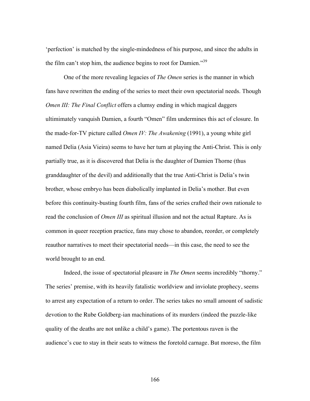'perfection' is matched by the single-mindedness of his purpose, and since the adults in the film can't stop him, the audience begins to root for Damien."<sup>39</sup>

One of the more revealing legacies of *The Omen* series is the manner in which fans have rewritten the ending of the series to meet their own spectatorial needs. Though *Omen III: The Final Conflict* offers a clumsy ending in which magical daggers ultimimately vanquish Damien, a fourth "Omen" film undermines this act of closure. In the made-for-TV picture called *Omen IV: The Awakening* (1991), a young white girl named Delia (Asia Vieira) seems to have her turn at playing the Anti-Christ. This is only partially true, as it is discovered that Delia is the daughter of Damien Thorne (thus granddaughter of the devil) and additionally that the true Anti-Christ is Delia's twin brother, whose embryo has been diabolically implanted in Delia's mother. But even before this continuity-busting fourth film, fans of the series crafted their own rationale to read the conclusion of *Omen III* as spiritual illusion and not the actual Rapture. As is common in queer reception practice, fans may chose to abandon, reorder, or completely reauthor narratives to meet their spectatorial needs—in this case, the need to see the world brought to an end.

Indeed, the issue of spectatorial pleasure in *The Omen* seems incredibly "thorny." The series' premise, with its heavily fatalistic worldview and inviolate prophecy, seems to arrest any expectation of a return to order. The series takes no small amount of sadistic devotion to the Rube Goldberg-ian machinations of its murders (indeed the puzzle-like quality of the deaths are not unlike a child's game). The portentous raven is the audience's cue to stay in their seats to witness the foretold carnage. But moreso, the film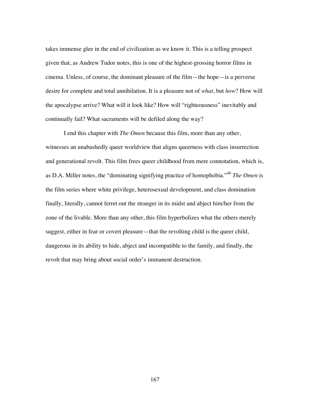takes immense glee in the end of civilization as we know it. This is a telling prospect given that, as Andrew Tudor notes, this is one of the highest-grossing horror films in cinema. Unless, of course, the dominant pleasure of the film—the hope—is a perverse desire for complete and total annihilation. It is a pleasure not of *what*, but *how*? How will the apocalypse arrive? What will it look like? How will "righteousness" inevitably and continually fail? What sacraments will be defiled along the way?

I end this chapter with *The Omen* because this film, more than any other, witnesses an unabashedly queer worldview that aligns queerness with class insurrection and generational revolt. This film frees queer childhood from mere connotation, which is, as D.A. Miller notes, the "dominating signifying practice of homophobia."<sup>40</sup> *The Omen* is the film series where white privilege, heterosexual development, and class domination finally, literally, cannot ferret out the stranger in its midst and abject him/her from the zone of the livable. More than any other, this film hyperbolizes what the others merely suggest, either in fear or covert pleasure—that the revolting child is the queer child, dangerous in its ability to hide, abject and incompatible to the family, and finally, the revolt that may bring about social order's immanent destruction.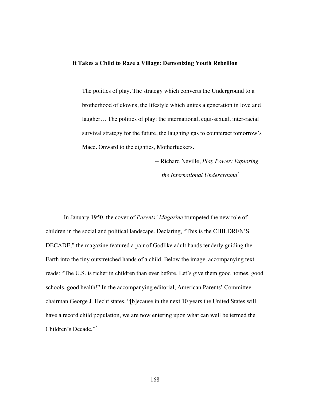## **It Takes a Child to Raze a Village: Demonizing Youth Rebellion**

The politics of play. The strategy which converts the Underground to a brotherhood of clowns, the lifestyle which unites a generation in love and laugher… The politics of play: the international, equi-sexual, inter-racial survival strategy for the future, the laughing gas to counteract tomorrow's Mace. Onward to the eighties, Motherfuckers.

> -- Richard Neville, *Play Power: Exploring the International Underground*<sup>1</sup>

In January 1950, the cover of *Parents' Magazine* trumpeted the new role of children in the social and political landscape. Declaring, "This is the CHILDREN'S DECADE," the magazine featured a pair of Godlike adult hands tenderly guiding the Earth into the tiny outstretched hands of a child. Below the image, accompanying text reads: "The U.S. is richer in children than ever before. Let's give them good homes, good schools, good health!" In the accompanying editorial, American Parents' Committee chairman George J. Hecht states, "[b]ecause in the next 10 years the United States will have a record child population, we are now entering upon what can well be termed the Children's Decade."2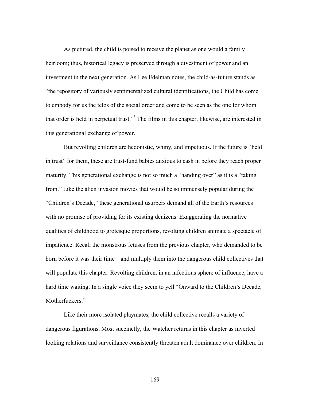As pictured, the child is poised to receive the planet as one would a family heirloom; thus, historical legacy is preserved through a divestment of power and an investment in the next generation. As Lee Edelman notes, the child-as-future stands as "the repository of variously sentimentalized cultural identifications, the Child has come to embody for us the telos of the social order and come to be seen as the one for whom that order is held in perpetual trust."<sup>3</sup> The films in this chapter, likewise, are interested in this generational exchange of power.

But revolting children are hedonistic, whiny, and impetuous. If the future is "held in trust" for them, these are trust-fund babies anxious to cash in before they reach proper maturity. This generational exchange is not so much a "handing over" as it is a "taking from." Like the alien invasion movies that would be so immensely popular during the "Children's Decade," these generational usurpers demand all of the Earth's resources with no promise of providing for its existing denizens. Exaggerating the normative qualities of childhood to grotesque proportions, revolting children animate a spectacle of impatience. Recall the monstrous fetuses from the previous chapter, who demanded to be born before it was their time—and multiply them into the dangerous child collectives that will populate this chapter. Revolting children, in an infectious sphere of influence, have a hard time waiting. In a single voice they seem to yell "Onward to the Children's Decade, Motherfuckers."

Like their more isolated playmates, the child collective recalls a variety of dangerous figurations. Most succinctly, the Watcher returns in this chapter as inverted looking relations and surveillance consistently threaten adult dominance over children. In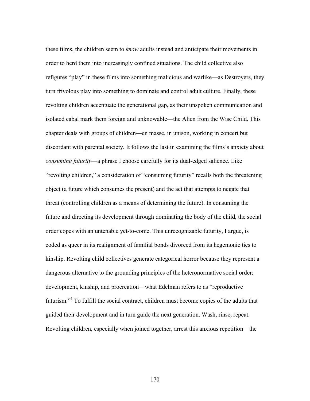these films, the children seem to *know* adults instead and anticipate their movements in order to herd them into increasingly confined situations. The child collective also refigures "play" in these films into something malicious and warlike—as Destroyers, they turn frivolous play into something to dominate and control adult culture. Finally, these revolting children accentuate the generational gap, as their unspoken communication and isolated cabal mark them foreign and unknowable—the Alien from the Wise Child. This chapter deals with groups of children—en masse, in unison, working in concert but discordant with parental society. It follows the last in examining the films's anxiety about *consuming futurity*—a phrase I choose carefully for its dual-edged salience. Like "revolting children," a consideration of "consuming futurity" recalls both the threatening object (a future which consumes the present) and the act that attempts to negate that threat (controlling children as a means of determining the future). In consuming the future and directing its development through dominating the body of the child, the social order copes with an untenable yet-to-come. This unrecognizable futurity, I argue, is coded as queer in its realignment of familial bonds divorced from its hegemonic ties to kinship. Revolting child collectives generate categorical horror because they represent a dangerous alternative to the grounding principles of the heteronormative social order: development, kinship, and procreation—what Edelman refers to as "reproductive futurism."<sup>4</sup> To fulfill the social contract, children must become copies of the adults that guided their development and in turn guide the next generation. Wash, rinse, repeat. Revolting children, especially when joined together, arrest this anxious repetition—the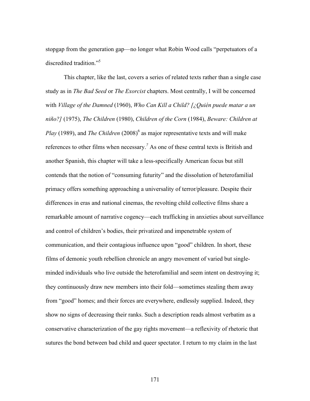stopgap from the generation gap—no longer what Robin Wood calls "perpetuators of a discredited tradition."5

This chapter, like the last, covers a series of related texts rather than a single case study as in *The Bad Seed* or *The Exorcist* chapters. Most centrally, I will be concerned with *Village of the Damned* (1960), *Who Can Kill a Child? [¿Quién puede matar a un niño?]* (1975), *The Children* (1980), *Children of the Corn* (1984), *Beware: Children at*  Play (1989), and *The Children* (2008)<sup>6</sup> as major representative texts and will make references to other films when necessary.<sup>7</sup> As one of these central texts is British and another Spanish, this chapter will take a less-specifically American focus but still contends that the notion of "consuming futurity" and the dissolution of heterofamilial primacy offers something approaching a universality of terror/pleasure. Despite their differences in eras and national cinemas, the revolting child collective films share a remarkable amount of narrative cogency—each trafficking in anxieties about surveillance and control of children's bodies, their privatized and impenetrable system of communication, and their contagious influence upon "good" children. In short, these films of demonic youth rebellion chronicle an angry movement of varied but singleminded individuals who live outside the heterofamilial and seem intent on destroying it; they continuously draw new members into their fold—sometimes stealing them away from "good" homes; and their forces are everywhere, endlessly supplied. Indeed, they show no signs of decreasing their ranks. Such a description reads almost verbatim as a conservative characterization of the gay rights movement—a reflexivity of rhetoric that sutures the bond between bad child and queer spectator. I return to my claim in the last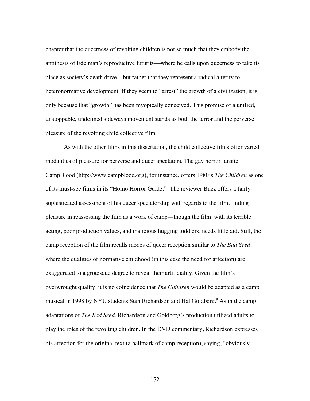chapter that the queerness of revolting children is not so much that they embody the antithesis of Edelman's reproductive futurity—where he calls upon queerness to take its place as society's death drive—but rather that they represent a radical alterity to heteronormative development. If they seem to "arrest" the growth of a civilization, it is only because that "growth" has been myopically conceived. This promise of a unified, unstoppable, undefined sideways movement stands as both the terror and the perverse pleasure of the revolting child collective film.

As with the other films in this dissertation, the child collective films offer varied modalities of pleasure for perverse and queer spectators. The gay horror fansite CampBlood (http://www.campblood.org), for instance, offers 1980's *The Children* as one of its must-see films in its "Homo Horror Guide."<sup>8</sup> The reviewer Buzz offers a fairly sophisticated assessment of his queer spectatorship with regards to the film, finding pleasure in reassessing the film as a work of camp—though the film, with its terrible acting, poor production values, and malicious hugging toddlers, needs little aid. Still, the camp reception of the film recalls modes of queer reception similar to *The Bad Seed*, where the qualities of normative childhood (in this case the need for affection) are exaggerated to a grotesque degree to reveal their artificiality. Given the film's overwrought quality, it is no coincidence that *The Children* would be adapted as a camp musical in 1998 by NYU students Stan Richardson and Hal Goldberg.<sup>9</sup> As in the camp adaptations of *The Bad Seed*, Richardson and Goldberg's production utilized adults to play the roles of the revolting children. In the DVD commentary, Richardson expresses his affection for the original text (a hallmark of camp reception), saying, "obviously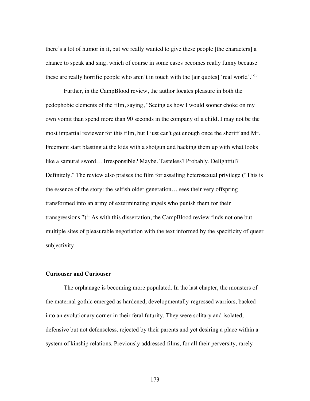there's a lot of humor in it, but we really wanted to give these people [the characters] a chance to speak and sing, which of course in some cases becomes really funny because these are really horrific people who aren't in touch with the [air quotes] 'real world'."<sup>10</sup>

Further, in the CampBlood review, the author locates pleasure in both the pedophobic elements of the film, saying, "Seeing as how I would sooner choke on my own vomit than spend more than 90 seconds in the company of a child, I may not be the most impartial reviewer for this film, but I just can't get enough once the sheriff and Mr. Freemont start blasting at the kids with a shotgun and hacking them up with what looks like a samurai sword… Irresponsible? Maybe. Tasteless? Probably. Delightful? Definitely." The review also praises the film for assailing heterosexual privilege ("This is the essence of the story: the selfish older generation… sees their very offspring transformed into an army of exterminating angels who punish them for their transgressions.")<sup>11</sup> As with this dissertation, the CampBlood review finds not one but multiple sites of pleasurable negotiation with the text informed by the specificity of queer subjectivity.

## **Curiouser and Curiouser**

The orphanage is becoming more populated. In the last chapter, the monsters of the maternal gothic emerged as hardened, developmentally-regressed warriors, backed into an evolutionary corner in their feral futurity. They were solitary and isolated, defensive but not defenseless, rejected by their parents and yet desiring a place within a system of kinship relations. Previously addressed films, for all their perversity, rarely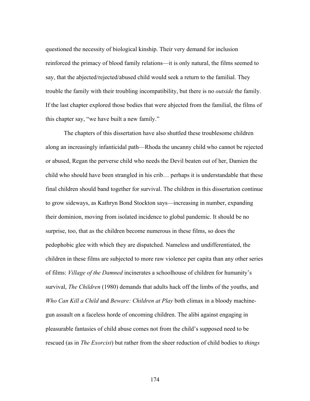questioned the necessity of biological kinship. Their very demand for inclusion reinforced the primacy of blood family relations—it is only natural, the films seemed to say, that the abjected/rejected/abused child would seek a return to the familial. They trouble the family with their troubling incompatibility, but there is no *outside* the family. If the last chapter explored those bodies that were abjected from the familial, the films of this chapter say, "we have built a new family."

The chapters of this dissertation have also shuttled these troublesome children along an increasingly infanticidal path—Rhoda the uncanny child who cannot be rejected or abused, Regan the perverse child who needs the Devil beaten out of her, Damien the child who should have been strangled in his crib… perhaps it is understandable that these final children should band together for survival. The children in this dissertation continue to grow sideways, as Kathryn Bond Stockton says—increasing in number, expanding their dominion, moving from isolated incidence to global pandemic. It should be no surprise, too, that as the children become numerous in these films, so does the pedophobic glee with which they are dispatched. Nameless and undifferentiated, the children in these films are subjected to more raw violence per capita than any other series of films: *Village of the Damned* incinerates a schoolhouse of children for humanity's survival, *The Children* (1980) demands that adults hack off the limbs of the youths, and *Who Can Kill a Child* and *Beware: Children at Play* both climax in a bloody machinegun assault on a faceless horde of oncoming children. The alibi against engaging in pleasurable fantasies of child abuse comes not from the child's supposed need to be rescued (as in *The Exorcist*) but rather from the sheer reduction of child bodies to *things*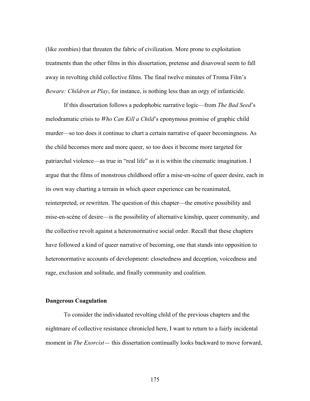(like zombies) that threaten the fabric of civilization. More prone to exploitation treatments than the other films in this dissertation, pretense and disavowal seem to fall away in revolting child collective films. The final twelve minutes of Troma Film's *Beware: Children at Play*, for instance, is nothing less than an orgy of infanticide.

If this dissertation follows a pedophobic narrative logic—from *The Bad Seed*'s melodramatic crisis to *Who Can Kill a Child*'s eponymous promise of graphic child murder—so too does it continue to chart a certain narrative of queer becomingness. As the child becomes more and more queer, so too does it become more targeted for patriarchal violence—as true in "real life" as it is within the cinematic imagination. I argue that the films of monstrous childhood offer a mise-en-scène of queer desire, each in its own way charting a terrain in which queer experience can be reanimated, reinterpreted, or rewritten. The question of this chapter—the emotive possibility and mise-en-scène of desire—is the possibility of alternative kinship, queer community, and the collective revolt against a heteronormative social order. Recall that these chapters have followed a kind of queer narrative of becoming, one that stands into opposition to heteronormative accounts of development: closetedness and deception, voicedness and rage, exclusion and solitude, and finally community and coalition.

## **Dangerous Coagulation**

To consider the individuated revolting child of the previous chapters and the nightmare of collective resistance chronicled here, I want to return to a fairly incidental moment in *The Exorcist*— this dissertation continually looks backward to move forward,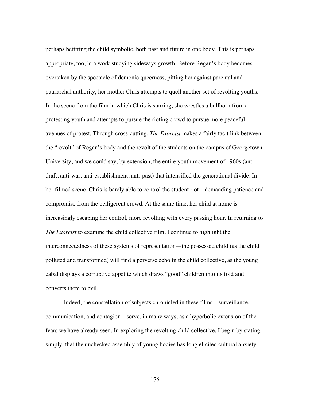perhaps befitting the child symbolic, both past and future in one body. This is perhaps appropriate, too, in a work studying sideways growth. Before Regan's body becomes overtaken by the spectacle of demonic queerness, pitting her against parental and patriarchal authority, her mother Chris attempts to quell another set of revolting youths. In the scene from the film in which Chris is starring, she wrestles a bullhorn from a protesting youth and attempts to pursue the rioting crowd to pursue more peaceful avenues of protest. Through cross-cutting, *The Exorcist* makes a fairly tacit link between the "revolt" of Regan's body and the revolt of the students on the campus of Georgetown University, and we could say, by extension, the entire youth movement of 1960s (antidraft, anti-war, anti-establishment, anti-past) that intensified the generational divide. In her filmed scene, Chris is barely able to control the student riot—demanding patience and compromise from the belligerent crowd. At the same time, her child at home is increasingly escaping her control, more revolting with every passing hour. In returning to *The Exorcist* to examine the child collective film, I continue to highlight the interconnectedness of these systems of representation—the possessed child (as the child polluted and transformed) will find a perverse echo in the child collective, as the young cabal displays a corruptive appetite which draws "good" children into its fold and converts them to evil.

Indeed, the constellation of subjects chronicled in these films—surveillance, communication, and contagion—serve, in many ways, as a hyperbolic extension of the fears we have already seen. In exploring the revolting child collective, I begin by stating, simply, that the unchecked assembly of young bodies has long elicited cultural anxiety.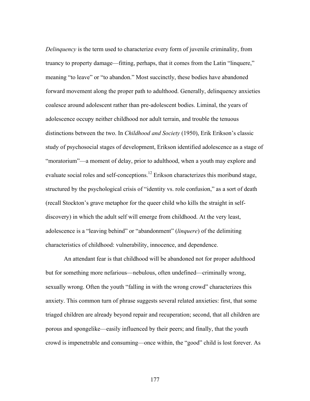*Delinquency* is the term used to characterize every form of juvenile criminality, from truancy to property damage—fitting, perhaps, that it comes from the Latin "linquere," meaning "to leave" or "to abandon." Most succinctly, these bodies have abandoned forward movement along the proper path to adulthood. Generally, delinquency anxieties coalesce around adolescent rather than pre-adolescent bodies. Liminal, the years of adolescence occupy neither childhood nor adult terrain, and trouble the tenuous distinctions between the two. In *Childhood and Society* (1950), Erik Erikson's classic study of psychosocial stages of development, Erikson identified adolescence as a stage of "moratorium"—a moment of delay, prior to adulthood, when a youth may explore and evaluate social roles and self-conceptions.<sup>12</sup> Erikson characterizes this moribund stage, structured by the psychological crisis of "identity vs. role confusion," as a sort of death (recall Stockton's grave metaphor for the queer child who kills the straight in selfdiscovery) in which the adult self will emerge from childhood. At the very least, adolescence is a "leaving behind" or "abandonment" (*linquere*) of the delimiting characteristics of childhood: vulnerability, innocence, and dependence.

An attendant fear is that childhood will be abandoned not for proper adulthood but for something more nefarious—nebulous, often undefined—criminally wrong, sexually wrong. Often the youth "falling in with the wrong crowd" characterizes this anxiety. This common turn of phrase suggests several related anxieties: first, that some triaged children are already beyond repair and recuperation; second, that all children are porous and spongelike—easily influenced by their peers; and finally, that the youth crowd is impenetrable and consuming—once within, the "good" child is lost forever. As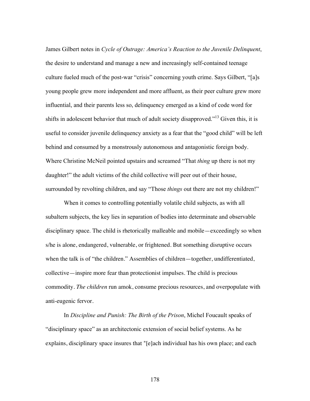James Gilbert notes in *Cycle of Outrage: America's Reaction to the Juvenile Delinquent*, the desire to understand and manage a new and increasingly self-contained teenage culture fueled much of the post-war "crisis" concerning youth crime. Says Gilbert, "[a]s young people grew more independent and more affluent, as their peer culture grew more influential, and their parents less so, delinquency emerged as a kind of code word for shifts in adolescent behavior that much of adult society disapproved.<sup> $13$ </sup> Given this, it is useful to consider juvenile delinquency anxiety as a fear that the "good child" will be left behind and consumed by a monstrously autonomous and antagonistic foreign body. Where Christine McNeil pointed upstairs and screamed "That *thing* up there is not my daughter!" the adult victims of the child collective will peer out of their house, surrounded by revolting children, and say "Those *things* out there are not my children!"

When it comes to controlling potentially volatile child subjects, as with all subaltern subjects, the key lies in separation of bodies into determinate and observable disciplinary space. The child is rhetorically malleable and mobile—exceedingly so when s/he is alone, endangered, vulnerable, or frightened. But something disruptive occurs when the talk is of "the children." Assemblies of children—together, undifferentiated, collective—inspire more fear than protectionist impulses. The child is precious commodity. *The children* run amok, consume precious resources, and overpopulate with anti-eugenic fervor.

In *Discipline and Punish: The Birth of the Prison*, Michel Foucault speaks of "disciplinary space" as an architectonic extension of social belief systems. As he explains, disciplinary space insures that "[e]ach individual has his own place; and each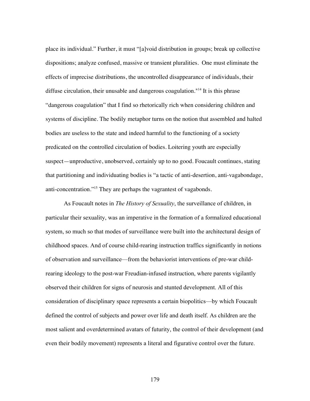place its individual." Further, it must "[a]void distribution in groups; break up collective dispositions; analyze confused, massive or transient pluralities. One must eliminate the effects of imprecise distributions, the uncontrolled disappearance of individuals, their diffuse circulation, their unusable and dangerous coagulation.<sup> $14$ </sup> It is this phrase "dangerous coagulation" that I find so rhetorically rich when considering children and systems of discipline. The bodily metaphor turns on the notion that assembled and halted bodies are useless to the state and indeed harmful to the functioning of a society predicated on the controlled circulation of bodies. Loitering youth are especially suspect—unproductive, unobserved, certainly up to no good. Foucault continues, stating that partitioning and individuating bodies is "a tactic of anti-desertion, anti-vagabondage, anti-concentration."15 They are perhaps the vagrantest of vagabonds.

As Foucault notes in *The History of Sexuality*, the surveillance of children, in particular their sexuality, was an imperative in the formation of a formalized educational system, so much so that modes of surveillance were built into the architectural design of childhood spaces. And of course child-rearing instruction traffics significantly in notions of observation and surveillance—from the behaviorist interventions of pre-war childrearing ideology to the post-war Freudian-infused instruction, where parents vigilantly observed their children for signs of neurosis and stunted development. All of this consideration of disciplinary space represents a certain biopolitics—by which Foucault defined the control of subjects and power over life and death itself. As children are the most salient and overdetermined avatars of futurity, the control of their development (and even their bodily movement) represents a literal and figurative control over the future.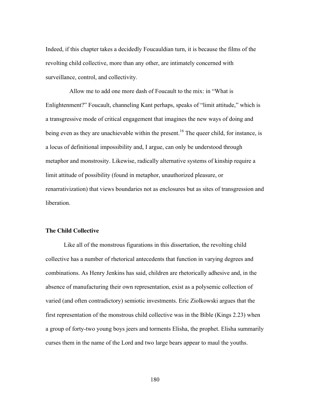Indeed, if this chapter takes a decidedly Foucauldian turn, it is because the films of the revolting child collective, more than any other, are intimately concerned with surveillance, control, and collectivity.

Allow me to add one more dash of Foucault to the mix: in "What is Enlightenment?" Foucault, channeling Kant perhaps, speaks of "limit attitude," which is a transgressive mode of critical engagement that imagines the new ways of doing and being even as they are unachievable within the present.<sup>16</sup> The queer child, for instance, is a locus of definitional impossibility and, I argue, can only be understood through metaphor and monstrosity. Likewise, radically alternative systems of kinship require a limit attitude of possibility (found in metaphor, unauthorized pleasure, or renarrativization) that views boundaries not as enclosures but as sites of transgression and liberation.

# **The Child Collective**

Like all of the monstrous figurations in this dissertation, the revolting child collective has a number of rhetorical antecedents that function in varying degrees and combinations. As Henry Jenkins has said, children are rhetorically adhesive and, in the absence of manufacturing their own representation, exist as a polysemic collection of varied (and often contradictory) semiotic investments. Eric Ziolkowski argues that the first representation of the monstrous child collective was in the Bible (Kings 2.23) when a group of forty-two young boys jeers and torments Elisha, the prophet. Elisha summarily curses them in the name of the Lord and two large bears appear to maul the youths.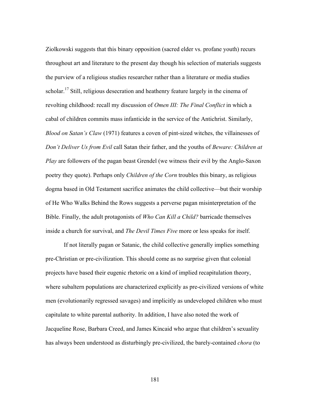Ziolkowski suggests that this binary opposition (sacred elder vs. profane youth) recurs throughout art and literature to the present day though his selection of materials suggests the purview of a religious studies researcher rather than a literature or media studies scholar.<sup>17</sup> Still, religious desecration and heathenry feature largely in the cinema of revolting childhood: recall my discussion of *Omen III: The Final Conflict* in which a cabal of children commits mass infanticide in the service of the Antichrist. Similarly, *Blood on Satan's Claw* (1971) features a coven of pint-sized witches, the villainesses of *Don't Deliver Us from Evil* call Satan their father, and the youths of *Beware: Children at Play* are followers of the pagan beast Grendel (we witness their evil by the Anglo-Saxon poetry they quote). Perhaps only *Children of the Corn* troubles this binary, as religious dogma based in Old Testament sacrifice animates the child collective—but their worship of He Who Walks Behind the Rows suggests a perverse pagan misinterpretation of the Bible. Finally, the adult protagonists of *Who Can Kill a Child?* barricade themselves inside a church for survival, and *The Devil Times Five* more or less speaks for itself.

If not literally pagan or Satanic, the child collective generally implies something pre-Christian or pre-civilization. This should come as no surprise given that colonial projects have based their eugenic rhetoric on a kind of implied recapitulation theory, where subaltern populations are characterized explicitly as pre-civilized versions of white men (evolutionarily regressed savages) and implicitly as undeveloped children who must capitulate to white parental authority. In addition, I have also noted the work of Jacqueline Rose, Barbara Creed, and James Kincaid who argue that children's sexuality has always been understood as disturbingly pre-civilized, the barely-contained *chora* (to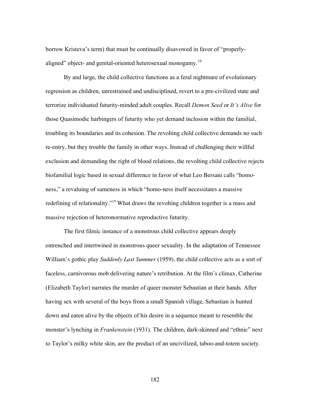borrow Kristeva's term) that must be continually disavowed in favor of "properlyaligned" object- and genital-oriented heterosexual monogamy.*<sup>18</sup>*

By and large, the child collective functions as a feral nightmare of evolutionary regression as children, unrestrained and undisciplined, revert to a pre-civilized state and terrorize individuated futurity-minded adult couples. Recall *Demon Seed* or *It's Alive* for those Quasimodic harbingers of futurity who yet demand inclusion within the familial, troubling its boundaries and its cohesion. The revolting child collective demands no such re-entry, but they trouble the family in other ways. Instead of challenging their willful exclusion and demanding the right of blood relations, the revolting child collective rejects biofamilial logic based in sexual difference in favor of what Leo Bersani calls "homoness," a revaluing of sameness in which "homo-ness itself necessitates a massive redefining of relationality."<sup>19</sup> What draws the revolting children together is a mass and massive rejection of heteronormative reproductive futurity.

The first filmic instance of a monstrous child collective appears deeply entrenched and intertwined in monstrous queer sexuality. In the adaptation of Tennessee William's gothic play *Suddenly Last Summer* (1959), the child collective acts as a sort of faceless, carnivorous mob delivering nature's retribution. At the film's climax, Catherine (Elizabeth Taylor) narrates the murder of queer monster Sebastian at their hands. After having sex with several of the boys from a small Spanish village, Sebastian is hunted down and eaten alive by the objects of his desire in a sequence meant to resemble the monster's lynching in *Frankenstein* (1931). The children, dark-skinned and "ethnic" next to Taylor's milky white skin, are the product of an uncivilized, taboo-and-totem society.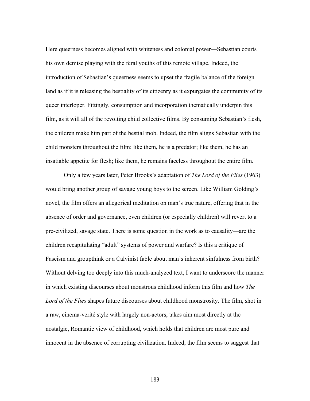Here queerness becomes aligned with whiteness and colonial power—Sebastian courts his own demise playing with the feral youths of this remote village. Indeed, the introduction of Sebastian's queerness seems to upset the fragile balance of the foreign land as if it is releasing the bestiality of its citizenry as it expurgates the community of its queer interloper. Fittingly, consumption and incorporation thematically underpin this film, as it will all of the revolting child collective films. By consuming Sebastian's flesh, the children make him part of the bestial mob. Indeed, the film aligns Sebastian with the child monsters throughout the film: like them, he is a predator; like them, he has an insatiable appetite for flesh; like them, he remains faceless throughout the entire film.

Only a few years later, Peter Brooks's adaptation of *The Lord of the Flies* (1963) would bring another group of savage young boys to the screen. Like William Golding's novel, the film offers an allegorical meditation on man's true nature, offering that in the absence of order and governance, even children (or especially children) will revert to a pre-civilized, savage state. There is some question in the work as to causality—are the children recapitulating "adult" systems of power and warfare? Is this a critique of Fascism and groupthink or a Calvinist fable about man's inherent sinfulness from birth? Without delving too deeply into this much-analyzed text, I want to underscore the manner in which existing discourses about monstrous childhood inform this film and how *The Lord of the Flies* shapes future discourses about childhood monstrosity. The film, shot in a raw, cinema-verité style with largely non-actors, takes aim most directly at the nostalgic, Romantic view of childhood, which holds that children are most pure and innocent in the absence of corrupting civilization. Indeed, the film seems to suggest that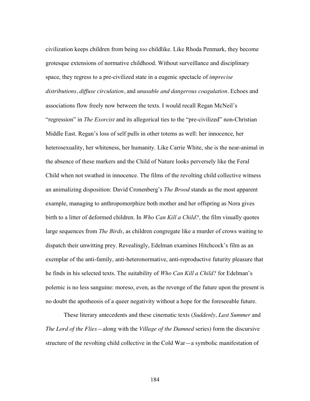civilization keeps children from being *too* childlike. Like Rhoda Penmark, they become grotesque extensions of normative childhood. Without surveillance and disciplinary space, they regress to a pre-civilized state in a eugenic spectacle of *imprecise distributions*, *diffuse circulation*, and *unusable and dangerous coagulation*. Echoes and associations flow freely now between the texts. I would recall Regan McNeil's "regression" in *The Exorcist* and its allegorical ties to the "pre-civilized" non-Christian Middle East. Regan's loss of self pulls in other totems as well: her innocence, her heterosexuality, her whiteness, her humanity. Like Carrie White, she is the near-animal in the absence of these markers and the Child of Nature looks perversely like the Feral Child when not swathed in innocence. The films of the revolting child collective witness an animalizing disposition: David Cronenberg's *The Brood* stands as the most apparent example, managing to anthropomorphize both mother and her offspring as Nora gives birth to a litter of deformed children. In *Who Can Kill a Child?*, the film visually quotes large sequences from *The Birds*, as children congregate like a murder of crows waiting to dispatch their unwitting prey. Revealingly, Edelman examines Hitchcock's film as an exemplar of the anti-family, anti-heteronormative, anti-reproductive futurity pleasure that he finds in his selected texts. The suitability of *Who Can Kill a Child?* for Edelman's polemic is no less sanguine: moreso, even, as the revenge of the future upon the present is no doubt the apotheosis of a queer negativity without a hope for the foreseeable future.

These literary antecedents and these cinematic texts (*Suddenly, Last Summer* and *The Lord of the Flies*—along with the *Village of the Damned* series) form the discursive structure of the revolting child collective in the Cold War—a symbolic manifestation of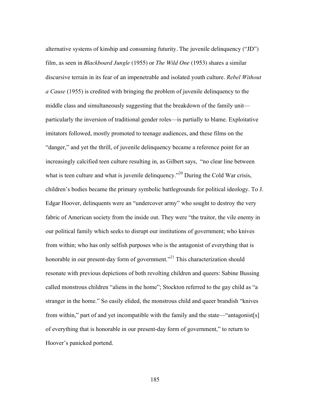alternative systems of kinship and consuming futurity. The juvenile delinquency ("JD") film, as seen in *Blackboard Jungle* (1955) or *The Wild One* (1953) shares a similar discursive terrain in its fear of an impenetrable and isolated youth culture. *Rebel Without a Cause* (1955) is credited with bringing the problem of juvenile delinquency to the middle class and simultaneously suggesting that the breakdown of the family unit particularly the inversion of traditional gender roles—is partially to blame. Exploitative imitators followed, mostly promoted to teenage audiences, and these films on the "danger," and yet the thrill, of juvenile delinquency became a reference point for an increasingly calcified teen culture resulting in, as Gilbert says, "no clear line between what is teen culture and what is juvenile delinquency.<sup>220</sup> During the Cold War crisis, children's bodies became the primary symbolic battlegrounds for political ideology. To J. Edgar Hoover, delinquents were an "undercover army" who sought to destroy the very fabric of American society from the inside out. They were "the traitor, the vile enemy in our political family which seeks to disrupt our institutions of government; who knives from within; who has only selfish purposes who is the antagonist of everything that is honorable in our present-day form of government.<sup>221</sup> This characterization should resonate with previous depictions of both revolting children and queers: Sabine Bussing called monstrous children "aliens in the home"; Stockton referred to the gay child as "a stranger in the home." So easily elided, the monstrous child and queer brandish "knives from within," part of and yet incompatible with the family and the state—"antagonist[s] of everything that is honorable in our present-day form of government," to return to Hoover's panicked portend.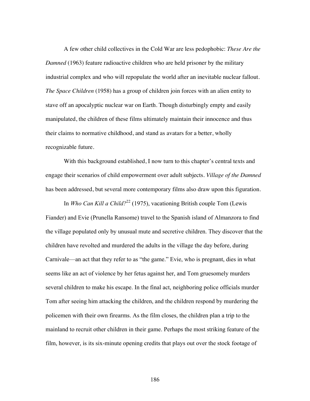A few other child collectives in the Cold War are less pedophobic: *These Are the Damned* (1963) feature radioactive children who are held prisoner by the military industrial complex and who will repopulate the world after an inevitable nuclear fallout. *The Space Children* (1958) has a group of children join forces with an alien entity to stave off an apocalyptic nuclear war on Earth. Though disturbingly empty and easily manipulated, the children of these films ultimately maintain their innocence and thus their claims to normative childhood, and stand as avatars for a better, wholly recognizable future.

With this background established, I now turn to this chapter's central texts and engage their scenarios of child empowerment over adult subjects. *Village of the Damned*  has been addressed, but several more contemporary films also draw upon this figuration.

In *Who Can Kill a Child*?<sup>22</sup> (1975), vacationing British couple Tom (Lewis Fiander) and Evie (Prunella Ransome) travel to the Spanish island of Almanzora to find the village populated only by unusual mute and secretive children. They discover that the children have revolted and murdered the adults in the village the day before, during Carnivale—an act that they refer to as "the game." Evie, who is pregnant, dies in what seems like an act of violence by her fetus against her, and Tom gruesomely murders several children to make his escape. In the final act, neighboring police officials murder Tom after seeing him attacking the children, and the children respond by murdering the policemen with their own firearms. As the film closes, the children plan a trip to the mainland to recruit other children in their game. Perhaps the most striking feature of the film, however, is its six-minute opening credits that plays out over the stock footage of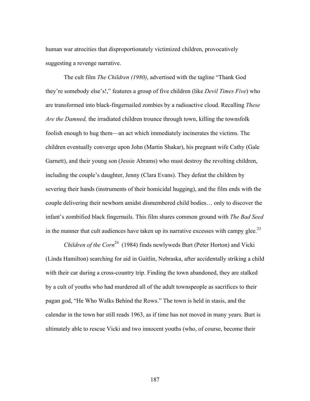human war atrocities that disproportionately victimized children, provocatively suggesting a revenge narrative.

The cult film *The Children (1980)*, advertised with the tagline "Thank God they're somebody else's!," features a group of five children (like *Devil Times Five*) who are transformed into black-fingernailed zombies by a radioactive cloud. Recalling *These Are the Damned,* the irradiated children trounce through town, killing the townsfolk foolish enough to hug them—an act which immediately incinerates the victims. The children eventually converge upon John (Martin Shakar), his pregnant wife Cathy (Gale Garnett), and their young son (Jessie Abrams) who must destroy the revolting children, including the couple's daughter, Jenny (Clara Evans). They defeat the children by severing their hands (instruments of their homicidal hugging), and the film ends with the couple delivering their newborn amidst dismembered child bodies… only to discover the infant's zombified black fingernails. This film shares common ground with *The Bad Seed*  in the manner that cult audiences have taken up its narrative excesses with campy glee.<sup>23</sup>

*Children of the Corn*<sup>24</sup> (1984) finds newlyweds Burt (Peter Horton) and Vicki (Linda Hamilton) searching for aid in Gaitlin, Nebraska, after accidentally striking a child with their car during a cross-country trip. Finding the town abandoned, they are stalked by a cult of youths who had murdered all of the adult townspeople as sacrifices to their pagan god, "He Who Walks Behind the Rows." The town is held in stasis, and the calendar in the town bar still reads 1963, as if time has not moved in many years. Burt is ultimately able to rescue Vicki and two innocent youths (who, of course, become their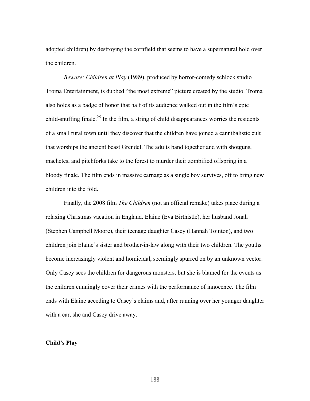adopted children) by destroying the cornfield that seems to have a supernatural hold over the children.

*Beware: Children at Play* (1989), produced by horror-comedy schlock studio Troma Entertainment, is dubbed "the most extreme" picture created by the studio. Troma also holds as a badge of honor that half of its audience walked out in the film's epic child-snuffing finale.<sup>25</sup> In the film, a string of child disappearances worries the residents of a small rural town until they discover that the children have joined a cannibalistic cult that worships the ancient beast Grendel. The adults band together and with shotguns, machetes, and pitchforks take to the forest to murder their zombified offspring in a bloody finale. The film ends in massive carnage as a single boy survives, off to bring new children into the fold.

Finally, the 2008 film *The Children* (not an official remake) takes place during a relaxing Christmas vacation in England. Elaine (Eva Birthistle), her husband Jonah (Stephen Campbell Moore), their teenage daughter Casey (Hannah Tointon), and two children join Elaine's sister and brother-in-law along with their two children. The youths become increasingly violent and homicidal, seemingly spurred on by an unknown vector. Only Casey sees the children for dangerous monsters, but she is blamed for the events as the children cunningly cover their crimes with the performance of innocence. The film ends with Elaine acceding to Casey's claims and, after running over her younger daughter with a car, she and Casey drive away.

# **Child's Play**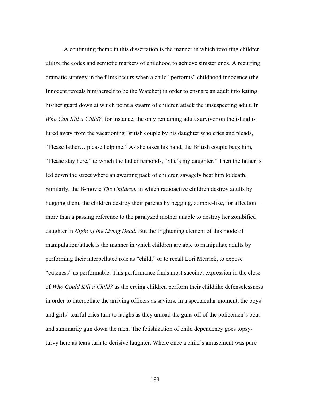A continuing theme in this dissertation is the manner in which revolting children utilize the codes and semiotic markers of childhood to achieve sinister ends. A recurring dramatic strategy in the films occurs when a child "performs" childhood innocence (the Innocent reveals him/herself to be the Watcher) in order to ensnare an adult into letting his/her guard down at which point a swarm of children attack the unsuspecting adult. In *Who Can Kill a Child?,* for instance, the only remaining adult survivor on the island is lured away from the vacationing British couple by his daughter who cries and pleads, "Please father… please help me." As she takes his hand, the British couple begs him, "Please stay here," to which the father responds, "She's my daughter." Then the father is led down the street where an awaiting pack of children savagely beat him to death. Similarly, the B-movie *The Children*, in which radioactive children destroy adults by hugging them, the children destroy their parents by begging, zombie-like, for affection more than a passing reference to the paralyzed mother unable to destroy her zombified daughter in *Night of the Living Dead*. But the frightening element of this mode of manipulation/attack is the manner in which children are able to manipulate adults by performing their interpellated role as "child," or to recall Lori Merrick, to expose "cuteness" as performable. This performance finds most succinct expression in the close of *Who Could Kill a Child?* as the crying children perform their childlike defenselessness in order to interpellate the arriving officers as saviors. In a spectacular moment, the boys' and girls' tearful cries turn to laughs as they unload the guns off of the policemen's boat and summarily gun down the men. The fetishization of child dependency goes topsyturvy here as tears turn to derisive laughter. Where once a child's amusement was pure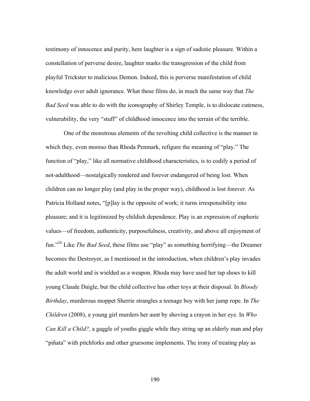testimony of innocence and purity, here laughter is a sign of sadistic pleasure. Within a constellation of perverse desire, laughter marks the transgression of the child from playful Trickster to malicious Demon. Indeed, this is perverse manifestation of child knowledge over adult ignorance. What these films do, in much the same way that *The Bad Seed* was able to do with the iconography of Shirley Temple, is to dislocate cuteness, vulnerability, the very "stuff" of childhood innocence into the terrain of the terrible.

One of the monstrous elements of the revolting child collective is the manner in which they, even moreso than Rhoda Penmark, refigure the meaning of "play." The function of "play," like all normative childhood characteristics, is to codify a period of not-adulthood—nostalgically rendered and forever endangered of being lost. When children can no longer play (and play in the proper way), childhood is lost forever. As Patricia Holland notes, "[p]lay is the opposite of work; it turns irresponsibility into pleasure; and it is legitimized by childish dependence. Play is an expression of euphoric values—of freedom, authenticity, purposefulness, creativity, and above all enjoyment of fun."26 Like *The Bad Seed*, these films use "play" as something horrifying—the Dreamer becomes the Destroyer, as I mentioned in the introduction, when children's play invades the adult world and is wielded as a weapon. Rhoda may have used her tap shoes to kill young Claude Daigle, but the child collective has other toys at their disposal. In *Bloody Birthday*, murderous moppet Sherrie strangles a teenage boy with her jump rope. In *The Children* (2008), a young girl murders her aunt by shoving a crayon in her eye. In *Who Can Kill a Child?,* a gaggle of youths giggle while they string up an elderly man and play "piñata" with pitchforks and other gruesome implements. The irony of treating play as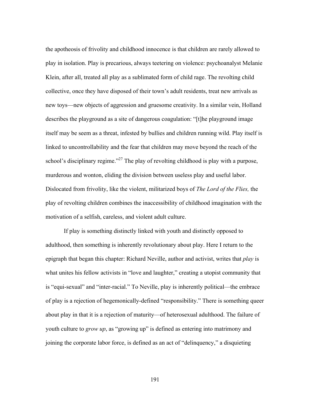the apotheosis of frivolity and childhood innocence is that children are rarely allowed to play in isolation. Play is precarious, always teetering on violence: psychoanalyst Melanie Klein, after all, treated all play as a sublimated form of child rage. The revolting child collective, once they have disposed of their town's adult residents, treat new arrivals as new toys—new objects of aggression and gruesome creativity. In a similar vein, Holland describes the playground as a site of dangerous coagulation: "[t]he playground image itself may be seem as a threat, infested by bullies and children running wild. Play itself is linked to uncontrollability and the fear that children may move beyond the reach of the school's disciplinary regime."<sup>27</sup> The play of revolting childhood is play with a purpose, murderous and wonton, eliding the division between useless play and useful labor. Dislocated from frivolity, like the violent, militarized boys of *The Lord of the Flies,* the play of revolting children combines the inaccessibility of childhood imagination with the motivation of a selfish, careless, and violent adult culture.

If play is something distinctly linked with youth and distinctly opposed to adulthood, then something is inherently revolutionary about play. Here I return to the epigraph that began this chapter: Richard Neville, author and activist, writes that *play* is what unites his fellow activists in "love and laughter," creating a utopist community that is "equi-sexual" and "inter-racial." To Neville, play is inherently political—the embrace of play is a rejection of hegemonically-defined "responsibility." There is something queer about play in that it is a rejection of maturity—of heterosexual adulthood. The failure of youth culture to *grow up*, as "growing up" is defined as entering into matrimony and joining the corporate labor force, is defined as an act of "delinquency," a disquieting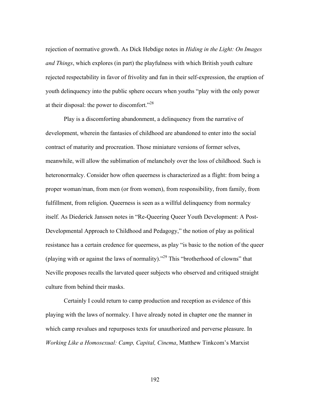rejection of normative growth. As Dick Hebdige notes in *Hiding in the Light: On Images and Things*, which explores (in part) the playfulness with which British youth culture rejected respectability in favor of frivolity and fun in their self-expression, the eruption of youth delinquency into the public sphere occurs when youths "play with the only power at their disposal: the power to discomfort."<sup>28</sup>

Play is a discomforting abandonment, a delinquency from the narrative of development, wherein the fantasies of childhood are abandoned to enter into the social contract of maturity and procreation. Those miniature versions of former selves, meanwhile, will allow the sublimation of melancholy over the loss of childhood. Such is heteronormalcy. Consider how often queerness is characterized as a flight: from being a proper woman/man, from men (or from women), from responsibility, from family, from fulfillment, from religion. Queerness is seen as a willful delinquency from normalcy itself. As Diederick Janssen notes in "Re-Queering Queer Youth Development: A Post-Developmental Approach to Childhood and Pedagogy," the notion of play as political resistance has a certain credence for queerness, as play "is basic to the notion of the queer (playing with or against the laws of normality)."29 This "brotherhood of clowns" that Neville proposes recalls the larvated queer subjects who observed and critiqued straight culture from behind their masks.

Certainly I could return to camp production and reception as evidence of this playing with the laws of normalcy. I have already noted in chapter one the manner in which camp revalues and repurposes texts for unauthorized and perverse pleasure. In *Working Like a Homosexual: Camp, Capital, Cinema*, Matthew Tinkcom's Marxist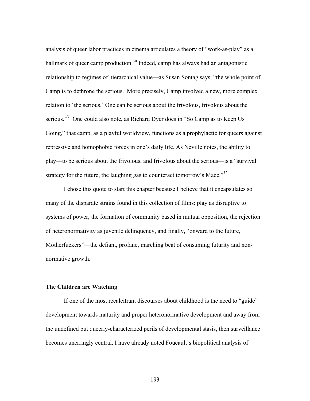analysis of queer labor practices in cinema articulates a theory of "work-as-play" as a hallmark of queer camp production.<sup>30</sup> Indeed, camp has always had an antagonistic relationship to regimes of hierarchical value—as Susan Sontag says, "the whole point of Camp is to dethrone the serious. More precisely, Camp involved a new, more complex relation to 'the serious.' One can be serious about the frivolous, frivolous about the serious."<sup>31</sup> One could also note, as Richard Dyer does in "So Camp as to Keep Us Going," that camp, as a playful worldview, functions as a prophylactic for queers against repressive and homophobic forces in one's daily life. As Neville notes, the ability to play—to be serious about the frivolous, and frivolous about the serious—is a "survival strategy for the future, the laughing gas to counteract tomorrow's Mace.<sup>332</sup>

I chose this quote to start this chapter because I believe that it encapsulates so many of the disparate strains found in this collection of films: play as disruptive to systems of power, the formation of community based in mutual opposition, the rejection of heteronormativity as juvenile delinquency, and finally, "onward to the future, Motherfuckers"—the defiant, profane, marching beat of consuming futurity and nonnormative growth.

## **The Children are Watching**

If one of the most recalcitrant discourses about childhood is the need to "guide" development towards maturity and proper heteronormative development and away from the undefined but queerly-characterized perils of developmental stasis, then surveillance becomes unerringly central. I have already noted Foucault's biopolitical analysis of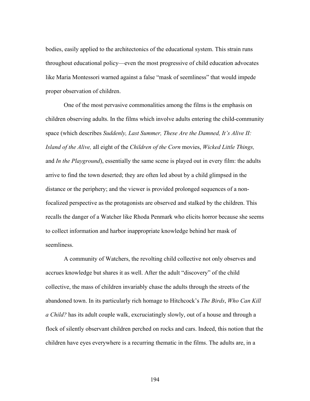bodies, easily applied to the architectonics of the educational system. This strain runs throughout educational policy—even the most progressive of child education advocates like Maria Montessori warned against a false "mask of seemliness" that would impede proper observation of children.

One of the most pervasive commonalities among the films is the emphasis on children observing adults. In the films which involve adults entering the child-community space (which describes *Suddenly, Last Summer, These Are the Damned, It's Alive II: Island of the Alive,* all eight of the *Children of the Corn* movies, *Wicked Little Things,*  and *In the Playground*), essentially the same scene is played out in every film: the adults arrive to find the town deserted; they are often led about by a child glimpsed in the distance or the periphery; and the viewer is provided prolonged sequences of a nonfocalized perspective as the protagonists are observed and stalked by the children. This recalls the danger of a Watcher like Rhoda Penmark who elicits horror because she seems to collect information and harbor inappropriate knowledge behind her mask of seemliness.

A community of Watchers, the revolting child collective not only observes and accrues knowledge but shares it as well. After the adult "discovery" of the child collective, the mass of children invariably chase the adults through the streets of the abandoned town. In its particularly rich homage to Hitchcock's *The Birds*, *Who Can Kill a Child?* has its adult couple walk, excruciatingly slowly, out of a house and through a flock of silently observant children perched on rocks and cars. Indeed, this notion that the children have eyes everywhere is a recurring thematic in the films. The adults are, in a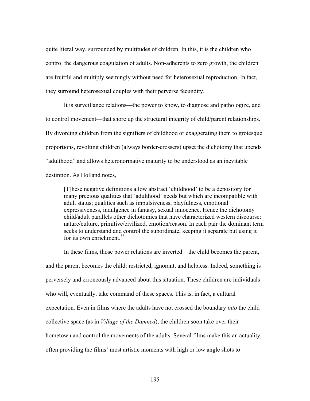quite literal way, surrounded by multitudes of children. In this, it is the children who control the dangerous coagulation of adults. Non-adherents to zero growth, the children are fruitful and multiply seemingly without need for heterosexual reproduction. In fact, they surround heterosexual couples with their perverse fecundity.

It is surveillance relations—the power to know, to diagnose and pathologize, and to control movement—that shore up the structural integrity of child/parent relationships. By divorcing children from the signifiers of childhood or exaggerating them to grotesque proportions, revolting children (always border-crossers) upset the dichotomy that upends "adulthood" and allows heteronormative maturity to be understood as an inevitable destintion. As Holland notes,

[T]hese negative definitions allow abstract 'childhood' to be a depository for many precious qualities that 'adulthood' needs but which are incompatible with adult status; qualities such as impulsiveness, playfulness, emotional expressiveness, indulgence in fantasy, sexual innocence. Hence the dichotomy child/adult parallels other dichotomies that have characterized western discourse: nature/culture, primitive/civilized, emotion/reason. In each pair the dominant term seeks to understand and control the subordinate, keeping it separate but using it for its own enrichment  $33$ 

In these films, those power relations are inverted—the child becomes the parent, and the parent becomes the child: restricted, ignorant, and helpless. Indeed, something is perversely and erroneously advanced about this situation. These children are individuals who will, eventually, take command of these spaces. This is, in fact, a cultural expectation. Even in films where the adults have not crossed the boundary *into* the child collective space (as in *Village of the Damned*), the children soon take over their hometown and control the movements of the adults. Several films make this an actuality, often providing the films' most artistic moments with high or low angle shots to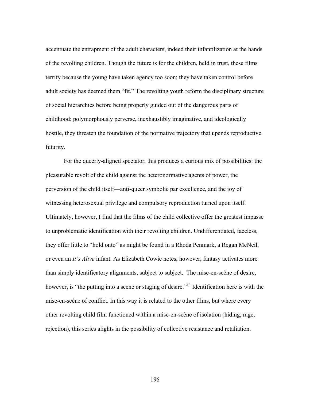accentuate the entrapment of the adult characters, indeed their infantilization at the hands of the revolting children. Though the future is for the children, held in trust, these films terrify because the young have taken agency too soon; they have taken control before adult society has deemed them "fit." The revolting youth reform the disciplinary structure of social hierarchies before being properly guided out of the dangerous parts of childhood: polymorphously perverse, inexhaustibly imaginative, and ideologically hostile, they threaten the foundation of the normative trajectory that upends reproductive futurity.

For the queerly-aligned spectator, this produces a curious mix of possibilities: the pleasurable revolt of the child against the heteronormative agents of power, the perversion of the child itself—anti-queer symbolic par excellence, and the joy of witnessing heterosexual privilege and compulsory reproduction turned upon itself. Ultimately, however, I find that the films of the child collective offer the greatest impasse to unproblematic identification with their revolting children. Undifferentiated, faceless, they offer little to "hold onto" as might be found in a Rhoda Penmark, a Regan McNeil, or even an *It's Alive* infant. As Elizabeth Cowie notes, however, fantasy activates more than simply identificatory alignments, subject to subject. The mise-en-scène of desire, however, is "the putting into a scene or staging of desire."<sup>34</sup> Identification here is with the mise-en-scène of conflict. In this way it is related to the other films, but where every other revolting child film functioned within a mise-en-scène of isolation (hiding, rage, rejection), this series alights in the possibility of collective resistance and retaliation.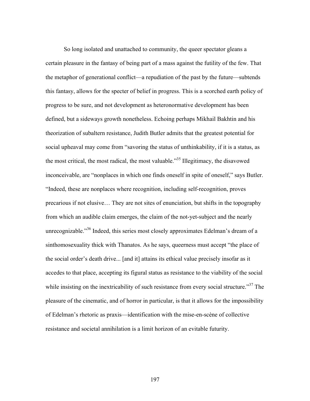So long isolated and unattached to community, the queer spectator gleans a certain pleasure in the fantasy of being part of a mass against the futility of the few. That the metaphor of generational conflict—a repudiation of the past by the future—subtends this fantasy, allows for the specter of belief in progress. This is a scorched earth policy of progress to be sure, and not development as heteronormative development has been defined, but a sideways growth nonetheless. Echoing perhaps Mikhail Bakhtin and his theorization of subaltern resistance, Judith Butler admits that the greatest potential for social upheaval may come from "savoring the status of unthinkability, if it is a status, as the most critical, the most radical, the most valuable."35 Illegitimacy, the disavowed inconceivable, are "nonplaces in which one finds oneself in spite of oneself," says Butler. "Indeed, these are nonplaces where recognition, including self-recognition, proves precarious if not elusive… They are not sites of enunciation, but shifts in the topography from which an audible claim emerges, the claim of the not-yet-subject and the nearly unrecognizable."<sup>36</sup> Indeed, this series most closely approximates Edelman's dream of a sinthomosexuality thick with Thanatos. As he says, queerness must accept "the place of the social order's death drive... [and it] attains its ethical value precisely insofar as it accedes to that place, accepting its figural status as resistance to the viability of the social while insisting on the inextricability of such resistance from every social structure.<sup>37</sup> The pleasure of the cinematic, and of horror in particular, is that it allows for the impossibility of Edelman's rhetoric as praxis—identification with the mise-en-scène of collective resistance and societal annihilation is a limit horizon of an evitable futurity.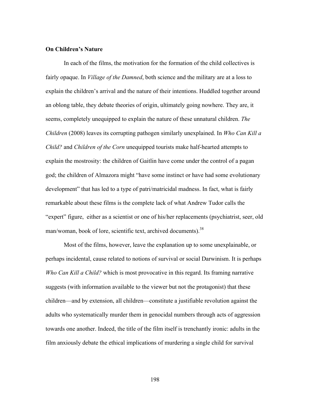### **On Children's Nature**

In each of the films, the motivation for the formation of the child collectives is fairly opaque. In *Village of the Damned*, both science and the military are at a loss to explain the children's arrival and the nature of their intentions. Huddled together around an oblong table, they debate theories of origin, ultimately going nowhere. They are, it seems, completely unequipped to explain the nature of these unnatural children. *The Children* (2008) leaves its corrupting pathogen similarly unexplained. In *Who Can Kill a Child?* and *Children of the Corn* unequipped tourists make half-hearted attempts to explain the mostrosity: the children of Gaitlin have come under the control of a pagan god; the children of Almazora might "have some instinct or have had some evolutionary development" that has led to a type of patri/matricidal madness. In fact, what is fairly remarkable about these films is the complete lack of what Andrew Tudor calls the "expert" figure, either as a scientist or one of his/her replacements (psychiatrist, seer, old man/woman, book of lore, scientific text, archived documents).<sup>38</sup>

Most of the films, however, leave the explanation up to some unexplainable, or perhaps incidental, cause related to notions of survival or social Darwinism. It is perhaps *Who Can Kill a Child?* which is most provocative in this regard. Its framing narrative suggests (with information available to the viewer but not the protagonist) that these children—and by extension, all children—constitute a justifiable revolution against the adults who systematically murder them in genocidal numbers through acts of aggression towards one another. Indeed, the title of the film itself is trenchantly ironic: adults in the film anxiously debate the ethical implications of murdering a single child for survival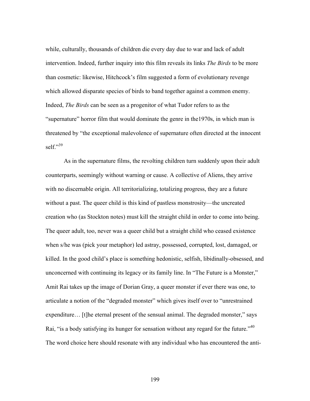while, culturally, thousands of children die every day due to war and lack of adult intervention. Indeed, further inquiry into this film reveals its links *The Birds* to be more than cosmetic: likewise, Hitchcock's film suggested a form of evolutionary revenge which allowed disparate species of birds to band together against a common enemy. Indeed, *The Birds* can be seen as a progenitor of what Tudor refers to as the "supernature" horror film that would dominate the genre in the1970s, in which man is threatened by "the exceptional malevolence of supernature often directed at the innocent self<sup> $"39$ </sup>

As in the supernature films, the revolting children turn suddenly upon their adult counterparts, seemingly without warning or cause. A collective of Aliens, they arrive with no discernable origin. All territorializing, totalizing progress, they are a future without a past. The queer child is this kind of pastless monstrosity—the uncreated creation who (as Stockton notes) must kill the straight child in order to come into being. The queer adult, too, never was a queer child but a straight child who ceased existence when s/he was (pick your metaphor) led astray, possessed, corrupted, lost, damaged, or killed. In the good child's place is something hedonistic, selfish, libidinally-obsessed, and unconcerned with continuing its legacy or its family line. In "The Future is a Monster," Amit Rai takes up the image of Dorian Gray, a queer monster if ever there was one, to articulate a notion of the "degraded monster" which gives itself over to "unrestrained expenditure… [t]he eternal present of the sensual animal. The degraded monster," says Rai, "is a body satisfying its hunger for sensation without any regard for the future."<sup>40</sup> The word choice here should resonate with any individual who has encountered the anti-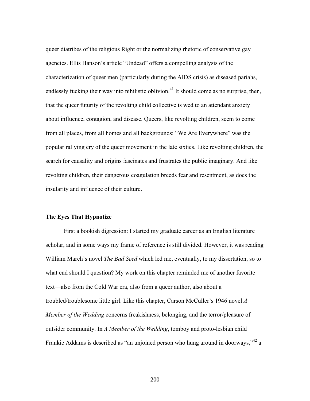queer diatribes of the religious Right or the normalizing rhetoric of conservative gay agencies. Ellis Hanson's article "Undead" offers a compelling analysis of the characterization of queer men (particularly during the AIDS crisis) as diseased pariahs, endlessly fucking their way into nihilistic oblivion.<sup>41</sup> It should come as no surprise, then, that the queer futurity of the revolting child collective is wed to an attendant anxiety about influence, contagion, and disease. Queers, like revolting children, seem to come from all places, from all homes and all backgrounds: "We Are Everywhere" was the popular rallying cry of the queer movement in the late sixties. Like revolting children, the search for causality and origins fascinates and frustrates the public imaginary. And like revolting children, their dangerous coagulation breeds fear and resentment, as does the insularity and influence of their culture.

### **The Eyes That Hypnotize**

First a bookish digression: I started my graduate career as an English literature scholar, and in some ways my frame of reference is still divided. However, it was reading William March's novel *The Bad Seed* which led me, eventually, to my dissertation, so to what end should I question? My work on this chapter reminded me of another favorite text—also from the Cold War era, also from a queer author, also about a troubled/troublesome little girl. Like this chapter, Carson McCuller's 1946 novel *A Member of the Wedding* concerns freakishness, belonging, and the terror/pleasure of outsider community. In *A Member of the Wedding*, tomboy and proto-lesbian child Frankie Addams is described as "an unjoined person who hung around in doorways,"<sup>42</sup> a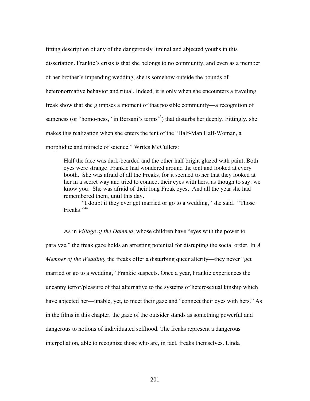fitting description of any of the dangerously liminal and abjected youths in this dissertation. Frankie's crisis is that she belongs to no community, and even as a member of her brother's impending wedding, she is somehow outside the bounds of heteronormative behavior and ritual. Indeed, it is only when she encounters a traveling freak show that she glimpses a moment of that possible community—a recognition of sameness (or "homo-ness," in Bersani's terms<sup>43</sup>) that disturbs her deeply. Fittingly, she makes this realization when she enters the tent of the "Half-Man Half-Woman, a morphidite and miracle of science." Writes McCullers:

Half the face was dark-bearded and the other half bright glazed with paint. Both eyes were strange. Frankie had wondered around the tent and looked at every booth. She was afraid of all the Freaks, for it seemed to her that they looked at her in a secret way and tried to connect their eyes with hers, as though to say: we know you. She was afraid of their long Freak eyes. And all the year she had remembered them, until this day.

"I doubt if they ever get married or go to a wedding," she said. "Those Freaks."44

As in *Village of the Damned*, whose children have "eyes with the power to paralyze," the freak gaze holds an arresting potential for disrupting the social order. In *A Member of the Wedding*, the freaks offer a disturbing queer alterity—they never "get married or go to a wedding," Frankie suspects. Once a year, Frankie experiences the uncanny terror/pleasure of that alternative to the systems of heterosexual kinship which have abjected her—unable, yet, to meet their gaze and "connect their eyes with hers." As in the films in this chapter, the gaze of the outsider stands as something powerful and dangerous to notions of individuated selfhood. The freaks represent a dangerous interpellation, able to recognize those who are, in fact, freaks themselves. Linda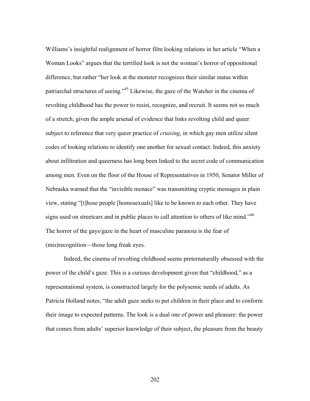Williams's insightful realignment of horror film looking relations in her article "When a Woman Looks" argues that the terrified look is not the woman's horror of oppositional difference, but rather "her look at the monster recognizes their similar status within patriarchal structures of seeing."45 Likewise, the gaze of the Watcher in the cinema of revolting childhood has the power to resist, recognize, and recruit. It seems not so much of a stretch, given the ample arsenal of evidence that links revolting child and queer subject to reference that very queer practice of *cruising*, in which gay men utilize silent codes of looking relations to identify one another for sexual contact. Indeed, this anxiety about infiltration and queerness has long been linked to the secret code of communication among men. Even on the floor of the House of Representatives in 1950, Senator Miller of Nebraska warned that the "invisible menace" was transmitting cryptic messages in plain view, stating "[t]hose people [homosexuals] like to be known to each other. They have signs used on streetcars and in public places to call attention to others of like mind."<sup>46</sup> The horror of the gays/gaze in the heart of masculine paranoia is the fear of (mis)recognition—those long freak eyes.

Indeed, the cinema of revolting childhood seems preternaturally obsessed with the power of the child's gaze. This is a curious development given that "childhood," as a representational system, is constructed largely for the polysemic needs of adults. As Patricia Holland notes, "the adult gaze seeks to put children in their place and to conform their image to expected patterns. The look is a dual one of power and pleasure: the power that comes from adults' superior knowledge of their subject, the pleasure from the beauty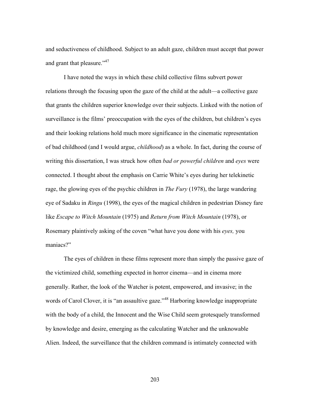and seductiveness of childhood. Subject to an adult gaze, children must accept that power and grant that pleasure."<sup>47</sup>

I have noted the ways in which these child collective films subvert power relations through the focusing upon the gaze of the child at the adult—a collective gaze that grants the children superior knowledge over their subjects. Linked with the notion of surveillance is the films' preoccupation with the eyes of the children, but children's eyes and their looking relations hold much more significance in the cinematic representation of bad childhood (and I would argue, *childhood*) as a whole. In fact, during the course of writing this dissertation, I was struck how often *bad or powerful children* and *eyes* were connected. I thought about the emphasis on Carrie White's eyes during her telekinetic rage, the glowing eyes of the psychic children in *The Fury* (1978), the large wandering eye of Sadaku in *Ringu* (1998), the eyes of the magical children in pedestrian Disney fare like *Escape to Witch Mountain* (1975) and *Return from Witch Mountain* (1978), or Rosemary plaintively asking of the coven "what have you done with his *eyes,* you maniacs?"

The eyes of children in these films represent more than simply the passive gaze of the victimized child, something expected in horror cinema—and in cinema more generally. Rather, the look of the Watcher is potent, empowered, and invasive; in the words of Carol Clover, it is "an assaultive gaze."<sup>48</sup> Harboring knowledge inappropriate with the body of a child, the Innocent and the Wise Child seem grotesquely transformed by knowledge and desire, emerging as the calculating Watcher and the unknowable Alien. Indeed, the surveillance that the children command is intimately connected with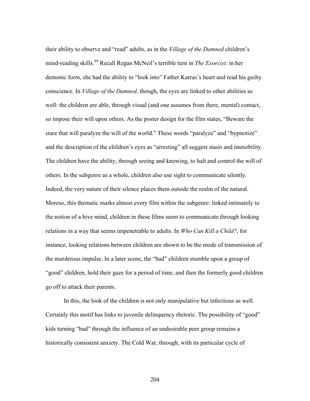their ability to observe and "read" adults, as in the *Village of the Damned* children's mind-reading skills.49 Recall Regan McNeil's terrible turn in *The Exorcist*: in her demonic form, she had the ability to "look into" Father Karras's heart and read his guilty conscience. In *Village of the Damned,* though, the eyes are linked to other abilities as well: the children are able, through visual (and one assumes from there, mental) contact, so impose their will upon others. As the poster design for the film states, "Beware the stare that will paralyze the will of the world." These words "paralyze" and "hypnotize" and the description of the children's eyes as "arresting" all suggest stasis and immobility. The children have the ability, through seeing and knowing, to halt and control the will of others. In the subgenre as a whole, children also use sight to communicate silently. Indeed, the very nature of their silence places them outside the realm of the natural. Moreso, this thematic marks almost every film within the subgenre: linked intimately to the notion of a hive mind, children in these films seem to communicate through looking relations in a way that seems impenetrable to adults. In *Who Can Kill a Child?*, for instance, looking relations between children are shown to be the mode of transmission of the murderous impulse. In a later scene, the "bad" children stumble upon a group of "good" children, hold their gaze for a period of time, and then the formerly good children go off to attack their parents.

In this, the look of the children is not only manipulative but infectious as well. Certainly this motif has links to juvenile delinquency rhetoric. The possibility of "good" kids turning "bad" through the influence of an undesirable peer group remains a historically consistent anxiety. The Cold War, through, with its particular cycle of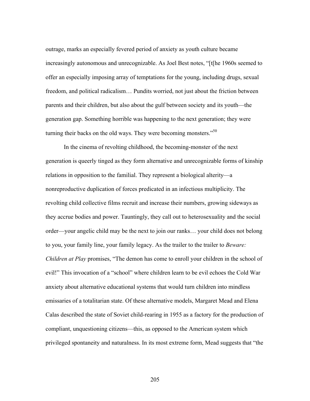outrage, marks an especially fevered period of anxiety as youth culture became increasingly autonomous and unrecognizable. As Joel Best notes, "[t[he 1960s seemed to offer an especially imposing array of temptations for the young, including drugs, sexual freedom, and political radicalism… Pundits worried, not just about the friction between parents and their children, but also about the gulf between society and its youth—the generation gap. Something horrible was happening to the next generation; they were turning their backs on the old ways. They were becoming monsters."<sup>50</sup>

In the cinema of revolting childhood, the becoming-monster of the next generation is queerly tinged as they form alternative and unrecognizable forms of kinship relations in opposition to the familial. They represent a biological alterity—a nonreproductive duplication of forces predicated in an infectious multiplicity. The revolting child collective films recruit and increase their numbers, growing sideways as they accrue bodies and power. Tauntingly, they call out to heterosexuality and the social order—your angelic child may be the next to join our ranks… your child does not belong to you, your family line, your family legacy. As the trailer to the trailer to *Beware: Children at Play* promises, "The demon has come to enroll your children in the school of evil!" This invocation of a "school" where children learn to be evil echoes the Cold War anxiety about alternative educational systems that would turn children into mindless emissaries of a totalitarian state. Of these alternative models, Margaret Mead and Elena Calas described the state of Soviet child-rearing in 1955 as a factory for the production of compliant, unquestioning citizens—this, as opposed to the American system which privileged spontaneity and naturalness. In its most extreme form, Mead suggests that "the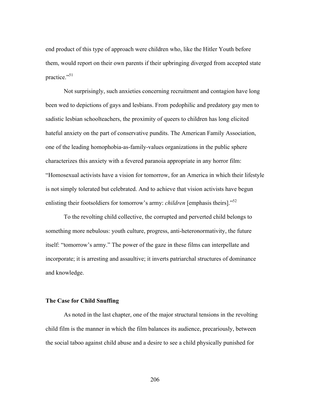end product of this type of approach were children who, like the Hitler Youth before them, would report on their own parents if their upbringing diverged from accepted state practice."<sup>51</sup>

Not surprisingly, such anxieties concerning recruitment and contagion have long been wed to depictions of gays and lesbians. From pedophilic and predatory gay men to sadistic lesbian schoolteachers, the proximity of queers to children has long elicited hateful anxiety on the part of conservative pundits. The American Family Association, one of the leading homophobia-as-family-values organizations in the public sphere characterizes this anxiety with a fevered paranoia appropriate in any horror film: "Homosexual activists have a vision for tomorrow, for an America in which their lifestyle is not simply tolerated but celebrated. And to achieve that vision activists have begun enlisting their footsoldiers for tomorrow's army: *children* [emphasis theirs]."<sup>52</sup>

To the revolting child collective, the corrupted and perverted child belongs to something more nebulous: youth culture, progress, anti-heteronormativity, the future itself: "tomorrow's army." The power of the gaze in these films can interpellate and incorporate; it is arresting and assaultive; it inverts patriarchal structures of dominance and knowledge.

# **The Case for Child Snuffing**

As noted in the last chapter, one of the major structural tensions in the revolting child film is the manner in which the film balances its audience, precariously, between the social taboo against child abuse and a desire to see a child physically punished for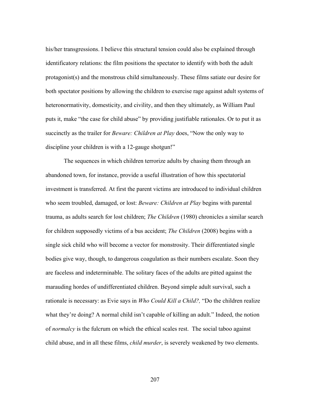his/her transgressions. I believe this structural tension could also be explained through identificatory relations: the film positions the spectator to identify with both the adult protagonist(s) and the monstrous child simultaneously. These films satiate our desire for both spectator positions by allowing the children to exercise rage against adult systems of heteronormativity, domesticity, and civility, and then they ultimately, as William Paul puts it, make "the case for child abuse" by providing justifiable rationales. Or to put it as succinctly as the trailer for *Beware: Children at Play* does, "Now the only way to discipline your children is with a 12-gauge shotgun!"

The sequences in which children terrorize adults by chasing them through an abandoned town, for instance, provide a useful illustration of how this spectatorial investment is transferred. At first the parent victims are introduced to individual children who seem troubled, damaged, or lost: *Beware: Children at Play* begins with parental trauma, as adults search for lost children; *The Children* (1980) chronicles a similar search for children supposedly victims of a bus accident; *The Children* (2008) begins with a single sick child who will become a vector for monstrosity. Their differentiated single bodies give way, though, to dangerous coagulation as their numbers escalate. Soon they are faceless and indeterminable. The solitary faces of the adults are pitted against the marauding hordes of undifferentiated children. Beyond simple adult survival, such a rationale is necessary: as Evie says in *Who Could Kill a Child?,* "Do the children realize what they're doing? A normal child isn't capable of killing an adult." Indeed, the notion of *normalcy* is the fulcrum on which the ethical scales rest. The social taboo against child abuse, and in all these films, *child murder*, is severely weakened by two elements.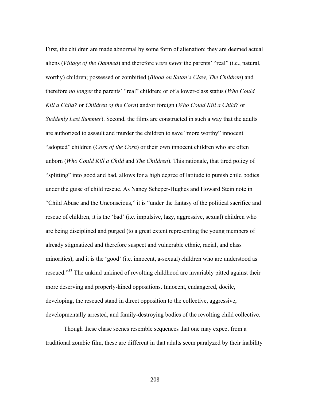First, the children are made abnormal by some form of alienation: they are deemed actual aliens (*Village of the Damned*) and therefore *were never* the parents' "real" (i.e., natural, worthy) children; possessed or zombified (*Blood on Satan's Claw, The Children*) and therefore *no longer* the parents' "real" children; or of a lower-class status (*Who Could Kill a Child?* or *Children of the Corn*) and/or foreign (*Who Could Kill a Child?* or *Suddenly Last Summer*). Second, the films are constructed in such a way that the adults are authorized to assault and murder the children to save "more worthy" innocent "adopted" children (*Corn of the Corn*) or their own innocent children who are often unborn (*Who Could Kill a Child* and *The Children*). This rationale, that tired policy of "splitting" into good and bad, allows for a high degree of latitude to punish child bodies under the guise of child rescue. As Nancy Scheper-Hughes and Howard Stein note in "Child Abuse and the Unconscious," it is "under the fantasy of the political sacrifice and rescue of children, it is the 'bad' (i.e. impulsive, lazy, aggressive, sexual) children who are being disciplined and purged (to a great extent representing the young members of already stigmatized and therefore suspect and vulnerable ethnic, racial, and class minorities), and it is the 'good' (i.e. innocent, a-sexual) children who are understood as rescued."<sup>53</sup> The unkind unkined of revolting childhood are invariably pitted against their more deserving and properly-kined oppositions. Innocent, endangered, docile, developing, the rescued stand in direct opposition to the collective, aggressive, developmentally arrested, and family-destroying bodies of the revolting child collective.

Though these chase scenes resemble sequences that one may expect from a traditional zombie film, these are different in that adults seem paralyzed by their inability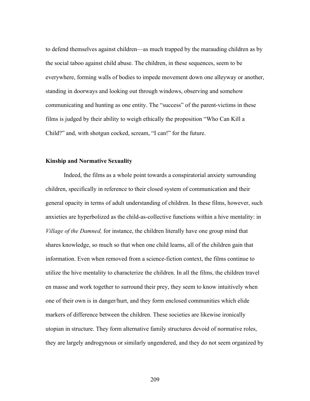to defend themselves against children—as much trapped by the marauding children as by the social taboo against child abuse. The children, in these sequences, seem to be everywhere, forming walls of bodies to impede movement down one alleyway or another, standing in doorways and looking out through windows, observing and somehow communicating and hunting as one entity. The "success" of the parent-victims in these films is judged by their ability to weigh ethically the proposition "Who Can Kill a Child?" and, with shotgun cocked, scream, "I can!" for the future.

#### **Kinship and Normative Sexuality**

Indeed, the films as a whole point towards a conspiratorial anxiety surrounding children, specifically in reference to their closed system of communication and their general opacity in terms of adult understanding of children. In these films, however, such anxieties are hyperbolized as the child-as-collective functions within a hive mentality: in *Village of the Damned,* for instance, the children literally have one group mind that shares knowledge, so much so that when one child learns, all of the children gain that information. Even when removed from a science-fiction context, the films continue to utilize the hive mentality to characterize the children. In all the films, the children travel en masse and work together to surround their prey, they seem to know intuitively when one of their own is in danger/hurt, and they form enclosed communities which elide markers of difference between the children. These societies are likewise ironically utopian in structure. They form alternative family structures devoid of normative roles, they are largely androgynous or similarly ungendered, and they do not seem organized by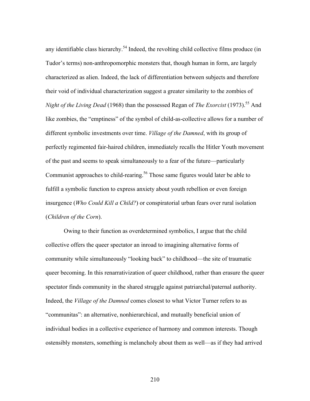any identifiable class hierarchy.<sup>54</sup> Indeed, the revolting child collective films produce (in Tudor's terms) non-anthropomorphic monsters that, though human in form, are largely characterized as alien. Indeed, the lack of differentiation between subjects and therefore their void of individual characterization suggest a greater similarity to the zombies of *Night of the Living Dead* (1968) than the possessed Regan of *The Exorcist* (1973).<sup>55</sup> And like zombies, the "emptiness" of the symbol of child-as-collective allows for a number of different symbolic investments over time. *Village of the Damned*, with its group of perfectly regimented fair-haired children, immediately recalls the Hitler Youth movement of the past and seems to speak simultaneously to a fear of the future—particularly Communist approaches to child-rearing.<sup>56</sup> Those same figures would later be able to fulfill a symbolic function to express anxiety about youth rebellion or even foreign insurgence (*Who Could Kill a Child?*) or conspiratorial urban fears over rural isolation (*Children of the Corn*).

Owing to their function as overdetermined symbolics, I argue that the child collective offers the queer spectator an inroad to imagining alternative forms of community while simultaneously "looking back" to childhood—the site of traumatic queer becoming. In this renarrativization of queer childhood, rather than erasure the queer spectator finds community in the shared struggle against patriarchal/paternal authority. Indeed, the *Village of the Damned* comes closest to what Victor Turner refers to as "communitas": an alternative, nonhierarchical, and mutually beneficial union of individual bodies in a collective experience of harmony and common interests. Though ostensibly monsters, something is melancholy about them as well—as if they had arrived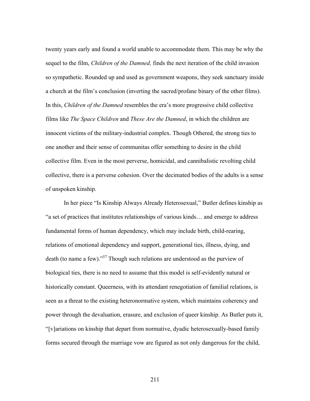twenty years early and found a world unable to accommodate them. This may be why the sequel to the film, *Children of the Damned,* finds the next iteration of the child invasion so sympathetic. Rounded up and used as government weapons, they seek sanctuary inside a church at the film's conclusion (inverting the sacred/profane binary of the other films). In this, *Children of the Damned* resembles the era's more progressive child collective films like *The Space Children* and *These Are the Damned*, in which the children are innocent victims of the military-industrial complex. Though Othered, the strong ties to one another and their sense of communitas offer something to desire in the child collective film. Even in the most perverse, homicidal, and cannibalistic revolting child collective, there is a perverse cohesion. Over the decimated bodies of the adults is a sense of unspoken kinship.

In her piece "Is Kinship Always Already Heterosexual," Butler defines kinship as "a set of practices that institutes relationships of various kinds… and emerge to address fundamental forms of human dependency, which may include birth, child-rearing, relations of emotional dependency and support, generational ties, illness, dying, and death (to name a few)."57 Though such relations are understood as the purview of biological ties, there is no need to assume that this model is self-evidently natural or historically constant. Queerness, with its attendant renegotiation of familial relations, is seen as a threat to the existing heteronormative system, which maintains coherency and power through the devaluation, erasure, and exclusion of queer kinship. As Butler puts it, "[v]ariations on kinship that depart from normative, dyadic heterosexually-based family forms secured through the marriage vow are figured as not only dangerous for the child,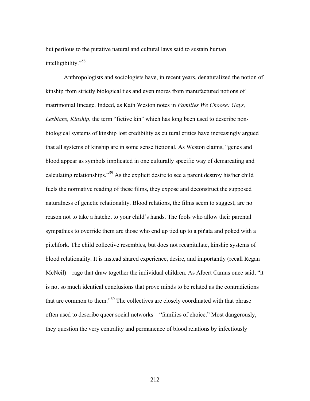but perilous to the putative natural and cultural laws said to sustain human intelligibility."<sup>58</sup>

Anthropologists and sociologists have, in recent years, denaturalized the notion of kinship from strictly biological ties and even mores from manufactured notions of matrimonial lineage. Indeed, as Kath Weston notes in *Families We Choose: Gays, Lesbians, Kinship*, the term "fictive kin" which has long been used to describe nonbiological systems of kinship lost credibility as cultural critics have increasingly argued that all systems of kinship are in some sense fictional. As Weston claims, "genes and blood appear as symbols implicated in one culturally specific way of demarcating and calculating relationships."59 As the explicit desire to see a parent destroy his/her child fuels the normative reading of these films, they expose and deconstruct the supposed naturalness of genetic relationality. Blood relations, the films seem to suggest, are no reason not to take a hatchet to your child's hands. The fools who allow their parental sympathies to override them are those who end up tied up to a piñata and poked with a pitchfork. The child collective resembles, but does not recapitulate, kinship systems of blood relationality. It is instead shared experience, desire, and importantly (recall Regan McNeil)—rage that draw together the individual children. As Albert Camus once said, "it is not so much identical conclusions that prove minds to be related as the contradictions that are common to them."<sup>60</sup> The collectives are closely coordinated with that phrase often used to describe queer social networks—"families of choice." Most dangerously, they question the very centrality and permanence of blood relations by infectiously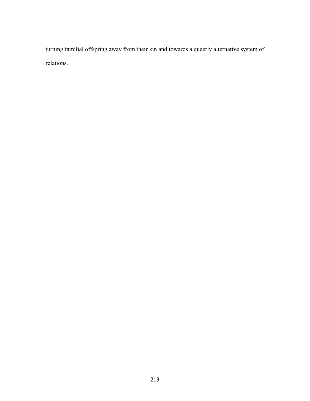turning familial offspring away from their kin and towards a queerly alternative system of relations.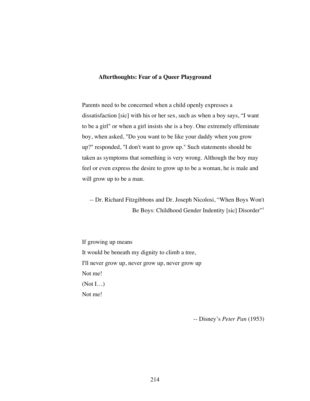#### **Afterthoughts: Fear of a Queer Playground**

Parents need to be concerned when a child openly expresses a dissatisfaction [sic] with his or her sex, such as when a boy says, "I want to be a girl" or when a girl insists she is a boy. One extremely effeminate boy, when asked, "Do you want to be like your daddy when you grow up?" responded, "I don't want to grow up." Such statements should be taken as symptoms that something is very wrong. Although the boy may feel or even express the desire to grow up to be a woman, he is male and will grow up to be a man.

-- Dr. Richard Fitzgibbons and Dr. Joseph Nicolosi, "When Boys Won't Be Boys: Childhood Gender Indentity [sic] Disorder"<sup>1</sup>

If growing up means It would be beneath my dignity to climb a tree, I'll never grow up, never grow up, never grow up Not me! (Not I…) Not me!

-- Disney's *Peter Pan* (1953)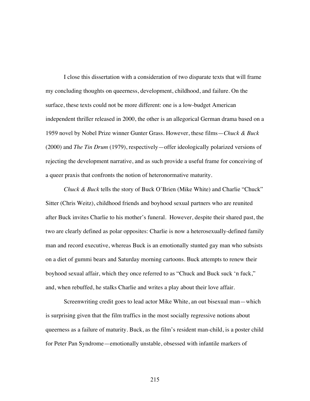I close this dissertation with a consideration of two disparate texts that will frame my concluding thoughts on queerness, development, childhood, and failure. On the surface, these texts could not be more different: one is a low-budget American independent thriller released in 2000, the other is an allegorical German drama based on a 1959 novel by Nobel Prize winner Gunter Grass. However, these films—*Chuck & Buck* (2000) and *The Tin Drum* (1979), respectively—offer ideologically polarized versions of rejecting the development narrative, and as such provide a useful frame for conceiving of a queer praxis that confronts the notion of heteronormative maturity.

*Chuck & Buck* tells the story of Buck O'Brien (Mike White) and Charlie "Chuck" Sitter (Chris Weitz), childhood friends and boyhood sexual partners who are reunited after Buck invites Charlie to his mother's funeral. However, despite their shared past, the two are clearly defined as polar opposites: Charlie is now a heterosexually-defined family man and record executive, whereas Buck is an emotionally stunted gay man who subsists on a diet of gummi bears and Saturday morning cartoons. Buck attempts to renew their boyhood sexual affair, which they once referred to as "Chuck and Buck suck 'n fuck," and, when rebuffed, he stalks Charlie and writes a play about their love affair.

Screenwriting credit goes to lead actor Mike White, an out bisexual man—which is surprising given that the film traffics in the most socially regressive notions about queerness as a failure of maturity. Buck, as the film's resident man-child, is a poster child for Peter Pan Syndrome—emotionally unstable, obsessed with infantile markers of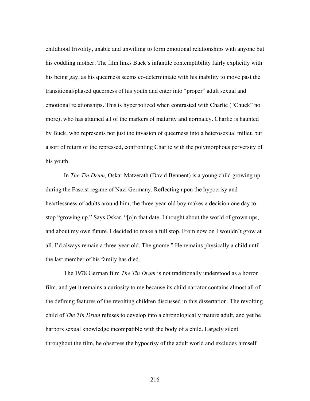childhood frivolity, unable and unwilling to form emotional relationships with anyone but his coddling mother. The film links Buck's infantile contemptibility fairly explicitly with his being gay, as his queerness seems co-determiniate with his inability to move past the transitional/phased queerness of his youth and enter into "proper" adult sexual and emotional relationships. This is hyperbolized when contrasted with Charlie ("Chuck" no more), who has attained all of the markers of maturity and normalcy. Charlie is haunted by Buck, who represents not just the invasion of queerness into a heterosexual milieu but a sort of return of the repressed, confronting Charlie with the polymorphous perversity of his youth.

In *The Tin Drum,* Oskar Matzerath (David Bennent) is a young child growing up during the Fascist regime of Nazi Germany. Reflecting upon the hypocrisy and heartlessness of adults around him, the three-year-old boy makes a decision one day to stop "growing up." Says Oskar, "[o]n that date, I thought about the world of grown ups, and about my own future. I decided to make a full stop. From now on I wouldn't grow at all. I'd always remain a three-year-old. The gnome." He remains physically a child until the last member of his family has died.

The 1978 German film *The Tin Drum* is not traditionally understood as a horror film, and yet it remains a curiosity to me because its child narrator contains almost all of the defining features of the revolting children discussed in this dissertation. The revolting child of *The Tin Drum* refuses to develop into a chronologically mature adult, and yet he harbors sexual knowledge incompatible with the body of a child. Largely silent throughout the film, he observes the hypocrisy of the adult world and excludes himself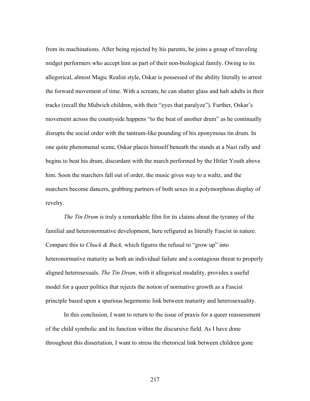from its machinations. After being rejected by his parents, he joins a group of traveling midget performers who accept him as part of their non-biological family. Owing to its allegorical, almost Magic Realist style, Oskar is possessed of the ability literally to arrest the forward movement of time. With a scream, he can shatter glass and halt adults in their tracks (recall the Midwich children, with their "eyes that paralyze"). Further, Oskar's movement across the countyside happens "to the beat of another drum" as he continually disrupts the social order with the tantrum-like pounding of his eponymous tin drum. In one quite phenomenal scene, Oskar places himself beneath the stands at a Nazi rally and begins to beat his drum, discordant with the march performed by the Hitler Youth above him. Soon the marchers fall out of order, the music gives way to a waltz, and the marchers become dancers, grabbing partners of both sexes in a polymorphous display of revelry.

*The Tin Drum* is truly a remarkable film for its claims about the tyranny of the familial and heteronormative development, here refigured as literally Fascist in nature. Compare this to *Chuck & Buck,* which figures the refusal to "grow up" into heteronormative maturity as both an individual failure and a contagious threat to properly aligned heterosexuals. *The Tin Drum*, with it allegorical modality, provides a useful model for a queer politics that rejects the notion of normative growth as a Fascist principle based upon a spurious hegemonic link between maturity and heterosexuality.

In this conclusion, I want to return to the issue of praxis for a queer reassessment of the child symbolic and its function within the discursive field. As I have done throughout this dissertation, I want to stress the rhetorical link between children gone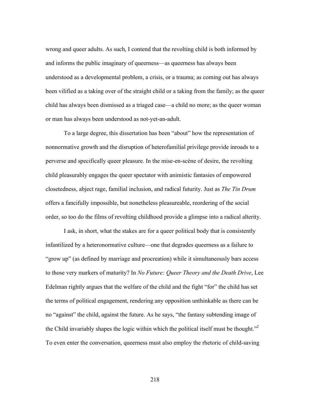wrong and queer adults. As such, I contend that the revolting child is both informed by and informs the public imaginary of queerness—as queerness has always been understood as a developmental problem, a crisis, or a trauma; as coming out has always been vilified as a taking over of the straight child or a taking from the family; as the queer child has always been dismissed as a triaged case—a child no more; as the queer woman or man has always been understood as not-yet-an-adult.

To a large degree, this dissertation has been "about" how the representation of nonnormative growth and the disruption of heterofamilial privilege provide inroads to a perverse and specifically queer pleasure. In the mise-en-scène of desire, the revolting child pleasurably engages the queer spectator with animistic fantasies of empowered closetedness, abject rage, familial inclusion, and radical futurity. Just as *The Tin Drum*  offers a fancifully impossible, but nonetheless pleasureable, reordering of the social order, so too do the films of revolting childhood provide a glimpse into a radical alterity.

I ask, in short, what the stakes are for a queer political body that is consistently infantilized by a heteronormative culture—one that degrades queerness as a failure to "grow up" (as defined by marriage and procreation) while it simultaneously bars access to those very markers of maturity? In *No Future: Queer Theory and the Death Drive*, Lee Edelman rightly argues that the welfare of the child and the fight "for" the child has set the terms of political engagement, rendering any opposition unthinkable as there can be no "against" the child, against the future. As he says, "the fantasy subtending image of the Child invariably shapes the logic within which the political itself must be thought."<sup>2</sup> To even enter the conversation, queerness must also employ the rhetoric of child-saving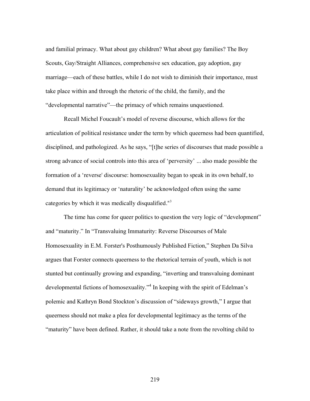and familial primacy. What about gay children? What about gay families? The Boy Scouts, Gay/Straight Alliances, comprehensive sex education, gay adoption, gay marriage—each of these battles, while I do not wish to diminish their importance, must take place within and through the rhetoric of the child, the family, and the "developmental narrative"—the primacy of which remains unquestioned.

Recall Michel Foucault's model of reverse discourse, which allows for the articulation of political resistance under the term by which queerness had been quantified, disciplined, and pathologized. As he says, "[t]he series of discourses that made possible a strong advance of social controls into this area of 'perversity' ... also made possible the formation of a 'reverse' discourse: homosexuality began to speak in its own behalf, to demand that its legitimacy or 'naturality' be acknowledged often using the same categories by which it was medically disqualified."<sup>3</sup>

The time has come for queer politics to question the very logic of "development" and "maturity." In "Transvaluing Immaturity: Reverse Discourses of Male Homosexuality in E.M. Forster's Posthumously Published Fiction," Stephen Da Silva argues that Forster connects queerness to the rhetorical terrain of youth, which is not stunted but continually growing and expanding, "inverting and transvaluing dominant developmental fictions of homosexuality.<sup>34</sup> In keeping with the spirit of Edelman's polemic and Kathryn Bond Stockton's discussion of "sideways growth," I argue that queerness should not make a plea for developmental legitimacy as the terms of the "maturity" have been defined. Rather, it should take a note from the revolting child to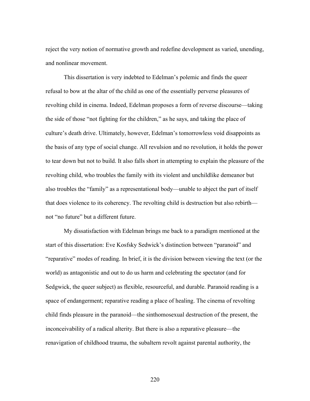reject the very notion of normative growth and redefine development as varied, unending, and nonlinear movement.

This dissertation is very indebted to Edelman's polemic and finds the queer refusal to bow at the altar of the child as one of the essentially perverse pleasures of revolting child in cinema. Indeed, Edelman proposes a form of reverse discourse—taking the side of those "not fighting for the children," as he says, and taking the place of culture's death drive. Ultimately, however, Edelman's tomorrowless void disappoints as the basis of any type of social change. All revulsion and no revolution, it holds the power to tear down but not to build. It also falls short in attempting to explain the pleasure of the revolting child, who troubles the family with its violent and unchildlike demeanor but also troubles the "family" as a representational body—unable to abject the part of itself that does violence to its coherency. The revolting child is destruction but also rebirth not "no future" but a different future.

My dissatisfaction with Edelman brings me back to a paradigm mentioned at the start of this dissertation: Eve Kosfsky Sedwick's distinction between "paranoid" and "reparative" modes of reading. In brief, it is the division between viewing the text (or the world) as antagonistic and out to do us harm and celebrating the spectator (and for Sedgwick, the queer subject) as flexible, resourceful, and durable. Paranoid reading is a space of endangerment; reparative reading a place of healing. The cinema of revolting child finds pleasure in the paranoid—the sinthomosexual destruction of the present, the inconceivability of a radical alterity. But there is also a reparative pleasure—the renavigation of childhood trauma, the subaltern revolt against parental authority, the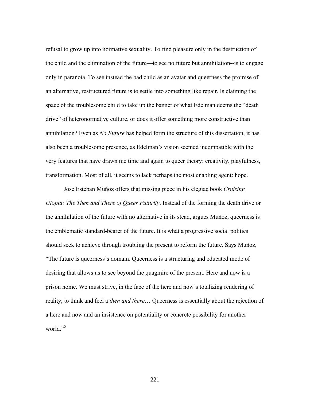refusal to grow up into normative sexuality. To find pleasure only in the destruction of the child and the elimination of the future—to see no future but annihilation--is to engage only in paranoia. To see instead the bad child as an avatar and queerness the promise of an alternative, restructured future is to settle into something like repair. Is claiming the space of the troublesome child to take up the banner of what Edelman deems the "death drive" of heteronormative culture, or does it offer something more constructive than annihilation? Even as *No Future* has helped form the structure of this dissertation, it has also been a troublesome presence, as Edelman's vision seemed incompatible with the very features that have drawn me time and again to queer theory: creativity, playfulness, transformation. Most of all, it seems to lack perhaps the most enabling agent: hope.

Jose Esteban Muñoz offers that missing piece in his elegiac book *Cruising Utopia: The Then and There of Queer Futurity*. Instead of the forming the death drive or the annihilation of the future with no alternative in its stead, argues Muñoz, queerness is the emblematic standard-bearer of the future. It is what a progressive social politics should seek to achieve through troubling the present to reform the future. Says Muñoz, "The future is queerness's domain. Queerness is a structuring and educated mode of desiring that allows us to see beyond the quagmire of the present. Here and now is a prison home. We must strive, in the face of the here and now's totalizing rendering of reality, to think and feel a *then and there*… Queerness is essentially about the rejection of a here and now and an insistence on potentiality or concrete possibility for another world<sup>"5</sup>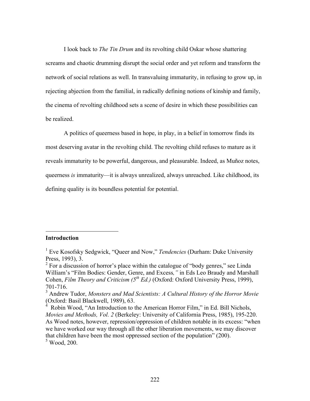I look back to *The Tin Drum* and its revolting child Oskar whose shattering screams and chaotic drumming disrupt the social order and yet reform and transform the network of social relations as well. In transvaluing immaturity, in refusing to grow up, in rejecting abjection from the familial, in radically defining notions of kinship and family, the cinema of revolting childhood sets a scene of desire in which these possibilities can be realized.

A politics of queerness based in hope, in play, in a belief in tomorrow finds its most deserving avatar in the revolting child. The revolting child refuses to mature as it reveals immaturity to be powerful, dangerous, and pleasurable. Indeed, as Muñoz notes, queerness *is* immaturity—it is always unrealized, always unreached. Like childhood, its defining quality is its boundless potential for potential.

### **Introduction**

 $\overline{a}$ 

<sup>&</sup>lt;sup>1</sup> Eve Kosofsky Sedgwick, "Queer and Now," *Tendencies* (Durham: Duke University Press, 1993), 3.

 $2^2$  For a discussion of horror's place within the catalogue of "body genres," see Linda William's "Film Bodies: Gender, Genre, and Excess*,"* in Eds Leo Braudy and Marshall Cohen, *Film Theory and Criticism (5th Ed.)* (Oxford: Oxford University Press, 1999), 701-716.

<sup>3</sup> Andrew Tudor, *Monsters and Mad Scientists: A Cultural History of the Horror Movie*  (Oxford: Basil Blackwell, 1989), 63.

<sup>4</sup> Robin Wood, "An Introduction to the American Horror Film," in Ed. Bill Nichols, *Movies and Methods, Vol. 2* (Berkeley: University of California Press, 1985), 195-220. As Wood notes, however, repression/oppression of children notable in its excess: "when we have worked our way through all the other liberation movements, we may discover that children have been the most oppressed section of the population" (200).

<sup>5</sup> Wood, 200.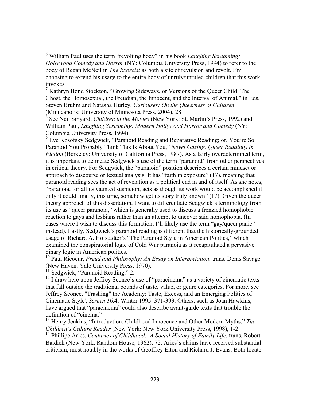6 William Paul uses the term "revolting body" in his book *Laughing Screaming: Hollywood Comedy and Horror* (NY: Columbia University Press, 1994) to refer to the body of Regan McNeil in *The Exorcist* as both a site of revulsion and revolt. I'm choosing to extend his usage to the entire body of unruly/unruled children that this work invokes.

<sup>7</sup> Kathryn Bond Stockton, "Growing Sideways, or Versions of the Queer Child: The Ghost, the Homosexual, the Freudian, the Innocent, and the Interval of Animal," in Eds. Steven Bruhm and Natasha Hurley, *Curiouser: On the Queerness of Children* (Minneapolis: University of Minnesota Press, 2004), 281.

8 See Neil Sinyard, *Children in the Movies* (New York: St. Martin's Press, 1992) and William Paul, *Laughing Screaming: Modern Hollywood Horror and Comedy* (NY: Columbia University Press, 1994).

 $9$  Eve Kosofsky Sedgwick, "Paranoid Reading and Reparative Reading; or, You're So Paranoid You Probably Think This Is About You," *Novel Gazing: Queer Readings in Fiction* (Berkeley: University of California Press, 1987). As a fairly overdetermined term, it is important to delineate Sedgwick's use of the term "paranoid" from other perspectives in critical theory. For Sedgwick, the "paranoid" position describes a certain mindset or approach to discourse or textual analysis. It has "faith in exposure" (17), meaning that paranoid reading sees the act of revelation as a political end in and of itself. As she notes, "paranoia, for all its vaunted suspicion, acts as though its work would be accomplished if only it could finally, this time, somehow get its story truly known" (17). Given the queer theory approach of this dissertation, I want to differentiate Sedgwick's terminology from its use as "queer paranoia," which is generally used to discuss a frenzied homophobic reaction to gays and lesbians rather than an attempt to uncover said homophobia. (In cases where I wish to discuss this formation, I'll likely use the term "gay/queer panic" instead). Lastly, Sedgwick's paranoid reading is different that the historically-grounded usage of Richard A. Hofstadter's "The Paranoid Style in American Politics," which examined the conspiratorial logic of Cold War paranoia as it recapitulated a pervasive binary logic in American politics.

<sup>10</sup> Paul Ricoeur, *Freud and Philosophy: An Essay on Interpretation*, trans. Denis Savage (New Haven: Yale University Press, 1970).

<sup>11</sup> Sedgwick, "Paranoid Reading," 2.

 $12$  I draw here upon Jeffrey Sconce's use of "paracinema" as a variety of cinematic texts that fall outside the traditional bounds of taste, value, or genre categories. For more, see Jeffrey Sconce, "Trashing" the Academy: Taste, Excess, and an Emerging Politics of Cinematic Style', *Screen* 36.4: Winter 1995. 371-393. Others, such as Joan Hawkins, have argued that "paracinema" could also describe avant-garde texts that trouble the definition of "cinema."

13 Henry Jenkins, "Introduction: Childhood Innocence and Other Modern Myths," *The Children's Culture Reader* (New York: New York University Press, 1998), 1-2.

<sup>14</sup> Phillipe Aries, *Centuries of Childhood: A Social History of Family Life*, trans. Robert Baldick (New York: Random House, 1962), 72. Aries's claims have received substantial criticism, most notably in the works of Geoffrey Elton and Richard J. Evans. Both locate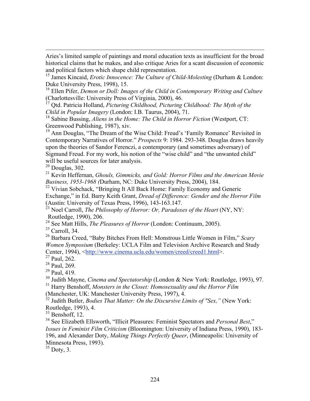Aries's limited sample of paintings and moral education texts as insufficient for the broad historical claims that he makes, and also critique Aries for a scant discussion of economic and political factors which shape child representation.

<sup>15</sup> James Kincaid, *Erotic Innocence: The Culture of Child-Molesting* (Durham & London: Duke University Press, 1998), 15.

16 Ellen Pifer, *Demon or Doll: Images of the Child in Contemporary Writing and Culture*  (Charlottesville: University Press of Virginia, 2000), 46.

17 Qtd. Patricia Holland, *Picturing Childhood, Picturing Childhood: The Myth of the Child in Popular Imagery* (London: I.B. Taurus, 2004), 71.

18 Sabine Bussing, *Aliens in the Home: The Child in Horror Fiction* (Westport, CT: Greenwood Publishing, 1987), xiv.

<sup>19</sup> Ann Douglas, "The Dream of the Wise Child: Freud's 'Family Romance' Revisited in Contemporary Narratives of Horror." *Prospects* 9: 1984. 293-348. Douglas draws heavily upon the theories of Sandor Ferenczi, a contemporary (and sometimes adversary) of Sigmund Freud. For my work, his notion of the "wise child" and "the unwanted child" will be useful sources for later analysis.

 $20$  Douglas, 302.

 $\overline{a}$ 

21 Kevin Heffernan, *Ghouls, Gimmicks, and Gold: Horror Films and the American Movie Business, 1953-1968 (*Durham, NC: Duke University Press, 2004), 184.

<sup>22</sup> Vivian Sobchack, "Bringing It All Back Home: Family Economy and Generic Exchange," in Ed. Barry Keith Grant, *Dread of Difference: Gender and the Horror Film* (Austin: University of Texas Press, 1996), 143-163.147.

23 Noel Carroll, *The Philosophy of Horror: Or, Paradoxes of the Heart* (NY, NY: Routledge, 1990), 206.

24 See Matt Hills, *The Pleasures of Horror* (London: Continuum, 2005).

 $25$  Carroll, 34.

26 Barbara Creed, "Baby Bitches From Hell: Monstrous Little Women in Film," *Scary Women Symposium* (Berkeley: UCLA Film and Television Archive Research and Study Center, 1994), <http://www.cinema.ucla.edu/women/creed/creed1.html>.

 $27$  Paul, 262.

<sup>28</sup> Paul, 269.

29 Paul, 419.

<sup>30</sup> Judith Mayne, *Cinema and Spectatorship* (London & New York: Routledge, 1993), 97. 31 Harry Benshoff, *Monsters in the Closet: Homosexuality and the Horror Film*

(Manchester, UK: Manchester University Press, 1997), 4.

32 Judith Butler, *Bodies That Matter: On the Discursive Limits of "Sex,"* (New York: Routledge, 1993), 4.

 $33$  Benshoff, 12.

34 See Elizabeth Ellsworth, "Illicit Pleasures: Feminist Spectators and *Personal Best*," *Issues in Feminist Film Criticism* (Bloomington: University of Indiana Press, 1990), 183- 196, and Alexander Doty, *Making Things Perfectly Queer*, (Minneapolis: University of Minnesota Press, 1993).

 $35$  Doty, 3.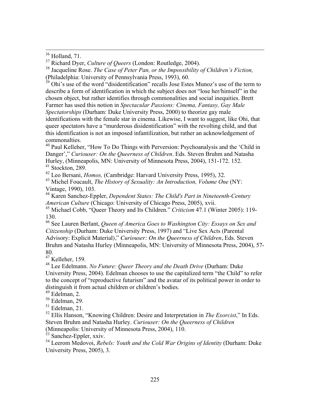36 Holland, 71.

37 Richard Dyer, *Culture of Queers* (London: Routledge, 2004).

38 Jacqueline Rose. *The Case of Peter Pan, or the Impossibility of Children's Fiction,*  (Philadelphia: University of Pennsylvania Press, 1993), 60.

 $39$  Ohi's use of the word "disidentification" recalls Jose Estes Munoz's use of the term to describe a form of identification in which the subject does not "lose her/himself" in the chosen object, but rather identifies through commonalities and social inequities. Brett Farmer has used this notion in *Spectacular Passions: Cinema, Fantasy, Gay Male Spectatorships* (Durham: Duke University Press, 2000) to theorize gay male identifications with the female star in cinema. Likewise, I want to suggest, like Ohi, that queer spectators have a "murderous disidentification" with the revolting child, and that this identification is not an imposed infantilization, but rather an acknowledgement of commonalties.

<sup>40</sup> Paul Kelleher, "How To Do Things with Perversion: Psychoanalysis and the 'Child in Danger'," *Curiouser: On the Queerness of Children*. Eds. Steven Bruhm and Natasha Hurley, (Minneapolis, MN: University of Minnesota Press, 2004), 151-172. 152. <sup>41</sup> Stockton, 289.

42 Leo Bersani, *Homos,* (Cambridge: Harvard University Press, 1995), 32.

43 Michel Foucault, *The History of Sexuality: An Introduction, Volume One* (NY: Vintage, 1990), 103.

44 Karen Sanchez-Eppler, *Dependent States: The Child's Part in Nineteenth-Century American Culture* (Chicago: University of Chicago Press, 2005), xvii.

45 Michael Cobb, "Queer Theory and Its Children." *Criticism* 47.1 (Winter 2005): 119- 130.

46 See Lauren Berlant, *Queen of America Goes to Washington City: Essays on Sex and Citizenship* (Durham: Duke University Press, 1997) and "Live Sex Acts (Parental Advisory: Explicit Material)," *Curiouser: On the Queerness of Children*, Eds. Steven Bruhm and Natasha Hurley (Minneapolis, MN: University of Minnesota Press, 2004), 57- 80.

 $\frac{47}{47}$ Kelleher, 159.

48 Lee Edelmann. *No Future: Queer Theory and the Death Drive* (Durham: Duke University Press, 2004). Edelman chooses to use the capitalized term "the Child" to refer to the concept of "reproductive futurism" and the avatar of its political power in order to distinguish it from actual children or children's bodies.

 $49$  Edelman, 2.

 $50$  Edelman, 29.

 $51$  Edelman, 21.

52 Ellis Hanson, "Knowing Children: Desire and Interpretation in *The Exorcist*," In Eds. Steven Bruhm and Natasha Hurley. *Curiouser: On the Queerness of Children*  (Minneapolis: University of Minnesota Press, 2004), 110.

53 Sanchez-Eppler, xxiv.

54 Leerom Medovoi, *Rebels: Youth and the Cold War Origins of Identity* (Durham: Duke University Press, 2005), 3.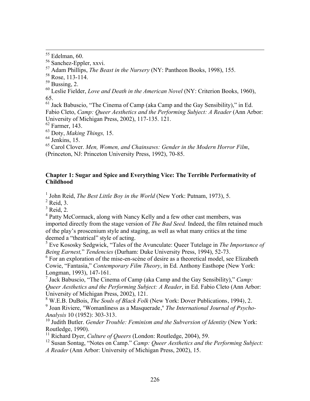60 Leslie Fielder, *Love and Death in the American Novel* (NY: Criterion Books, 1960), 65.

 $<sup>61</sup>$  Jack Babuscio, "The Cinema of Camp (aka Camp and the Gay Sensibility)," in Ed.</sup> Fabio Cleto, *Camp: Queer Aesthetics and the Performing Subject: A Reader* (Ann Arbor: University of Michigan Press, 2002), 117-135. 121.

62 Farmer, 143.

63 Doty, *Making Things,* 15.

65 Carol Clover. *Men, Women, and Chainsaws: Gender in the Modern Horror Film*, (Princeton, NJ: Princeton University Press, 1992), 70-85.

### **Chapter 1: Sugar and Spice and Everything Vice: The Terrible Performativity of Childhood**

<sup>1</sup> John Reid, *The Best Little Boy in the World* (New York: Putnam, 1973), 5.

 $<sup>2</sup>$  Reid, 3.</sup>

 $3$  Reid, 2.

<sup>4</sup> Patty McCormack, along with Nancy Kelly and a few other cast members, was imported directly from the stage version of *The Bad Seed.* Indeed, the film retained much of the play's proscenium style and staging, as well as what many critics at the time deemed a "theatrical" style of acting.

5 Eve Kososky Sedgwick, "Tales of the Avunculate: Queer Tutelage in *The Importance of Being Earnest,*" *Tendencies* (Durham: Duke University Press, 1994), 52-73.

 $6$  For an exploration of the mise-en-scène of desire as a theoretical model, see Elizabeth Cowie, "Fantasia," *Contemporary Film Theory*, in Ed. Anthony Easthope (New York: Longman, 1993), 147-161.

7 Jack Babuscio, "The Cinema of Camp (aka Camp and the Gay Sensibility)," *Camp: Queer Aesthetics and the Performing Subject: A Reader*, in Ed. Fabio Cleto (Ann Arbor: University of Michigan Press, 2002), 121.

8 W.E.B. DuBois, *The Souls of Black Folk* (New York: Dover Publications, 1994), 2. 9 Joan Riviere, "Womanliness as a Masquerade," *The International Journal of Psycho-Analysis* 10 (1952): 303-313.

<sup>10</sup> Judith Butler. *Gender Trouble: Feminism and the Subversion of Identity* (New York: Routledge, 1990).

11 Richard Dyer, *Culture of Queers* (London: Routledge, 2004), 59.

<sup>12</sup> Susan Sontag, "Notes on Camp." *Camp: Queer Aesthetics and the Performing Subject: A Reader* (Ann Arbor: University of Michigan Press, 2002), 15.

 $55$  Edelman, 60.

<sup>56</sup> Sanchez-Eppler, xxvi.

<sup>57</sup> Adam Phillips, *The Beast in the Nursery* (NY: Pantheon Books, 1998), 155.

<sup>58</sup> Rose, 113-114.

 $59$  Bussing, 2.

 $<sup>64</sup>$  Jenkins, 15.</sup>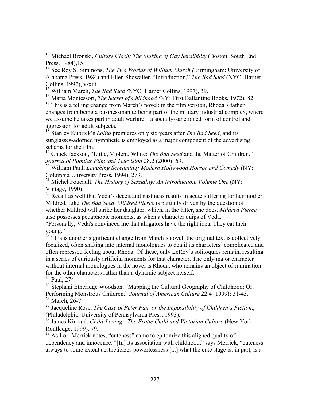13 Michael Bronski, *Culture Clash: The Making of Gay Sensibility* (Boston: South End Press, 1984),15.

14 See Roy S. Simmons, *The Two Worlds of William March (*Birmingham: University of Alabama Press, 1984) and Ellen Showalter, "Introduction," *The Bad Seed* (NYC: Harper Collins, 1997), v-xiii.

15 William March, *The Bad Seed (*NYC: Harper Collins, 1997), 39.

16 Maria Montessori, *The Secret of Childhood (*NY: First Ballantine Books, 1972), 82.

 $17$  This is a telling change from March's novel: in the film version, Rhoda's father changes from being a businessman to being part of the military industrial complex, where we assume he takes part in adult warfare—a socially-sanctioned form of control and aggression for adult subjects.

18 Stanley Kubrick's *Lolita* premieres only six years after *The Bad Seed*, and its sunglasses-adorned nymphette is employed as a major component of the advertising schema for the film.

19 Chuck Jackson, "Little, Violent, White: *The Bad Seed* and the Matter of Children." *Journal of Popular Film and Television* 28.2 (2000): 69.

<sup>20</sup> William Paul, *Laughing Screaming: Modern Hollywood Horror and Comedy* (NY: Columbia University Press, 1994), 273.

21 Michel Foucault. *The History of Sexuality: An Introduction, Volume One* (NY: Vintage, 1990).

 $^{22}$  Recall as well that Veda's deceit and nastiness results in acute suffering for her mother, Mildred. Like *The Bad Seed*, *Mildred Pierce* is partially driven by the question of whether Mildred will strike her daughter, which, in the latter, she does. *Mildred Pierce* also possesses pedaphobic moments, as when a character quips of Veda,

"Personally, Veda's convinced me that alligators have the right idea. They eat their young."

 $23$  This is another significant change from March's novel: the original text is collectively focalized, often shifting into internal monologues to detail its characters' complicated and often repressed feeling about Rhoda. Of these, only LeRoy's soliloquies remain, resulting in a series of curiously artificial moments for that character. The only major character without internal monologues in the novel is Rhoda, who remains an object of rumination for the other characters rather than a dynamic subject herself.

24 Paul, 274.

<sup>25</sup> Stephani Etheridge Woodson, "Mapping the Cultural Geography of Childhood: Or, Performing Monstrous Children," *Journal of American Culture* 22.4 (1999): 31-43. 26 March, 26-7.

<sup>27</sup> Jacqueline Rose. *The Case of Peter Pan, or the Impossibility of Children's Fiction*., (Philadelphia: University of Pennsylvania Press, 1993).

<sup>28</sup> James Kincaid, *Child-Loving: The Erotic Child and Victorian Culture* (New York: Routledge, 1999), 79.

 $29$  As Lori Merrick notes, "cuteness" came to epitomize this aligned quality of dependency and innocence. "[In] its association with childhood," says Merrick, "cuteness always to some extent aestheticizes powerlessness [...] what the cute stage is, in part, is a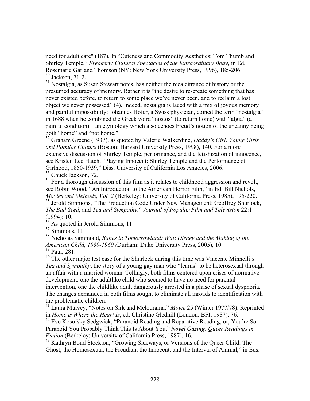need for adult care" (187). In "Cuteness and Commodity Aesthetics: Tom Thumb and Shirley Temple," *Freakery: Cultural Spectacles of the Extraordinary Body*, in Ed. Rosemarie Garland Thomson (NY: New York University Press, 1996), 185-206.<br><sup>30</sup> Jackson, 71-2.

 $31$  Nostalgia, as Susan Stewart notes, has neither the recalcitrance of history or the presumed accuracy of memory. Rather it is "the desire to re-create something that has never existed before, to return to some place we've never been, and to reclaim a lost object we never possessed" (4). Indeed, nostalgia is laced with a mix of joyous memory and painful impossibility: Johannes Hofer, a Swiss physician, coined the term "nostalgia" in 1688 when he combined the Greek word "nostos" (to return home) with "algia" (a painful condition)—an etymology which also echoes Freud's notion of the uncanny being both "home" and "not home."

32 Graham Greene (1937), as quoted by Valerie Walkerdine, *Daddy's Girl: Young Girls and Popular Culture* (Boston: Harvard University Press, 1998), 140. For a more extensive discussion of Shirley Temple, performance, and the fetishization of innocence, see Kristen Lee Hatch, "Playing Innocent: Shirley Temple and the Performance of Girlhood, 1850-1939," Diss. University of California Los Angeles, 2006.  $33$  Chuck Jackson, 72.

 $34$  For a thorough discussion of this film as it relates to childhood aggression and revolt, see Robin Wood, "An Introduction to the American Horror Film," in Ed. Bill Nichols, *Movies and Methods, Vol. 2* (Berkeley: University of California Press, 1985), 195-220. <sup>35</sup> Jerold Simmons, "The Production Code Under New Management: Geoffrey Shurlock, *The Bad Seed*, and *Tea and Sympathy*," *Journal of Popular Film and Television* 22:1 (1994): 10.

 $36$  As quoted in Jerold Simmons, 11.

37 Simmons, 11.

 $\overline{a}$ 

38 Nicholas Sammond, *Babes in Tomorrowland: Walt Disney and the Making of the American Child, 1930-1960 (*Durham: Duke University Press, 2005), 10. 39 Paul, 281.

<sup>40</sup> The other major test case for the Shurlock during this time was Vincente Minnelli's *Tea and Sympathy*, the story of a young gay man who "learns" to be heterosexual through an affair with a married woman. Tellingly, both films centered upon crises of normative development: one the adultlike child who seemed to have no need for parental intervention, one the childlike adult dangerously arrested in a phase of sexual dysphoria. The changes demanded in both films sought to eliminate all inroads to identification with the problematic children.

41 Laura Mulvey, "Notes on Sirk and Melodrama," *Movie* 25 (Winter 1977/78). Reprinted in *Home is Where the Heart Is*, ed. Christine Gledhill (London: BFI, 1987), 76.

 $^{42}$  Eve Kosofsky Sedgwick, "Paranoid Reading and Reparative Reading; or, You're So Paranoid You Probably Think This Is About You," *Novel Gazing: Queer Readings in Fiction* (Berkeley: University of California Press, 1987), 16.

43 Kathryn Bond Stockton, "Growing Sideways, or Versions of the Queer Child: The Ghost, the Homosexual, the Freudian, the Innocent, and the Interval of Animal," in Eds.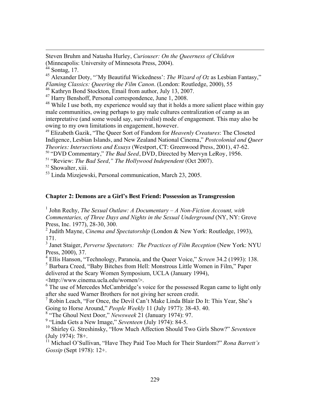Steven Bruhm and Natasha Hurley, *Curiouser: On the Queerness of Children* (Minneapolis: University of Minnesota Press, 2004).  $44$  Sontag, 17.

45 Alexander Doty, "'My Beautiful Wickedness': *The Wizard of Oz* as Lesbian Fantasy," *Flaming Classics: Queering the Film Canon*. (London: Routledge, 2000), 55

46 Kathryn Bond Stockton, Email from author, July 13, 2007.

47 Harry Benshoff, Personal correspondence, June 1, 2008.

 $48$  While I use both, my experience would say that it holds a more salient place within gay male communities, owing perhaps to gay male cultures centralization of camp as an interpretative (and some would say, survivalist) mode of engagement. This may also be owing to my own limitations in engagement, however.

49 Elizabeth Gazik, "The Queer Sort of Fandom for *Heavenly Creatures*: The Closeted Indigence, Lesbian Islands, and New Zealand National Cinema," *Postcolonial and Queer Theories: Intersections and Essays* (Westport, CT: Greenwood Press, 2001), 47-62.

50 "DVD Commentary," *The Bad Seed*, DVD, Directed by Mervyn LeRoy, 1956.

<sup>51</sup> "Review: *The Bad Seed," The Hollywood Independent* (Oct 2007).<br><sup>52</sup> Showalter, xiii.

 $\overline{a}$ 

53 Linda Mizejewski, Personal communication, March 23, 2005.

# **Chapter 2: Demons are a Girl's Best Friend: Possession as Transgression**

<sup>1</sup> John Rechy, *The Sexual Outlaw: A Documentary – A Non-Fiction Account, with Commentaries, of Three Days and Nights in the Sexual Underground* (NY, NY: Grove Press, Inc. 1977), 28-30, 300.

<sup>2</sup> Judith Mayne, *Cinema and Spectatorship* (London & New York: Routledge, 1993), 171.

3 Janet Staiger, *Perverse Spectators: The Practices of Film Reception* (New York: NYU Press, 2000), 37.

4 Ellis Hanson, "Technology, Paranoia, and the Queer Voice," *Screen* 34.2 (1993): 138.

5 Barbara Creed, "Baby Bitches from Hell: Monstrous Little Women in Film," Paper

delivered at the Scary Women Symposium, UCLA (January 1994),

<http://www.cinema.ucla.edu/women/>.

<sup>6</sup> The use of Mercedes McCambridge's voice for the possessed Regan came to light only after she sued Warner Brothers for not giving her screen credit.

7 Robin Leach, "For Once, the Devil Can't Make Linda Blair Do It: This Year, She's Going to Horse Around," *People Weekly* 11 (July 1977): 38-43. 40.

8 "The Ghoul Next Door," *Newsweek* 21 (January 1974): 97.

<sup>9</sup> "Linda Gets a New Image," Seventeen (July 1974): 84-5.

10 Shirley G. Streshinsky, "How Much Affection Should Two Girls Show?" *Seventeen* (July 1974): 78+.

11 Michael O'Sullivan, "Have They Paid Too Much for Their Stardom?" *Rona Barrett's Gossip* (Sept 1978): 12+.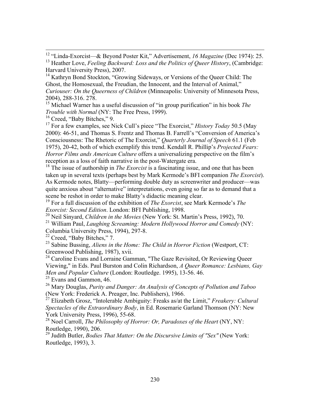12 "Linda-Exorcist—& Beyond Poster Kit," Advertisement, *16 Magazine* (Dec 1974): 25. <sup>13</sup> Heather Love, *Feeling Backward: Loss and the Politics of Queer History*, (Cambridge: Harvard University Press), 2007.

<sup>14</sup> Kathryn Bond Stockton, "Growing Sideways, or Versions of the Queer Child: The Ghost, the Homosexual, the Freudian, the Innocent, and the Interval of Animal," *Curiouser: On the Queerness of Children* (Minneapolis: University of Minnesota Press, 2004), 288-316. 278.

15 Michael Warner has a useful discussion of "in group purification" in his book *The Trouble with Normal* (NY: The Free Press, 1999).

<sup>16</sup> Creed, "Baby Bitches," 9.

<sup>17</sup> For a few examples, see Nick Cull's piece "The Exorcist," *History Today* 50.5 (May 2000): 46-51, and Thomas S. Frentz and Thomas B. Farrell's "Conversion of America's Consciousness: The Rhetoric of The Exorcist," *Quarterly Journal of Speech* 61.1 (Feb 1975), 20-42, both of which exemplify this trend. Kendall R. Phillip's *Projected Fears: Horror Films ands American Culture* offers a universalizing perspective on the film's reception as a loss of faith narrative in the post-Watergate era.

<sup>18</sup> The issue of authorship in *The Exorcist* is a fascinating issue, and one that has been taken up in several texts (perhaps best by Mark Kermode's BFI companion *The Exorcist*). As Kermode notes, Blatty—performing double duty as screenwriter and producer—was quite anxious about "alternative" interpretations, even going so far as to demand that a scene be reshot in order to make Blatty's didactic meaning clear.

19 For a full discussion of the exhibition of *The Exorcist*, see Mark Kermode's *The Exorcist: Second Edition*. London: BFI Publishing, 1998.

20 Neil Sinyard, *Children in the Movies* (New York: St. Martin's Press, 1992), 70.

<sup>21</sup> William Paul, *Laughing Screaming: Modern Hollywood Horror and Comedy* (NY: Columbia University Press, 1994), 297-8.

<sup>22</sup> Creed, "Baby Bitches," 7.

23 Sabine Bussing, *Aliens in the Home: The Child in Horror Fiction* (Westport, CT: Greenwood Publishing, 1987), xvii.

<sup>24</sup> Caroline Evans and Lorraine Gamman, "The Gaze Revisited, Or Reviewing Queer Viewing," in Eds. Paul Burston and Colin Richardson, *A Queer Romance: Lesbians, Gay Men and Popular Culture* (London: Routledge. 1995), 13-56. 46.

<sup>25</sup> Evans and Gammon, 46.

26 Mary Douglas, *Purity and Danger: An Analysis of Concepts of Pollution and Taboo* (New York: Frederick A. Preager, Inc. Publishers), 1966.

27 Elizabeth Grosz, "Intolerable Ambiguity: Freaks as/at the Limit," *Freakery: Cultural Spectacles of the Extraordinary Body*, in Ed. Rosemarie Garland Thomson (NY: New York University Press, 1996), 55-68.

28 Noel Carroll, *The Philosophy of Horror: Or, Paradoxes of the Heart* (NY, NY: Routledge, 1990), 206.

29 Judith Butler, *Bodies That Matter: On the Discursive Limits of "Sex"* (New York: Routledge, 1993), 3.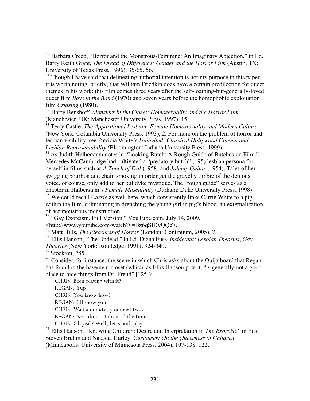<sup>30</sup> Barbara Creed, "Horror and the Monstrous-Feminine: An Imaginary Abjection," in Ed. Barry Keith Grant, *The Dread of Difference: Gender and the Horror Film* (Austin, TX: University of Texas Press, 1996), 35-65. 56.

 $31$  Though I have said that delineating authorial intention is not my purpose in this paper, it is worth noting, briefly, that William Friedkin does have a certain predilection for queer themes in his work: this film comes three years after the self-loathing-but-generally-loved queer film *Boys in the Band* (1970) and seven years before the homophobic exploitation film *Cruising* (1980).

32 Harry Benshoff, *Monsters in the Closet: Homosexuality and the Horror Film* (Manchester, UK: Manchester University Press, 1997), 15.

<sup>33</sup> Terry Castle, *The Apparitional Lesbian: Female Homosexuality and Modern Culture* (New York: Columbia University Press, 1993), 2. For more on the problem of horror and lesbian visibility, see Patricia White's *Uninvited: Classical Hollywood Cinema and Lesbian Representability (*Bloomington: Indiana University Press, 1999).

 $34$  As Judith Halberstam notes in "Looking Butch: A Rough Guide of Butches on Film," Mercedes McCambridge had cultivated a "predatory butch" (195) lesbian persona for herself in films such as *A Touch of Evil* (1958) and *Johnny Guitar* (1954). Tales of her swigging bourbon and chain smoking in order get the gravelly timbre of the demons voice, of course, only add to her bulldyke mystique. The "rough guide" serves as a chapter in Halberstam's *Female Masculinity* (Durham: Duke University Press, 1998). <sup>35</sup> We could recall *Carrie* as well here, which consistently links Carrie White to a pig

within the film, culminating in drenching the young girl in pig's blood, an externalization of her monstrous menstruation.

36 "Gay Exorcism, Full Version," YouTube.com, July 14, 2009,

<http://www.youtube.com/watch?v=Bz6qSfDvQQc>.

37 Matt Hills, *The Pleasures of Horror* (London: Continuum, 2005), 7.

38 Ellis Hanson, "The Undead," in Ed. Diana Fuss, *inside/out: Lesbian Theories, Gay* 

*Theories* (New York: Routledge, 1991), 324-340.

<sup>39</sup> Stockton, 285.

 $40$  Consider, for instance, the scene in which Chris asks about the Ouija board that Regan has found in the basement closet (which, as Ellis Hanson puts it, "is generally not a good place to hide things from Dr. Freud" [125]):

CHRIS: Been playing with it?

REGAN: Yup.

CHRIS: You know how?

REGAN: I'll show you.

CHRIS: Wait a minute, you need two.

REGAN: No I don't. I do it all the time.

CHRIS: Oh yeah? Well, let's both play.

41 Ellis Hanson, "Knowing Children: Desire and Interpretation in *The Exorcist*," in Eds. Steven Bruhm and Natasha Hurley, *Curiouser: On the Queerness of Children* (Minneapolis: University of Minnesota Press, 2004), 107-138. 122.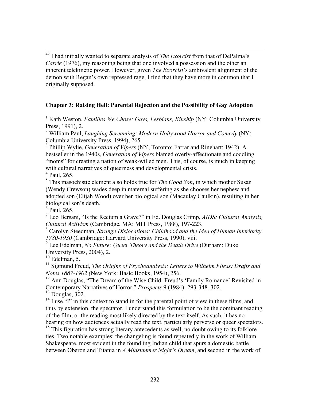42 I had initially wanted to separate analysis of *The Exorcist* from that of DePalma's *Carrie* (1976), my reasoning being that one involved a possession and the other an inherent telekinetic power. However, given *The Exorcist*'s ambivalent alignment of the demon with Regan's own repressed rage, I find that they have more in common that I originally supposed.

### **Chapter 3: Raising Hell: Parental Rejection and the Possibility of Gay Adoption**

<sup>1</sup> Kath Weston, *Families We Chose: Gays, Lesbians, Kinship* (NY: Columbia University Press, 1991), 2.

2 William Paul, *Laughing Screaming: Modern Hollywood Horror and Comedy* (NY: Columbia University Press, 1994), 265.

3 Phillip Wylie, *Generation of Vipers* (NY, Toronto: Farrar and Rinehart: 1942). A bestseller in the 1940s, *Generation of Vipers* blamed overly-affectionate and coddling "moms" for creating a nation of weak-willed men. This, of course, is much in keeping with cultural narratives of queerness and developmental crisis.

4 Paul, 265.

5 This masochistic element also holds true for *The Good Son*, in which mother Susan (Wendy Crewson) wades deep in maternal suffering as she chooses her nephew and adopted son (Elijah Wood) over her biological son (Macaulay Caulkin), resulting in her biological son's death.

 $<sup>6</sup>$  Paul, 265.</sup>

7 Leo Bersani, "Is the Rectum a Grave?" in Ed. Douglas Crimp, *AIDS: Cultural Analysis, Cultural Activism* (Cambridge, MA: MIT Press, 1988), 197-223. <sup>8</sup>

 Carolyn Steedman, *Strange Dislocations: Childhood and the Idea of Human Interiority, 1780-1930* (Cambridge: Harvard University Press, 1990), viii.

9 Lee Edelman, *No Future: Queer Theory and the Death Drive* (Durham: Duke University Press, 2004), 2.

 $10$  Edelman, 5.

11 Sigmund Freud, *The Origins of Psychoanalysis: Letters to Wilhelm Fliess: Drafts and Notes 1887-1902 (*New York: Basic Books, 1954), 256.

 $12$  Ann Douglas, "The Dream of the Wise Child: Freud's 'Family Romance' Revisited in Contemporary Narratives of Horror," *Prospects* 9 (1984): 293-348. 302.

 $13$  Douglas, 302.

 $14$  I use "I" in this context to stand in for the parental point of view in these films, and thus by extension, the spectator. I understand this formulation to be the dominant reading of the film, or the reading most likely directed by the text itself. As such, it has no bearing on how audiences actually read the text, particularly perverse or queer spectators.<br><sup>15</sup> This figuration has strong literary antecedents as well, no doubt owing to its folklore

ties. Two notable examples: the changeling is found repeatedly in the work of William Shakespeare, most evident in the foundling Indian child that spurs a domestic battle between Oberon and Titania in *A Midsummer Night's Dream*, and second in the work of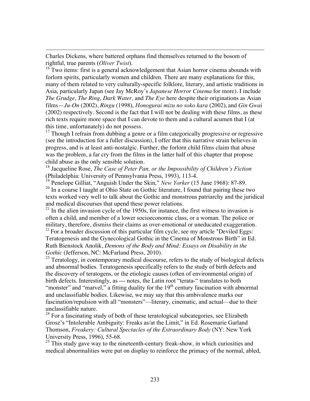Charles Dickens, where battered orphans find themselves returned to the bosom of rightful, true parents (*Oliver Twist*).

 $\overline{a}$ 

 $16$  Two items: first is a general acknowledgement that Asian horror cinema abounds with forlorn spirits, particularly women and children. There are many explanations for this, many of them related to very culturally-specific folklore, literary, and artistic traditions in Asia, particularly Japan (see Jay McRoy's *Japanese Horror Cinema* for more). I include *The Grudge, The Ring, Dark Water,* and *The Eye* here despite their originations as Asian films—*Ju-On* (2002), *Ringu* (1998), *Honogurai mizu no soko kara* (2002), and *Gin Gwai*  (2002) respectively. Second is the fact that I will not be dealing with these films, as these rich texts require more space that I can devote to them and a cultural acumen that I (at this time, unfortunately) do not possess.

 $17$  Though I refrain from dubbing a genre or a film categorically progressive or regressive (see the introduction for a fuller discussion), I offer that this narrative strain believes in progress, and is at least anti-nostalgic. Further, the forlorn child films claim that abuse was the problem, a far cry from the films in the latter half of this chapter that propose child abuse as the only sensible solution.

18 Jacqueline Rose, *The Case of Peter Pan, or the Impossibility of Children's Fiction* (Philadelphia: University of Pennsylvania Press, 1993), 113-4.

<sup>19</sup> Penelope Gilliat, "Anguish Under the Skin," *New Yorker* (15 June 1968): 87-89.  $20$  In a course I taught at Ohio State on Gothic literature, I found that pairing these two texts worked very well to talk about the Gothic and monstrous patriarchy and the juridical and medical discourses that upend these power relations.

 $21$  In the alien invasion cycle of the 1950s, for instance, the first witness to invasion is often a child, and member of a lower socioeconomic class, or a woman. The police or military, therefore, dismiss their claims as over-emotional or uneducated exaggeration.  $22$  For a broader discussion of this particular film cycle, see my article "Deviled Eggs: Teratogenesis and the Gynecological Gothic in the Cinema of Monstrous Birth" in Ed. Ruth Bienstock Anolik, *Demons of the Body and Mind: Essays on Disability in the Gothic* (Jefferson, NC: McFarland Press, 2010).

<sup>23</sup> Teratology, in contemporary medical discourse, refers to the study of biological defects and abnormal bodies. Teratogenesis specifically refers to the study of birth defects and the discovery of teratogens, or the etiologic causes (often of environmental origin) of birth defects. Interestingly, as --- notes, the Latin root "terata-" translates to both "monster" and "marvel," a fitting duality for the 19<sup>th</sup> century fascination with abnormal and unclassifiable bodies. Likewise, we may say that this ambivalence marks our fascination/repulsion with all "monsters"—literary, cinematic, and actual—due to their unclassifiable nature.

 $24$  For a fascinating study of both of these teratological subcategories, see Elizabeth Grosz's "Intolerable Ambiguity: Freaks as/at the Limit," in Ed. Rosemarie Garland Thomson, *Freakery: Cultural Spectacles of the Extraordinary Body* (NY: New York University Press, 1996), 55-68.

<sup>25</sup> This study gave way to the nineteenth-century freak-show, in which curiosities and medical abnormalities were put on display to reinforce the primacy of the normal, abled,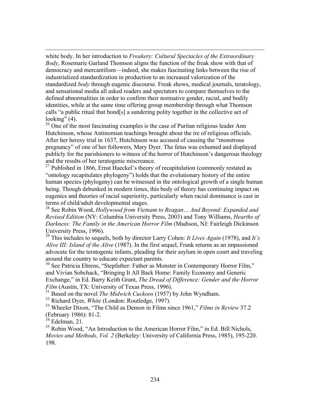white body. In her introduction to *Freakery: Cultural Spectacles of the Extraordinary Body*, Rosemarie Garland Thomson aligns the function of the freak show with that of democracy and mercantilism—indeed, she makes fascinating links between the rise of industrialized standardization in production to an increased valorization of the standardized *body* through eugenic discourse*.* Freak shows, medical journals, teratology, and sensational media all asked readers and spectators to compare themselves to the defined abnormalities in order to confirm their normative gender, racial, and bodily identities, while at the same time offering group membership through what Thomson calls "a public ritual that bond[s] a sundering polity together in the collective act of  $\text{looking}$ " (4).

<sup>26</sup> One of the most fascinating examples is the case of Puritan religious leader Ann Hutchinson, whose Antinomian teachings brought about the ire of religious officials. After her heresy trial in 1637, Hutchinson was accused of causing the "monstrous pregnancy" of one of her followers, Mary Dyer. The fetus was exhumed and displayed publicly for the parishioners to witness of the horror of Hutchinson's dangerous theology and the results of her teratogenic miscreance.

 $27$  Published in 1866, Ernst Haeckel's theory of recapitulation (commonly restated as "ontology recapitulates phylogeny") holds that the evolutionary history of the entire human species (phylogeny) can be witnessed in the ontological growth of a single human being. Though debunked in modern times, this body of theory has continuing impact on eugenics and theories of racial superiority, particularly when racial dominance is cast in terms of child/adult developmental stages.

28 See Robin Wood, *Hollywood from Vietnam to Reagan… And Beyond: Expanded and Revised Edition* (NY: Columbia University Press, 2003) and Tony Williams, *Hearths of Darkness: The Family in the American Horror Film* (Madison, NJ: Fairleigh Dickinson University Press, 1996).

29 This includes to sequels, both by director Larry Cohen: *It Lives Again* (1978), and *It's Alive III: Island of the Alive* (1987). In the first sequel, Frank returns as an impassioned advocate for the teratogenic infants, pleading for their asylum in open court and traveling around the country to educate expectant parents.

<sup>30</sup> See Patricia Ehrens, "Stepfather: Father as Monster in Contemporary Horror Film," and Vivian Sobchack, "Bringing It All Back Home: Family Economy and Generic Exchange," in Ed. Barry Keith Grant, *The Dread of Difference: Gender and the Horror Film* (Austin, TX: University of Texas Press, 1996).

<sup>31</sup> Based on the novel *The Midwich Cuckoos* (1957) by John Wyndham.

32 Richard Dyer, *White* (London: Routledge, 1997).

33 Wheeler Dixon, "The Child as Demon in Films since 1961," *Films in Review* 37.2 (February 1986): 81-2.

 $34$  Edelman, 21.

 $\overline{a}$ 

<sup>35</sup> Robin Wood, "An Introduction to the American Horror Film," in Ed. Bill Nichols, *Movies and Methods, Vol. 2* (Berkeley: University of California Press, 1985), 195-220. 198.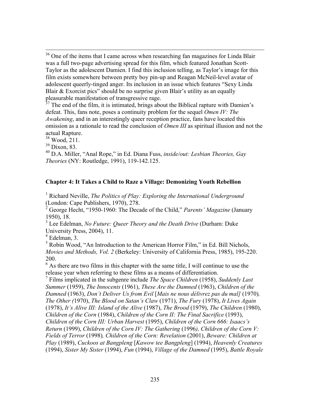<sup>36</sup> One of the items that I came across when researching fan magazines for Linda Blair was a full two-page advertising spread for this film, which featured Jonathan Scott-Taylor as the adolescent Damien. I find this inclusion telling, as Taylor's image for this film exists somewhere between pretty boy pin-up and Reagan McNeil-level avatar of adolescent queerly-tinged anger. Its inclusion in an issue which features "Sexy Linda Blair & Exorcist pics" should be no surprise given Blair's utility as an equally pleasurable manifestation of transgressive rage.

 $37$  The end of the film, it is intimated, brings about the Biblical rapture with Damien's defeat. This, fans note, poses a continuity problem for the sequel *Omen IV: The Awakening*, and in an interestingly queer reception practice, fans have located this omission as a rationale to read the conclusion of *Omen III* as spiritual illusion and not the actual Rapture.

38 Wood, 211.

39 Dixon, 83.

40 D.A. Miller, "Anal Rope," in Ed. Diana Fuss, *inside/out: Lesbian Theories, Gay Theories* (NY: Routledge, 1991), 119-142.125.

# **Chapter 4: It Takes a Child to Raze a Village: Demonizing Youth Rebellion**

<sup>1</sup> Richard Neville, *The Politics of Play: Exploring the International Underground* (London: Cape Publishers, 1970), 278.

2 George Hecht, "1950-1960: The Decade of the Child," *Parents' Magazine* (January 1950), 18.

3 Lee Edelman, *No Future: Queer Theory and the Death Drive* (Durham: Duke University Press, 2004), 11.

4 Edelman, 3.

<sup>5</sup> Robin Wood, "An Introduction to the American Horror Film," in Ed. Bill Nichols, *Movies and Methods, Vol. 2* (Berkeley: University of California Press, 1985), 195-220. 200.

 $6$  As there are two films in this chapter with the same title, I will continue to use the release year when referring to these films as a means of differentiation.

7 Films implicated in the subgenre include *The Space Children* (1958), *Suddenly Last Summer* (1959), *The Innocents* (1961), *These Are the Damned* (1963), *Children of the Damned* (1963), *Don't Deliver Us from Evil* [*Mais ne nous délivrez pas du mal]* (1970)*, The Other (*1970), *The Blood on Satan's Claw* (1971), *The Fury* (1978), *It Lives Again* (1978), *It's Alive III: Island of the Alive* (1987), *The Brood* (1979), *The Children* (1980), *Children of the Corn* (1984), *Children of the Corn II: The Final Sacrifice* (1993), *Children of the Corn III: Urban Harvest* (1995), *Children of the Corn 666: Isaacs's Return* (1999), *Children of the Corn IV: The Gathering* (1996*), Children of the Corn V: Fields of Terror* (1998)*, Children of the Corn: Revelation* (2001), *Beware: Children at Play* (1989), *Cuckoos at Bangpleng* [*Kawow tee Bangpleng*] (1994), *Heavenly Creatures* (1994), *Sister My Sister* (1994), *Fun* (1994), *Village of the Damned* (1995), *Battle Royale*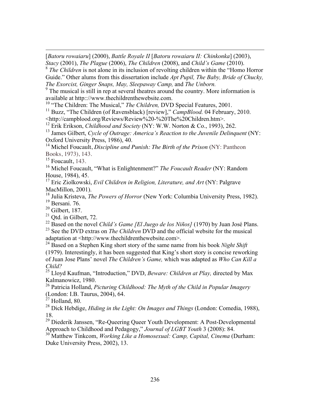[*Batoru rowaiaru*] (2000), *Battle Royale II* [*Batoru rowaiaru II: Chinkonka*] (2003), *Stacy* (2001), *The Plague* (2006), *The Children* (2008), and *Child's Game* (2010).

<sup>8</sup> *The Children* is not alone in its inclusion of revolting children within the "Homo Horror". Guide." Other alums from this dissertation include *Apt Pupil, The Baby, Bride of Chucky, The Exorcist, Ginger Snaps, May, Sleepaway Camp,* and *The Unborn.*

<sup>9</sup> The musical is still in rep at several theatres around the country. More information is available at http:://www.thechildrenthewebsite.com.

<sup>10</sup> "The Children: The Musical," *The Children*, DVD Special Features, 2001.

<sup>11</sup> Buzz, "The Children (of Ravensblack) [review]," *CampBlood.* 04 February, 2010. <http://campblood.org/Reviews/Review%20-%20The%20Children.htm>.

12 Erik Erikson, *Childhood and Society* (NY: W.W. Norton & Co., 1993), 262.

<sup>13</sup> James Gilbert, *Cycle of Outrage: America's Reaction to the Juvenile Delinquent* (NY: Oxford University Press, 1986), 40.

<sup>14</sup> Michel Foucault, *Discipline and Punish: The Birth of the Prison* (NY: Pantheon Books, 1973), 143.

 $15$  Foucault, 143.

 $\overline{a}$ 

16 Michel Foucault, "What is Enlightenment?" *The Foucault Reader* (NY: Random House, 1984), 45.

17 Eric Ziolkowski, *Evil Children in Religion, Literature, and Art* (NY: Palgrave MacMillon, 2001).

<sup>18</sup> Julia Kristeva, *The Powers of Horror* (New York: Columbia University Press, 1982). 19 Bersani. 76.

20 Gilbert, 187.

 $21$  Qtd. in Gilbert, 72.

22 Based on the novel *Child's Game [El Juego de los Niños]* (1970) by Juan José Plans.

<sup>23</sup> See the DVD extras on *The Children* DVD and the official website for the musical adaptation at <http://www.thechildrenthewebsite.com>.

<sup>24</sup> Based on a Stephen King short story of the same name from his book *Night Shift* (1979). Interestingly, it has been suggested that King's short story is concise reworking of Juan Jose Plans' novel *The Children's Game,* which was adapted as *Who Can Kill a Child?*

25 Lloyd Kaufman, "Introduction," DVD, *Beware: Children at Play,* directed by Max Kalmanowicz, 1980.

<sup>26</sup> Patricia Holland, *Picturing Childhood: The Myth of the Child in Popular Imagery*  (London: I.B. Taurus, 2004), 64.

 $^{27}$  Holland, 80.

28 Dick Hebdige, *Hiding in the Light: On Images and Things* (London: Comedia, 1988), 18.

<sup>29</sup> Diederik Janssen, "Re-Queering Queer Youth Development: A Post-Developmental Approach to Childhood and Pedagogy," *Journal of LGBT Youth* 3 (2008): 84.

30 Matthew Tinkcom, *Working Like a Homosexual: Camp, Capital, Cinema* (Durham: Duke University Press, 2002), 13.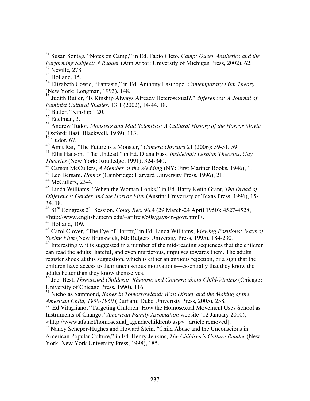31 Susan Sontag, "Notes on Camp," in Ed. Fabio Cleto, *Camp: Queer Aesthetics and the Performing Subject: A Reader* (Ann Arbor: University of Michigan Press, 2002), 62.  $32$  Neville, 278.

 $33$  Holland, 15.

<sup>34</sup> Elizabeth Cowie, "Fantasia," in Ed. Anthony Easthope, *Contemporary Film Theory* (New York: Longman, 1993), 148.

35 Judith Butler, "Is Kinship Always Already Heterosexual?," *differences: A Journal of Feminist Cultural Studies,* 13:1 (2002), 14-44. 18.

36 Butler, "Kinship," 20.

 $37$  Edelman, 3.

38 Andrew Tudor, *Monsters and Mad Scientists: A Cultural History of the Horror Movie*  (Oxford: Basil Blackwell, 1989), 113.

 $39$  Tudor, 67.

40 Amit Rai, "The Future is a Monster," *Camera Obscura* 21 (2006): 59-51. 59.

41 Ellis Hanson, "The Undead," in Ed. Diana Fuss, *inside/out: Lesbian Theories, Gay Theories* (New York: Routledge, 1991), 324-340.

<sup>42</sup> Carson McCullers, *A Member of the Wedding* (NY: First Mariner Books, 1946), 1.

43 Leo Bersani, *Homos* (Cambridge: Harvard University Press, 1996), 21.

<sup>44</sup> McCullers, 23-4.

45 Linda Williams, "When the Woman Looks," in Ed. Barry Keith Grant, *The Dread of Difference: Gender and the Horror Film* (Austin: Univeristy of Texas Press, 1996), 15- 34. 18.

<sup>46</sup> 81st Congress 2nd Session, *Cong. Rec.* 96.4 (29 March-24 April 1950): 4527-4528, <http://www.english.upenn.edu/~afilreis/50s/gays-in-govt.html>.

 $47$  Holland, 109.

48 Carol Clover, "The Eye of Horror," in Ed. Linda Williams, *Viewing Positions: Ways of Seeing Film* (New Brunswick, NJ: Rutgers University Press, 1995), 184-230.

<sup>49</sup> Interestingly, it is suggested in a number of the mid-reading sequences that the children can read the adults' hateful, and even murderous, impulses towards them. The adults register shock at this suggestion, which is either an anxious rejection, or a sign that the children have access to their unconscious motivations—essentially that they know the adults better than they know themselves.

50 Joel Best, *Threatened Children: Rhetoric and Concern about Child-Victims* (Chicago: University of Chicago Press, 1990), 116.

51 Nicholas Sammond, *Babes in Tomorrowland: Walt Disney and the Making of the American Child, 1930-1960* (Durham: Duke Univeristy Press, 2005), 258.

<sup>52</sup> Ed Vitagliano, "Targeting Children: How the Homosexual Movement Uses School as Instruments of Change," *American Family Association* website (12 January 2010), *<*http://www.afa.net/homosexual\_agenda/childrenb.asp>. [article removed].

<sup>53</sup> Nancy Scheper-Hughes and Howard Stein, "Child Abuse and the Unconscious in American Popular Culture," in Ed. Henry Jenkins, *The Children's Culture Reader* (New York: New York University Press, 1998), 185.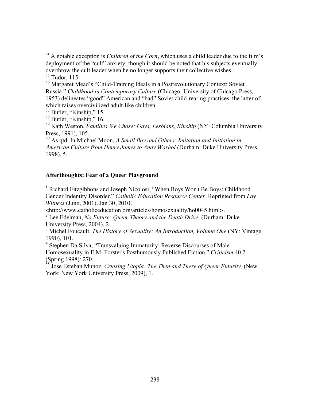54 A notable exception is *Children of the Corn*, which uses a child leader due to the film's deployment of the "cult" anxiety, though it should be noted that his subjects eventually overthrow the cult leader when he no longer supports their collective wishes.  $55$  Tudor, 115.

56 Margaret Mead's "Child-Training Ideals in a Postrevolutionary Context: Soviet Russia." *Childhood in Contemporary Culture* (Chicago: University of Chicago Press, 1953) delineates "good" American and "bad" Soviet child-rearing practices, the latter of which raises overcivilized adult-like children.<br><sup>57</sup> Butler, "Kinship," 15.

 $\overline{a}$ 

<sup>58</sup> Butler, "Kinship," 16.

59 Kath Weston, *Families We Chose: Gays, Lesbians, Kinship* (NY: Columbia University Press, 1991), 105.

60 As qtd. In Michael Moon, *A Small Boy and Others: Imitation and Initiation in American Culture from Henry James to Andy Warhol* (Durham: Duke University Press, 1998), 5.

#### **Afterthoughts: Fear of a Queer Playground**

<sup>1</sup> Richard Fitzgibbons and Joseph Nicolosi, "When Boys Won't Be Boys: Childhood Gender Indentity Disorder," *Catholic Education Resource Center.* Reprinted from *Lay Witness* (June, 2001). Jan 30, 2010.

<http://www.catholiceducation.org/articles/homosexuality/ho0045.html>.

2 Lee Edelman, *No Future: Queer Theory and the Death Drive*, (Durham: Duke University Press, 2004), 2.

3 Michel Foucault, *The History of Sexuality: An Introduction, Volume One* (NY: Vintage, 1990), 101.

<sup>4</sup> Stephen Da Silva, "Transvaluing Immaturity: Reverse Discourses of Male Homosexuality in E.M. Forster's Posthumously Published Fiction," *Criticism* 40.2 (Spring 1998): 270. 55 Jose Esteban Munoz, *Cruising Utopia: The Then and There of Queer Futurity,* (New

York: New York University Press, 2009), 1.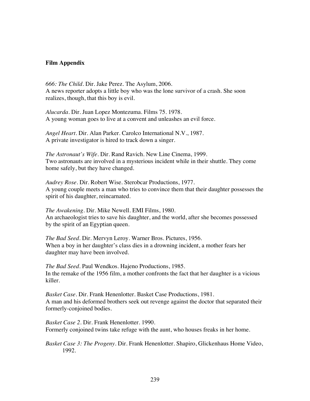#### **Film Appendix**

*666: The Child*. Dir. Jake Perez. The Asylum, 2006. A news reporter adopts a little boy who was the lone survivor of a crash. She soon realizes, though, that this boy is evil.

*Alucarda*. Dir. Juan Lopez Montezuma. Films 75. 1978. A young woman goes to live at a convent and unleashes an evil force.

*Angel Heart*. Dir. Alan Parker. Carolco International N.V., 1987. A private investigator is hired to track down a singer.

*The Astronaut's Wife*. Dir. Rand Ravich. New Line Cinema, 1999. Two astronauts are involved in a mysterious incident while in their shuttle. They come home safely, but they have changed.

*Audrey Rose*. Dir. Robert Wise. Sterobcar Productions, 1977. A young couple meets a man who tries to convince them that their daughter possesses the spirit of his daughter, reincarnated.

*The Awakening*. Dir. Mike Newell. EMI Films, 1980. An archaeologist tries to save his daughter, and the world, after she becomes possessed by the spirit of an Egyptian queen.

*The Bad Seed*. Dir. Mervyn Leroy. Warner Bros. Pictures, 1956. When a boy in her daughter's class dies in a drowning incident, a mother fears her daughter may have been involved.

*The Bad Seed*. Paul Wendkos. Hajeno Productions, 1985. In the remake of the 1956 film, a mother confronts the fact that her daughter is a vicious killer.

*Basket Case*. Dir. Frank Henenlotter. Basket Case Productions, 1981. A man and his deformed brothers seek out revenge against the doctor that separated their formerly-conjoined bodies.

*Basket Case 2*. Dir. Frank Henenlotter. 1990. Formerly conjoined twins take refuge with the aunt, who houses freaks in her home.

*Basket Case 3: The Progeny.* Dir. Frank Henenlotter. Shapiro, Glickenhaus Home Video, 1992.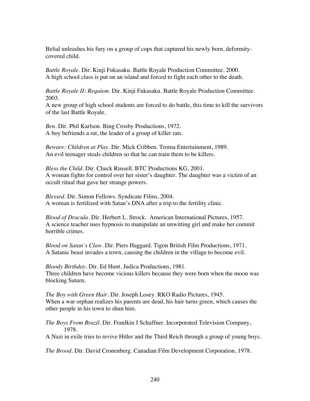Belial unleashes his fury on a group of cops that captured his newly born, deformitycovered child.

*Battle Royale*. Dir. Kinji Fukasaku. Battle Royale Production Committee. 2000. A high school class is put on an island and forced to fight each other to the death.

*Battle Royale II: Requiem*. Dir. Kinji Fukasaku. Battle Royale Production Committee. 2003.

A new group of high school students are forced to do battle, this time to kill the survivors of the last Battle Royale.

*Ben*. Dir. Phil Karlson. Bing Crosby Productions, 1972. A boy befriends a rat, the leader of a group of killer rats.

*Beware: Children at Play*. Dir. Mick Cribben. Troma Entertainment, 1989. An evil teenager steals children so that he can train them to be killers.

*Bless the Child*. Dir. Chuck Russell. BTC Productions KG, 2001. A woman fights for control over her sister's daughter. The daughter was a victim of an occult ritual that gave her strange powers.

*Blessed*. Dir. Simon Fellows. Syndicate Films, 2004. A woman is fertilized with Satan's DNA after a trip to the fertility clinic.

*Blood of Dracula.* Dir. Herbert L. Strock. American International Pictures, 1957. A science teacher uses hypnosis to manipulate an unwitting girl and make her commit horrible crimes.

*Blood on Satan's Claw*. Dir. Piers Haggard. Tigon British Film Productions, 1971. A Satanic beast invades a town, causing the children in the village to become evil.

*Bloody Birthday*. Dir. Ed Hunt. Judica Productions, 1981. Three children have become vicious killers because they were born when the moon was blocking Saturn.

*The Boy with Green Hair*. Dir. Joseph Losey. RKO Radio Pictures, 1945. When a war orphan realizes his parents are dead, his hair turns green, which causes the other people in his town to shun him.

*The Boys From Brazil*. Dir. Franlkin J Schaffner. Incorporated Television Company, 1978.

A Nazi in exile tries to revive Hitler and the Third Reich through a group of young boys.

*The Brood.* Dir. David Cronenberg. Canadian Film Development Corporation, 1978.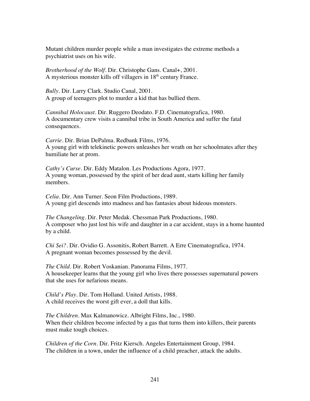Mutant children murder people while a man investigates the extreme methods a psychiatrist uses on his wife.

*Brotherhood of the Wolf*. Dir. Christophe Gans. Canal+, 2001. A mysterious monster kills off villagers in 18<sup>th</sup> century France.

*Bully*. Dir. Larry Clark. Studio Canal, 2001. A group of teenagers plot to murder a kid that has bullied them.

*Cannibal Holocaust*. Dir. Ruggero Deodato. F.D. Cinematografica, 1980. A documentary crew visits a cannibal tribe in South America and suffer the fatal consequences.

*Carrie*. Dir. Brian DePalma. Redbank Films, 1976. A young girl with telekinetic powers unleashes her wrath on her schoolmates after they humiliate her at prom.

*Cathy's Curse*. Dir. Eddy Matalon. Les Productions Agora, 1977. A young woman, possessed by the spirit of her dead aunt, starts killing her family members.

*Celia*. Dir. Ann Turner. Seon Film Productions, 1989. A young girl descends into madness and has fantasies about hideous monsters.

*The Changeling*. Dir. Peter Medak. Chessman Park Productions, 1980. A composer who just lost his wife and daughter in a car accident, stays in a home haunted by a child.

*Chi Sei?*. Dir. Ovidio G. Assonitis, Robert Barrett. A Erre Cinematografica, 1974. A pregnant woman becomes possessed by the devil.

*The Child*. Dir. Robert Voskanian. Panorama Films, 1977. A housekeeper learns that the young girl who lives there possesses supernatural powers that she uses for nefarious means.

*Child's Play*. Dir. Tom Holland. United Artists, 1988. A child receives the worst gift ever, a doll that kills.

*The Children*. Max Kalmanowicz. Albright Films, Inc., 1980. When their children become infected by a gas that turns them into killers, their parents must make tough choices.

*Children of the Corn*. Dir. Fritz Kiersch. Angeles Entertainment Group, 1984. The children in a town, under the influence of a child preacher, attack the adults.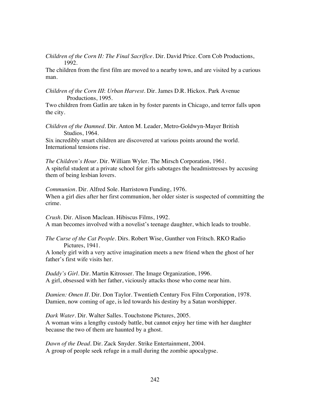*Children of the Corn II: The Final Sacrifice*. Dir. David Price. Corn Cob Productions, 1992.

The children from the first film are moved to a nearby town, and are visited by a curious man.

*Children of the Corn III*: *Urban Harvest*. Dir. James D.R. Hickox. Park Avenue Productions, 1995.

Two children from Gatlin are taken in by foster parents in Chicago, and terror falls upon the city.

*Children of the Damned*. Dir. Anton M. Leader, Metro-Goldwyn-Mayer British Studios, 1964.

Six incredibly smart children are discovered at various points around the world. International tensions rise.

*The Children's Hour*. Dir. William Wyler. The Mirsch Corporation, 1961. A spiteful student at a private school for girls sabotages the headmistresses by accusing them of being lesbian lovers.

*Communion*. Dir. Alfred Sole. Harristown Funding, 1976. When a girl dies after her first communion, her older sister is suspected of committing the crime.

*Crush*. Dir. Alison Maclean. Hibiscus Films, 1992. A man becomes involved with a novelist's teenage daughter, which leads to trouble.

*The Curse of the Cat People*. Dirs. Robert Wise, Gunther von Fritsch. RKO Radio Pictures, 1941.

A lonely girl with a very active imagination meets a new friend when the ghost of her father's first wife visits her.

*Daddy's Girl.* Dir. Martin Kitrosser. The Image Organization, 1996. A girl, obsessed with her father, viciously attacks those who come near him.

*Damien: Omen II*. Dir. Don Taylor. Twentieth Century Fox Film Corporation, 1978. Damien, now coming of age, is led towards his destiny by a Satan worshipper.

*Dark Water.* Dir. Walter Salles. Touchstone Pictures, 2005. A woman wins a lengthy custody battle, but cannot enjoy her time with her daughter because the two of them are haunted by a ghost.

*Dawn of the Dead*. Dir. Zack Snyder. Strike Entertainment, 2004. A group of people seek refuge in a mall during the zombie apocalypse.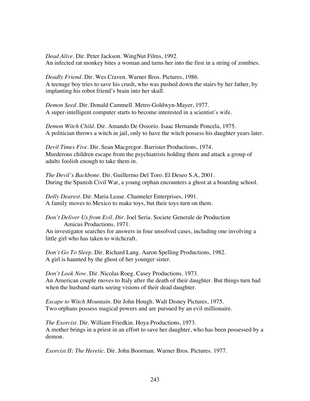*Dead Alive*. Dir. Peter Jackson. WingNut Films, 1992. An infected rat monkey bites a woman and turns her into the first in a string of zombies.

*Deadly Friend.* Dir. Wes Craven. Warner Bros. Pictures, 1986. A teenage boy tries to save his crush, who was pushed down the stairs by her father, by implanting his robot friend's brain into her skull.

*Demon Seed*. Dir. Donald Cammell. Metro-Goldwyn-Mayer, 1977. A super-intelligent computer starts to become interested in a scientist's wife.

*Demon Witch Child*. Dir. Amando De Ossorio. Isaac Hernande Poncela, 1975. A politician throws a witch in jail, only to have the witch possess his daughter years later.

*Devil Times Five*. Dir. Sean Macgregor. Barrister Productions, 1974. Murderous children escape from the psychiatrists holding them and attack a group of adults foolish enough to take them in.

*The Devil's Backbone.* Dir. Guillermo Del Toro. El Deseo S.A, 2001. During the Spanish Civil War, a young orphan encounters a ghost at a boarding school.

*Dolly Dearest*. Dir. Maria Lease. Channeler Enterprises, 1991. A family moves to Mexico to make toys, but their toys turn on them.

*Don't Deliver Us from Evil. Dir.* Joel Seria. Societe Generale de Production Amicus Productions, 1971.

An investigator searches for answers in four unsolved cases, including one involving a little girl who has taken to witchcraft.

*Don't Go To Sleep*. Dir. Richard Lang. Aaron Spelling Productions, 1982. A girl is haunted by the ghost of her younger sister.

*Don't Look Now*. Dir. Nicolas Roeg. Casey Productions. 1973. An American couple moves to Italy after the death of their daughter. But things turn bad when the husband starts seeing visions of their dead daughter.

*Escape to Witch Mountain*. Dir John Hough. Walt Disney Pictures, 1975. Two orphans possess magical powers and are pursued by an evil millionaire.

*The Exorcist*. Dir. William Friedkin. Hoya Productions, 1973. A mother brings in a priest in an effort to save her daughter, who has been possessed by a demon.

*Exorcist II: The Heretic*. Dir. John Boorman. Warner Bros. Pictures. 1977.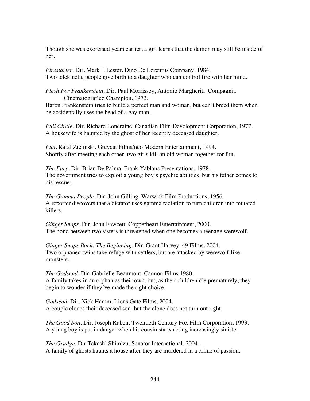Though she was exorcised years earlier, a girl learns that the demon may still be inside of her.

*Firestarter.* Dir. Mark L Lester. Dino De Lorentiis Company, 1984. Two telekinetic people give birth to a daughter who can control fire with her mind.

*Flesh For Frankenstein*. Dir. Paul Morrissey, Antonio Margheriti. Compagnia Cinematografico Champion, 1973.

Baron Frankenstein tries to build a perfect man and woman, but can't breed them when he accidentally uses the head of a gay man.

*Full Circle*. Dir. Richard Loncraine. Canadian Film Development Corporation, 1977. A housewife is haunted by the ghost of her recently deceased daughter.

*Fun.* Rafal Zielinski. Greycat Films/neo Modern Entertainment, 1994. Shortly after meeting each other, two girls kill an old woman together for fun.

*The Fury*. Dir. Brian De Palma. Frank Yablans Presentations, 1978. The government tries to exploit a young boy's psychic abilities, but his father comes to his rescue.

*The Gamma People.* Dir. John Gilling. Warwick Film Productions, 1956. A reporter discovers that a dictator uses gamma radiation to turn children into mutated killers.

*Ginger Snaps*. Dir. John Fawcett. Copperheart Entertainment, 2000. The bond between two sisters is threatened when one becomes a teenage werewolf.

*Ginger Snaps Back: The Beginning*. Dir. Grant Harvey. 49 Films, 2004. Two orphaned twins take refuge with settlers, but are attacked by werewolf-like monsters.

*The Godsend*. Dir. Gabrielle Beaumont. Cannon Films 1980. A family takes in an orphan as their own, but, as their children die prematurely, they begin to wonder if they've made the right choice.

*Godsend*. Dir. Nick Hamm. Lions Gate Films, 2004. A couple clones their deceased son, but the clone does not turn out right.

*The Good Son*. Dir. Joseph Ruben. Twentieth Century Fox Film Corporation, 1993. A young boy is put in danger when his cousin starts acting increasingly sinister.

*The Grudge.* Dir Takashi Shimizu. Senator International, 2004. A family of ghosts haunts a house after they are murdered in a crime of passion.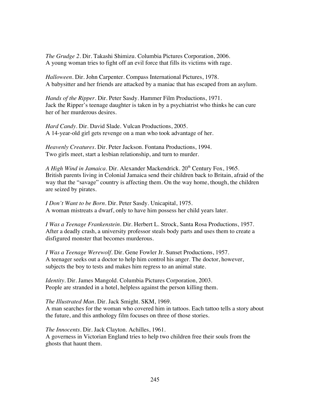*The Grudge 2*. Dir. Takashi Shimizu. Columbia Pictures Corporation, 2006. A young woman tries to fight off an evil force that fills its victims with rage.

*Halloween*. Dir. John Carpenter. Compass International Pictures, 1978. A babysitter and her friends are attacked by a maniac that has escaped from an asylum.

*Hands of the Ripper*. Dir. Peter Sasdy. Hammer Film Productions, 1971. Jack the Ripper's teenage daughter is taken in by a psychiatrist who thinks he can cure her of her murderous desires.

*Hard Candy*. Dir. David Slade. Vulcan Productions, 2005. A 14-year-old girl gets revenge on a man who took advantage of her.

*Heavenly Creatures*. Dir. Peter Jackson. Fontana Productions, 1994. Two girls meet, start a lesbian relationship, and turn to murder.

*A High Wind in Jamaica*. Dir. Alexander Mackendrick. 20<sup>th</sup> Century Fox, 1965. British parents living in Colonial Jamaica send their children back to Britain, afraid of the way that the "savage" country is affecting them. On the way home, though, the children are seized by pirates.

*I Don't Want to be Born*. Dir. Peter Sasdy. Unicapital, 1975. A woman mistreats a dwarf, only to have him possess her child years later.

*I Was a Teenage Frankenstein.* Dir. Herbert L. Strock, Santa Rosa Productions, 1957. After a deadly crash, a university professor steals body parts and uses them to create a disfigured monster that becomes murderous.

*I Was a Teenage Werewolf.* Dir. Gene Fowler Jr. Sunset Productions, 1957. A teenager seeks out a doctor to help him control his anger. The doctor, however, subjects the boy to tests and makes him regress to an animal state.

*Identity*. Dir. James Mangold. Columbia Pictures Corporation, 2003. People are stranded in a hotel, helpless against the person killing them.

*The Illustrated Man*. Dir. Jack Smight. SKM, 1969.

A man searches for the woman who covered him in tattoos. Each tattoo tells a story about the future, and this anthology film focuses on three of those stories.

*The Innocents*. Dir. Jack Clayton. Achilles, 1961.

A governess in Victorian England tries to help two children free their souls from the ghosts that haunt them.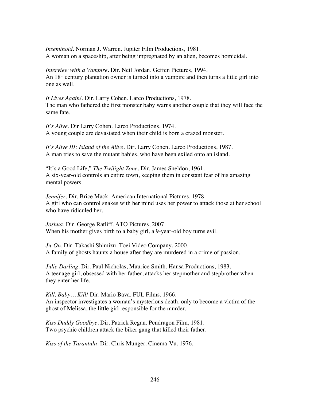*Inseminoid*. Norman J. Warren. Jupiter Film Productions, 1981. A woman on a spaceship, after being impregnated by an alien, becomes homicidal.

*Interview with a Vampire*. Dir. Neil Jordan. Geffen Pictures, 1994. An  $18<sup>th</sup>$  century plantation owner is turned into a vampire and then turns a little girl into one as well.

*It Lives Again!*. Dir. Larry Cohen. Larco Productions, 1978. The man who fathered the first monster baby warns another couple that they will face the same fate.

*It's Alive*. Dir Larry Cohen. Larco Productions, 1974. A young couple are devastated when their child is born a crazed monster.

*It's Alive III: Island of the Alive*. Dir. Larry Cohen. Larco Productions, 1987. A man tries to save the mutant babies, who have been exiled onto an island.

"It's a Good Life," *The Twilight Zone.* Dir. James Sheldon, 1961. A six-year-old controls an entire town, keeping them in constant fear of his amazing mental powers.

*Jennifer*. Dir. Brice Mack. American International Pictures, 1978. A girl who can control snakes with her mind uses her power to attack those at her school who have ridiculed her.

*Joshua*. Dir. George Ratliff. ATO Pictures, 2007. When his mother gives birth to a baby girl, a 9-year-old boy turns evil.

*Ju-On*. Dir. Takashi Shimizu. Toei Video Company, 2000. A family of ghosts haunts a house after they are murdered in a crime of passion.

*Julie Darling*. Dir. Paul Nicholas, Maurice Smith. Hansa Productions, 1983. A teenage girl, obsessed with her father, attacks her stepmother and stepbrother when they enter her life.

*Kill, Baby… Kill!* Dir. Mario Bava. FUL Films. 1966. An inspector investigates a woman's mysterious death, only to become a victim of the ghost of Melissa, the little girl responsible for the murder.

*Kiss Daddy Goodbye*. Dir. Patrick Regan. Pendragon Film, 1981. Two psychic children attack the biker gang that killed their father.

*Kiss of the Tarantula*. Dir. Chris Munger. Cinema-Vu, 1976.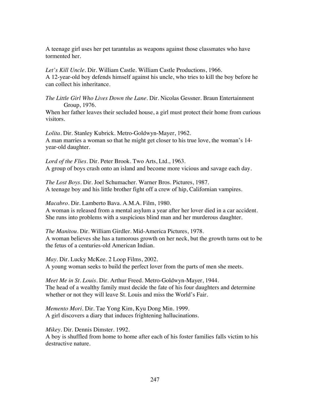A teenage girl uses her pet tarantulas as weapons against those classmates who have tormented her.

*Let's Kill Uncle.* Dir. William Castle. William Castle Productions, 1966. A 12-year-old boy defends himself against his uncle, who tries to kill the boy before he can collect his inheritance.

*The Little Girl Who Lives Down the Lane.* Dir. Nicolas Gessner. Braun Entertainment Group, 1976.

When her father leaves their secluded house, a girl must protect their home from curious visitors.

*Lolita.* Dir. Stanley Kubrick. Metro-Goldwyn-Mayer, 1962. A man marries a woman so that he might get closer to his true love, the woman's 14 year-old daughter.

*Lord of the Flies*. Dir. Peter Brook. Two Arts, Ltd., 1963. A group of boys crash onto an island and become more vicious and savage each day.

*The Lost Boys.* Dir. Joel Schumacher. Warner Bros. Pictures, 1987. A teenage boy and his little brother fight off a crew of hip, Californian vampires.

*Macabro.* Dir. Lamberto Bava. A.M.A. Film, 1980. A woman is released from a mental asylum a year after her lover died in a car accident. She runs into problems with a suspicious blind man and her murderous daughter.

*The Manitou*. Dir. William Girdler. Mid-America Pictures, 1978. A woman believes she has a tumorous growth on her neck, but the growth turns out to be the fetus of a centuries-old American Indian.

*May*. Dir. Lucky McKee. 2 Loop Films, 2002. A young woman seeks to build the perfect lover from the parts of men she meets.

*Meet Me in St. Louis*. Dir. Arthur Freed. Metro-Goldwyn-Mayer, 1944. The head of a wealthy family must decide the fate of his four daughters and determine whether or not they will leave St. Louis and miss the World's Fair.

*Memento Mori*. Dir. Tae Yong Kim, Kyu Dong Min. 1999. A girl discovers a diary that induces frightening hallucinations.

*Mikey*. Dir. Dennis Dimster. 1992.

A boy is shuffled from home to home after each of his foster families falls victim to his destructive nature.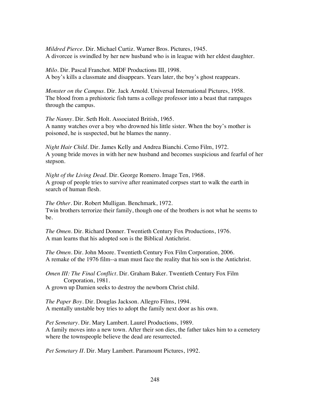*Mildred Pierce.* Dir. Michael Curtiz. Warner Bros. Pictures, 1945. A divorcee is swindled by her new husband who is in league with her eldest daughter.

*Milo*. Dir. Pascal Franchot. MDF Productions III, 1998. A boy's kills a classmate and disappears. Years later, the boy's ghost reappears.

*Monster on the Campus*. Dir. Jack Arnold. Universal International Pictures, 1958. The blood from a prehistoric fish turns a college professor into a beast that rampages through the campus.

*The Nanny*. Dir. Seth Holt. Associated British, 1965. A nanny watches over a boy who drowned his little sister. When the boy's mother is poisoned, he is suspected, but he blames the nanny.

*Night Hair Child*. Dir. James Kelly and Andrea Bianchi. Cemo Film, 1972. A young bride moves in with her new husband and becomes suspicious and fearful of her stepson.

*Night of the Living Dead*. Dir. George Romero. Image Ten, 1968. A group of people tries to survive after reanimated corpses start to walk the earth in search of human flesh.

*The Other*. Dir. Robert Mulligan. Benchmark, 1972. Twin brothers terrorize their family, though one of the brothers is not what he seems to be.

*The Omen*. Dir. Richard Donner. Twentieth Century Fox Productions, 1976. A man learns that his adopted son is the Biblical Antichrist.

*The Omen*. Dir. John Moore. Twentieth Century Fox Film Corporation, 2006. A remake of the 1976 film--a man must face the reality that his son is the Antichrist.

*Omen III: The Final Conflict.* Dir. Graham Baker. Twentieth Century Fox Film Corporation, 1981. A grown up Damien seeks to destroy the newborn Christ child.

*The Paper Boy.* Dir. Douglas Jackson. Allegro Films, 1994. A mentally unstable boy tries to adopt the family next door as his own.

*Pet Semetary*. Dir. Mary Lambert. Laurel Productions, 1989. A family moves into a new town. After their son dies, the father takes him to a cemetery where the townspeople believe the dead are resurrected.

*Pet Semetary II*. Dir. Mary Lambert. Paramount Pictures, 1992.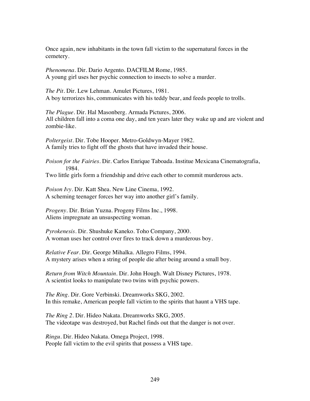Once again, new inhabitants in the town fall victim to the supernatural forces in the cemetery.

*Phenomena*. Dir. Dario Argento. DACFILM Rome, 1985. A young girl uses her psychic connection to insects to solve a murder.

*The Pit.* Dir. Lew Lehman. Amulet Pictures, 1981. A boy terrorizes his, communicates with his teddy bear, and feeds people to trolls.

*The Plague*. Dir. Hal Masonberg. Armada Pictures, 2006. All children fall into a coma one day, and ten years later they wake up and are violent and zombie-like.

*Poltergeist*. Dir. Tobe Hooper. Metro-Goldwyn-Mayer 1982. A family tries to fight off the ghosts that have invaded their house.

*Poison for the Fairies*. Dir. Carlos Enrique Taboada. Institue Mexicana Cinematografia, 1984.

Two little girls form a friendship and drive each other to commit murderous acts.

*Poison Ivy*. Dir. Katt Shea. New Line Cinema, 1992. A scheming teenager forces her way into another girl's family.

*Progeny*. Dir. Brian Yuzna. Progeny Films Inc., 1998. Aliens impregnate an unsuspecting woman.

*Pyrokenesis*. Dir. Shushuke Kaneko. Toho Company, 2000. A woman uses her control over fires to track down a murderous boy.

*Relative Fear*. Dir. George Mihalka. Allegro Films, 1994. A mystery arises when a string of people die after being around a small boy.

*Return from Witch Mountain*. Dir. John Hough. Walt Disney Pictures, 1978. A scientist looks to manipulate two twins with psychic powers.

*The Ring*. Dir. Gore Verbinski. Dreamworks SKG, 2002. In this remake, American people fall victim to the spirits that haunt a VHS tape.

*The Ring 2*. Dir. Hideo Nakata. Dreamworks SKG, 2005. The videotape was destroyed, but Rachel finds out that the danger is not over.

*Ringu*. Dir. Hideo Nakata. Omega Project, 1998. People fall victim to the evil spirits that possess a VHS tape.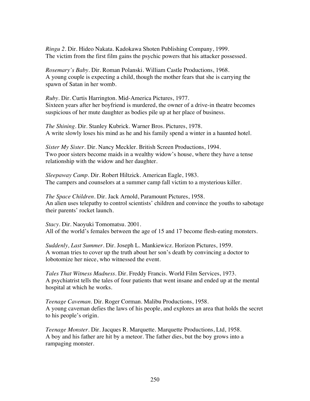*Ringu 2.* Dir. Hideo Nakata. Kadokawa Shoten Publishing Company, 1999. The victim from the first film gains the psychic powers that his attacker possessed.

*Rosemary's Baby.* Dir. Roman Polanski. William Castle Productions, 1968. A young couple is expecting a child, though the mother fears that she is carrying the spawn of Satan in her womb.

*Ruby*. Dir. Curtis Harrington. Mid-America Pictures, 1977. Sixteen years after her boyfriend is murdered, the owner of a drive-in theatre becomes suspicious of her mute daughter as bodies pile up at her place of business.

*The Shining*. Dir. Stanley Kubrick. Warner Bros. Pictures, 1978. A write slowly loses his mind as he and his family spend a winter in a haunted hotel.

*Sister My Sister*. Dir. Nancy Meckler. British Screen Productions, 1994. Two poor sisters become maids in a wealthy widow's house, where they have a tense relationship with the widow and her daughter.

*Sleepaway Camp*. Dir. Robert Hiltzick. American Eagle, 1983. The campers and counselors at a summer camp fall victim to a mysterious killer.

*The Space Children*. Dir. Jack Arnold, Paramount Pictures, 1958. An alien uses telepathy to control scientists' children and convince the youths to sabotage their parents' rocket launch.

*Stacy.* Dir. Naoyuki Tomomatsu. 2001. All of the world's females between the age of 15 and 17 become flesh-eating monsters.

*Suddenly, Last Summer*. Dir. Joseph L. Mankiewicz. Horizon Pictures, 1959. A woman tries to cover up the truth about her son's death by convincing a doctor to lobotomize her niece, who witnessed the event.

*Tales That Witness Madness*. Dir. Freddy Francis. World Film Services, 1973. A psychiatrist tells the tales of four patients that went insane and ended up at the mental hospital at which he works.

*Teenage Caveman.* Dir. Roger Corman. Malibu Productions, 1958. A young caveman defies the laws of his people, and explores an area that holds the secret to his people's origin.

*Teenage Monster.* Dir. Jacques R. Marquette. Marquette Productions, Ltd, 1958. A boy and his father are hit by a meteor. The father dies, but the boy grows into a rampaging monster.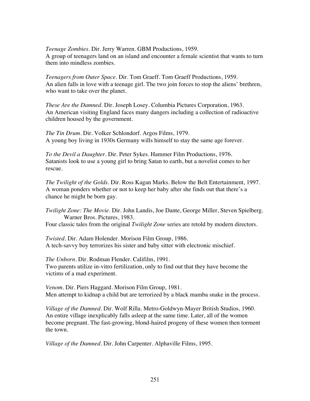*Teenage Zombies.* Dir. Jerry Warren. GBM Productions, 1959. A group of teenagers land on an island and encounter a female scientist that wants to turn them into mindless zombies.

*Teenagers from Outer Space*. Dir. Tom Graeff. Tom Graeff Productions, 1959. An alien falls in love with a teenage girl. The two join forces to stop the aliens' brethren, who want to take over the planet.

*These Are the Damned.* Dir. Joseph Losey. Columbia Pictures Corporation, 1963. An American visiting England faces many dangers including a collection of radioactive children housed by the government.

*The Tin Drum*. Dir. Volker Schlondorf. Argos Films, 1979. A young boy living in 1930s Germany wills himself to stay the same age forever.

*To the Devil a Daughter*. Dir. Peter Sykes. Hammer Film Productions, 1976. Satanists look to use a young girl to bring Satan to earth, but a novelist comes to her rescue.

*The Twilight of the Golds*. Dir. Ross Kagan Marks. Below the Belt Entertainment, 1997. A woman ponders whether or not to keep her baby after she finds out that there's a chance he might be born gay.

*Twilight Zone: The Movie*. Dir. John Landis, Joe Dante, George Miller, Steven Spielberg. Warner Bros. Pictures, 1983. Four classic tales from the original *Twilight Zone* series are retold by modern directors.

*Twisted*. Dir. Adam Holender. Morison Film Group, 1986. A tech-savvy boy terrorizes his sister and baby sitter with electronic mischief.

*The Unborn*. Dir. Rodman Flender. Califilm, 1991. Two parents utilize in-vitro fertilization, only to find out that they have become the victims of a mad experiment.

*Venom*. Dir. Piers Haggard. Morison Film Group, 1981. Men attempt to kidnap a child but are terrorized by a black mamba snake in the process.

*Village of the Damned*. Dir. Wolf Rilla. Metro-Goldwyn-Mayer British Studios, 1960. An entire village inexplicably falls asleep at the same time. Later, all of the women become pregnant. The fast-growing, blond-haired progeny of these women then torment the town.

*Village of the Damned*. Dir. John Carpenter. Alphaville Films, 1995.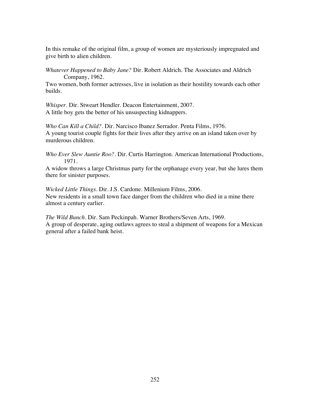In this remake of the original film, a group of women are mysteriously impregnated and give birth to alien children.

*Whatever Happened to Baby Jane?* Dir. Robert Aldrich. The Associates and Aldrich Company, 1962.

Two women, both former actresses, live in isolation as their hostility towards each other builds.

*Whisper*. Dir. Stweart Hendler. Deacon Entertainment, 2007. A little boy gets the better of his unsuspecting kidnappers.

*Who Can Kill a Child?*. Dir. Narcisco Ibanez Serrador. Penta Films, 1976. A young tourist couple fights for their lives after they arrive on an island taken over by murderous children.

*Who Ever Slew Auntie Roo?*. Dir. Curtis Harrington. American International Productions, 1971.

A widow throws a large Christmas party for the orphanage every year, but she lures them there for sinister purposes.

*Wicked Little Things*. Dir. J.S. Cardone. Millenium Films, 2006. New residents in a small town face danger from the children who died in a mine there almost a century earlier.

*The Wild Bunch*. Dir. Sam Peckinpah. Warner Brothers/Seven Arts, 1969. A group of desperate, aging outlaws agrees to steal a shipment of weapons for a Mexican general after a failed bank heist.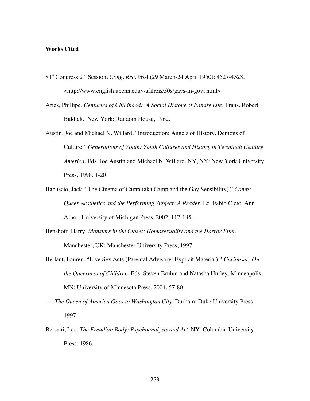## **Works Cited**

- 81st Congress 2nd Session. *Cong. Rec.* 96.4 (29 March-24 April 1950): 4527-4528, <http://www.english.upenn.edu/~afilreis/50s/gays-in-govt.html>.
- Aries, Phillipe. *Centuries of Childhood: A Social History of Family Life*. Trans. Robert Baldick. New York: Random House, 1962.
- Austin, Joe and Michael N. Willard. "Introduction: Angels of History, Demons of Culture." *Generations of Youth: Youth Cultures and History in Twentieth Century America*. Eds. Joe Austin and Michael N. Willard. NY, NY: New York University Press, 1998. 1-20.
- Babuscio, Jack. "The Cinema of Camp (aka Camp and the Gay Sensibility)." *Camp: Queer Aesthetics and the Performing Subject: A Reader*. Ed. Fabio Cleto. Ann Arbor: University of Michigan Press, 2002. 117-135.
- Benshoff, Harry. *Monsters in the Closet: Homosexuality and the Horror Film*. Manchester, UK: Manchester University Press, 1997.
- Berlant, Lauren. "Live Sex Acts (Parental Advisory: Explicit Material)." *Curiouser: On the Queerness of Children*, Eds. Steven Bruhm and Natasha Hurley. Minneapolis, MN: University of Minnesota Press, 2004, 57-80.
- ---. *The Queen of America Goes to Washington City*. Durham: Duke University Press, 1997.
- Bersani, Leo*. The Freudian Body: Psychoanalysis and Art*. NY: Columbia University Press, 1986.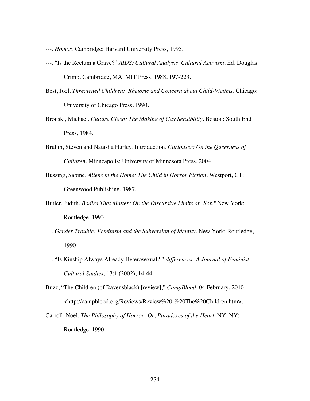- ---. *Homos.* Cambridge: Harvard University Press, 1995.
- ---. "Is the Rectum a Grave?" *AIDS: Cultural Analysis, Cultural Activism*. Ed. Douglas Crimp. Cambridge, MA: MIT Press, 1988, 197-223.
- Best, Joel. *Threatened Children: Rhetoric and Concern about Child-Victims*. Chicago: University of Chicago Press, 1990.
- Bronski, Michael. *Culture Clash: The Making of Gay Sensibility.* Boston: South End Press, 1984.
- Bruhm, Steven and Natasha Hurley. Introduction. *Curiouser: On the Queerness of Children*. Minneapolis: University of Minnesota Press, 2004.
- Bussing, Sabine. *Aliens in the Home: The Child in Horror Fiction*. Westport, CT: Greenwood Publishing, 1987.
- Butler, Judith. *Bodies That Matter: On the Discursive Limits of "Sex."* New York: Routledge, 1993.
- ---. *Gender Trouble: Feminism and the Subversion of Identity*. New York: Routledge, 1990.
- ---. "Is Kinship Always Already Heterosexual?," *differences: A Journal of Feminist Cultural Studies,* 13:1 (2002), 14-44.
- Buzz, "The Children (of Ravensblack) [review]," *CampBlood.* 04 February, 2010. <http://campblood.org/Reviews/Review%20-%20The%20Children.htm>.
- Carroll, Noel. *The Philosophy of Horror: Or, Paradoxes of the Heart*. NY, NY: Routledge, 1990.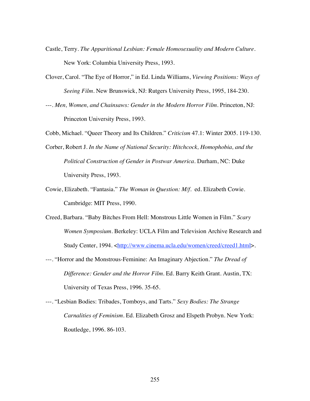- Castle, Terry. *The Apparitional Lesbian: Female Homosexuality and Modern Culture*. New York: Columbia University Press, 1993.
- Clover, Carol. "The Eye of Horror," in Ed. Linda Williams, *Viewing Positions: Ways of Seeing Film*. New Brunswick, NJ: Rutgers University Press, 1995, 184-230.
- ---. *Men, Women, and Chainsaws: Gender in the Modern Horror Film*. Princeton, NJ: Princeton University Press, 1993.

Cobb, Michael. "Queer Theory and Its Children." *Criticism* 47.1: Winter 2005. 119-130.

- Corber, Robert J. *In the Name of National Security: Hitchcock, Homophobia, and the Political Construction of Gender in Postwar America*. Durham, NC: Duke University Press, 1993.
- Cowie, Elizabeth. "Fantasia." *The Woman in Question: M/f.* ed. Elizabeth Cowie. Cambridge: MIT Press, 1990.
- Creed, Barbara. "Baby Bitches From Hell: Monstrous Little Women in Film." *Scary Women Symposium*. Berkeley: UCLA Film and Television Archive Research and Study Center, 1994. <http://www.cinema.ucla.edu/women/creed/creed1.html>.
- ---. "Horror and the Monstrous-Feminine: An Imaginary Abjection." *The Dread of Difference: Gender and the Horror Film*. Ed. Barry Keith Grant. Austin, TX: University of Texas Press, 1996. 35-65.
- ---. "Lesbian Bodies: Tribades, Tomboys, and Tarts." *Sexy Bodies: The Strange Carnalities of Feminism*. Ed. Elizabeth Grosz and Elspeth Probyn. New York: Routledge, 1996. 86-103.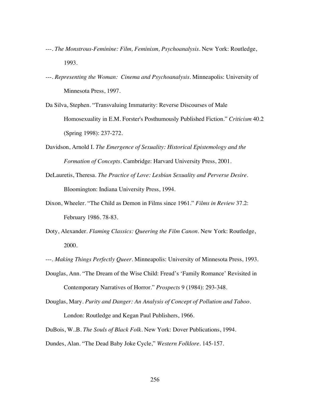- ---. *The Monstrous-Feminine: Film, Feminism, Psychoanalysis*. New York: Routledge, 1993.
- ---. *Representing the Woman: Cinema and Psychoanalysis*. Minneapolis: University of Minnesota Press, 1997.
- Da Silva, Stephen. "Transvaluing Immaturity: Reverse Discourses of Male Homosexuality in E.M. Forster's Posthumously Published Fiction." *Criticism* 40.2 (Spring 1998): 237-272.
- Davidson, Arnold I. *The Emergence of Sexuality: Historical Epistemology and the Formation of Concepts*. Cambridge: Harvard University Press, 2001.
- DeLauretis, Theresa. *The Practice of Love: Lesbian Sexuality and Perverse Desire*. Bloomington: Indiana University Press, 1994.
- Dixon, Wheeler. "The Child as Demon in Films since 1961." *Films in Review* 37.2: February 1986. 78-83.
- Doty, Alexander. *Flaming Classics: Queering the Film Canon*. New York: Routledge, 2000.

---. *Making Things Perfectly Queer*. Minneapolis: University of Minnesota Press, 1993.

- Douglas, Ann. "The Dream of the Wise Child: Freud's 'Family Romance' Revisited in Contemporary Narratives of Horror." *Prospects* 9 (1984): 293-348.
- Douglas, Mary. *Purity and Danger: An Analysis of Concept of Pollution and Taboo*.

London: Routledge and Kegan Paul Publishers, 1966.

- DuBois, W..B. *The Souls of Black Folk*. New York: Dover Publications, 1994.
- Dundes, Alan. "The Dead Baby Joke Cycle," *Western Folklore*. 145-157.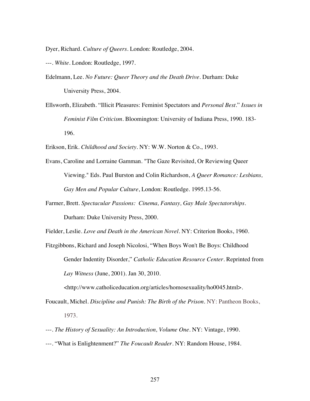Dyer, Richard. *Culture of Queers.* London: Routledge, 2004.

---. *White*. London: Routledge, 1997.

Edelmann, Lee. *No Future: Queer Theory and the Death Drive*. Durham: Duke University Press, 2004.

Ellsworth, Elizabeth. "Illicit Pleasures: Feminist Spectators and *Personal Best*." *Issues in Feminist Film Criticism*. Bloomington: University of Indiana Press, 1990. 183- 196.

Erikson, Erik. *Childhood and Society.* NY: W.W. Norton & Co., 1993.

- Evans, Caroline and Lorraine Gamman. "The Gaze Revisited, Or Reviewing Queer Viewing." Eds. Paul Burston and Colin Richardson, *A Queer Romance: Lesbians, Gay Men and Popular Culture*, London: Routledge. 1995.13-56.
- Farmer, Brett. *Spectacular Passions: Cinema, Fantasy, Gay Male Spectatorships*. Durham: Duke University Press, 2000.

Fielder, Leslie. *Love and Death in the American Novel*. NY: Criterion Books, 1960.

Fitzgibbons, Richard and Joseph Nicolosi, "When Boys Won't Be Boys: Childhood Gender Indentity Disorder," *Catholic Education Resource Center.* Reprinted from *Lay Witness* (June, 2001). Jan 30, 2010.

<http://www.catholiceducation.org/articles/homosexuality/ho0045.html>.

- Foucault, Michel. *Discipline and Punish: The Birth of the Prison*. NY: Pantheon Books, 1973.
- ---. *The History of Sexuality: An Introduction, Volume One*. NY: Vintage, 1990.
- ---. "What is Enlightenment?" *The Foucault Reader*. NY: Random House, 1984.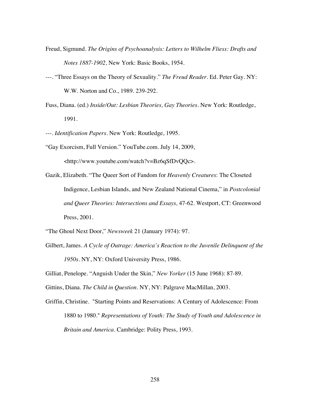- Freud, Sigmund. *The Origins of Psychoanalysis: Letters to Wilhelm Fliess: Drafts and Notes 1887-1902,* New York: Basic Books, 1954.
- ---. "Three Essays on the Theory of Sexuality." *The Freud Reader*. Ed. Peter Gay. NY: W.W. Norton and Co., 1989. 239-292.
- Fuss, Diana. (ed.) *Inside/Out: Lesbian Theories, Gay Theories*. New York: Routledge, 1991.
- ---. *Identification Papers.* New York: Routledge, 1995.
- "Gay Exorcism, Full Version." YouTube.com. July 14, 2009,

<http://www.youtube.com/watch?v=Bz6qSfDvQQc>.

Gazik, Elizabeth. "The Queer Sort of Fandom for *Heavenly Creatures*: The Closeted Indigence, Lesbian Islands, and New Zealand National Cinema," in *Postcolonial and Queer Theories: Intersections and Essays,* 47-62. Westport, CT: Greenwood Press, 2001.

"The Ghoul Next Door," *Newsweek* 21 (January 1974): 97.

Gilbert, James. *A Cycle of Outrage: America's Reaction to the Juvenile Delinquent of the 1950s*. NY, NY: Oxford University Press, 1986.

Gilliat, Penelope. "Anguish Under the Skin," *New Yorker* (15 June 1968): 87-89.

- Gittins, Diana. *The Child in Question*. NY, NY: Palgrave MacMillan, 2003.
- Griffin, Christine. "Starting Points and Reservations: A Century of Adolescence: From 1880 to 1980." *Representations of Youth: The Study of Youth and Adolescence in Britain and America*. Cambridge: Polity Press, 1993.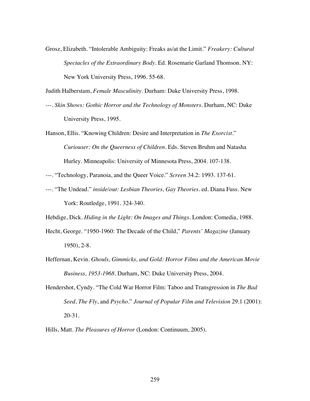Grosz, Elizabeth. "Intolerable Ambiguity: Freaks as/at the Limit." *Freakery: Cultural Spectacles of the Extraordinary Body*. Ed. Rosemarie Garland Thomson. NY: New York University Press, 1996. 55-68.

Judith Halberstam, *Female Masculinity*. Durham: Duke University Press, 1998.

- ---. *Skin Shows: Gothic Horror and the Technology of Monsters.* Durham, NC: Duke University Press, 1995.
- Hanson, Ellis. "Knowing Children: Desire and Interpretation in *The Exorcist*." *Curiouser: On the Queerness of Children.* Eds. Steven Bruhm and Natasha Hurley. Minneapolis: University of Minnesota Press, 2004. 107-138.
- ---. "Technology, Paranoia, and the Queer Voice." *Screen* 34.2: 1993. 137-61.
- ---. "The Undead." *inside/out: Lesbian Theories, Gay Theories*. ed. Diana Fuss. New York: Routledge, 1991. 324-340.

Hebdige, Dick. *Hiding in the Light: On Images and Things.* London: Comedia, 1988.

- Hecht, George. "1950-1960: The Decade of the Child," *Parents' Magazine* (January 1950), 2-8.
- Heffernan, Kevin*. Ghouls, Gimmicks, and Gold: Horror Films and the American Movie Business, 1953-1968.* Durham, NC: Duke University Press, 2004.
- Hendershot, Cyndy. "The Cold War Horror Film: Taboo and Transgression in *The Bad Seed, The Fly*, and *Psycho*." *Journal of Popular Film and Television* 29.1 (2001): 20-31.
- Hills, Matt. *The Pleasures of Horror* (London: Continuum, 2005).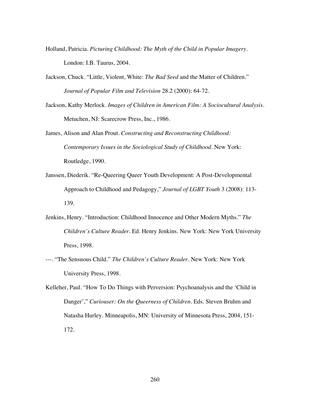- Holland, Patricia. *Picturing Childhood: The Myth of the Child in Popular Imagery.* London: I.B. Taurus, 2004.
- Jackson, Chuck. "Little, Violent, White: *The Bad Seed* and the Matter of Children." *Journal of Popular Film and Television* 28.2 (2000): 64-72.
- Jackson, Kathy Merlock. *Images of Children in American Film: A Sociocultural Analysis*. Metuchen, NJ: Scarecrow Press, Inc., 1986.
- James, Alison and Alan Prout. *Constructing and Reconstructing Childhood: Contemporary Issues in the Sociological Study of Childhood*. New York: Routledge, 1990.
- Janssen, Diederik. "Re-Queering Queer Youth Development: A Post-Developmental Approach to Childhood and Pedagogy," *Journal of LGBT Youth* 3 (2008): 113- 139.
- Jenkins, Henry. "Introduction: Childhood Innocence and Other Modern Myths." *The Children's Culture Reader*. Ed. Henry Jenkins. New York: New York University Press, 1998.
- ---. "The Sensuous Child." *The Children's Culture Reader*. New York: New York University Press, 1998.
- Kelleher, Paul. "How To Do Things with Perversion: Psychoanalysis and the 'Child in Danger'," *Curiouser: On the Queerness of Children*. Eds. Steven Bruhm and Natasha Hurley. Minneapolis, MN: University of Minnesota Press, 2004, 151- 172.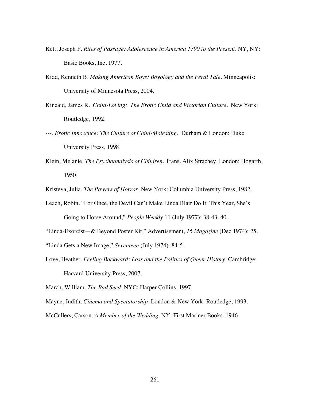- Kett, Joseph F. *Rites of Passage: Adolescence in America 1790 to the Present*. NY, NY: Basic Books, Inc, 1977.
- Kidd, Kenneth B. *Making American Boys: Boyology and the Feral Tale*. Minneapolis: University of Minnesota Press, 2004.
- Kincaid, James R. *Child-Loving: The Erotic Child and Victorian Culture*. New York: Routledge, 1992.
- ---. *Erotic Innocence: The Culture of Child-Molesting*. Durham & London: Duke University Press, 1998.
- Klein, Melanie. *The Psychoanalysis of Children*. Trans. Alix Strachey. London: Hogarth, 1950.

Kristeva, Julia. *The Powers of Horror*. New York: Columbia University Press, 1982.

Leach, Robin. "For Once, the Devil Can't Make Linda Blair Do It: This Year, She's Going to Horse Around," *People Weekly* 11 (July 1977): 38-43. 40.

"Linda-Exorcist—& Beyond Poster Kit," Advertisement, *16 Magazine* (Dec 1974): 25.

"Linda Gets a New Image," *Seventeen* (July 1974): 84-5.

Love, Heather. *Feeling Backward: Loss and the Politics of Queer History*. Cambridge: Harvard University Press, 2007.

March, William. *The Bad Seed.* NYC: Harper Collins, 1997.

Mayne, Judith. *Cinema and Spectatorship*. London & New York: Routledge, 1993.

McCullers, Carson. *A Member of the Wedding.* NY: First Mariner Books, 1946.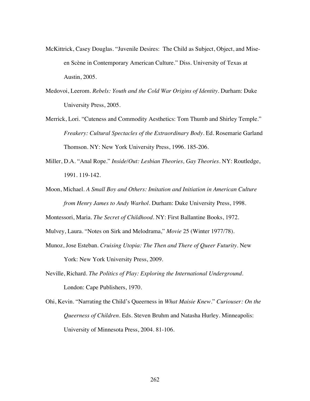- McKittrick, Casey Douglas. "Juvenile Desires: The Child as Subject, Object, and Miseen Scène in Contemporary American Culture." Diss. University of Texas at Austin, 2005.
- Medovoi, Leerom. *Rebels: Youth and the Cold War Origins of Identity.* Durham: Duke University Press, 2005.
- Merrick, Lori. "Cuteness and Commodity Aesthetics: Tom Thumb and Shirley Temple." *Freakery: Cultural Spectacles of the Extraordinary Body*. Ed. Rosemarie Garland Thomson. NY: New York University Press, 1996. 185-206.
- Miller, D.A. "Anal Rope." *Inside/Out: Lesbian Theories, Gay Theories.* NY: Routledge, 1991. 119-142.
- Moon, Michael. *A Small Boy and Others: Imitation and Initiation in American Culture from Henry James to Andy Warhol.* Durham: Duke University Press, 1998.

Montessori, Maria*. The Secret of Childhood.* NY: First Ballantine Books, 1972.

Mulvey, Laura. "Notes on Sirk and Melodrama," *Movie* 25 (Winter 1977/78).

- Munoz, Jose Esteban. *Cruising Utopia: The Then and There of Queer Futurity.* New York: New York University Press, 2009.
- Neville, Richard. *The Politics of Play: Exploring the International Underground*. London: Cape Publishers, 1970.
- Ohi, Kevin. "Narrating the Child's Queerness in *What Maisie Knew*." *Curiouser: On the Queerness of Children.* Eds. Steven Bruhm and Natasha Hurley. Minneapolis: University of Minnesota Press, 2004. 81-106.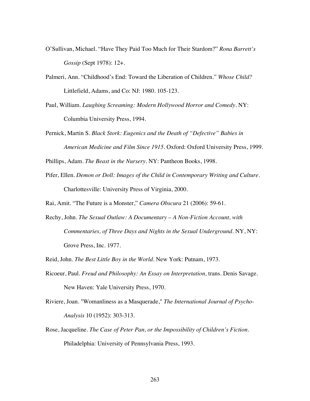- O'Sullivan, Michael. "Have They Paid Too Much for Their Stardom?" *Rona Barrett's Gossip* (Sept 1978): 12+.
- Palmeri, Ann. "Childhood's End: Toward the Liberation of Children." *Whose Child?* Littlefield, Adams, and Co: NJ: 1980. 105-123.
- Paul, William. *Laughing Screaming: Modern Hollywood Horror and Comedy*. NY: Columbia University Press, 1994.
- Pernick, Martin S. *Black Stork: Eugenics and the Death of "Defective" Babies in American Medicine and Film Since 1915.* Oxford: Oxford University Press, 1999.

Phillips, Adam. *The Beast in the Nursery*. NY: Pantheon Books, 1998.

- Pifer, Ellen. *Demon or Doll: Images of the Child in Contemporary Writing and Culture.* Charlottesville: University Press of Virginia, 2000.
- Rai, Amit. "The Future is a Monster," *Camera Obscura* 21 (2006): 59-61.
- Rechy, John. *The Sexual Outlaw: A Documentary A Non-Fiction Account, with Commentaries, of Three Days and Nights in the Sexual Underground*. NY, NY: Grove Press, Inc. 1977.

Reid, John. *The Best Little Boy in the World*. New York: Putnam, 1973.

- Ricoeur, Paul. *Freud and Philosophy: An Essay on Interpretation,* trans. Denis Savage. New Haven: Yale University Press, 1970.
- Riviere, Joan. "Womanliness as a Masquerade," *The International Journal of Psycho-Analysis* 10 (1952): 303-313.
- Rose, Jacqueline. *The Case of Peter Pan, or the Impossibility of Children's Fiction*. Philadelphia: University of Pennsylvania Press, 1993.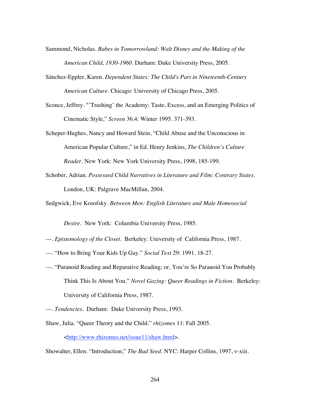- Sammond, Nicholas. *Babes in Tomorrowland: Walt Disney and the Making of the American Child, 1930-1960.* Durham: Duke University Press, 2005.
- Sánchez-Eppler, Karen. *Dependent States: The Child's Part in Nineteenth-Century American Culture.* Chicago: University of Chicago Press, 2005.
- Sconce, Jeffrey. "'Trashing' the Academy: Taste, Excess, and an Emerging Politics of Cinematic Style," *Screen* 36.4: Winter 1995. 371-393.
- Scheper-Hughes, Nancy and Howard Stein, "Child Abuse and the Unconscious in American Popular Culture," in Ed. Henry Jenkins, *The Children's Culture Reader*. New York: New York University Press, 1998, 185-199.
- Schober, Adrian. *Possessed Child Narratives in Literature and Film: Contrary States*. London, UK: Palgrave MacMillan, 2004.
- Sedgwick, Eve Kosofsky. *Between Men: English Literature and Male Homosocial*

*Desire.* New York: Columbia University Press, 1985.

- ---. *Epistemology of the Closet*. Berkeley: University of California Press, 1987.
- ---. "How to Bring Your Kids Up Gay." *Social Text* 29: 1991. 18-27.
- ---. "Paranoid Reading and Reparative Reading; or, You're So Paranoid You Probably Think This Is About You." *Novel Gazing: Queer Readings in Fiction*. Berkeley: University of California Press, 1987.
- ---. *Tendencies*. Durham: Duke University Press, 1993.
- Shaw, Julia. "Queer Theory and the Child." *rhizomes* 11: Fall 2005.

<http://www.rhizomes.net/issue11/shaw.html>.

Showalter, Ellen. "Introduction," *The Bad Seed.* NYC: Harper Collins, 1997, v-xiii.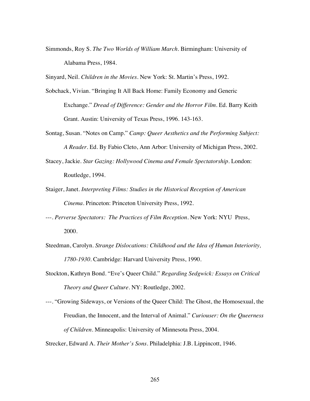Simmonds, Roy S. *The Two Worlds of William March*. Birmingham: University of Alabama Press, 1984.

Sinyard, Neil. *Children in the Movies*. New York: St. Martin's Press, 1992.

- Sobchack, Vivian. "Bringing It All Back Home: Family Economy and Generic Exchange." *Dread of Difference: Gender and the Horror Film*. Ed. Barry Keith Grant. Austin: University of Texas Press, 1996. 143-163.
- Sontag, Susan. "Notes on Camp." *Camp: Queer Aesthetics and the Performing Subject: A Reader*. Ed. By Fabio Cleto, Ann Arbor: University of Michigan Press, 2002.
- Stacey, Jackie. *Star Gazing: Hollywood Cinema and Female Spectatorship*. London: Routledge, 1994.
- Staiger, Janet. *Interpreting Films: Studies in the Historical Reception of American Cinema*. Princeton: Princeton University Press, 1992.
- ---. *Perverse Spectators: The Practices of Film Reception*. New York: NYU Press, 2000.
- Steedman, Carolyn. *Strange Dislocations: Childhood and the Idea of Human Interiority, 1780-1930*. Cambridge: Harvard University Press, 1990.
- Stockton, Kathryn Bond. "Eve's Queer Child." *Regarding Sedgwick: Essays on Critical Theory and Queer Culture*. NY: Routledge, 2002.
- ---. "Growing Sideways, or Versions of the Queer Child: The Ghost, the Homosexual, the Freudian, the Innocent, and the Interval of Animal." *Curiouser: On the Queerness of Children*. Minneapolis: University of Minnesota Press, 2004.

Strecker, Edward A. *Their Mother's Sons.* Philadelphia: J.B. Lippincott, 1946.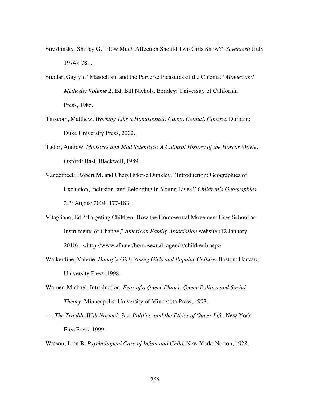- Streshinsky, Shirley G. "How Much Affection Should Two Girls Show?" *Seventeen* (July 1974): 78+.
- Studlar, Gaylyn. "Masochism and the Perverse Pleasures of the Cinema." *Movies and Methods: Volume 2*. Ed. Bill Nichols. Berkley: University of California Press, 1985.
- Tinkcom, Matthew. *Working Like a Homosexual: Camp, Capital, Cinema*. Durham: Duke University Press, 2002.
- Tudor, Andrew. *Monsters and Mad Scientists: A Cultural History of the Horror Movie.* Oxford: Basil Blackwell, 1989.
- Vanderbeck, Robert M. and Cheryl Morse Dunkley. "Introduction: Geographies of Exclusion, Inclusion, and Belonging in Young Lives." *Children's Geographies* 2.2: August 2004. 177-183.
- Vitagliano, Ed. "Targeting Children: How the Homosexual Movement Uses School as Instruments of Change," *American Family Association* website (12 January 2010), *<*http://www.afa.net/homosexual\_agenda/childrenb.asp>.
- Walkerdine, Valerie. *Daddy's Girl: Young Girls and Popular Culture*. Boston: Harvard University Press, 1998.
- Warner, Michael. Introduction. *Fear of a Queer Planet: Queer Politics and Social Theory*. Minneapolis: University of Minnesota Press, 1993.
- ---. *The Trouble With Normal*: *Sex, Politics, and the Ethics of Queer Life*. New York: Free Press, 1999.

Watson, John B. *Psychological Care of Infant and Child*. New York: Norton, 1928.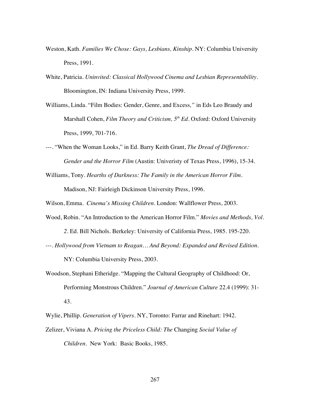- Weston, Kath. *Families We Chose: Gays, Lesbians, Kinship*. NY: Columbia University Press, 1991.
- White, Patricia. *Uninvited: Classical Hollywood Cinema and Lesbian Representability*. Bloomington, IN: Indiana University Press, 1999.
- Williams, Linda. "Film Bodies: Gender, Genre, and Excess*,"* in Eds Leo Braudy and Marshall Cohen, *Film Theory and Criticism, 5th Ed.* Oxford: Oxford University Press, 1999, 701-716.
- ---. "When the Woman Looks," in Ed. Barry Keith Grant, *The Dread of Difference: Gender and the Horror Film* (Austin: Univeristy of Texas Press, 1996), 15-34.
- Williams, Tony. *Hearths of Darkness: The Family in the American Horror Film*.

Madison, NJ: Fairleigh Dickinson University Press, 1996.

Wilson, Emma. *Cinema's Missing Children*. London: Wallflower Press, 2003.

Wood, Robin. "An Introduction to the American Horror Film." *Movies and Methods, Vol.* 

*2*. Ed. Bill Nichols. Berkeley: University of California Press, 1985. 195-220.

---. *Hollywood from Vietnam to Reagan… And Beyond: Expanded and Revised Edition*.

NY: Columbia University Press, 2003.

Woodson, Stephani Etheridge. "Mapping the Cultural Geography of Childhood: Or, Performing Monstrous Children." *Journal of American Culture* 22.4 (1999): 31- 43.

Wylie, Phillip. *Generation of Vipers*. NY, Toronto: Farrar and Rinehart: 1942.

Zelizer, Viviana A. *Pricing the Priceless Child: The* Changing *Social Value of Children*. New York: Basic Books, 1985.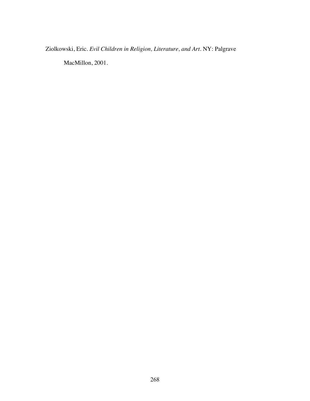Ziolkowski, Eric. *Evil Children in Religion, Literature, and Art*. NY: Palgrave

MacMillon, 2001.